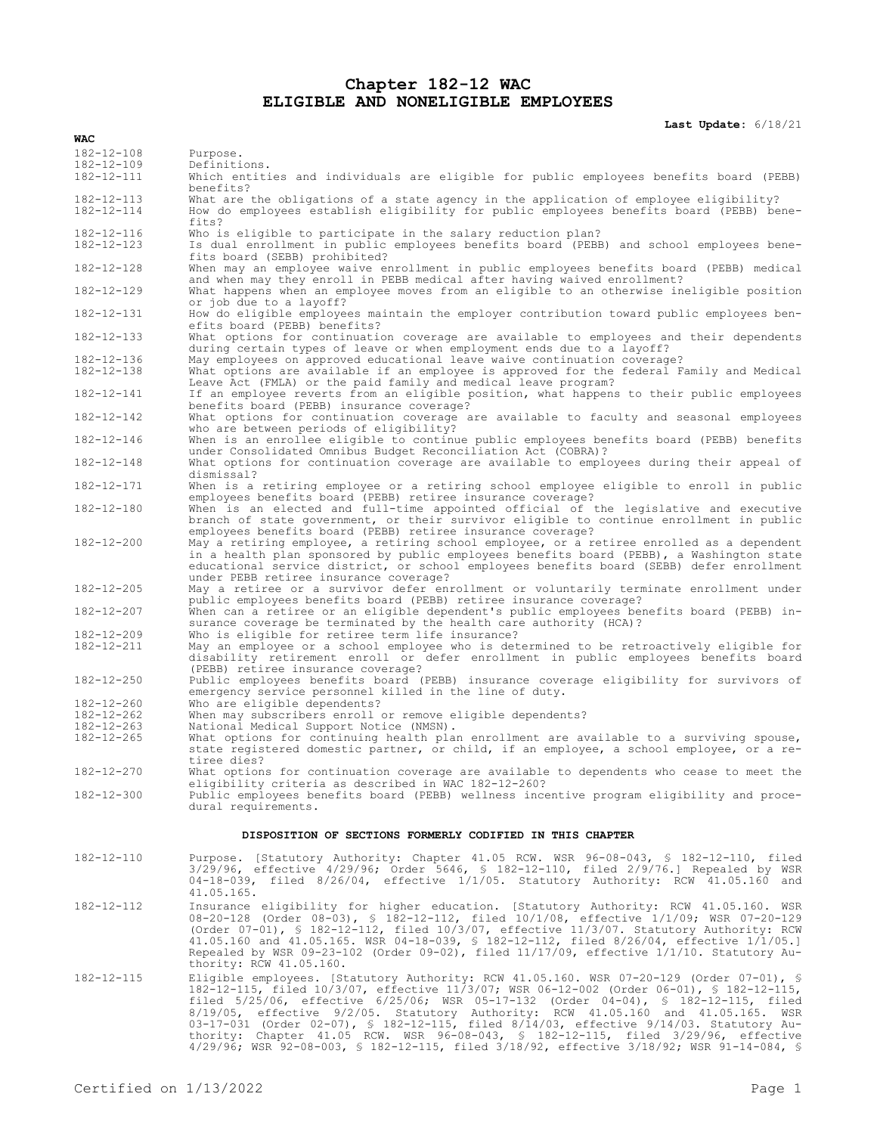# **Chapter 182-12 WAC ELIGIBLE AND NONELIGIBLE EMPLOYEES**

**Last Update:** 6/18/21

| $182 - 12 - 108$ | Purpose.                                                                                                                                                                                                                                                                                                                                                                                                                                                                                                                                      |
|------------------|-----------------------------------------------------------------------------------------------------------------------------------------------------------------------------------------------------------------------------------------------------------------------------------------------------------------------------------------------------------------------------------------------------------------------------------------------------------------------------------------------------------------------------------------------|
| $182 - 12 - 109$ | Definitions.                                                                                                                                                                                                                                                                                                                                                                                                                                                                                                                                  |
| 182-12-111       | Which entities and individuals are eligible for public employees benefits board (PEBB)<br>benefits?                                                                                                                                                                                                                                                                                                                                                                                                                                           |
| $182 - 12 - 113$ | What are the obligations of a state agency in the application of employee eligibility?                                                                                                                                                                                                                                                                                                                                                                                                                                                        |
| 182-12-114       | How do employees establish eligibility for public employees benefits board (PEBB) bene-<br>fits?                                                                                                                                                                                                                                                                                                                                                                                                                                              |
| 182-12-116       | Who is eligible to participate in the salary reduction plan?                                                                                                                                                                                                                                                                                                                                                                                                                                                                                  |
| $182 - 12 - 123$ | Is dual enrollment in public employees benefits board (PEBB) and school employees bene-<br>fits board (SEBB) prohibited?                                                                                                                                                                                                                                                                                                                                                                                                                      |
| 182-12-128       | When may an employee waive enrollment in public employees benefits board (PEBB) medical<br>and when may they enroll in PEBB medical after having waived enrollment?                                                                                                                                                                                                                                                                                                                                                                           |
| 182-12-129       | What happens when an employee moves from an eligible to an otherwise ineligible position<br>or job due to a layoff?                                                                                                                                                                                                                                                                                                                                                                                                                           |
| 182-12-131       | How do eligible employees maintain the employer contribution toward public employees ben-<br>efits board (PEBB) benefits?                                                                                                                                                                                                                                                                                                                                                                                                                     |
| 182-12-133       | What options for continuation coverage are available to employees and their dependents<br>during certain types of leave or when employment ends due to a layoff?                                                                                                                                                                                                                                                                                                                                                                              |
| 182-12-136       | May employees on approved educational leave waive continuation coverage?                                                                                                                                                                                                                                                                                                                                                                                                                                                                      |
| $182 - 12 - 138$ | What options are available if an employee is approved for the federal Family and Medical<br>Leave Act (FMLA) or the paid family and medical leave program?                                                                                                                                                                                                                                                                                                                                                                                    |
| 182-12-141       | If an employee reverts from an eligible position, what happens to their public employees<br>benefits board (PEBB) insurance coverage?                                                                                                                                                                                                                                                                                                                                                                                                         |
| 182-12-142       | What options for continuation coverage are available to faculty and seasonal employees<br>who are between periods of eligibility?                                                                                                                                                                                                                                                                                                                                                                                                             |
| 182-12-146       | When is an enrollee eligible to continue public employees benefits board (PEBB) benefits<br>under Consolidated Omnibus Budget Reconciliation Act (COBRA)?                                                                                                                                                                                                                                                                                                                                                                                     |
| $182 - 12 - 148$ | What options for continuation coverage are available to employees during their appeal of<br>dismissal?                                                                                                                                                                                                                                                                                                                                                                                                                                        |
| 182-12-171       | When is a retiring employee or a retiring school employee eligible to enroll in public<br>employees benefits board (PEBB) retiree insurance coverage?                                                                                                                                                                                                                                                                                                                                                                                         |
| $182 - 12 - 180$ | When is an elected and full-time appointed official of the legislative and executive<br>branch of state government, or their survivor eligible to continue enrollment in public<br>employees benefits board (PEBB) retiree insurance coverage?                                                                                                                                                                                                                                                                                                |
| 182-12-200       | May a retiring employee, a retiring school employee, or a retiree enrolled as a dependent<br>in a health plan sponsored by public employees benefits board (PEBB), a Washington state<br>educational service district, or school employees benefits board (SEBB) defer enrollment                                                                                                                                                                                                                                                             |
|                  | under PEBB retiree insurance coverage?                                                                                                                                                                                                                                                                                                                                                                                                                                                                                                        |
| $182 - 12 - 205$ | May a retiree or a survivor defer enrollment or voluntarily terminate enrollment under<br>public employees benefits board (PEBB) retiree insurance coverage?                                                                                                                                                                                                                                                                                                                                                                                  |
| 182-12-207       | When can a retiree or an eligible dependent's public employees benefits board (PEBB) in-<br>surance coverage be terminated by the health care authority (HCA)?                                                                                                                                                                                                                                                                                                                                                                                |
| 182-12-209       | Who is eligible for retiree term life insurance?                                                                                                                                                                                                                                                                                                                                                                                                                                                                                              |
| 182-12-211       | May an employee or a school employee who is determined to be retroactively eligible for<br>disability retirement enroll or defer enrollment in public employees benefits board                                                                                                                                                                                                                                                                                                                                                                |
| 182-12-250       | (PEBB) retiree insurance coverage?<br>Public employees benefits board (PEBB) insurance coverage eligibility for survivors of                                                                                                                                                                                                                                                                                                                                                                                                                  |
| $182 - 12 - 260$ | emergency service personnel killed in the line of duty.<br>Who are eligible dependents?                                                                                                                                                                                                                                                                                                                                                                                                                                                       |
| 182-12-262       | When may subscribers enroll or remove eligible dependents?                                                                                                                                                                                                                                                                                                                                                                                                                                                                                    |
| $182 - 12 - 263$ | National Medical Support Notice (NMSN).                                                                                                                                                                                                                                                                                                                                                                                                                                                                                                       |
| $182 - 12 - 265$ | What options for continuing health plan enrollment are available to a surviving spouse,<br>state registered domestic partner, or child, if an employee, a school employee, or a re-                                                                                                                                                                                                                                                                                                                                                           |
| 182-12-270       | tiree dies?<br>What options for continuation coverage are available to dependents who cease to meet the                                                                                                                                                                                                                                                                                                                                                                                                                                       |
| $182 - 12 - 300$ | eligibility criteria as described in WAC 182-12-260?<br>Public employees benefits board (PEBB) wellness incentive program eligibility and proce-                                                                                                                                                                                                                                                                                                                                                                                              |
|                  | dural requirements.                                                                                                                                                                                                                                                                                                                                                                                                                                                                                                                           |
|                  | DISPOSITION OF SECTIONS FORMERLY CODIFIED IN THIS CHAPTER                                                                                                                                                                                                                                                                                                                                                                                                                                                                                     |
| 182-12-110       | Purpose. [Statutory Authority: Chapter 41.05 RCW. WSR 96-08-043, § 182-12-110, filed<br>$3/29/96$ , effective $4/29/96$ ; Order 5646, § 182-12-110, filed 2/9/76.] Repealed by WSR<br>04-18-039, filed 8/26/04, effective 1/1/05. Statutory Authority: RCW 41.05.160 and<br>41.05.165.                                                                                                                                                                                                                                                        |
| 182-12-112       | Insurance eligibility for higher education. [Statutory Authority: RCW 41.05.160. WSR<br>08-20-128 (Order 08-03), § 182-12-112, filed 10/1/08, effective 1/1/09; WSR 07-20-129<br>(Order 07-01), § 182-12-112, filed 10/3/07, effective 11/3/07. Statutory Authority: RCW<br>41.05.160 and 41.05.165. WSR 04-18-039, \$ 182-12-112, filed 8/26/04, effective 1/1/05.]<br>Repealed by WSR 09-23-102 (Order 09-02), filed $11/17/09$ , effective $1/1/10$ . Statutory Au-<br>thority: RCW 41.05.160.                                             |
| 182-12-115       | Eligible employees. [Statutory Authority: RCW 41.05.160. WSR 07-20-129 (Order 07-01), §<br>182-12-115, filed 10/3/07, effective 11/3/07; WSR 06-12-002 (Order 06-01), § 182-12-115,<br>filed 5/25/06, effective 6/25/06; WSR 05-17-132 (Order 04-04), § 182-12-115, filed<br>8/19/05, effective 9/2/05. Statutory Authority: RCW 41.05.160 and 41.05.165. WSR<br>03-17-031 (Order 02-07), § 182-12-115, filed 8/14/03, effective 9/14/03. Statutory Au-<br>thority: Chapter 41.05 RCW. WSR 96-08-043, \$ 182-12-115, filed 3/29/96, effective |

4/29/96; WSR 92-08-003, § 182-12-115, filed 3/18/92, effective 3/18/92; WSR 91-14-084, §

**WAC**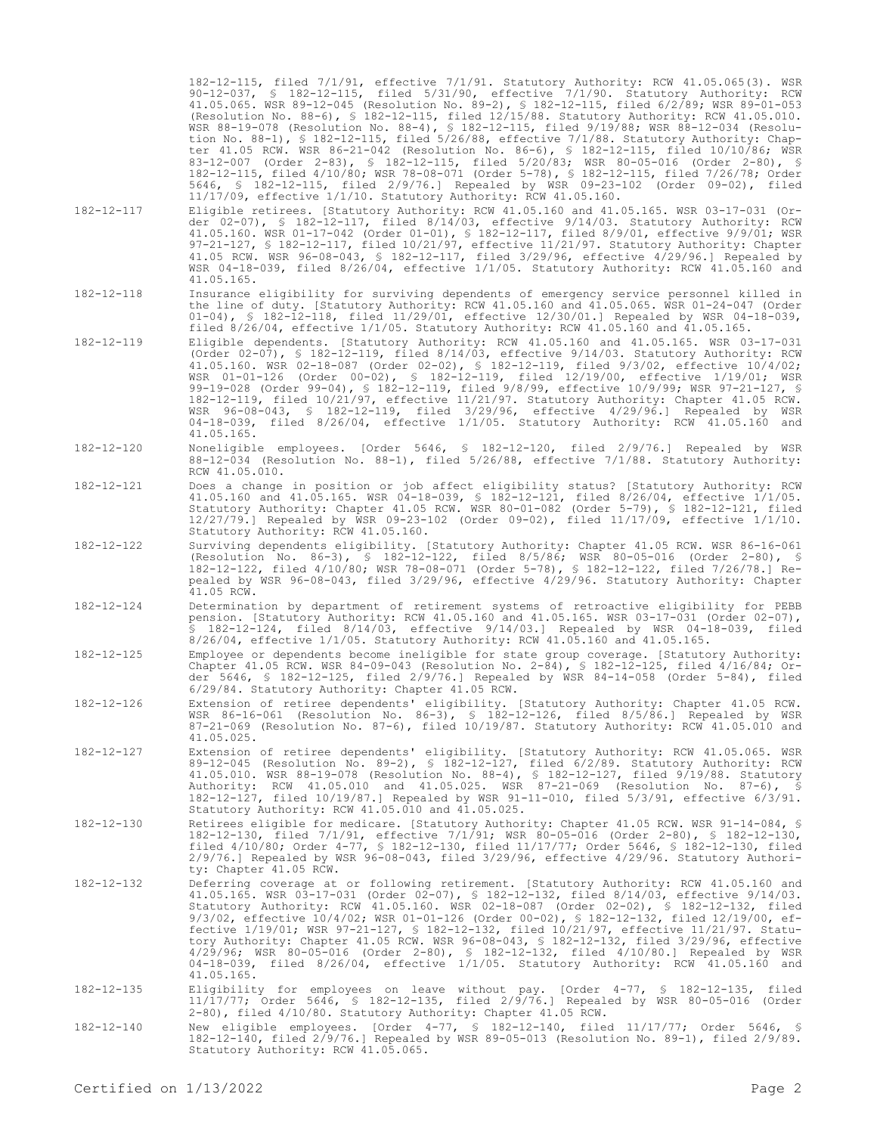|                  | 182-12-115, filed 7/1/91, effective 7/1/91. Statutory Authority: RCW 41.05.065(3). WSR<br>$90-12-037$ , § 182-12-115, filed 5/31/90, effective 7/1/90. Statutory Authority: RCW<br>41.05.065. WSR 89-12-045 (Resolution No. 89-2), § 182-12-115, filed 6/2/89; WSR 89-01-053<br>(Resolution No. 88-6), \$ 182-12-115, filed 12/15/88. Statutory Authority: RCW 41.05.010.<br>WSR 88-19-078 (Resolution No. 88-4), § 182-12-115, filed 9/19/88; WSR 88-12-034 (Resolu-<br>tion No. 88-1), § 182-12-115, filed $5/26/88$ , effective $7/1/88$ . Statutory Authority: Chap-<br>ter 41.05 RCW. WSR 86-21-042 (Resolution No. 86-6), § 182-12-115, filed 10/10/86; WSR<br>83-12-007 (Order 2-83), § 182-12-115, filed 5/20/83; WSR 80-05-016 (Order 2-80), §<br>182-12-115, filed 4/10/80; WSR 78-08-071 (Order 5-78), § 182-12-115, filed 7/26/78; Order<br>5646, § 182-12-115, filed 2/9/76.] Repealed by WSR 09-23-102 (Order 09-02), filed<br>$11/17/09$ , effective $1/1/10$ . Statutory Authority: RCW 41.05.160. |
|------------------|--------------------------------------------------------------------------------------------------------------------------------------------------------------------------------------------------------------------------------------------------------------------------------------------------------------------------------------------------------------------------------------------------------------------------------------------------------------------------------------------------------------------------------------------------------------------------------------------------------------------------------------------------------------------------------------------------------------------------------------------------------------------------------------------------------------------------------------------------------------------------------------------------------------------------------------------------------------------------------------------------------------------|
| 182-12-117       | Eligible retirees. [Statutory Authority: RCW 41.05.160 and 41.05.165. WSR 03-17-031 (Or-<br>der 02-07), § 182-12-117, filed $8/14/03$ , effective $9/14/03$ . Statutory Authority: RCW<br>41.05.160. WSR 01-17-042 (Order 01-01), § 182-12-117, filed 8/9/01, effective 9/9/01; WSR<br>97-21-127, § 182-12-117, filed $10/21/97$ , effective $11/21/97$ . Statutory Authority: Chapter<br>41.05 RCW. WSR 96-08-043, § 182-12-117, filed 3/29/96, effective 4/29/96.] Repealed by<br>WSR 04-18-039, filed 8/26/04, effective 1/1/05. Statutory Authority: RCW 41.05.160 and<br>41.05.165.                                                                                                                                                                                                                                                                                                                                                                                                                           |
| 182-12-118       | Insurance eligibility for surviving dependents of emergency service personnel killed in<br>the line of duty. [Statutory Authority: RCW 41.05.160 and 41.05.065. WSR 01-24-047 (Order<br>$01-04$ , § 182-12-118, filed 11/29/01, effective 12/30/01.] Repealed by WSR 04-18-039,<br>filed $8/26/04$ , effective $1/1/05$ . Statutory Authority: RCW 41.05.160 and 41.05.165.                                                                                                                                                                                                                                                                                                                                                                                                                                                                                                                                                                                                                                        |
| 182-12-119       | Eligible dependents. [Statutory Authority: RCW 41.05.160 and 41.05.165. WSR 03-17-031<br>(Order 02-07), § 182-12-119, filed 8/14/03, effective 9/14/03. Statutory Authority: RCW<br>41.05.160. WSR 02-18-087 (Order 02-02), § 182-12-119, filed 9/3/02, effective 10/4/02;<br>WSR 01-01-126 (Order 00-02), § 182-12-119, filed 12/19/00, effective 1/19/01; WSR<br>99-19-028 (Order 99-04), \$ 182-12-119, filed 9/8/99, effective 10/9/99; WSR 97-21-127, \$<br>182-12-119, filed 10/21/97, effective 11/21/97. Statutory Authority: Chapter 41.05 RCW.<br>WSR 96-08-043, § 182-12-119, filed 3/29/96, effective 4/29/96.] Repealed by WSR<br>04-18-039, filed 8/26/04, effective 1/1/05. Statutory Authority: RCW 41.05.160 and<br>41.05.165.                                                                                                                                                                                                                                                                    |
| 182-12-120       | Noneligible employees. [Order 5646, § 182-12-120, filed 2/9/76.] Repealed by WSR<br>88-12-034 (Resolution No. 88-1), filed 5/26/88, effective 7/1/88. Statutory Authority:<br>RCW 41.05.010.                                                                                                                                                                                                                                                                                                                                                                                                                                                                                                                                                                                                                                                                                                                                                                                                                       |
| $182 - 12 - 121$ | Does a change in position or job affect eligibility status? [Statutory Authority: RCW<br>41.05.160 and 41.05.165. WSR 04-18-039, § 182-12-121, filed 8/26/04, effective 1/1/05.<br>Statutory Authority: Chapter 41.05 RCW. WSR 80-01-082 (Order 5-79), § 182-12-121, filed<br>12/27/79.] Repealed by WSR 09-23-102 (Order 09-02), filed $11/17/09$ , effective $1/1/10$ .<br>Statutory Authority: RCW 41.05.160.                                                                                                                                                                                                                                                                                                                                                                                                                                                                                                                                                                                                   |
| 182-12-122       | Surviving dependents eligibility. [Statutory Authority: Chapter 41.05 RCW. WSR 86-16-061<br>(Resolution No. 86-3), § 182-12-122, filed 8/5/86; WSR 80-05-016 (Order 2-80), §<br>182-12-122, filed 4/10/80; WSR 78-08-071 (Order 5-78), § 182-12-122, filed 7/26/78.] Re-<br>pealed by WSR 96-08-043, filed 3/29/96, effective 4/29/96. Statutory Authority: Chapter<br>41.05 RCW.                                                                                                                                                                                                                                                                                                                                                                                                                                                                                                                                                                                                                                  |
| 182-12-124       | Determination by department of retirement systems of retroactive eligibility for PEBB<br>pension. [Statutory Authority: RCW 41.05.160 and 41.05.165. WSR 03-17-031 (Order 02-07),<br>\$ 182-12-124, filed 8/14/03, effective 9/14/03.] Repealed by WSR 04-18-039, filed<br>$8/26/04$ , effective $1/1/05$ . Statutory Authority: RCW 41.05.160 and 41.05.165.                                                                                                                                                                                                                                                                                                                                                                                                                                                                                                                                                                                                                                                      |
| 182-12-125       | Employee or dependents become ineligible for state group coverage. [Statutory Authority:<br>Chapter 41.05 RCW. WSR 84-09-043 (Resolution No. 2-84), § 182-12-125, filed $4/16/84$ ; Or-<br>der 5646, § 182-12-125, filed $2/9/76$ . Repealed by WSR 84-14-058 (Order 5-84), filed<br>6/29/84. Statutory Authority: Chapter 41.05 RCW.                                                                                                                                                                                                                                                                                                                                                                                                                                                                                                                                                                                                                                                                              |
| 182-12-126       | Extension of retiree dependents' eligibility. [Statutory Authority: Chapter 41.05 RCW.<br>WSR 86-16-061 (Resolution No. 86-3), § 182-12-126, filed 8/5/86.] Repealed by WSR<br>87-21-069 (Resolution No. 87-6), filed 10/19/87. Statutory Authority: RCW 41.05.010 and<br>41.05.025.                                                                                                                                                                                                                                                                                                                                                                                                                                                                                                                                                                                                                                                                                                                               |
| 182-12-127       | Extension of retiree dependents' eligibility. [Statutory Authority: RCW 41.05.065. WSR<br>89-12-045 (Resolution No. 89-2), § 182-12-127, filed 6/2/89. Statutory Authority: RCW<br>41.05.010. WSR 88-19-078 (Resolution No. 88-4), § 182-12-127, filed 9/19/88. Statutory<br>Authority: RCW 41.05.010 and 41.05.025. WSR 87-21-069 (Resolution No. 87-6), \$<br>182-12-127, filed 10/19/87.] Repealed by WSR 91-11-010, filed 5/3/91, effective 6/3/91.<br>Statutory Authority: RCW 41.05.010 and 41.05.025.                                                                                                                                                                                                                                                                                                                                                                                                                                                                                                       |
| 182-12-130       | Retirees eligible for medicare. [Statutory Authority: Chapter 41.05 RCW. WSR 91-14-084, \$<br>182-12-130, filed 7/1/91, effective 7/1/91; WSR 80-05-016 (Order 2-80), § 182-12-130,<br>filed 4/10/80; Order 4-77, § 182-12-130, filed 11/17/77; Order 5646, § 182-12-130, filed<br>$2/9/76$ .] Repealed by WSR 96-08-043, filed $3/29/96$ , effective $4/29/96$ . Statutory Authori-<br>ty: Chapter 41.05 RCW.                                                                                                                                                                                                                                                                                                                                                                                                                                                                                                                                                                                                     |
| $182 - 12 - 132$ | Deferring coverage at or following retirement. [Statutory Authority: RCW 41.05.160 and<br>41.05.165. WSR 03-17-031 (Order 02-07), § 182-12-132, filed 8/14/03, effective 9/14/03.<br>Statutory Authority: RCW 41.05.160. WSR 02-18-087 (Order 02-02), § 182-12-132, filed<br>9/3/02, effective 10/4/02; WSR 01-01-126 (Order 00-02), § 182-12-132, filed 12/19/00, ef-<br>fective 1/19/01; WSR 97-21-127, § 182-12-132, filed 10/21/97, effective 11/21/97. Statu-<br>tory Authority: Chapter 41.05 RCW. WSR 96-08-043, § 182-12-132, filed 3/29/96, effective<br>4/29/96; WSR 80-05-016 (Order 2-80), § 182-12-132, filed 4/10/80.] Repealed by WSR<br>04-18-039, filed 8/26/04, effective 1/1/05. Statutory Authority: RCW 41.05.160 and<br>41.05.165.                                                                                                                                                                                                                                                           |
| 182-12-135       | Eligibility for employees on leave without pay. [Order 4-77, § 182-12-135, filed<br>11/17/77; Order 5646, § 182-12-135, filed 2/9/76.] Repealed by WSR 80-05-016 (Order<br>2-80), filed 4/10/80. Statutory Authority: Chapter 41.05 RCW.                                                                                                                                                                                                                                                                                                                                                                                                                                                                                                                                                                                                                                                                                                                                                                           |
| 182-12-140       | New eligible employees. [Order 4-77, § 182-12-140, filed 11/17/77; Order 5646, §<br>182-12-140, filed 2/9/76.] Repealed by WSR 89-05-013 (Resolution No. 89-1), filed 2/9/89.                                                                                                                                                                                                                                                                                                                                                                                                                                                                                                                                                                                                                                                                                                                                                                                                                                      |

Statutory Authority: RCW 41.05.065.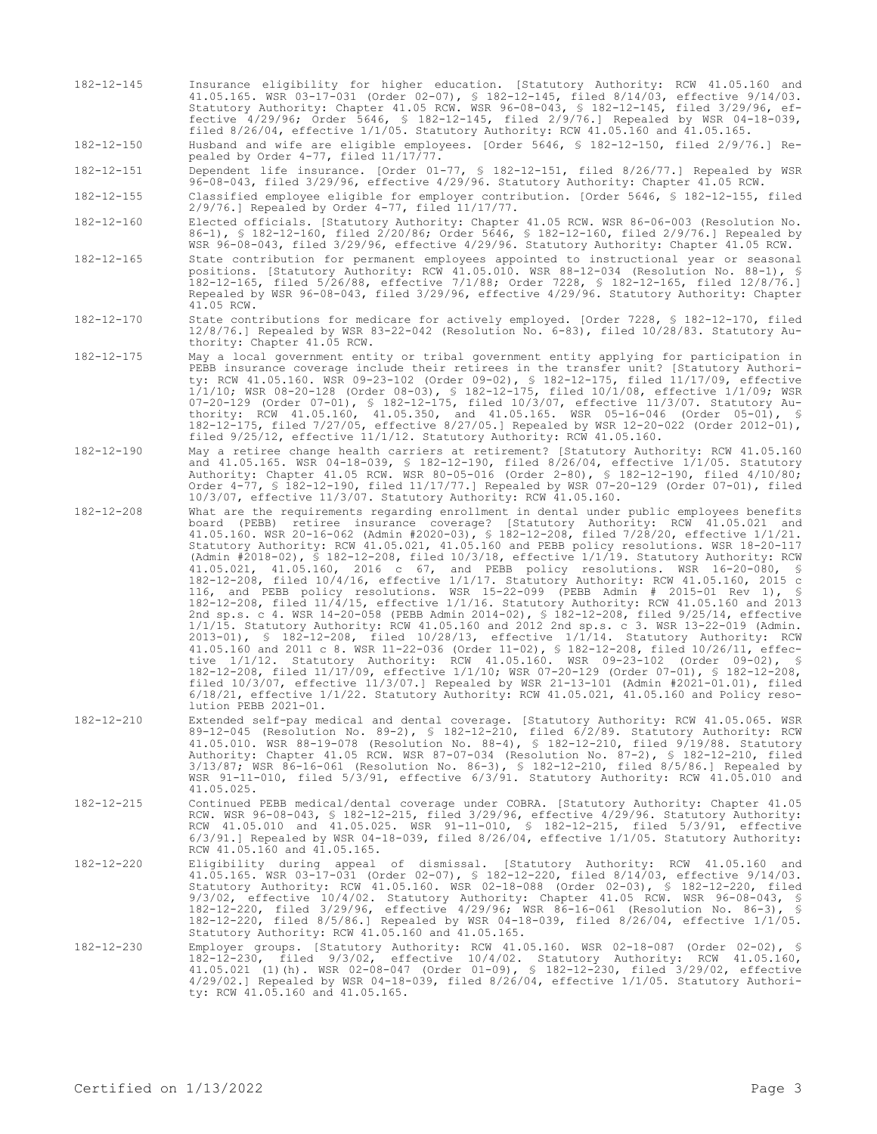182-12-145 Insurance eligibility for higher education. [Statutory Authority: RCW 41.05.160 and 41.05.165. WSR 03-17-031 (Order 02-07), § 182-12-145, filed 8/14/03, effective 9/14/03. Statutory Authority: Chapter 41.05 RCW. WSR 96-08-043, § 182-12-145, filed 3/29/96, effective 4/29/96; Order 5646, § 182-12-145, filed 2/9/76.] Repealed by WSR 04-18-039, filed 8/26/04, effective 1/1/05. Statutory Authority: RCW 41.05.160 and 41.05.165.

182-12-150 Husband and wife are eligible employees. [Order 5646, § 182-12-150, filed 2/9/76.] Repealed by Order 4-77, filed 11/17/77.

182-12-151 Dependent life insurance. [Order 01-77, § 182-12-151, filed 8/26/77.] Repealed by WSR 96-08-043, filed 3/29/96, effective 4/29/96. Statutory Authority: Chapter 41.05 RCW.

182-12-155 Classified employee eligible for employer contribution. [Order 5646, § 182-12-155, filed 2/9/76.] Repealed by Order 4-77, filed 11/17/77.

182-12-160 Elected officials. [Statutory Authority: Chapter 41.05 RCW. WSR 86-06-003 (Resolution No. 86-1), § 182-12-160, filed 2/20/86; Order 5646, § 182-12-160, filed 2/9/76.] Repealed by WSR 96-08-043, filed 3/29/96, effective 4/29/96. Statutory Authority: Chapter 41.05 RCW.

- 182-12-165 State contribution for permanent employees appointed to instructional year or seasonal positions. [Statutory Authority: RCW 41.05.010. WSR 88-12-034 (Resolution No. 88-1), § 182-12-165, filed 5/26/88, effective 7/1/88; Order 7228, § 182-12-165, filed 12/8/76.] Repealed by WSR 96-08-043, filed 3/29/96, effective 4/29/96. Statutory Authority: Chapter 41.05 RCW.
- 182-12-170 State contributions for medicare for actively employed. [Order 7228, § 182-12-170, filed 12/8/76.] Repealed by WSR 83-22-042 (Resolution No. 6-83), filed 10/28/83. Statutory Authority: Chapter 41.05 RCW.
- 182-12-175 May a local government entity or tribal government entity applying for participation in PEBB insurance coverage include their retirees in the transfer unit? [Statutory Authority: RCW 41.05.160. WSR 09-23-102 (Order 09-02), § 182-12-175, filed 11/17/09, effective 1/1/10; WSR 08-20-128 (Order 08-03), § 182-12-175, filed 10/1/08, effective 1/1/09; WSR 07-20-129 (Order 07-01), § 182-12-175, filed 10/3/07, effective 11/3/07. Statutory Authority: RCW 41.05.160, 41.05.350, and 41.05.165. WSR 05-16-046 (Order 05-01), § 182-12-175, filed 7/27/05, effective 8/27/05.] Repealed by WSR 12-20-022 (Order 2012-01), filed 9/25/12, effective 11/1/12. Statutory Authority: RCW 41.05.160.
- 182-12-190 May a retiree change health carriers at retirement? [Statutory Authority: RCW 41.05.160 and 41.05.165. WSR 04-18-039, § 182-12-190, filed 8/26/04, effective 1/1/05. Statutory Authority: Chapter 41.05 RCW. WSR 80-05-016 (Order 2-80), § 182-12-190, filed 4/10/80; Order 4-77, § 182-12-190, filed 11/17/77.] Repealed by WSR 07-20-129 (Order 07-01), filed 10/3/07, effective 11/3/07. Statutory Authority: RCW 41.05.160.

182-12-208 What are the requirements regarding enrollment in dental under public employees benefits board (PEBB) retiree insurance coverage? [Statutory Authority: RCW 41.05.021 and 41.05.160. WSR 20-16-062 (Admin #2020-03), § 182-12-208, filed 7/28/20, effective 1/1/21. Statutory Authority: RCW 41.05.021, 41.05.160 and PEBB policy resolutions. WSR 18-20-117 (Admin #2018-02), § 182-12-208, filed 10/3/18, effective 1/1/19. Statutory Authority: RCW 41.05.021, 41.05.160, 2016 c 67, and PEBB policy resolutions. WSR 16-20-080, § 182-12-208, filed 10/4/16, effective 1/1/17. Statutory Authority: RCW 41.05.160, 2015 c 116, and PEBB policy resolutions. WSR 15-22-099 (PEBB Admin # 2015-01 Rev 1), § 182-12-208, filed 11/4/15, effective 1/1/16. Statutory Authority: RCW 41.05.160 and 2013 2nd sp.s. c 4. WSR 14-20-058 (PEBB Admin 2014-02), § 182-12-208, filed 9/25/14, effective 1/1/15. Statutory Authority: RCW 41.05.160 and 2012 2nd sp.s. c 3. WSR 13-22-019 (Admin. 2013-01), § 182-12-208, filed 10/28/13, effective 1/1/14. Statutory Authority: RCW 41.05.160 and 2011 c 8. WSR 11-22-036 (Order 11-02), § 182-12-208, filed 10/26/11, effective 1/1/12. Statutory Authority: RCW 41.05.160. WSR 09-23-102 (Order 09-02), § 182-12-208, filed 11/17/09, effective 1/1/10; WSR 07-20-129 (Order 07-01), § 182-12-208, filed 10/3/07, effective 11/3/07.] Repealed by WSR 21-13-101 (Admin #2021-01.01), filed 6/18/21, effective 1/1/22. Statutory Authority: RCW 41.05.021, 41.05.160 and Policy resolution PEBB 2021-01.

- 182-12-210 Extended self-pay medical and dental coverage. [Statutory Authority: RCW 41.05.065. WSR 89-12-045 (Resolution No. 89-2), § 182-12-210, filed 6/2/89. Statutory Authority: RCW 41.05.010. WSR 88-19-078 (Resolution No. 88-4), § 182-12-210, filed 9/19/88. Statutory Authority: Chapter 41.05 RCW. WSR 87-07-034 (Resolution No. 87-2), § 182-12-210, filed 3/13/87; WSR 86-16-061 (Resolution No. 86-3), § 182-12-210, filed 8/5/86.] Repealed by WSR 91-11-010, filed 5/3/91, effective 6/3/91. Statutory Authority: RCW 41.05.010 and 41.05.025.
- 182-12-215 Continued PEBB medical/dental coverage under COBRA. [Statutory Authority: Chapter 41.05 RCW. WSR 96-08-043, § 182-12-215, filed 3/29/96, effective 4/29/96. Statutory Authority: RCW 41.05.010 and 41.05.025. WSR 91-11-010, § 182-12-215, filed 5/3/91, effective 6/3/91.] Repealed by WSR 04-18-039, filed 8/26/04, effective 1/1/05. Statutory Authority: RCW 41.05.160 and 41.05.165.
- 182-12-220 Eligibility during appeal of dismissal. [Statutory Authority: RCW 41.05.160 and 41.05.165. WSR 03-17-031 (Order 02-07), § 182-12-220, filed 8/14/03, effective 9/14/03. Statutory Authority: RCW 41.05.160. WSR 02-18-088 (Order 02-03), § 182-12-220, filed 9/3/02, effective 10/4/02. Statutory Authority: Chapter 41.05 RCW. WSR 96-08-043, § 182-12-220, filed 3/29/96, effective 4/29/96; WSR 86-16-061 (Resolution No. 86-3), § 182-12-220, filed 8/5/86.] Repealed by WSR 04-18-039, filed 8/26/04, effective 1/1/05. Statutory Authority: RCW 41.05.160 and 41.05.165.
- 182-12-230 Employer groups. [Statutory Authority: RCW 41.05.160. WSR 02-18-087 (Order 02-02), § 182-12-230, filed 9/3/02, effective 10/4/02. Statutory Authority: RCW 41.05.160, 41.05.021 (1)(h). WSR 02-08-047 (Order 01-09), § 182-12-230, filed 3/29/02, effective 4/29/02.] Repealed by WSR 04-18-039, filed 8/26/04, effective 1/1/05. Statutory Authority: RCW 41.05.160 and 41.05.165.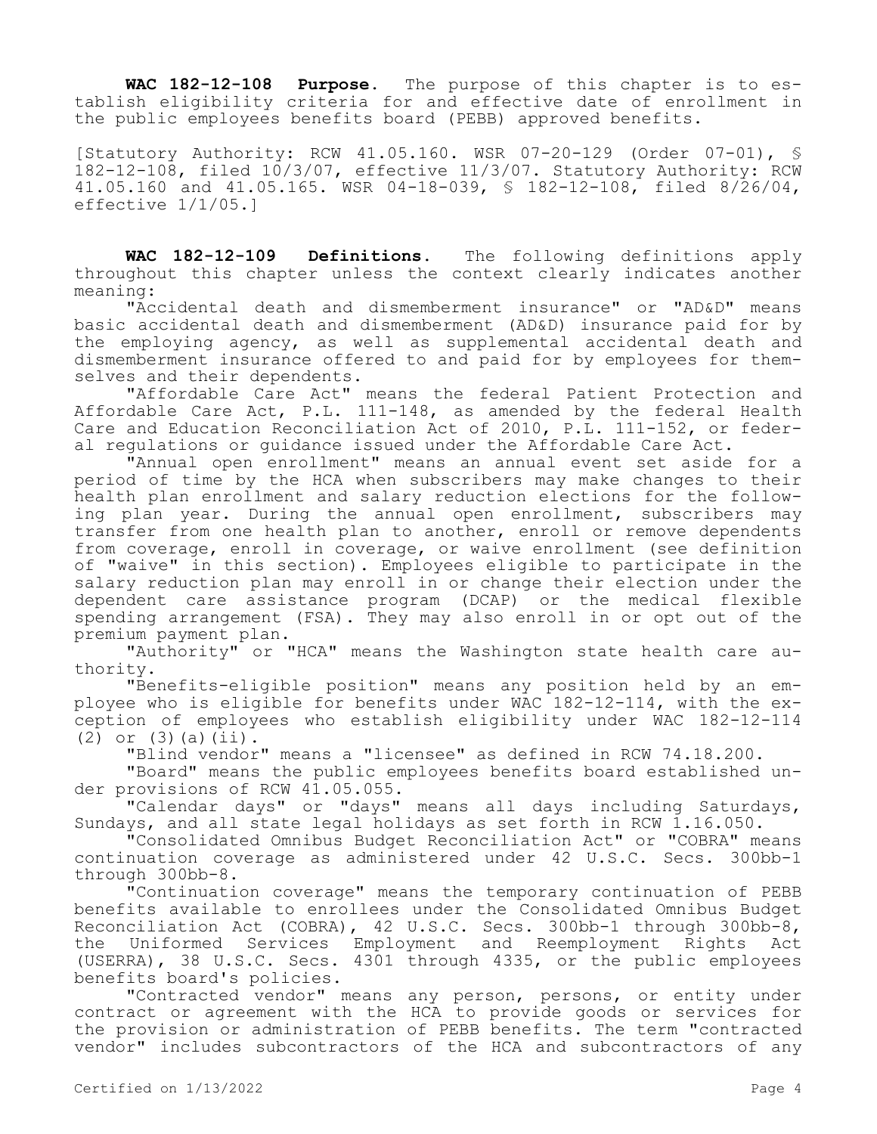**WAC 182-12-108 Purpose.** The purpose of this chapter is to establish eligibility criteria for and effective date of enrollment in the public employees benefits board (PEBB) approved benefits.

[Statutory Authority: RCW 41.05.160. WSR 07-20-129 (Order 07-01), §  $182-12-108$ , filed  $10/3/07$ , effective  $11/3/07$ . Statutory Authority: RCW 41.05.160 and 41.05.165. WSR 04-18-039, § 182-12-108, filed 8/26/04, effective 1/1/05.]

**WAC 182-12-109 Definitions.** The following definitions apply throughout this chapter unless the context clearly indicates another meaning:

"Accidental death and dismemberment insurance" or "AD&D" means basic accidental death and dismemberment (AD&D) insurance paid for by the employing agency, as well as supplemental accidental death and dismemberment insurance offered to and paid for by employees for themselves and their dependents.

"Affordable Care Act" means the federal Patient Protection and Affordable Care Act, P.L. 111-148, as amended by the federal Health Care and Education Reconciliation Act of 2010, P.L. 111-152, or federal regulations or guidance issued under the Affordable Care Act.

"Annual open enrollment" means an annual event set aside for a period of time by the HCA when subscribers may make changes to their health plan enrollment and salary reduction elections for the following plan year. During the annual open enrollment, subscribers may transfer from one health plan to another, enroll or remove dependents from coverage, enroll in coverage, or waive enrollment (see definition of "waive" in this section). Employees eligible to participate in the salary reduction plan may enroll in or change their election under the dependent care assistance program (DCAP) or the medical flexible spending arrangement (FSA). They may also enroll in or opt out of the premium payment plan.

"Authority" or "HCA" means the Washington state health care authority.

"Benefits-eligible position" means any position held by an employee who is eligible for benefits under WAC 182-12-114, with the exception of employees who establish eligibility under WAC 182-12-114 (2) or  $(3)(a)(ii)$ .

"Blind vendor" means a "licensee" as defined in RCW 74.18.200.

"Board" means the public employees benefits board established under provisions of RCW 41.05.055.

"Calendar days" or "days" means all days including Saturdays, Sundays, and all state legal holidays as set forth in RCW 1.16.050.

"Consolidated Omnibus Budget Reconciliation Act" or "COBRA" means continuation coverage as administered under 42 U.S.C. Secs. 300bb-1 through 300bb-8.

"Continuation coverage" means the temporary continuation of PEBB benefits available to enrollees under the Consolidated Omnibus Budget Reconciliation Act (COBRA), 42 U.S.C. Secs. 300bb-1 through 300bb-8, the Uniformed Services Employment and Reemployment Rights Act (USERRA), 38 U.S.C. Secs. 4301 through 4335, or the public employees benefits board's policies.

"Contracted vendor" means any person, persons, or entity under contract or agreement with the HCA to provide goods or services for the provision or administration of PEBB benefits. The term "contracted vendor" includes subcontractors of the HCA and subcontractors of any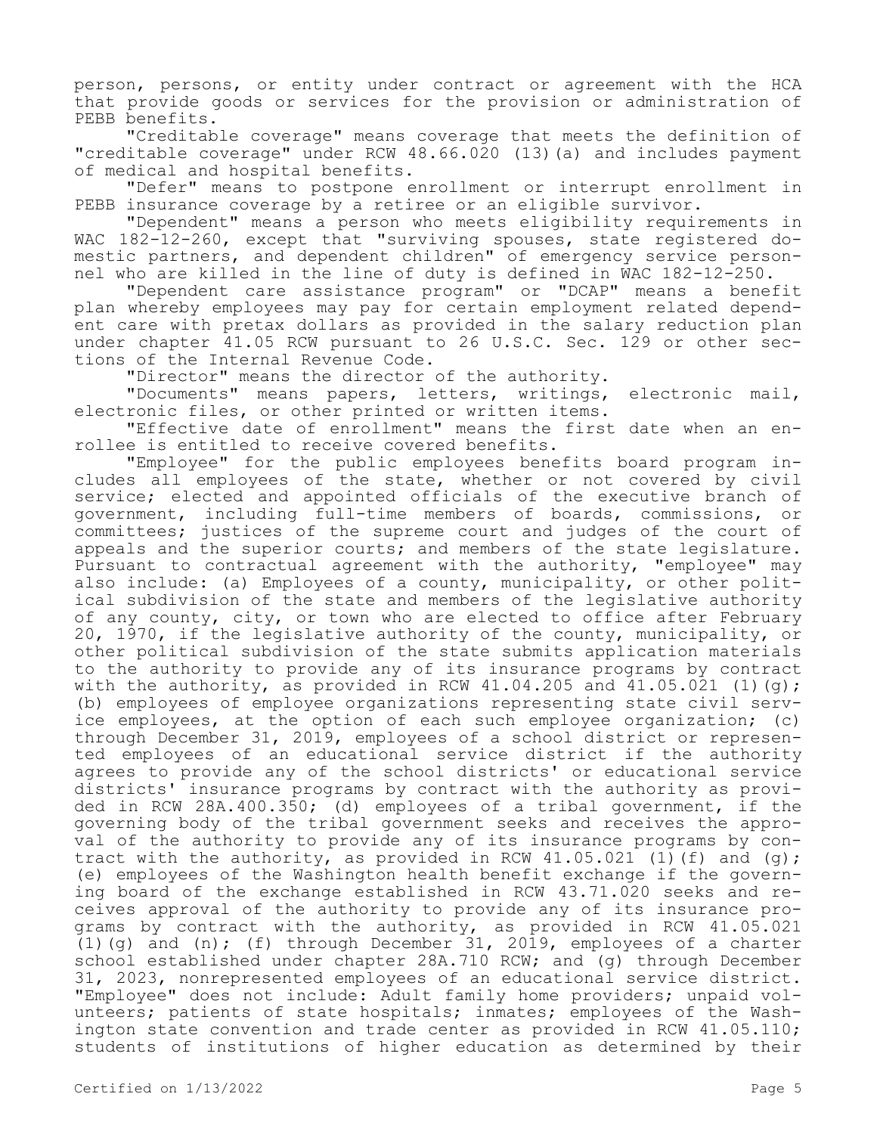person, persons, or entity under contract or agreement with the HCA that provide goods or services for the provision or administration of PEBB benefits.

"Creditable coverage" means coverage that meets the definition of "creditable coverage" under RCW 48.66.020 (13)(a) and includes payment of medical and hospital benefits.

"Defer" means to postpone enrollment or interrupt enrollment in PEBB insurance coverage by a retiree or an eligible survivor.

"Dependent" means a person who meets eligibility requirements in WAC 182-12-260, except that "surviving spouses, state registered domestic partners, and dependent children" of emergency service personnel who are killed in the line of duty is defined in WAC 182-12-250.

"Dependent care assistance program" or "DCAP" means a benefit plan whereby employees may pay for certain employment related dependent care with pretax dollars as provided in the salary reduction plan under chapter 41.05 RCW pursuant to 26 U.S.C. Sec. 129 or other sections of the Internal Revenue Code.

"Director" means the director of the authority.

"Documents" means papers, letters, writings, electronic mail, electronic files, or other printed or written items.

"Effective date of enrollment" means the first date when an enrollee is entitled to receive covered benefits.

"Employee" for the public employees benefits board program includes all employees of the state, whether or not covered by civil service; elected and appointed officials of the executive branch of government, including full-time members of boards, commissions, or committees; justices of the supreme court and judges of the court of appeals and the superior courts; and members of the state legislature. Pursuant to contractual agreement with the authority, "employee" may also include: (a) Employees of a county, municipality, or other political subdivision of the state and members of the legislative authority of any county, city, or town who are elected to office after February 20, 1970, if the legislative authority of the county, municipality, or other political subdivision of the state submits application materials to the authority to provide any of its insurance programs by contract with the authority, as provided in RCW 41.04.205 and  $41.05.021$  (1)(g); (b) employees of employee organizations representing state civil service employees, at the option of each such employee organization; (c) through December 31, 2019, employees of a school district or represented employees of an educational service district if the authority agrees to provide any of the school districts' or educational service districts' insurance programs by contract with the authority as provided in RCW 28A.400.350; (d) employees of a tribal government, if the governing body of the tribal government seeks and receives the approval of the authority to provide any of its insurance programs by contract with the authority, as provided in RCW  $41.05.021$  (1)(f) and (g); (e) employees of the Washington health benefit exchange if the governing board of the exchange established in RCW 43.71.020 seeks and receives approval of the authority to provide any of its insurance programs by contract with the authority, as provided in RCW 41.05.021 (1)(g) and (n); (f) through December 31, 2019, employees of a charter school established under chapter 28A.710 RCW; and (g) through December 31, 2023, nonrepresented employees of an educational service district. "Employee" does not include: Adult family home providers; unpaid volunteers; patients of state hospitals; inmates; employees of the Washington state convention and trade center as provided in RCW 41.05.110; students of institutions of higher education as determined by their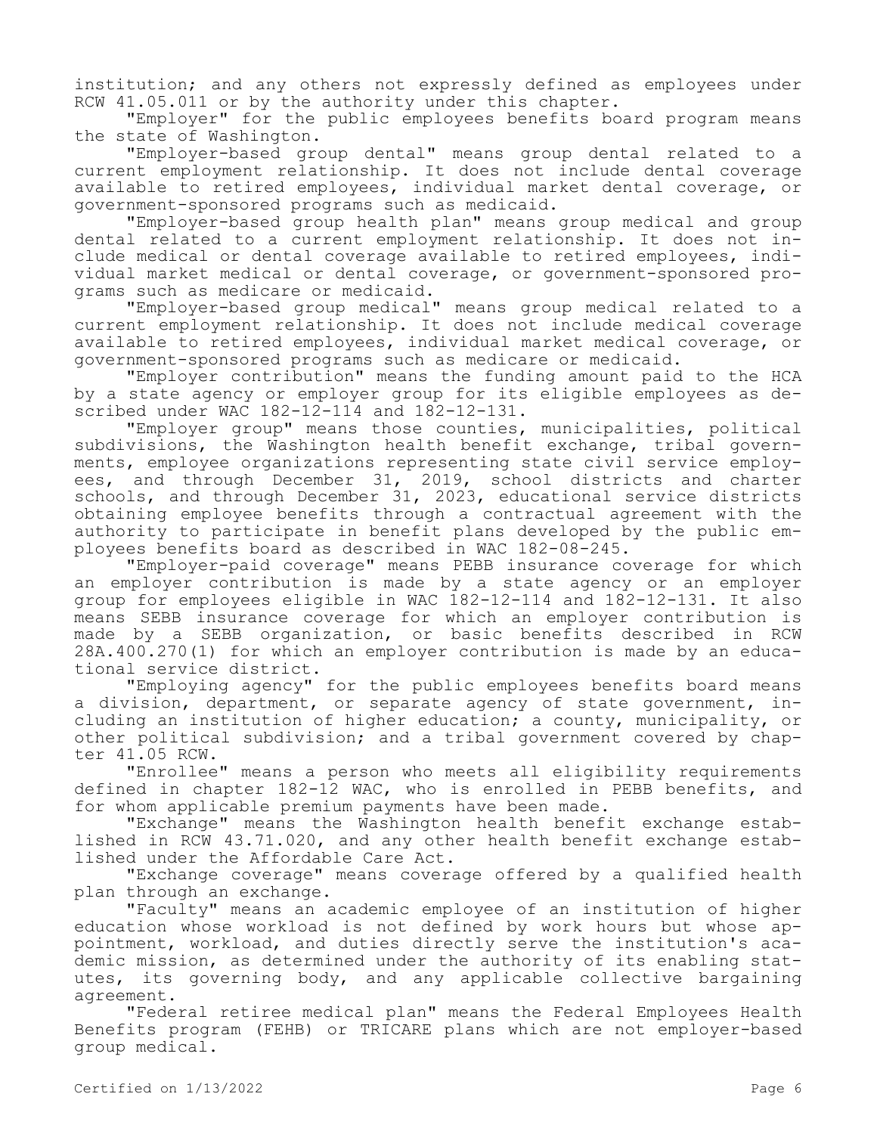institution; and any others not expressly defined as employees under RCW 41.05.011 or by the authority under this chapter.

"Employer" for the public employees benefits board program means the state of Washington.

"Employer-based group dental" means group dental related to a current employment relationship. It does not include dental coverage available to retired employees, individual market dental coverage, or government-sponsored programs such as medicaid.

"Employer-based group health plan" means group medical and group dental related to a current employment relationship. It does not include medical or dental coverage available to retired employees, individual market medical or dental coverage, or government-sponsored programs such as medicare or medicaid.

"Employer-based group medical" means group medical related to a current employment relationship. It does not include medical coverage available to retired employees, individual market medical coverage, or government-sponsored programs such as medicare or medicaid.

"Employer contribution" means the funding amount paid to the HCA by a state agency or employer group for its eligible employees as described under WAC 182-12-114 and 182-12-131.

"Employer group" means those counties, municipalities, political subdivisions, the Washington health benefit exchange, tribal governments, employee organizations representing state civil service employees, and through December 31, 2019, school districts and charter schools, and through December 31, 2023, educational service districts obtaining employee benefits through a contractual agreement with the authority to participate in benefit plans developed by the public employees benefits board as described in WAC 182-08-245.

"Employer-paid coverage" means PEBB insurance coverage for which an employer contribution is made by a state agency or an employer group for employees eligible in WAC 182-12-114 and 182-12-131. It also means SEBB insurance coverage for which an employer contribution is made by a SEBB organization, or basic benefits described in RCW 28A.400.270(1) for which an employer contribution is made by an educational service district.

"Employing agency" for the public employees benefits board means a division, department, or separate agency of state government, including an institution of higher education; a county, municipality, or other political subdivision; and a tribal government covered by chapter 41.05 RCW.

"Enrollee" means a person who meets all eligibility requirements defined in chapter 182-12 WAC, who is enrolled in PEBB benefits, and for whom applicable premium payments have been made.

"Exchange" means the Washington health benefit exchange established in RCW 43.71.020, and any other health benefit exchange established under the Affordable Care Act.

"Exchange coverage" means coverage offered by a qualified health plan through an exchange.

"Faculty" means an academic employee of an institution of higher education whose workload is not defined by work hours but whose appointment, workload, and duties directly serve the institution's academic mission, as determined under the authority of its enabling statutes, its governing body, and any applicable collective bargaining agreement.

"Federal retiree medical plan" means the Federal Employees Health Benefits program (FEHB) or TRICARE plans which are not employer-based group medical.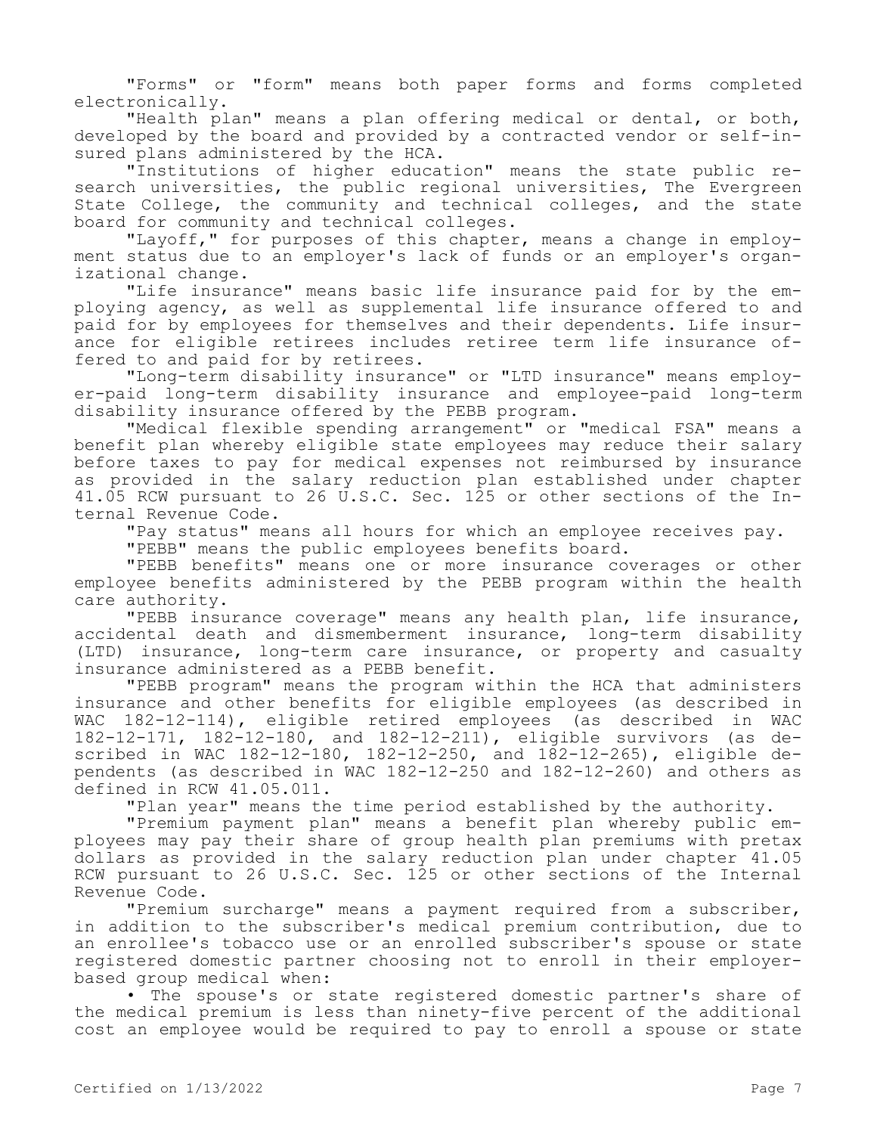"Forms" or "form" means both paper forms and forms completed electronically.

"Health plan" means a plan offering medical or dental, or both, developed by the board and provided by a contracted vendor or self-insured plans administered by the HCA.

"Institutions of higher education" means the state public research universities, the public regional universities, The Evergreen State College, the community and technical colleges, and the state board for community and technical colleges.

"Layoff," for purposes of this chapter, means a change in employment status due to an employer's lack of funds or an employer's organizational change.

"Life insurance" means basic life insurance paid for by the employing agency, as well as supplemental life insurance offered to and paid for by employees for themselves and their dependents. Life insurance for eligible retirees includes retiree term life insurance offered to and paid for by retirees.

"Long-term disability insurance" or "LTD insurance" means employer-paid long-term disability insurance and employee-paid long-term disability insurance offered by the PEBB program.

"Medical flexible spending arrangement" or "medical FSA" means a benefit plan whereby eligible state employees may reduce their salary before taxes to pay for medical expenses not reimbursed by insurance as provided in the salary reduction plan established under chapter 41.05 RCW pursuant to 26 U.S.C. Sec. 125 or other sections of the Internal Revenue Code.

"Pay status" means all hours for which an employee receives pay.

"PEBB" means the public employees benefits board.

"PEBB benefits" means one or more insurance coverages or other employee benefits administered by the PEBB program within the health care authority.

"PEBB insurance coverage" means any health plan, life insurance, accidental death and dismemberment insurance, long-term disability (LTD) insurance, long-term care insurance, or property and casualty insurance administered as a PEBB benefit.

"PEBB program" means the program within the HCA that administers insurance and other benefits for eligible employees (as described in WAC 182-12-114), eligible retired employees (as described in WAC 182-12-171, 182-12-180, and 182-12-211), eligible survivors (as described in WAC 182-12-180, 182-12-250, and  $182-12-265$ ), eligible dependents (as described in WAC 182-12-250 and 182-12-260) and others as defined in RCW 41.05.011.

"Plan year" means the time period established by the authority.

"Premium payment plan" means a benefit plan whereby public employees may pay their share of group health plan premiums with pretax dollars as provided in the salary reduction plan under chapter 41.05 RCW pursuant to 26 U.S.C. Sec. 125 or other sections of the Internal Revenue Code.

"Premium surcharge" means a payment required from a subscriber, in addition to the subscriber's medical premium contribution, due to an enrollee's tobacco use or an enrolled subscriber's spouse or state registered domestic partner choosing not to enroll in their employerbased group medical when:

• The spouse's or state registered domestic partner's share of the medical premium is less than ninety-five percent of the additional cost an employee would be required to pay to enroll a spouse or state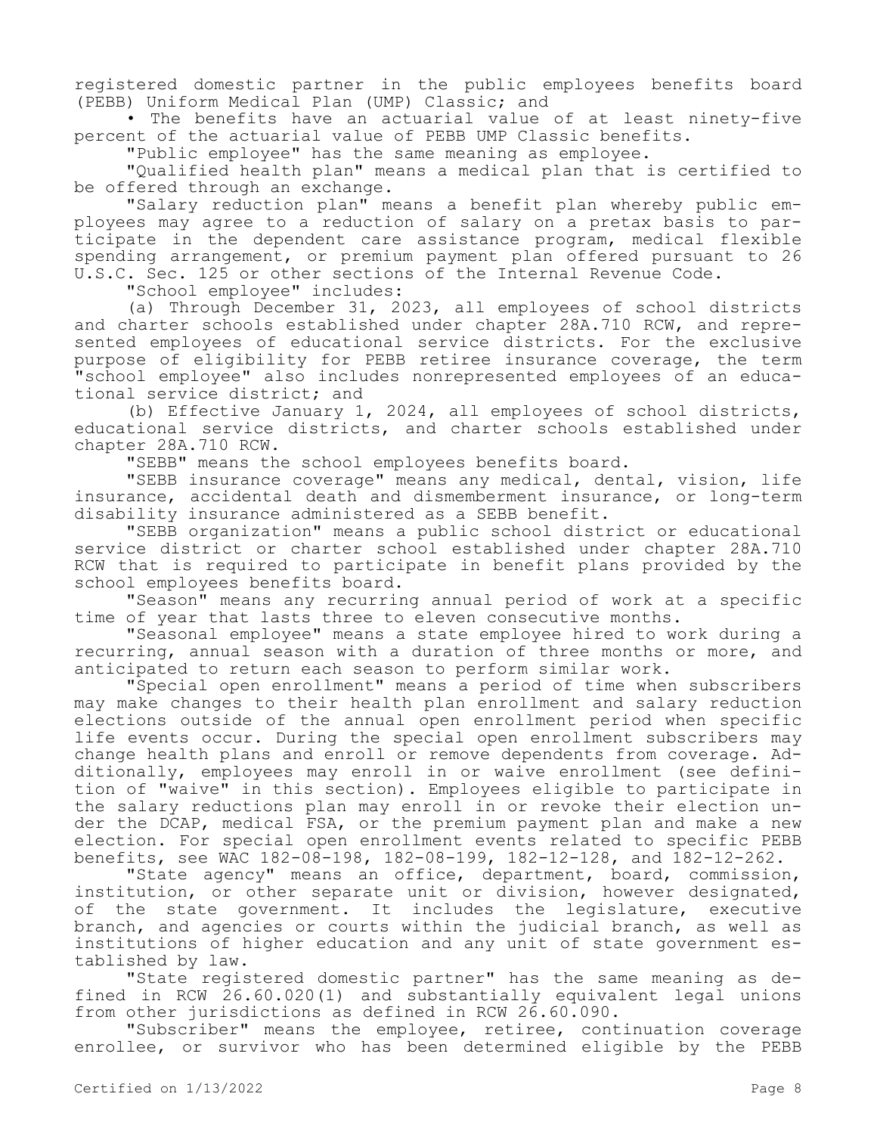registered domestic partner in the public employees benefits board (PEBB) Uniform Medical Plan (UMP) Classic; and

• The benefits have an actuarial value of at least ninety-five percent of the actuarial value of PEBB UMP Classic benefits.

"Public employee" has the same meaning as employee.

"Qualified health plan" means a medical plan that is certified to be offered through an exchange.

"Salary reduction plan" means a benefit plan whereby public employees may agree to a reduction of salary on a pretax basis to participate in the dependent care assistance program, medical flexible spending arrangement, or premium payment plan offered pursuant to 26 U.S.C. Sec. 125 or other sections of the Internal Revenue Code.

"School employee" includes:

(a) Through December 31, 2023, all employees of school districts and charter schools established under chapter 28A.710 RCW, and represented employees of educational service districts. For the exclusive purpose of eligibility for PEBB retiree insurance coverage, the term "school employee" also includes nonrepresented employees of an educational service district; and

(b) Effective January 1, 2024, all employees of school districts, educational service districts, and charter schools established under chapter 28A.710 RCW.

"SEBB" means the school employees benefits board.

"SEBB insurance coverage" means any medical, dental, vision, life insurance, accidental death and dismemberment insurance, or long-term disability insurance administered as a SEBB benefit.

"SEBB organization" means a public school district or educational service district or charter school established under chapter 28A.710 RCW that is required to participate in benefit plans provided by the school employees benefits board.

"Season" means any recurring annual period of work at a specific time of year that lasts three to eleven consecutive months.

"Seasonal employee" means a state employee hired to work during a recurring, annual season with a duration of three months or more, and anticipated to return each season to perform similar work.

"Special open enrollment" means a period of time when subscribers may make changes to their health plan enrollment and salary reduction elections outside of the annual open enrollment period when specific life events occur. During the special open enrollment subscribers may change health plans and enroll or remove dependents from coverage. Additionally, employees may enroll in or waive enrollment (see definition of "waive" in this section). Employees eligible to participate in the salary reductions plan may enroll in or revoke their election under the DCAP, medical FSA, or the premium payment plan and make a new election. For special open enrollment events related to specific PEBB benefits, see WAC 182-08-198, 182-08-199, 182-12-128, and 182-12-262.

"State agency" means an office, department, board, commission, institution, or other separate unit or division, however designated, of the state government. It includes the legislature, executive branch, and agencies or courts within the judicial branch, as well as institutions of higher education and any unit of state government established by law.

"State registered domestic partner" has the same meaning as defined in RCW 26.60.020(1) and substantially equivalent legal unions from other jurisdictions as defined in RCW 26.60.090.

"Subscriber" means the employee, retiree, continuation coverage enrollee, or survivor who has been determined eligible by the PEBB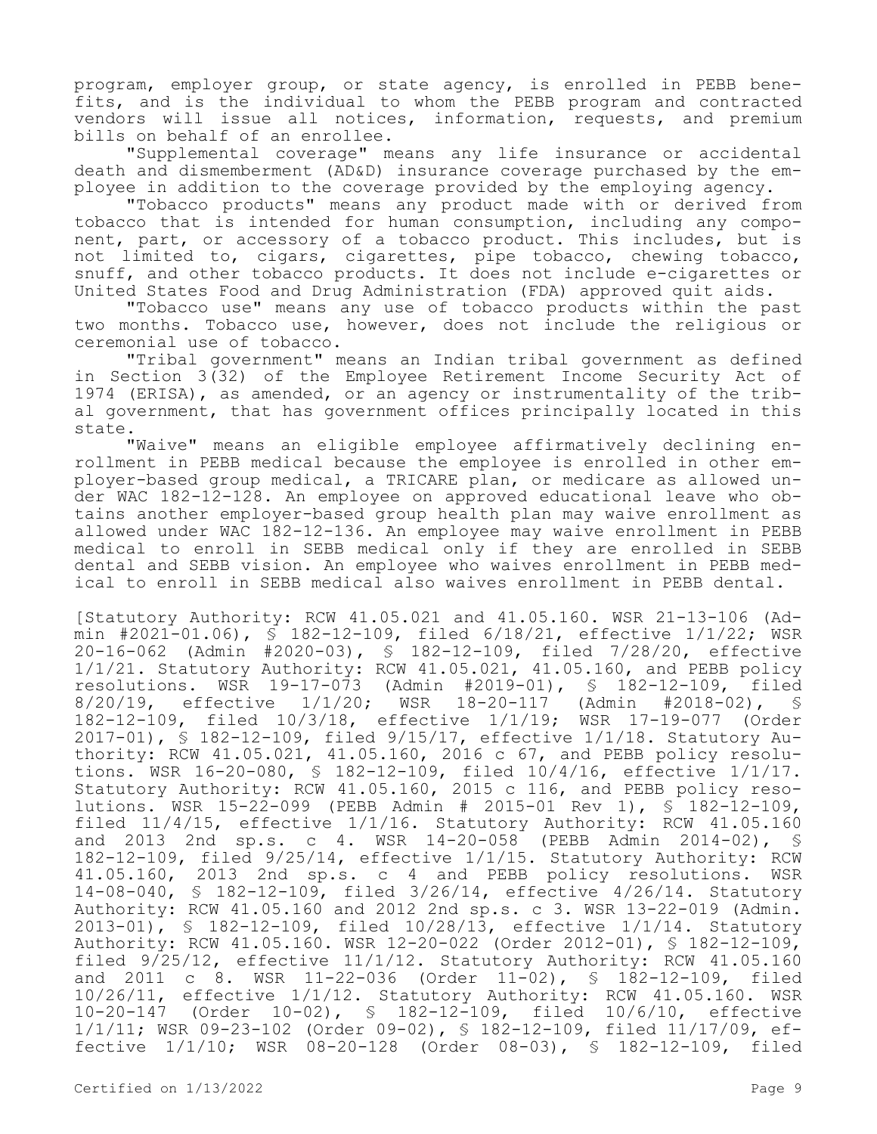program, employer group, or state agency, is enrolled in PEBB benefits, and is the individual to whom the PEBB program and contracted vendors will issue all notices, information, requests, and premium bills on behalf of an enrollee.

"Supplemental coverage" means any life insurance or accidental death and dismemberment (AD&D) insurance coverage purchased by the employee in addition to the coverage provided by the employing agency.

"Tobacco products" means any product made with or derived from tobacco that is intended for human consumption, including any component, part, or accessory of a tobacco product. This includes, but is not limited to, cigars, cigarettes, pipe tobacco, chewing tobacco, snuff, and other tobacco products. It does not include e-cigarettes or United States Food and Drug Administration (FDA) approved quit aids.

"Tobacco use" means any use of tobacco products within the past two months. Tobacco use, however, does not include the religious or ceremonial use of tobacco.

"Tribal government" means an Indian tribal government as defined in Section 3(32) of the Employee Retirement Income Security Act of 1974 (ERISA), as amended, or an agency or instrumentality of the tribal government, that has government offices principally located in this state.

"Waive" means an eligible employee affirmatively declining enrollment in PEBB medical because the employee is enrolled in other employer-based group medical, a TRICARE plan, or medicare as allowed under WAC 182-12-128. An employee on approved educational leave who obtains another employer-based group health plan may waive enrollment as allowed under WAC 182-12-136. An employee may waive enrollment in PEBB medical to enroll in SEBB medical only if they are enrolled in SEBB dental and SEBB vision. An employee who waives enrollment in PEBB medical to enroll in SEBB medical also waives enrollment in PEBB dental.

[Statutory Authority: RCW 41.05.021 and 41.05.160. WSR 21-13-106 (Admin #2021-01.06), § 182-12-109, filed 6/18/21, effective 1/1/22; WSR 20-16-062 (Admin #2020-03), § 182-12-109, filed 7/28/20, effective  $1/1/21$ . Statutory Authority: RCW 41.05.021, 41.05.160, and PEBB policy resolutions. WSR 19-17-073 (Admin #2019-01),  $\frac{1}{5}$  182-12-109, filed resolutions. Madmin #2019-01), § 182-12-109, filed<br>MSR 18-20-117 (Admin #2018-02), § 8/20/19, effective 1/1/20; WSR 18-20-117 (Admin #2018-02), § 182-12-109, filed 10/3/18, effective 1/1/19; WSR 17-19-077 (Order 2017-01), § 182-12-109, filed 9/15/17, effective 1/1/18. Statutory Authority: RCW 41.05.021, 41.05.160, 2016 c 67, and PEBB policy resolutions. WSR 16-20-080, § 182-12-109, filed 10/4/16, effective 1/1/17. Statutory Authority: RCW 41.05.160, 2015 c 116, and PEBB policy resolutions. WSR 15-22-099 (PEBB Admin # 2015-01 Rev 1), § 182-12-109, filed 11/4/15, effective 1/1/16. Statutory Authority: RCW 41.05.160 and 2013 2nd sp.s. c 4. WSR 14-20-058 (PEBB Admin 2014-02), § 182-12-109, filed 9/25/14, effective 1/1/15. Statutory Authority: RCW 41.05.160, 2013 2nd sp.s. c 4 and PEBB policy resolutions. WSR 14-08-040, § 182-12-109, filed 3/26/14, effective 4/26/14. Statutory Authority: RCW 41.05.160 and 2012 2nd sp.s. c 3. WSR 13-22-019 (Admin. 2013-01), § 182-12-109, filed 10/28/13, effective 1/1/14. Statutory Authority: RCW 41.05.160. WSR 12-20-022 (Order 2012-01), § 182-12-109, filed 9/25/12, effective 11/1/12. Statutory Authority: RCW 41.05.160 and 2011 c 8. WSR 11-22-036 (Order 11-02), § 182-12-109, filed 10/26/11, effective 1/1/12. Statutory Authority: RCW 41.05.160. WSR 10-20-147 (Order 10-02), § 182-12-109, filed 10/6/10, effective 1/1/11; WSR 09-23-102 (Order 09-02), § 182-12-109, filed 11/17/09, effective 1/1/10; WSR 08-20-128 (Order 08-03), § 182-12-109, filed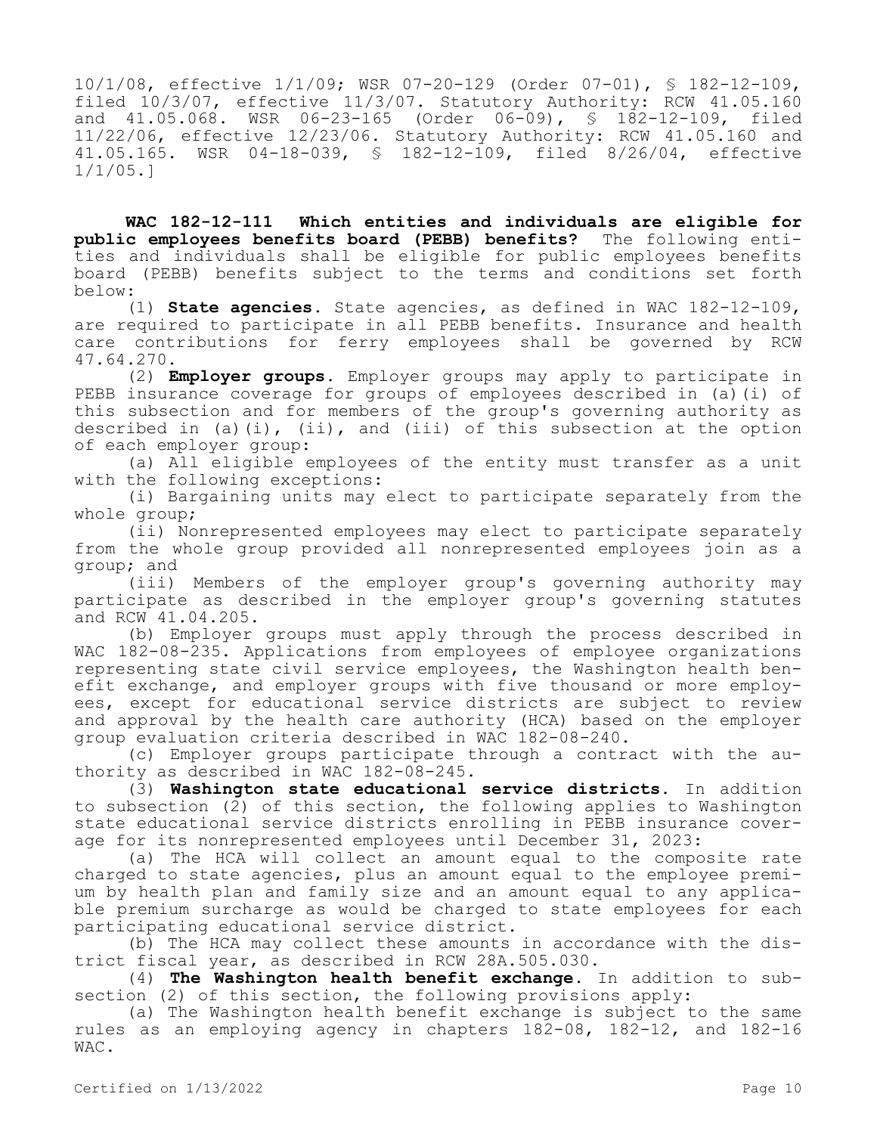10/1/08, effective 1/1/09; WSR 07-20-129 (Order 07-01), § 182-12-109, filed 10/3/07, effective 11/3/07. Statutory Authority: RCW 41.05.160 and 41.05.068. WSR 06-23-165 (Order 06-09), § 182-12-109, filed 11/22/06, effective 12/23/06. Statutory Authority: RCW 41.05.160 and 41.05.165. WSR 04-18-039, § 182-12-109, filed 8/26/04, effective 1/1/05.]

**WAC 182-12-111 Which entities and individuals are eligible for public employees benefits board (PEBB) benefits?** The following entities and individuals shall be eligible for public employees benefits board (PEBB) benefits subject to the terms and conditions set forth below:

(1) **State agencies.** State agencies, as defined in WAC 182-12-109, are required to participate in all PEBB benefits. Insurance and health care contributions for ferry employees shall be governed by RCW 47.64.270.

(2) **Employer groups.** Employer groups may apply to participate in PEBB insurance coverage for groups of employees described in (a)(i) of this subsection and for members of the group's governing authority as described in (a)(i), (ii), and (iii) of this subsection at the option of each employer group:

(a) All eligible employees of the entity must transfer as a unit with the following exceptions:

(i) Bargaining units may elect to participate separately from the whole group;

(ii) Nonrepresented employees may elect to participate separately from the whole group provided all nonrepresented employees join as a group; and

(iii) Members of the employer group's governing authority may participate as described in the employer group's governing statutes and RCW 41.04.205.

(b) Employer groups must apply through the process described in WAC 182-08-235. Applications from employees of employee organizations representing state civil service employees, the Washington health benefit exchange, and employer groups with five thousand or more employees, except for educational service districts are subject to review and approval by the health care authority (HCA) based on the employer group evaluation criteria described in WAC 182-08-240.

(c) Employer groups participate through a contract with the authority as described in WAC 182-08-245.

(3) **Washington state educational service districts.** In addition to subsection (2) of this section, the following applies to Washington state educational service districts enrolling in PEBB insurance coverage for its nonrepresented employees until December 31, 2023:

(a) The HCA will collect an amount equal to the composite rate charged to state agencies, plus an amount equal to the employee premium by health plan and family size and an amount equal to any applicable premium surcharge as would be charged to state employees for each participating educational service district.

(b) The HCA may collect these amounts in accordance with the district fiscal year, as described in RCW 28A.505.030.

(4) **The Washington health benefit exchange.** In addition to subsection (2) of this section, the following provisions apply:

(a) The Washington health benefit exchange is subject to the same rules as an employing agency in chapters 182-08, 182-12, and 182-16 WAC.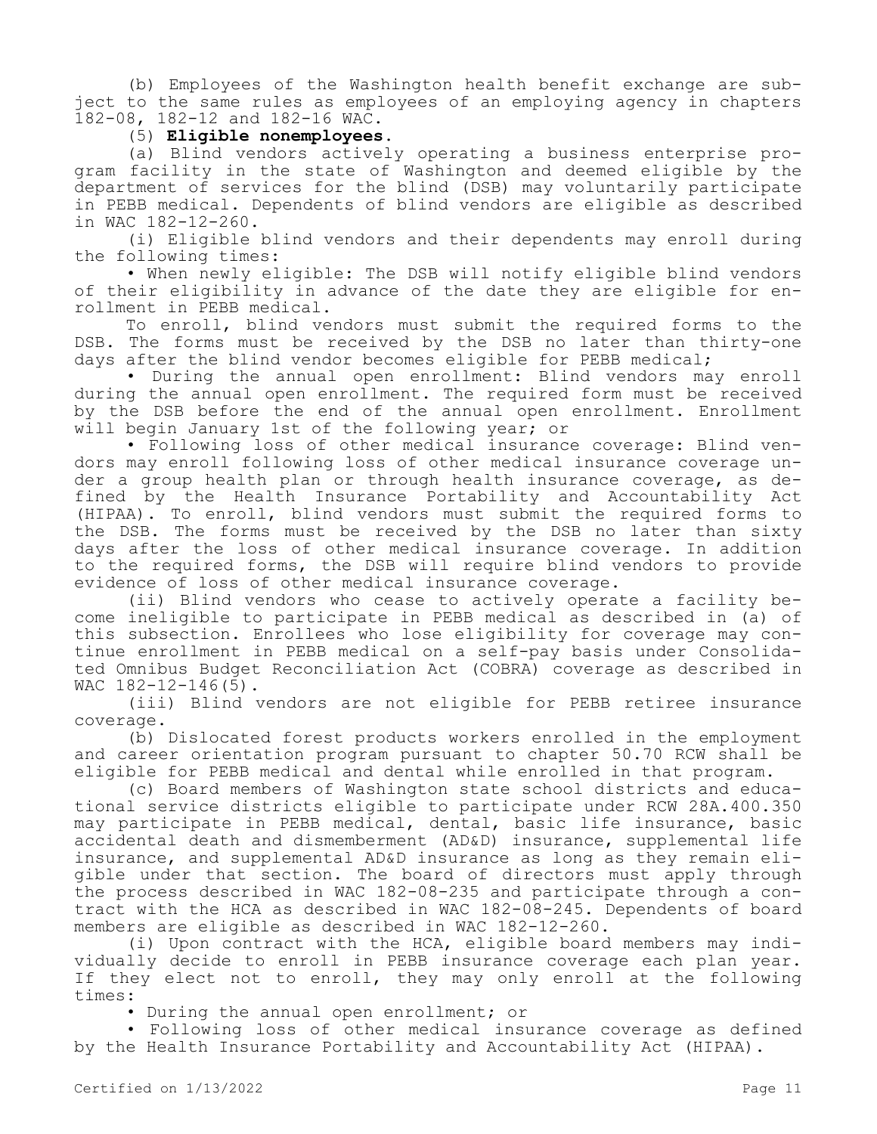(b) Employees of the Washington health benefit exchange are subject to the same rules as employees of an employing agency in chapters 182-08, 182-12 and 182-16 WAC.

# (5) **Eligible nonemployees.**

(a) Blind vendors actively operating a business enterprise program facility in the state of Washington and deemed eligible by the department of services for the blind (DSB) may voluntarily participate in PEBB medical. Dependents of blind vendors are eligible as described in WAC 182-12-260.

(i) Eligible blind vendors and their dependents may enroll during the following times:

• When newly eligible: The DSB will notify eligible blind vendors of their eligibility in advance of the date they are eligible for enrollment in PEBB medical.

To enroll, blind vendors must submit the required forms to the DSB. The forms must be received by the DSB no later than thirty-one days after the blind vendor becomes eligible for PEBB medical;

• During the annual open enrollment: Blind vendors may enroll during the annual open enrollment. The required form must be received by the DSB before the end of the annual open enrollment. Enrollment will begin January 1st of the following year; or

• Following loss of other medical insurance coverage: Blind vendors may enroll following loss of other medical insurance coverage under a group health plan or through health insurance coverage, as defined by the Health Insurance Portability and Accountability Act (HIPAA). To enroll, blind vendors must submit the required forms to the DSB. The forms must be received by the DSB no later than sixty days after the loss of other medical insurance coverage. In addition to the required forms, the DSB will require blind vendors to provide evidence of loss of other medical insurance coverage.

(ii) Blind vendors who cease to actively operate a facility become ineligible to participate in PEBB medical as described in (a) of this subsection. Enrollees who lose eligibility for coverage may continue enrollment in PEBB medical on a self-pay basis under Consolidated Omnibus Budget Reconciliation Act (COBRA) coverage as described in WAC 182-12-146(5).

(iii) Blind vendors are not eligible for PEBB retiree insurance coverage.

(b) Dislocated forest products workers enrolled in the employment and career orientation program pursuant to chapter 50.70 RCW shall be eligible for PEBB medical and dental while enrolled in that program.

(c) Board members of Washington state school districts and educational service districts eligible to participate under RCW 28A.400.350 may participate in PEBB medical, dental, basic life insurance, basic accidental death and dismemberment (AD&D) insurance, supplemental life insurance, and supplemental AD&D insurance as long as they remain eligible under that section. The board of directors must apply through the process described in WAC 182-08-235 and participate through a contract with the HCA as described in WAC 182-08-245. Dependents of board members are eligible as described in WAC 182-12-260.

(i) Upon contract with the HCA, eligible board members may individually decide to enroll in PEBB insurance coverage each plan year. If they elect not to enroll, they may only enroll at the following times:

• During the annual open enrollment; or

• Following loss of other medical insurance coverage as defined by the Health Insurance Portability and Accountability Act (HIPAA).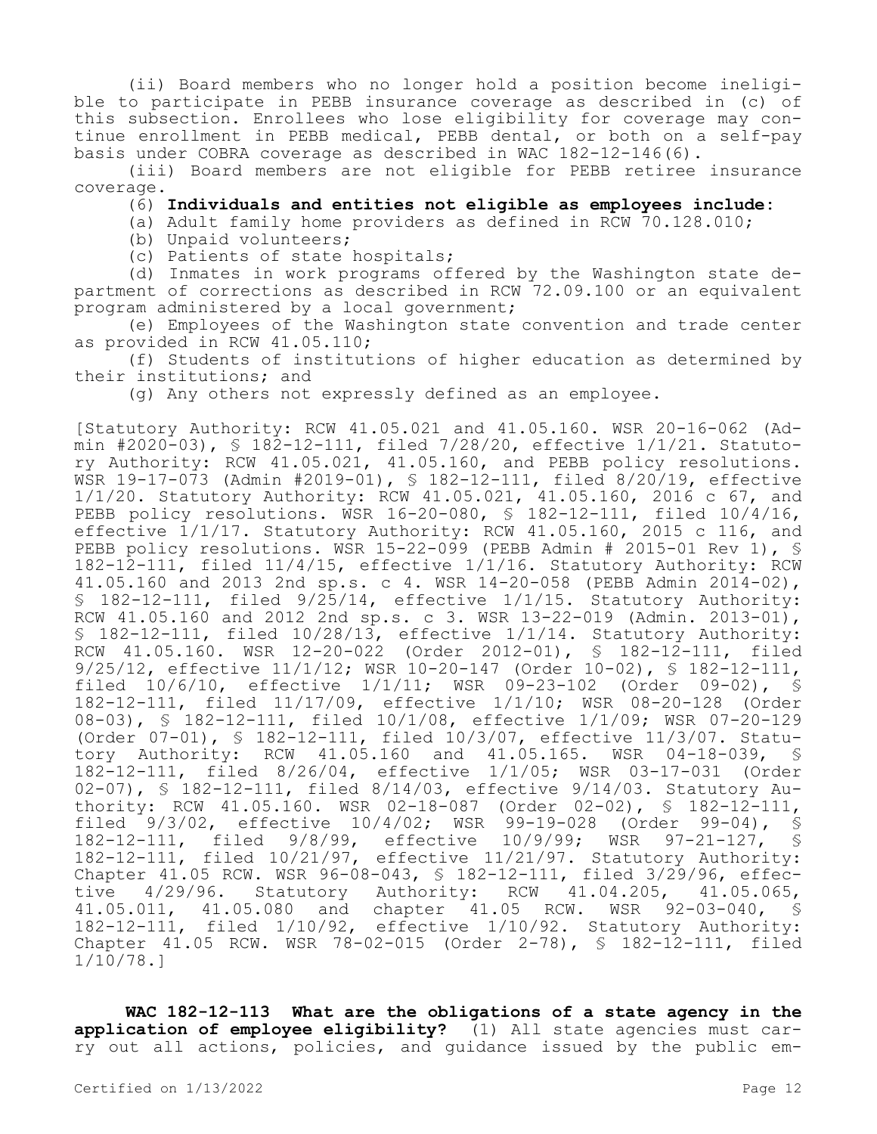(ii) Board members who no longer hold a position become ineligible to participate in PEBB insurance coverage as described in (c) of this subsection. Enrollees who lose eligibility for coverage may continue enrollment in PEBB medical, PEBB dental, or both on a self-pay basis under COBRA coverage as described in WAC 182-12-146(6).

(iii) Board members are not eligible for PEBB retiree insurance coverage.

### (6) **Individuals and entities not eligible as employees include:**

(a) Adult family home providers as defined in RCW 70.128.010;

(b) Unpaid volunteers;

(c) Patients of state hospitals;

(d) Inmates in work programs offered by the Washington state department of corrections as described in RCW 72.09.100 or an equivalent program administered by a local government;

(e) Employees of the Washington state convention and trade center as provided in RCW 41.05.110;

(f) Students of institutions of higher education as determined by their institutions; and

(g) Any others not expressly defined as an employee.

[Statutory Authority: RCW 41.05.021 and 41.05.160. WSR 20-16-062 (Admin #2020-03), § 182-12-111, filed 7/28/20, effective 1/1/21. Statutory Authority: RCW 41.05.021, 41.05.160, and PEBB policy resolutions. WSR 19-17-073 (Admin #2019-01), § 182-12-111, filed 8/20/19, effective 1/1/20. Statutory Authority: RCW 41.05.021, 41.05.160, 2016 c 67, and PEBB policy resolutions. WSR 16-20-080, § 182-12-111, filed 10/4/16, effective 1/1/17. Statutory Authority: RCW 41.05.160, 2015 c 116, and PEBB policy resolutions. WSR 15-22-099 (PEBB Admin # 2015-01 Rev 1), § 182-12-111, filed 11/4/15, effective 1/1/16. Statutory Authority: RCW 41.05.160 and 2013 2nd sp.s. c 4. WSR 14-20-058 (PEBB Admin 2014-02), § 182-12-111, filed 9/25/14, effective 1/1/15. Statutory Authority: RCW 41.05.160 and 2012 2nd sp.s. c 3. WSR 13-22-019 (Admin. 2013-01), § 182-12-111, filed 10/28/13, effective 1/1/14. Statutory Authority: RCW 41.05.160. WSR 12-20-022 (Order 2012-01), § 182-12-111, filed 9/25/12, effective 11/1/12; WSR 10-20-147 (Order 10-02), § 182-12-111, filed 10/6/10, effective 1/1/11; WSR 09-23-102 (Order 09-02), § 182-12-111, filed 11/17/09, effective 1/1/10; WSR 08-20-128 (Order 08-03), § 182-12-111, filed 10/1/08, effective 1/1/09; WSR 07-20-129 (Order 07-01), § 182-12-111, filed 10/3/07, effective 11/3/07. Statutory Authority: RCW 41.05.160 and 41.05.165. WSR 04-18-039, § 182-12-111, filed 8/26/04, effective 1/1/05; WSR 03-17-031 (Order 02-07), § 182-12-111, filed 8/14/03, effective 9/14/03. Statutory Authority: RCW 41.05.160. WSR 02-18-087 (Order 02-02), § 182-12-111, filed 9/3/02, effective 10/4/02; WSR 99-19-028 (Order 99-04), §<br>182-12-111, filed 9/8/99, effective 10/9/99; WSR 97-21-127, § 182-12-111, filed 9/8/99, effective 10/9/99; WSR 97-21-127, § 182-12-111, filed 10/21/97, effective 11/21/97. Statutory Authority: Chapter 41.05 RCW. WSR 96-08-043, § 182-12-111, filed 3/29/96, effective 4/29/96. Statutory Authority: RCW 41.04.205, 41.05.065, 41.05.011, 41.05.080 and chapter 41.05 RCW. WSR 92-03-040, § 182-12-111, filed 1/10/92, effective 1/10/92. Statutory Authority: Chapter 41.05 RCW. WSR 78-02-015 (Order 2-78), § 182-12-111, filed 1/10/78.]

**WAC 182-12-113 What are the obligations of a state agency in the application of employee eligibility?** (1) All state agencies must carry out all actions, policies, and guidance issued by the public em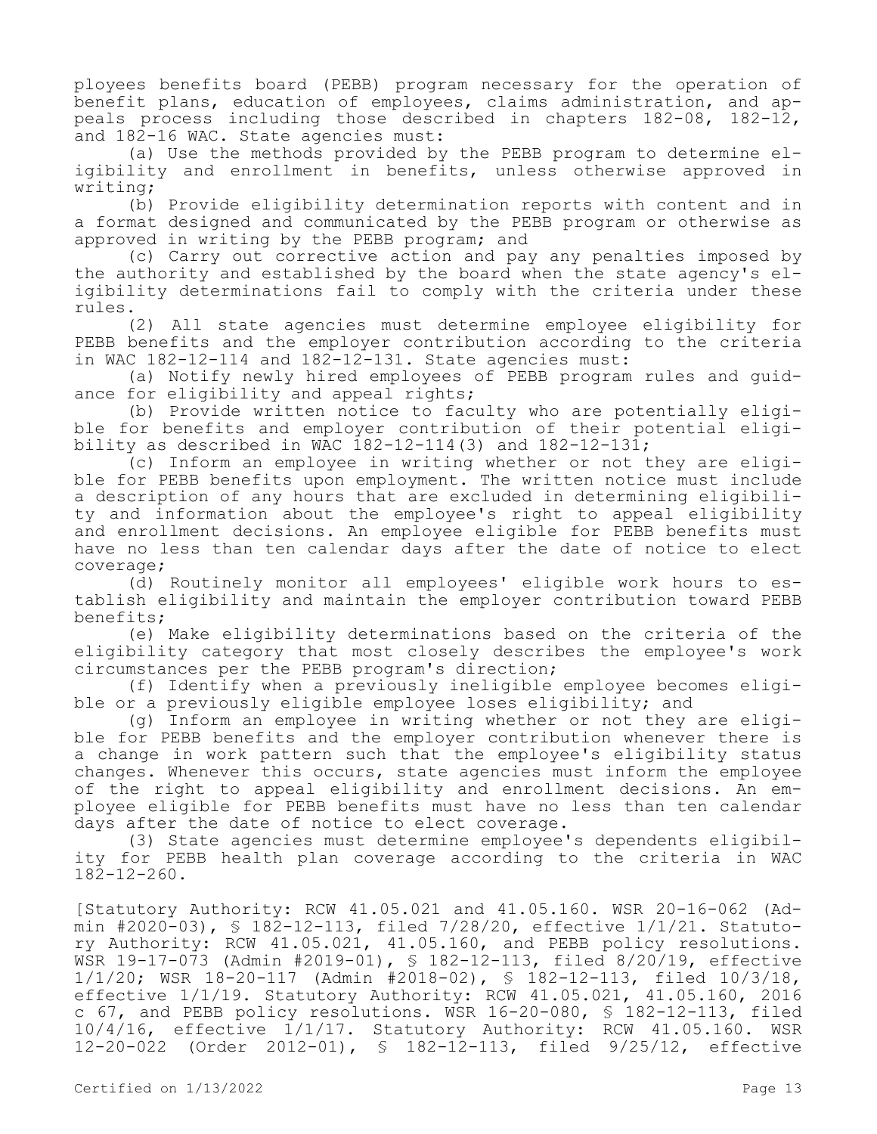ployees benefits board (PEBB) program necessary for the operation of benefit plans, education of employees, claims administration, and appeals process including those described in chapters 182-08, 182-12, and 182-16 WAC. State agencies must:

(a) Use the methods provided by the PEBB program to determine eligibility and enrollment in benefits, unless otherwise approved in writing;

(b) Provide eligibility determination reports with content and in a format designed and communicated by the PEBB program or otherwise as approved in writing by the PEBB program; and

(c) Carry out corrective action and pay any penalties imposed by the authority and established by the board when the state agency's eligibility determinations fail to comply with the criteria under these rules.

(2) All state agencies must determine employee eligibility for PEBB benefits and the employer contribution according to the criteria in WAC 182-12-114 and 182-12-131. State agencies must:

(a) Notify newly hired employees of PEBB program rules and guidance for eligibility and appeal rights;

(b) Provide written notice to faculty who are potentially eligible for benefits and employer contribution of their potential eligibility as described in WAC  $182-12-114(3)$  and  $182-12-131$ ;

(c) Inform an employee in writing whether or not they are eligible for PEBB benefits upon employment. The written notice must include a description of any hours that are excluded in determining eligibility and information about the employee's right to appeal eligibility and enrollment decisions. An employee eligible for PEBB benefits must have no less than ten calendar days after the date of notice to elect coverage;

(d) Routinely monitor all employees' eligible work hours to establish eligibility and maintain the employer contribution toward PEBB benefits;

(e) Make eligibility determinations based on the criteria of the eligibility category that most closely describes the employee's work circumstances per the PEBB program's direction;

(f) Identify when a previously ineligible employee becomes eligible or a previously eligible employee loses eligibility; and

(g) Inform an employee in writing whether or not they are eligible for PEBB benefits and the employer contribution whenever there is a change in work pattern such that the employee's eligibility status changes. Whenever this occurs, state agencies must inform the employee of the right to appeal eligibility and enrollment decisions. An employee eligible for PEBB benefits must have no less than ten calendar days after the date of notice to elect coverage.

(3) State agencies must determine employee's dependents eligibility for PEBB health plan coverage according to the criteria in WAC 182-12-260.

[Statutory Authority: RCW 41.05.021 and 41.05.160. WSR 20-16-062 (Admin #2020-03), § 182-12-113, filed 7/28/20, effective 1/1/21. Statutory Authority: RCW 41.05.021, 41.05.160, and PEBB policy resolutions. WSR 19-17-073 (Admin #2019-01), § 182-12-113, filed 8/20/19, effective 1/1/20; WSR 18-20-117 (Admin #2018-02), § 182-12-113, filed 10/3/18, effective 1/1/19. Statutory Authority: RCW 41.05.021, 41.05.160, 2016 c 67, and PEBB policy resolutions. WSR 16-20-080, § 182-12-113, filed 10/4/16, effective 1/1/17. Statutory Authority: RCW 41.05.160. WSR 12-20-022 (Order 2012-01), § 182-12-113, filed 9/25/12, effective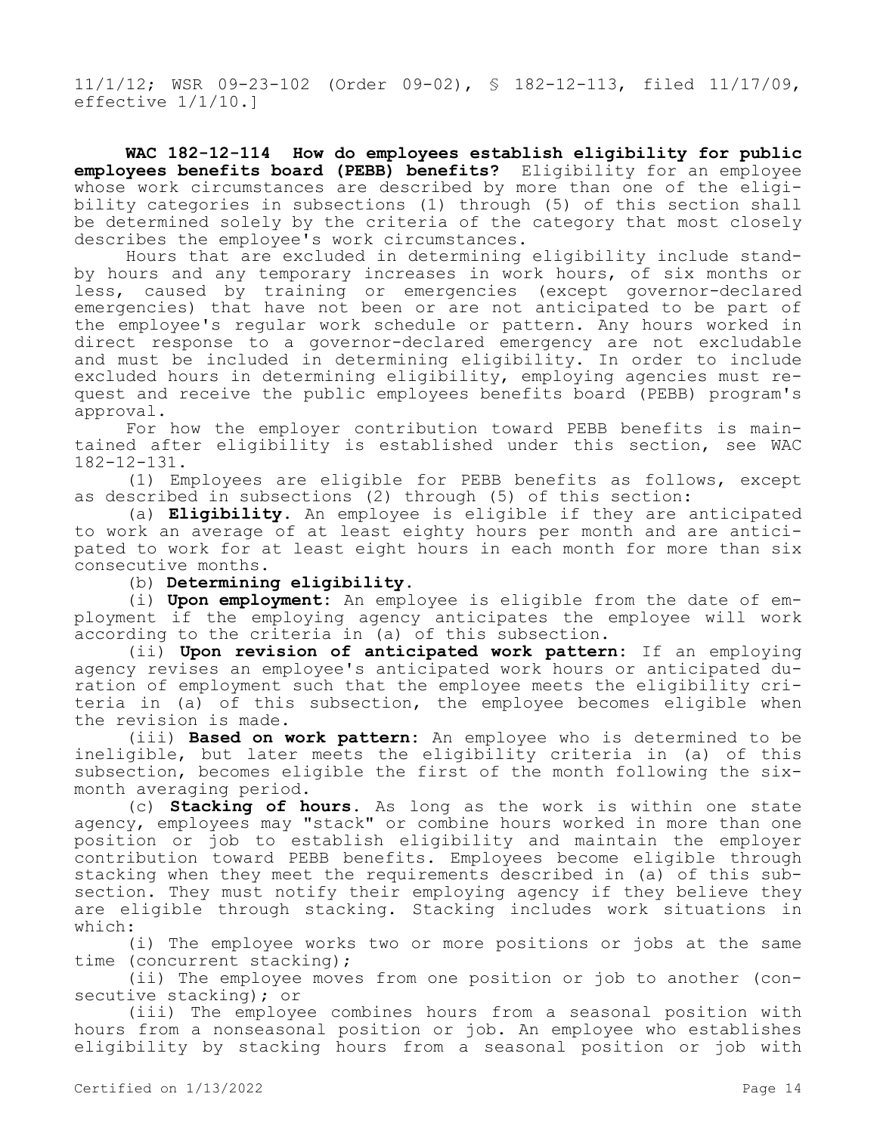11/1/12; WSR 09-23-102 (Order 09-02), § 182-12-113, filed 11/17/09, effective 1/1/10.]

**WAC 182-12-114 How do employees establish eligibility for public employees benefits board (PEBB) benefits?** Eligibility for an employee whose work circumstances are described by more than one of the eligibility categories in subsections (1) through (5) of this section shall be determined solely by the criteria of the category that most closely describes the employee's work circumstances.

Hours that are excluded in determining eligibility include standby hours and any temporary increases in work hours, of six months or less, caused by training or emergencies (except governor-declared emergencies) that have not been or are not anticipated to be part of the employee's regular work schedule or pattern. Any hours worked in direct response to a governor-declared emergency are not excludable and must be included in determining eligibility. In order to include excluded hours in determining eligibility, employing agencies must request and receive the public employees benefits board (PEBB) program's approval.

For how the employer contribution toward PEBB benefits is maintained after eligibility is established under this section, see WAC 182-12-131.

(1) Employees are eligible for PEBB benefits as follows, except as described in subsections (2) through (5) of this section:

(a) **Eligibility.** An employee is eligible if they are anticipated to work an average of at least eighty hours per month and are anticipated to work for at least eight hours in each month for more than six consecutive months.

### (b) **Determining eligibility.**

(i) **Upon employment:** An employee is eligible from the date of employment if the employing agency anticipates the employee will work according to the criteria in (a) of this subsection.

(ii) **Upon revision of anticipated work pattern:** If an employing agency revises an employee's anticipated work hours or anticipated duration of employment such that the employee meets the eligibility criteria in (a) of this subsection, the employee becomes eligible when the revision is made.

(iii) **Based on work pattern:** An employee who is determined to be ineligible, but later meets the eligibility criteria in (a) of this subsection, becomes eligible the first of the month following the sixmonth averaging period.

(c) **Stacking of hours.** As long as the work is within one state agency, employees may "stack" or combine hours worked in more than one position or job to establish eligibility and maintain the employer contribution toward PEBB benefits. Employees become eligible through stacking when they meet the requirements described in (a) of this subsection. They must notify their employing agency if they believe they are eligible through stacking. Stacking includes work situations in which:

(i) The employee works two or more positions or jobs at the same time (concurrent stacking);

(ii) The employee moves from one position or job to another (consecutive stacking); or

(iii) The employee combines hours from a seasonal position with hours from a nonseasonal position or job. An employee who establishes eligibility by stacking hours from a seasonal position or job with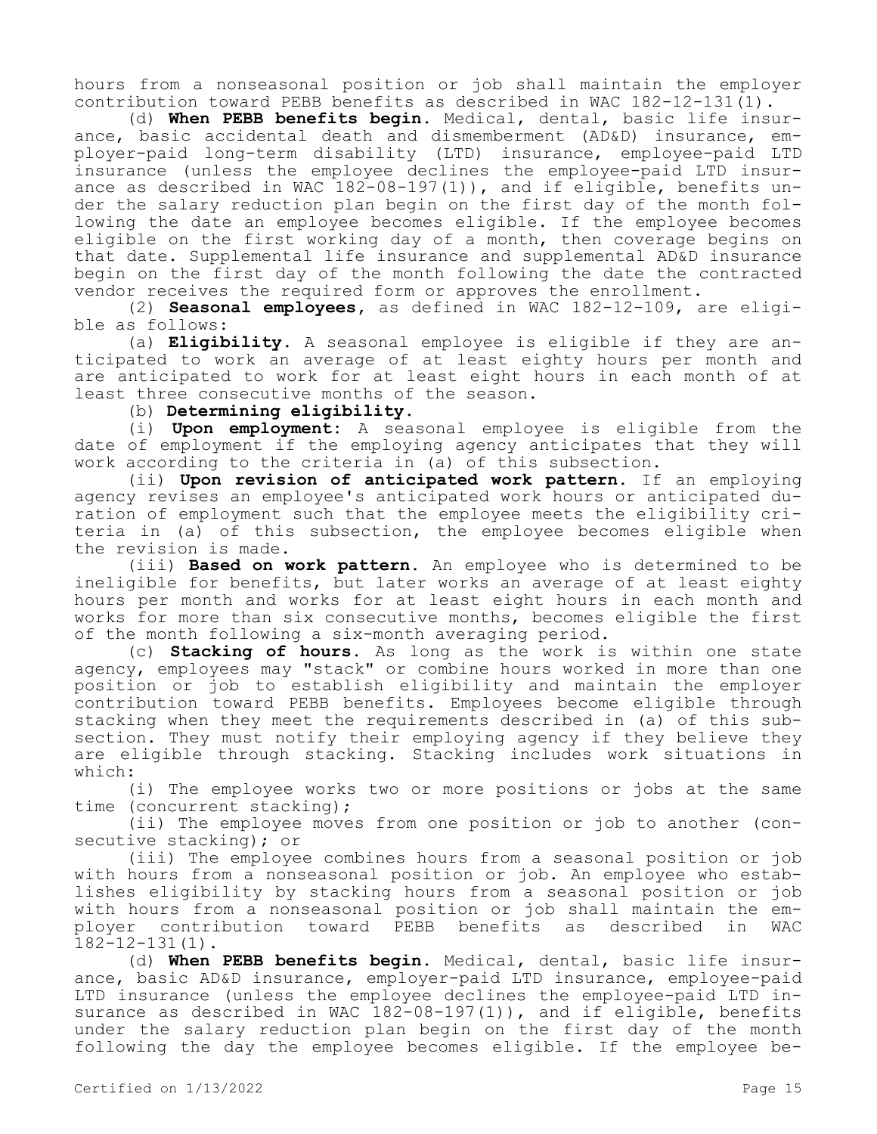hours from a nonseasonal position or job shall maintain the employer contribution toward PEBB benefits as described in WAC 182-12-131(1).

(d) **When PEBB benefits begin.** Medical, dental, basic life insurance, basic accidental death and dismemberment (AD&D) insurance, employer-paid long-term disability (LTD) insurance, employee-paid LTD insurance (unless the employee declines the employee-paid LTD insurance as described in WAC  $182-08-197(1)$ ), and if eligible, benefits under the salary reduction plan begin on the first day of the month following the date an employee becomes eligible. If the employee becomes eligible on the first working day of a month, then coverage begins on that date. Supplemental life insurance and supplemental AD&D insurance begin on the first day of the month following the date the contracted vendor receives the required form or approves the enrollment.

(2) **Seasonal employees,** as defined in WAC 182-12-109, are eligible as follows:

(a) **Eligibility.** A seasonal employee is eligible if they are anticipated to work an average of at least eighty hours per month and are anticipated to work for at least eight hours in each month of at least three consecutive months of the season.

(b) **Determining eligibility.**

(i) **Upon employment:** A seasonal employee is eligible from the date of employment if the employing agency anticipates that they will work according to the criteria in (a) of this subsection.

(ii) **Upon revision of anticipated work pattern.** If an employing agency revises an employee's anticipated work hours or anticipated duration of employment such that the employee meets the eligibility criteria in (a) of this subsection, the employee becomes eligible when the revision is made.

(iii) **Based on work pattern.** An employee who is determined to be ineligible for benefits, but later works an average of at least eighty hours per month and works for at least eight hours in each month and works for more than six consecutive months, becomes eligible the first of the month following a six-month averaging period.

(c) **Stacking of hours.** As long as the work is within one state agency, employees may "stack" or combine hours worked in more than one position or job to establish eligibility and maintain the employer contribution toward PEBB benefits. Employees become eligible through stacking when they meet the requirements described in (a) of this subsection. They must notify their employing agency if they believe they are eligible through stacking. Stacking includes work situations in which:

(i) The employee works two or more positions or jobs at the same time (concurrent stacking);

(ii) The employee moves from one position or job to another (consecutive stacking); or

(iii) The employee combines hours from a seasonal position or job with hours from a nonseasonal position or job. An employee who establishes eligibility by stacking hours from a seasonal position or job with hours from a nonseasonal position or job shall maintain the employer contribution toward PEBB benefits as described in WAC 182-12-131(1).

(d) **When PEBB benefits begin.** Medical, dental, basic life insurance, basic AD&D insurance, employer-paid LTD insurance, employee-paid LTD insurance (unless the employee declines the employee-paid LTD insurance as described in WAC 182-08-197(1)), and if eligible, benefits under the salary reduction plan begin on the first day of the month following the day the employee becomes eligible. If the employee be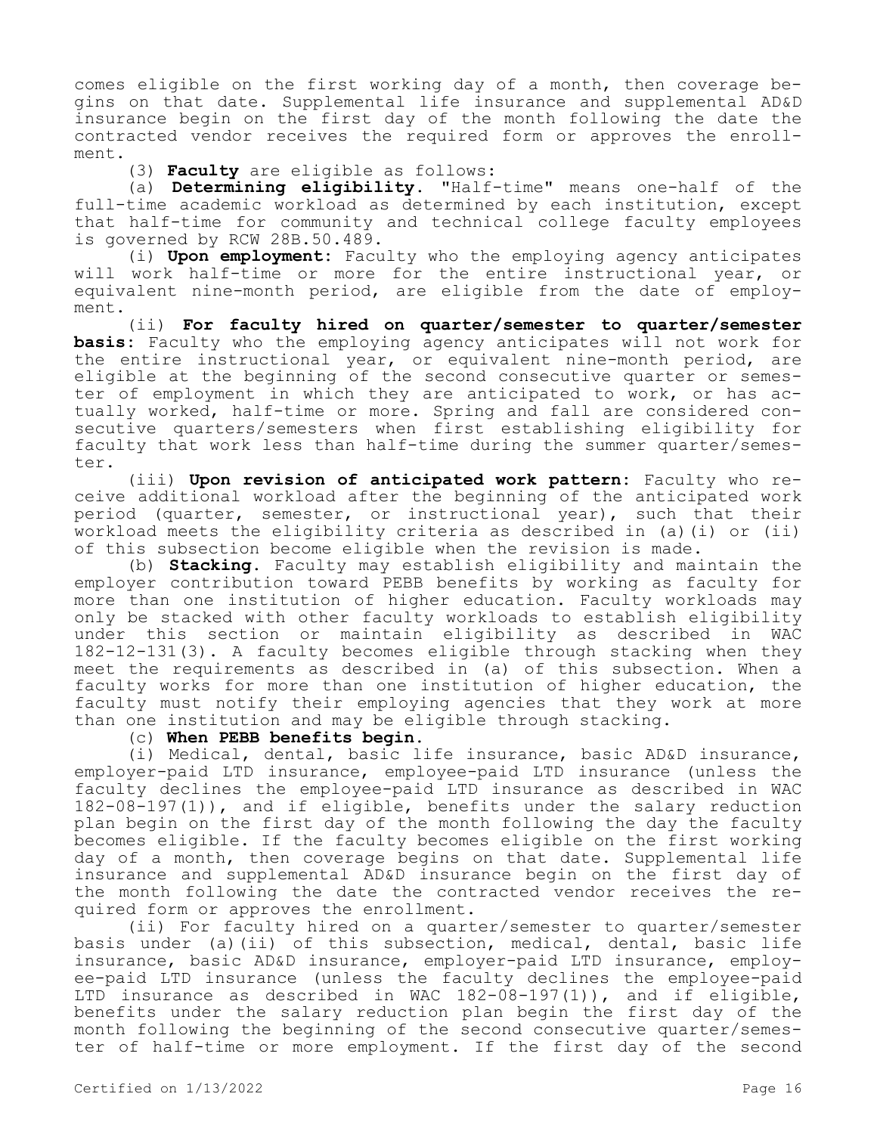comes eligible on the first working day of a month, then coverage begins on that date. Supplemental life insurance and supplemental AD&D insurance begin on the first day of the month following the date the contracted vendor receives the required form or approves the enrollment.

(3) **Faculty** are eligible as follows:

(a) **Determining eligibility.** "Half-time" means one-half of the full-time academic workload as determined by each institution, except that half-time for community and technical college faculty employees is governed by RCW 28B.50.489.

(i) **Upon employment:** Faculty who the employing agency anticipates will work half-time or more for the entire instructional year, or equivalent nine-month period, are eligible from the date of employment.

(ii) **For faculty hired on quarter/semester to quarter/semester basis:** Faculty who the employing agency anticipates will not work for the entire instructional year, or equivalent nine-month period, are eligible at the beginning of the second consecutive quarter or semester of employment in which they are anticipated to work, or has actually worked, half-time or more. Spring and fall are considered consecutive quarters/semesters when first establishing eligibility for faculty that work less than half-time during the summer quarter/semester.

(iii) **Upon revision of anticipated work pattern:** Faculty who receive additional workload after the beginning of the anticipated work period (quarter, semester, or instructional year), such that their workload meets the eligibility criteria as described in (a)(i) or (ii) of this subsection become eligible when the revision is made.

(b) **Stacking.** Faculty may establish eligibility and maintain the employer contribution toward PEBB benefits by working as faculty for more than one institution of higher education. Faculty workloads may only be stacked with other faculty workloads to establish eligibility under this section or maintain eligibility as described in WAC 182-12-131(3). A faculty becomes eligible through stacking when they meet the requirements as described in (a) of this subsection. When a faculty works for more than one institution of higher education, the faculty must notify their employing agencies that they work at more than one institution and may be eligible through stacking.

### (c) **When PEBB benefits begin.**

(i) Medical, dental, basic life insurance, basic AD&D insurance, employer-paid LTD insurance, employee-paid LTD insurance (unless the faculty declines the employee-paid LTD insurance as described in WAC 182-08-197(1)), and if eligible, benefits under the salary reduction plan begin on the first day of the month following the day the faculty becomes eligible. If the faculty becomes eligible on the first working day of a month, then coverage begins on that date. Supplemental life insurance and supplemental AD&D insurance begin on the first day of the month following the date the contracted vendor receives the required form or approves the enrollment.

(ii) For faculty hired on a quarter/semester to quarter/semester basis under (a)(ii) of this subsection, medical, dental, basic life insurance, basic AD&D insurance, employer-paid LTD insurance, employee-paid LTD insurance (unless the faculty declines the employee-paid LTD insurance as described in WAC 182-08-197(1)), and if eligible, benefits under the salary reduction plan begin the first day of the month following the beginning of the second consecutive quarter/semester of half-time or more employment. If the first day of the second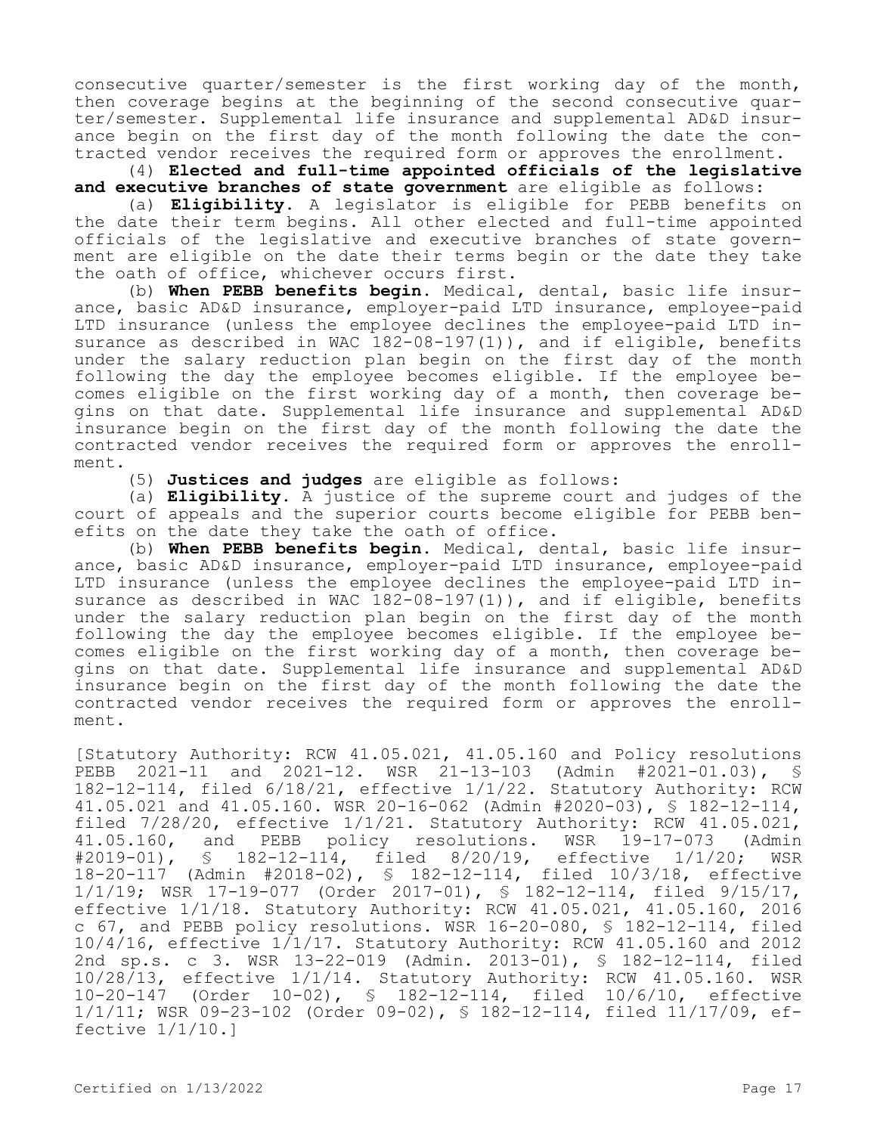consecutive quarter/semester is the first working day of the month, then coverage begins at the beginning of the second consecutive quarter/semester. Supplemental life insurance and supplemental AD&D insurance begin on the first day of the month following the date the contracted vendor receives the required form or approves the enrollment.

(4) **Elected and full-time appointed officials of the legislative and executive branches of state government** are eligible as follows:

(a) **Eligibility.** A legislator is eligible for PEBB benefits on the date their term begins. All other elected and full-time appointed officials of the legislative and executive branches of state government are eligible on the date their terms begin or the date they take the oath of office, whichever occurs first.

(b) **When PEBB benefits begin.** Medical, dental, basic life insurance, basic AD&D insurance, employer-paid LTD insurance, employee-paid LTD insurance (unless the employee declines the employee-paid LTD insurance as described in WAC  $182-08-197(1)$ ), and if eligible, benefits under the salary reduction plan begin on the first day of the month following the day the employee becomes eligible. If the employee becomes eligible on the first working day of a month, then coverage begins on that date. Supplemental life insurance and supplemental AD&D insurance begin on the first day of the month following the date the contracted vendor receives the required form or approves the enrollment.

(5) **Justices and judges** are eligible as follows:

(a) **Eligibility.** A justice of the supreme court and judges of the court of appeals and the superior courts become eligible for PEBB benefits on the date they take the oath of office.

(b) **When PEBB benefits begin.** Medical, dental, basic life insurance, basic AD&D insurance, employer-paid LTD insurance, employee-paid LTD insurance (unless the employee declines the employee-paid LTD insurance as described in WAC 182-08-197(1)), and if eligible, benefits under the salary reduction plan begin on the first day of the month following the day the employee becomes eligible. If the employee becomes eligible on the first working day of a month, then coverage begins on that date. Supplemental life insurance and supplemental AD&D insurance begin on the first day of the month following the date the contracted vendor receives the required form or approves the enrollment.

[Statutory Authority: RCW 41.05.021, 41.05.160 and Policy resolutions PEBB 2021-11 and 2021-12. WSR 21-13-103 (Admin #2021-01.03), § 182-12-114, filed 6/18/21, effective 1/1/22. Statutory Authority: RCW 41.05.021 and 41.05.160. WSR 20-16-062 (Admin #2020-03), § 182-12-114, filed 7/28/20, effective 1/1/21. Statutory Authority: RCW 41.05.021, 41.05.160, and PEBB policy resolutions. WSR 19-17-073 (Admin #2019-01), § 182-12-114, filed 8/20/19, effective 1/1/20; WSR § 182-12-114, filed 8/20/19, effective 1/1/20; WSR 18-20-117 (Admin #2018-02), § 182-12-114, filed 10/3/18, effective 1/1/19; WSR 17-19-077 (Order 2017-01), § 182-12-114, filed 9/15/17, effective 1/1/18. Statutory Authority: RCW 41.05.021, 41.05.160, 2016 c 67, and PEBB policy resolutions. WSR 16-20-080, § 182-12-114, filed 10/4/16, effective 1/1/17. Statutory Authority: RCW 41.05.160 and 2012 2nd sp.s. c 3. WSR 13-22-019 (Admin. 2013-01), § 182-12-114, filed 10/28/13, effective 1/1/14. Statutory Authority: RCW 41.05.160. WSR 10-20-147 (Order 10-02), § 182-12-114, filed 10/6/10, effective 1/1/11; WSR 09-23-102 (Order 09-02), § 182-12-114, filed 11/17/09, effective 1/1/10.]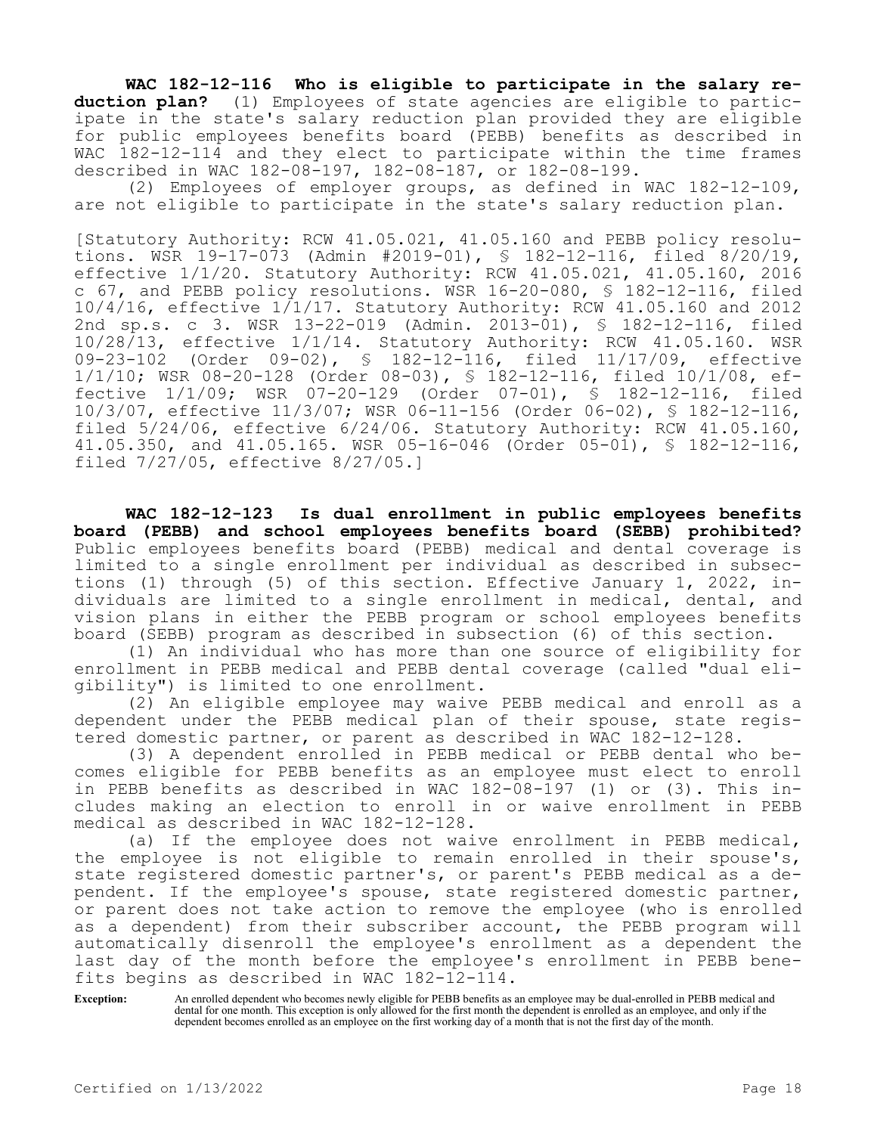**WAC 182-12-116 Who is eligible to participate in the salary reduction plan?** (1) Employees of state agencies are eligible to participate in the state's salary reduction plan provided they are eligible for public employees benefits board (PEBB) benefits as described in WAC 182-12-114 and they elect to participate within the time frames described in WAC 182-08-197, 182-08-187, or 182-08-199.

(2) Employees of employer groups, as defined in WAC 182-12-109, are not eligible to participate in the state's salary reduction plan.

[Statutory Authority: RCW 41.05.021, 41.05.160 and PEBB policy resolutions. WSR 19-17-073 (Admin #2019-01), § 182-12-116, filed 8/20/19, effective 1/1/20. Statutory Authority: RCW 41.05.021, 41.05.160, 2016 c 67, and PEBB policy resolutions. WSR 16-20-080, § 182-12-116, filed  $10/4/16$ , effective  $1/1/17$ . Statutory Authority: RCW 41.05.160 and 2012 2nd sp.s. c 3. WSR 13-22-019 (Admin. 2013-01), § 182-12-116, filed 10/28/13, effective 1/1/14. Statutory Authority: RCW 41.05.160. WSR 09-23-102 (Order 09-02), § 182-12-116, filed 11/17/09, effective 1/1/10; WSR 08-20-128 (Order 08-03), § 182-12-116, filed 10/1/08, effective 1/1/09; WSR 07-20-129 (Order 07-01), § 182-12-116, filed 10/3/07, effective 11/3/07; WSR 06-11-156 (Order 06-02), § 182-12-116, filed 5/24/06, effective 6/24/06. Statutory Authority: RCW 41.05.160, 41.05.350, and 41.05.165. WSR 05-16-046 (Order 05-01), § 182-12-116, filed 7/27/05, effective 8/27/05.]

**WAC 182-12-123 Is dual enrollment in public employees benefits board (PEBB) and school employees benefits board (SEBB) prohibited?**  Public employees benefits board (PEBB) medical and dental coverage is limited to a single enrollment per individual as described in subsections (1) through (5) of this section. Effective January 1, 2022, individuals are limited to a single enrollment in medical, dental, and vision plans in either the PEBB program or school employees benefits board (SEBB) program as described in subsection (6) of this section.

(1) An individual who has more than one source of eligibility for enrollment in PEBB medical and PEBB dental coverage (called "dual eligibility") is limited to one enrollment.

(2) An eligible employee may waive PEBB medical and enroll as a dependent under the PEBB medical plan of their spouse, state registered domestic partner, or parent as described in WAC 182-12-128.

(3) A dependent enrolled in PEBB medical or PEBB dental who becomes eligible for PEBB benefits as an employee must elect to enroll in PEBB benefits as described in WAC 182-08-197 (1) or (3). This includes making an election to enroll in or waive enrollment in PEBB medical as described in WAC 182-12-128.

(a) If the employee does not waive enrollment in PEBB medical, the employee is not eligible to remain enrolled in their spouse's, state registered domestic partner's, or parent's PEBB medical as a dependent. If the employee's spouse, state registered domestic partner, or parent does not take action to remove the employee (who is enrolled as a dependent) from their subscriber account, the PEBB program will automatically disenroll the employee's enrollment as a dependent the last day of the month before the employee's enrollment in PEBB benefits begins as described in WAC 182-12-114.

**Exception:** An enrolled dependent who becomes newly eligible for PEBB benefits as an employee may be dual-enrolled in PEBB medical and dental for one month. This exception is only allowed for the first month the dependent is enrolled as an employee, and only if the dependent becomes enrolled as an employee on the first working day of a month that is not the first day of the month.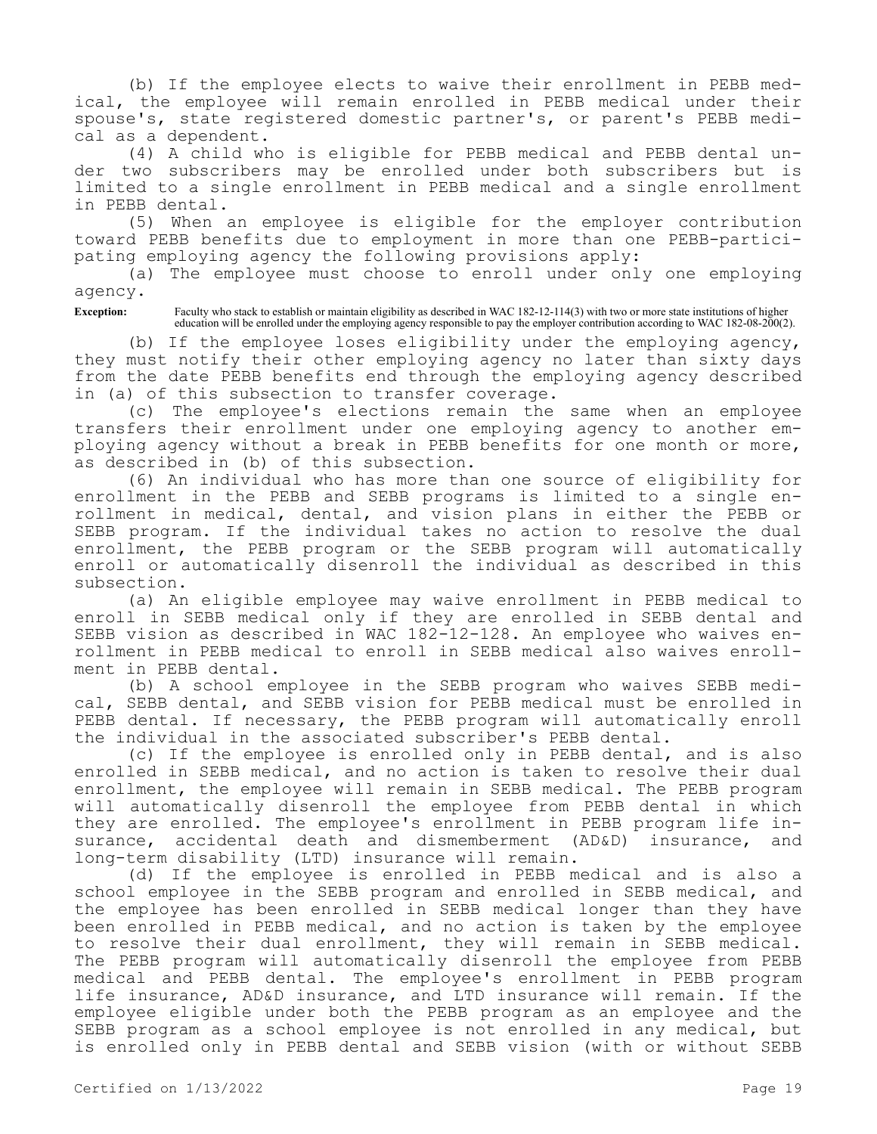(b) If the employee elects to waive their enrollment in PEBB medical, the employee will remain enrolled in PEBB medical under their spouse's, state registered domestic partner's, or parent's PEBB medical as a dependent.

(4) A child who is eligible for PEBB medical and PEBB dental under two subscribers may be enrolled under both subscribers but is limited to a single enrollment in PEBB medical and a single enrollment in PEBB dental.

(5) When an employee is eligible for the employer contribution toward PEBB benefits due to employment in more than one PEBB-participating employing agency the following provisions apply:

(a) The employee must choose to enroll under only one employing agency.

**Exception:** Faculty who stack to establish or maintain eligibility as described in WAC 182-12-114(3) with two or more state institutions of higher education will be enrolled under the employing agency responsible to pay the employer contribution according to WAC 182-08-200(2).

(b) If the employee loses eligibility under the employing agency, they must notify their other employing agency no later than sixty days from the date PEBB benefits end through the employing agency described in (a) of this subsection to transfer coverage.

(c) The employee's elections remain the same when an employee transfers their enrollment under one employing agency to another employing agency without a break in PEBB benefits for one month or more, as described in (b) of this subsection.

(6) An individual who has more than one source of eligibility for enrollment in the PEBB and SEBB programs is limited to a single enrollment in medical, dental, and vision plans in either the PEBB or SEBB program. If the individual takes no action to resolve the dual enrollment, the PEBB program or the SEBB program will automatically enroll or automatically disenroll the individual as described in this subsection.

(a) An eligible employee may waive enrollment in PEBB medical to enroll in SEBB medical only if they are enrolled in SEBB dental and SEBB vision as described in WAC 182-12-128. An employee who waives enrollment in PEBB medical to enroll in SEBB medical also waives enrollment in PEBB dental.

(b) A school employee in the SEBB program who waives SEBB medical, SEBB dental, and SEBB vision for PEBB medical must be enrolled in PEBB dental. If necessary, the PEBB program will automatically enroll the individual in the associated subscriber's PEBB dental.

(c) If the employee is enrolled only in PEBB dental, and is also enrolled in SEBB medical, and no action is taken to resolve their dual enrollment, the employee will remain in SEBB medical. The PEBB program will automatically disenroll the employee from PEBB dental in which they are enrolled. The employee's enrollment in PEBB program life insurance, accidental death and dismemberment (AD&D) insurance, and long-term disability (LTD) insurance will remain.

(d) If the employee is enrolled in PEBB medical and is also a school employee in the SEBB program and enrolled in SEBB medical, and the employee has been enrolled in SEBB medical longer than they have been enrolled in PEBB medical, and no action is taken by the employee to resolve their dual enrollment, they will remain in SEBB medical. The PEBB program will automatically disenroll the employee from PEBB medical and PEBB dental. The employee's enrollment in PEBB program life insurance, AD&D insurance, and LTD insurance will remain. If the employee eligible under both the PEBB program as an employee and the SEBB program as a school employee is not enrolled in any medical, but is enrolled only in PEBB dental and SEBB vision (with or without SEBB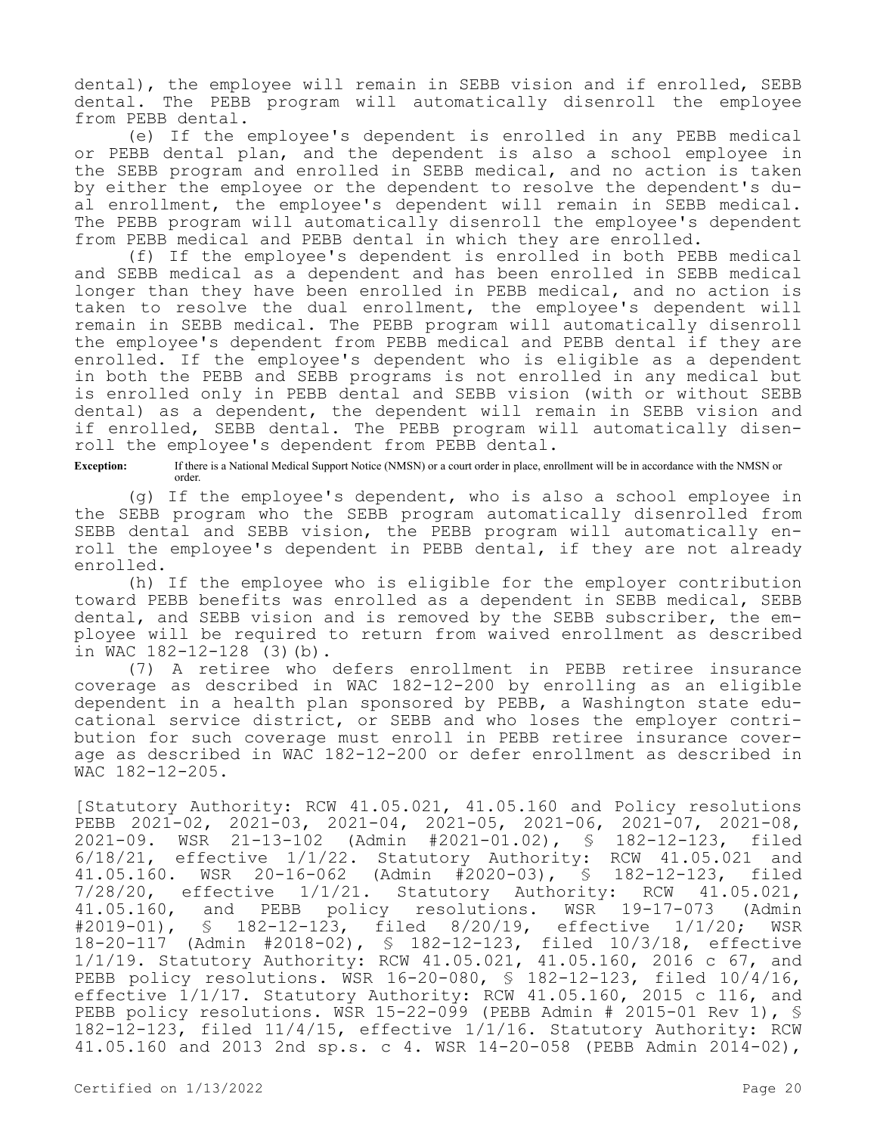dental), the employee will remain in SEBB vision and if enrolled, SEBB dental. The PEBB program will automatically disenroll the employee from PEBB dental.

(e) If the employee's dependent is enrolled in any PEBB medical or PEBB dental plan, and the dependent is also a school employee in the SEBB program and enrolled in SEBB medical, and no action is taken by either the employee or the dependent to resolve the dependent's dual enrollment, the employee's dependent will remain in SEBB medical. The PEBB program will automatically disenroll the employee's dependent from PEBB medical and PEBB dental in which they are enrolled.

(f) If the employee's dependent is enrolled in both PEBB medical and SEBB medical as a dependent and has been enrolled in SEBB medical longer than they have been enrolled in PEBB medical, and no action is taken to resolve the dual enrollment, the employee's dependent will remain in SEBB medical. The PEBB program will automatically disenroll the employee's dependent from PEBB medical and PEBB dental if they are enrolled. If the employee's dependent who is eligible as a dependent in both the PEBB and SEBB programs is not enrolled in any medical but is enrolled only in PEBB dental and SEBB vision (with or without SEBB dental) as a dependent, the dependent will remain in SEBB vision and if enrolled, SEBB dental. The PEBB program will automatically disenroll the employee's dependent from PEBB dental.

**Exception:** If there is a National Medical Support Notice (NMSN) or a court order in place, enrollment will be in accordance with the NMSN or order.

(g) If the employee's dependent, who is also a school employee in the SEBB program who the SEBB program automatically disenrolled from SEBB dental and SEBB vision, the PEBB program will automatically enroll the employee's dependent in PEBB dental, if they are not already enrolled.

(h) If the employee who is eligible for the employer contribution toward PEBB benefits was enrolled as a dependent in SEBB medical, SEBB dental, and SEBB vision and is removed by the SEBB subscriber, the employee will be required to return from waived enrollment as described in WAC 182-12-128 (3)(b).

(7) A retiree who defers enrollment in PEBB retiree insurance coverage as described in WAC 182-12-200 by enrolling as an eligible dependent in a health plan sponsored by PEBB, a Washington state educational service district, or SEBB and who loses the employer contribution for such coverage must enroll in PEBB retiree insurance coverage as described in WAC 182-12-200 or defer enrollment as described in WAC 182-12-205.

[Statutory Authority: RCW 41.05.021, 41.05.160 and Policy resolutions PEBB 2021-02, 2021-03, 2021-04, 2021-05, 2021-06, 2021-07, 2021-08, 2021-09. WSR 21-13-102 (Admin #2021-01.02), § 182-12-123, filed 6/18/21, effective 1/1/22. Statutory Authority: RCW 41.05.021 and 41.05.160. WSR 20-16-062 (Admin #2020-03), § 182-12-123, filed 7/28/20, effective 1/1/21. Statutory Authority: RCW 41.05.021, 41.05.160, and PEBB policy resolutions. WSR 19-17-073 (Admin #2019-01), § 182-12-123, filed 8/20/19, effective 1/1/20; WSR #2019-01), § 182-12-123, filed 8/20/19, effective 1/1/20; WSR 18-20-117 (Admin #2018-02), § 182-12-123, filed 10/3/18, effective 1/1/19. Statutory Authority: RCW 41.05.021, 41.05.160, 2016 c 67, and PEBB policy resolutions. WSR 16-20-080, § 182-12-123, filed 10/4/16, effective 1/1/17. Statutory Authority: RCW 41.05.160, 2015 c 116, and PEBB policy resolutions. WSR 15-22-099 (PEBB Admin # 2015-01 Rev 1),  $\frac{1}{5}$ 182-12-123, filed 11/4/15, effective 1/1/16. Statutory Authority: RCW 41.05.160 and 2013 2nd sp.s. c 4. WSR 14-20-058 (PEBB Admin 2014-02),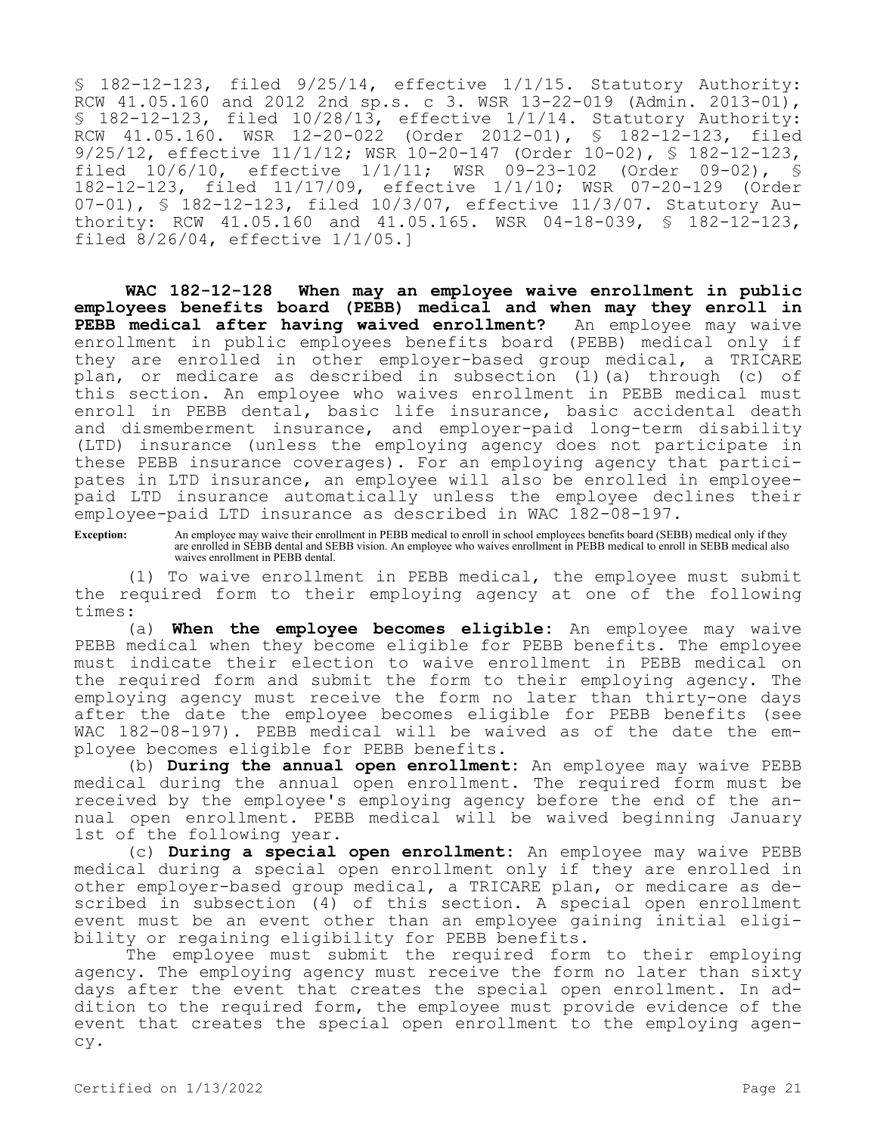§ 182-12-123, filed 9/25/14, effective 1/1/15. Statutory Authority: RCW 41.05.160 and 2012 2nd sp.s. c 3. WSR 13-22-019 (Admin. 2013-01), § 182-12-123, filed  $10/28/13$ , effective  $1/1/14$ . Statutory Authority: RCW 41.05.160. WSR 12-20-022 (Order 2012-01), § 182-12-123, filed 9/25/12, effective 11/1/12; WSR 10-20-147 (Order 10-02), § 182-12-123, filed 10/6/10, effective 1/1/11; WSR 09-23-102 (Order 09-02), § 182-12-123, filed 11/17/09, effective 1/1/10; WSR 07-20-129 (Order 07-01), § 182-12-123, filed 10/3/07, effective 11/3/07. Statutory Authority: RCW 41.05.160 and 41.05.165. WSR 04-18-039, § 182-12-123, filed 8/26/04, effective 1/1/05.]

**WAC 182-12-128 When may an employee waive enrollment in public employees benefits board (PEBB) medical and when may they enroll in PEBB medical after having waived enrollment?** An employee may waive enrollment in public employees benefits board (PEBB) medical only if they are enrolled in other employer-based group medical, a TRICARE plan, or medicare as described in subsection (1)(a) through (c) of this section. An employee who waives enrollment in PEBB medical must enroll in PEBB dental, basic life insurance, basic accidental death and dismemberment insurance, and employer-paid long-term disability (LTD) insurance (unless the employing agency does not participate in these PEBB insurance coverages). For an employing agency that participates in LTD insurance, an employee will also be enrolled in employeepaid LTD insurance automatically unless the employee declines their employee-paid LTD insurance as described in WAC 182-08-197.

**Exception:** An employee may waive their enrollment in PEBB medical to enroll in school employees benefits board (SEBB) medical only if they are enrolled in SEBB dental and SEBB vision. An employee who waives enrollment in PEBB medical to enroll in SEBB medical also waives enrollment in PEBB dental.

(1) To waive enrollment in PEBB medical, the employee must submit the required form to their employing agency at one of the following times:

(a) **When the employee becomes eligible:** An employee may waive PEBB medical when they become eligible for PEBB benefits. The employee must indicate their election to waive enrollment in PEBB medical on the required form and submit the form to their employing agency. The employing agency must receive the form no later than thirty-one days after the date the employee becomes eligible for PEBB benefits (see WAC 182-08-197). PEBB medical will be waived as of the date the employee becomes eligible for PEBB benefits.

(b) **During the annual open enrollment:** An employee may waive PEBB medical during the annual open enrollment. The required form must be received by the employee's employing agency before the end of the annual open enrollment. PEBB medical will be waived beginning January 1st of the following year.

(c) **During a special open enrollment:** An employee may waive PEBB medical during a special open enrollment only if they are enrolled in other employer-based group medical, a TRICARE plan, or medicare as described in subsection (4) of this section. A special open enrollment event must be an event other than an employee gaining initial eligibility or regaining eligibility for PEBB benefits.

The employee must submit the required form to their employing agency. The employing agency must receive the form no later than sixty days after the event that creates the special open enrollment. In addition to the required form, the employee must provide evidence of the event that creates the special open enrollment to the employing agency.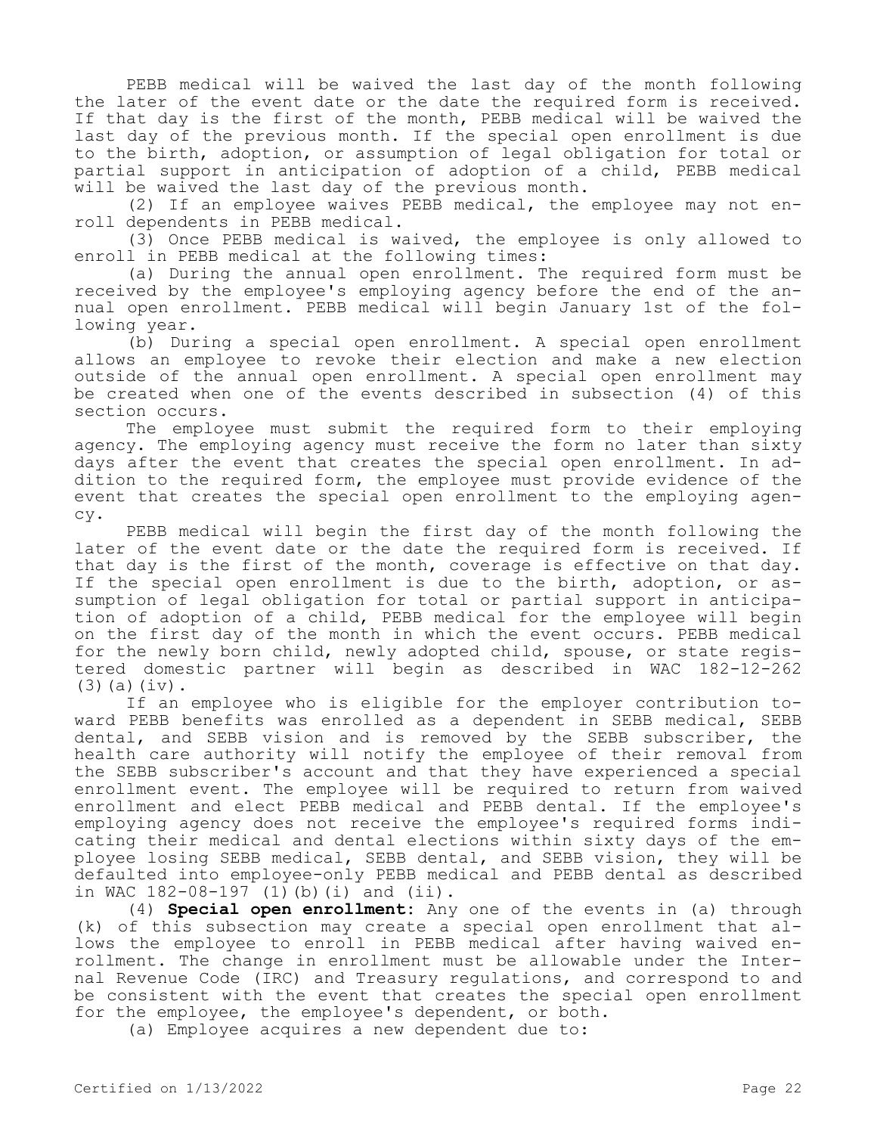PEBB medical will be waived the last day of the month following the later of the event date or the date the required form is received. If that day is the first of the month, PEBB medical will be waived the last day of the previous month. If the special open enrollment is due to the birth, adoption, or assumption of legal obligation for total or partial support in anticipation of adoption of a child, PEBB medical will be waived the last day of the previous month.

(2) If an employee waives PEBB medical, the employee may not enroll dependents in PEBB medical.

(3) Once PEBB medical is waived, the employee is only allowed to enroll in PEBB medical at the following times:

(a) During the annual open enrollment. The required form must be received by the employee's employing agency before the end of the annual open enrollment. PEBB medical will begin January 1st of the following year.

(b) During a special open enrollment. A special open enrollment allows an employee to revoke their election and make a new election outside of the annual open enrollment. A special open enrollment may be created when one of the events described in subsection (4) of this section occurs.

The employee must submit the required form to their employing agency. The employing agency must receive the form no later than sixty days after the event that creates the special open enrollment. In addition to the required form, the employee must provide evidence of the event that creates the special open enrollment to the employing agency.

PEBB medical will begin the first day of the month following the later of the event date or the date the required form is received. If that day is the first of the month, coverage is effective on that day. If the special open enrollment is due to the birth, adoption, or assumption of legal obligation for total or partial support in anticipation of adoption of a child, PEBB medical for the employee will begin on the first day of the month in which the event occurs. PEBB medical for the newly born child, newly adopted child, spouse, or state registered domestic partner will begin as described in WAC 182-12-262 (3)(a)(iv).

If an employee who is eligible for the employer contribution toward PEBB benefits was enrolled as a dependent in SEBB medical, SEBB dental, and SEBB vision and is removed by the SEBB subscriber, the health care authority will notify the employee of their removal from the SEBB subscriber's account and that they have experienced a special enrollment event. The employee will be required to return from waived enrollment and elect PEBB medical and PEBB dental. If the employee's employing agency does not receive the employee's required forms indicating their medical and dental elections within sixty days of the employee losing SEBB medical, SEBB dental, and SEBB vision, they will be defaulted into employee-only PEBB medical and PEBB dental as described in WAC 182-08-197 (1)(b)(i) and (ii).

(4) **Special open enrollment:** Any one of the events in (a) through (k) of this subsection may create a special open enrollment that allows the employee to enroll in PEBB medical after having waived enrollment. The change in enrollment must be allowable under the Internal Revenue Code (IRC) and Treasury regulations, and correspond to and be consistent with the event that creates the special open enrollment for the employee, the employee's dependent, or both.

(a) Employee acquires a new dependent due to: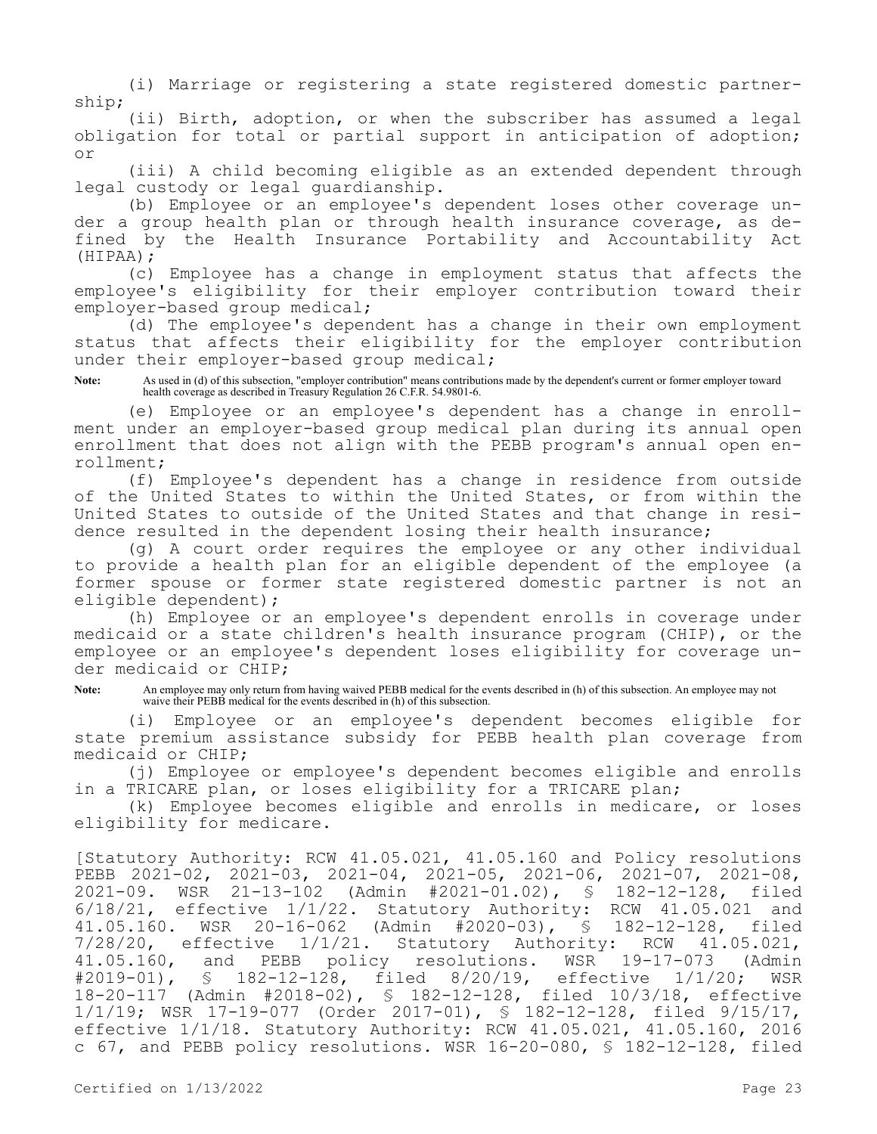(i) Marriage or registering a state registered domestic partnership;

(ii) Birth, adoption, or when the subscriber has assumed a legal obligation for total or partial support in anticipation of adoption; or

(iii) A child becoming eligible as an extended dependent through legal custody or legal guardianship.

(b) Employee or an employee's dependent loses other coverage under a group health plan or through health insurance coverage, as defined by the Health Insurance Portability and Accountability Act (HIPAA);

(c) Employee has a change in employment status that affects the employee's eligibility for their employer contribution toward their employer-based group medical;

(d) The employee's dependent has a change in their own employment status that affects their eligibility for the employer contribution under their employer-based group medical;

**Note:** As used in (d) of this subsection, "employer contribution" means contributions made by the dependent's current or former employer toward health coverage as described in Treasury Regulation 26 C.F.R. 54.9801-6.

(e) Employee or an employee's dependent has a change in enrollment under an employer-based group medical plan during its annual open enrollment that does not align with the PEBB program's annual open enrollment;

(f) Employee's dependent has a change in residence from outside of the United States to within the United States, or from within the United States to outside of the United States and that change in residence resulted in the dependent losing their health insurance;

(g) A court order requires the employee or any other individual to provide a health plan for an eligible dependent of the employee (a former spouse or former state registered domestic partner is not an eligible dependent);

(h) Employee or an employee's dependent enrolls in coverage under medicaid or a state children's health insurance program (CHIP), or the employee or an employee's dependent loses eligibility for coverage under medicaid or CHIP;

**Note:** An employee may only return from having waived PEBB medical for the events described in (h) of this subsection. An employee may not waive their PEBB medical for the events described in (h) of this subsection.

(i) Employee or an employee's dependent becomes eligible for state premium assistance subsidy for PEBB health plan coverage from medicaid or CHIP;

(j) Employee or employee's dependent becomes eligible and enrolls in a TRICARE plan, or loses eligibility for a TRICARE plan;

(k) Employee becomes eligible and enrolls in medicare, or loses eligibility for medicare.

[Statutory Authority: RCW 41.05.021, 41.05.160 and Policy resolutions PEBB 2021-02, 2021-03, 2021-04, 2021-05, 2021-06, 2021-07, 2021-08, 2021-09. WSR 21-13-102 (Admin #2021-01.02), § 182-12-128, filed 6/18/21, effective 1/1/22. Statutory Authority: RCW 41.05.021 and 41.05.160. WSR 20-16-062 (Admin #2020-03), § 182-12-128, filed 7/28/20, effective 1/1/21. Statutory Authority: RCW 41.05.021,<br>41.05.160, and PEBB policy resolutions. WSR 19-17-073 (Admin 41.05.160, and PEBB policy resolutions. WSR 19-17-073 (Admin<br>#2019-01), § 182-12-128, filed 8/20/19, effective 1/1/20; WSR § 182-12-128, filed 8/20/19, effective 1/1/20; WSR 18-20-117 (Admin #2018-02), § 182-12-128, filed 10/3/18, effective 1/1/19; WSR 17-19-077 (Order 2017-01), § 182-12-128, filed 9/15/17, effective 1/1/18. Statutory Authority: RCW 41.05.021, 41.05.160, 2016 c 67, and PEBB policy resolutions. WSR 16-20-080, § 182-12-128, filed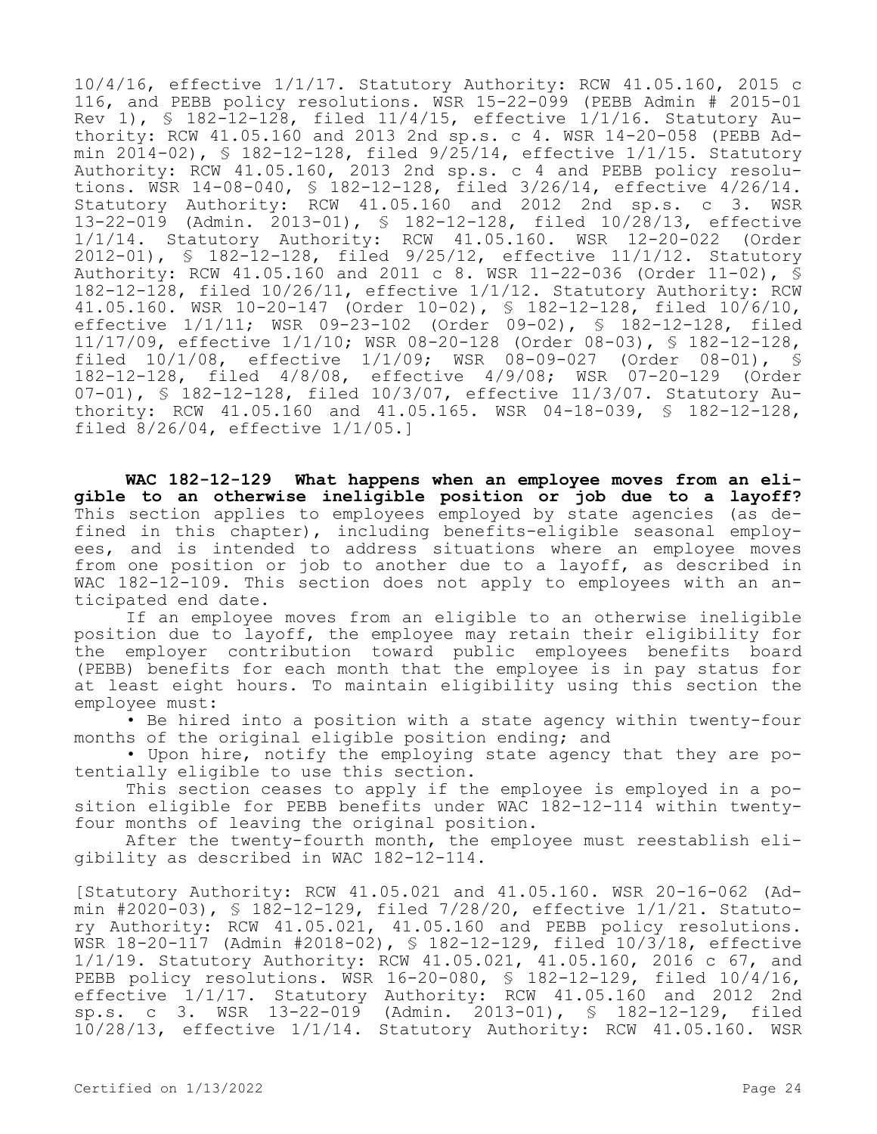10/4/16, effective 1/1/17. Statutory Authority: RCW 41.05.160, 2015 c 116, and PEBB policy resolutions. WSR 15-22-099 (PEBB Admin # 2015-01 Rev 1), § 182-12-128, filed  $11/4/15$ , effective  $1/1/16$ . Statutory Authority: RCW 41.05.160 and 2013 2nd sp.s. c 4. WSR 14-20-058 (PEBB Admin  $2014-02$ , §  $182-12-128$ , filed  $9/25/14$ , effective  $1/1/15$ . Statutory Authority: RCW 41.05.160, 2013 2nd sp.s. c 4 and PEBB policy resolutions. WSR 14-08-040, § 182-12-128, filed 3/26/14, effective 4/26/14. Statutory Authority: RCW 41.05.160 and 2012 2nd sp.s. c 3. WSR 13-22-019 (Admin. 2013-01), § 182-12-128, filed 10/28/13, effective 1/1/14. Statutory Authority: RCW 41.05.160. WSR 12-20-022 (Order 2012-01), § 182-12-128, filed 9/25/12, effective 11/1/12. Statutory Authority: RCW 41.05.160 and 2011 c 8. WSR 11-22-036 (Order 11-02), § 182-12-128, filed 10/26/11, effective 1/1/12. Statutory Authority: RCW 41.05.160. WSR 10-20-147 (Order 10-02), § 182-12-128, filed 10/6/10, effective 1/1/11; WSR 09-23-102 (Order 09-02), § 182-12-128, filed 11/17/09, effective 1/1/10; WSR 08-20-128 (Order 08-03), § 182-12-128, filed 10/1/08, effective 1/1/09; WSR 08-09-027 (Order 08-01), § 182-12-128, filed 4/8/08, effective 4/9/08; WSR 07-20-129 (Order 07-01), § 182-12-128, filed 10/3/07, effective 11/3/07. Statutory Authority: RCW 41.05.160 and 41.05.165. WSR 04-18-039, § 182-12-128, filed 8/26/04, effective 1/1/05.]

**WAC 182-12-129 What happens when an employee moves from an eligible to an otherwise ineligible position or job due to a layoff?**  This section applies to employees employed by state agencies (as defined in this chapter), including benefits-eligible seasonal employees, and is intended to address situations where an employee moves from one position or job to another due to a layoff, as described in WAC 182-12-109. This section does not apply to employees with an anticipated end date.

If an employee moves from an eligible to an otherwise ineligible position due to layoff, the employee may retain their eligibility for the employer contribution toward public employees benefits board (PEBB) benefits for each month that the employee is in pay status for at least eight hours. To maintain eligibility using this section the employee must:

• Be hired into a position with a state agency within twenty-four months of the original eligible position ending; and

• Upon hire, notify the employing state agency that they are potentially eligible to use this section.

This section ceases to apply if the employee is employed in a position eligible for PEBB benefits under WAC 182-12-114 within twentyfour months of leaving the original position.

After the twenty-fourth month, the employee must reestablish eligibility as described in WAC 182-12-114.

[Statutory Authority: RCW 41.05.021 and 41.05.160. WSR 20-16-062 (Admin #2020-03), § 182-12-129, filed 7/28/20, effective 1/1/21. Statutory Authority: RCW 41.05.021, 41.05.160 and PEBB policy resolutions. WSR 18-20-117 (Admin #2018-02), § 182-12-129, filed 10/3/18, effective 1/1/19. Statutory Authority: RCW 41.05.021, 41.05.160, 2016 c 67, and PEBB policy resolutions. WSR 16-20-080, § 182-12-129, filed 10/4/16, effective 1/1/17. Statutory Authority: RCW 41.05.160 and 2012 2nd sp.s. c 3. WSR 13-22-019 (Admin. 2013-01), § 182-12-129, filed 10/28/13, effective 1/1/14. Statutory Authority: RCW 41.05.160. WSR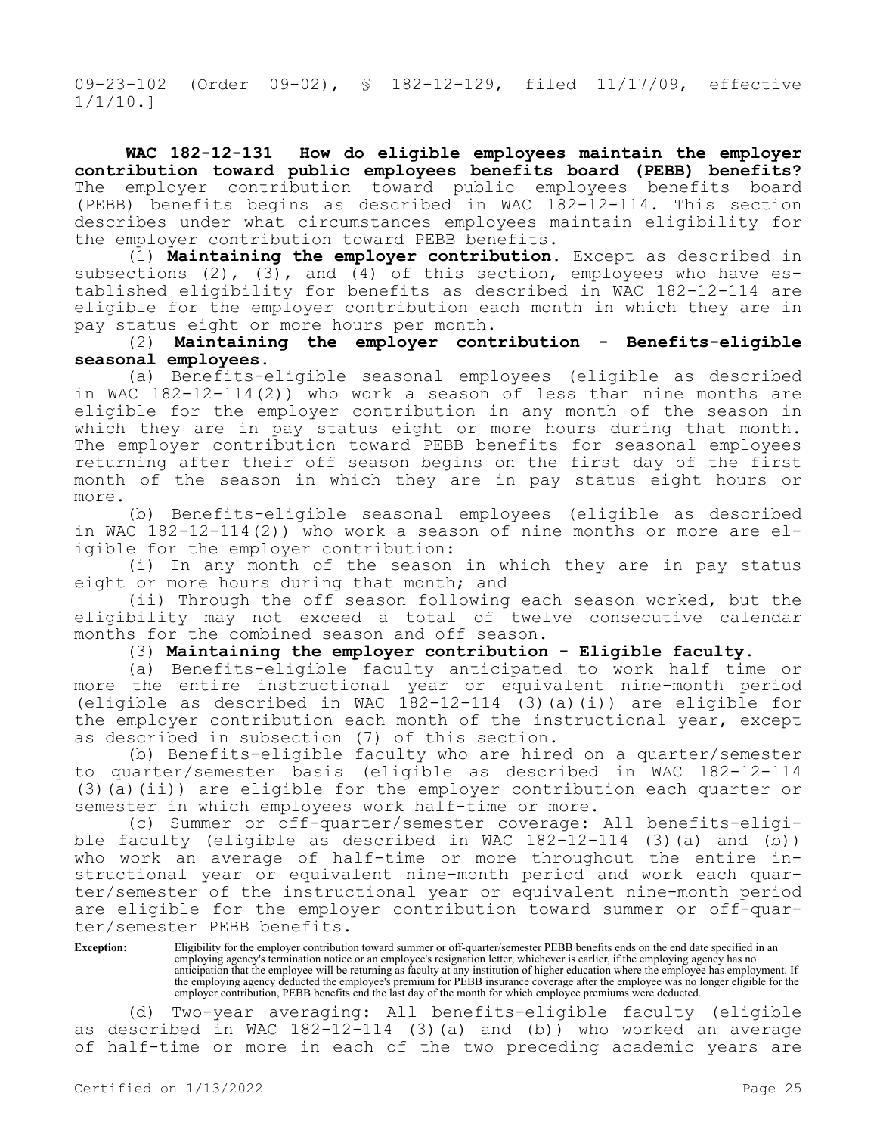09-23-102 (Order 09-02), § 182-12-129, filed 11/17/09, effective 1/1/10.]

**WAC 182-12-131 How do eligible employees maintain the employer contribution toward public employees benefits board (PEBB) benefits?**  The employer contribution toward public employees benefits board (PEBB) benefits begins as described in WAC 182-12-114. This section describes under what circumstances employees maintain eligibility for the employer contribution toward PEBB benefits.

(1) **Maintaining the employer contribution.** Except as described in subsections (2), (3), and (4) of this section, employees who have established eligibility for benefits as described in WAC 182-12-114 are eligible for the employer contribution each month in which they are in pay status eight or more hours per month.

(2) **Maintaining the employer contribution - Benefits-eligible seasonal employees.**

(a) Benefits-eligible seasonal employees (eligible as described in WAC 182-12-114(2)) who work a season of less than nine months are eligible for the employer contribution in any month of the season in which they are in pay status eight or more hours during that month. The employer contribution toward PEBB benefits for seasonal employees returning after their off season begins on the first day of the first month of the season in which they are in pay status eight hours or more.

(b) Benefits-eligible seasonal employees (eligible as described in WAC 182-12-114(2)) who work a season of nine months or more are eligible for the employer contribution:

(i) In any month of the season in which they are in pay status eight or more hours during that month; and

(ii) Through the off season following each season worked, but the eligibility may not exceed a total of twelve consecutive calendar months for the combined season and off season.

(3) **Maintaining the employer contribution - Eligible faculty.**

(a) Benefits-eligible faculty anticipated to work half time or more the entire instructional year or equivalent nine-month period (eligible as described in WAC  $182-12-114$  (3)(a)(i)) are eligible for the employer contribution each month of the instructional year, except as described in subsection (7) of this section.

(b) Benefits-eligible faculty who are hired on a quarter/semester to quarter/semester basis (eligible as described in WAC 182-12-114 (3)(a)(ii)) are eligible for the employer contribution each quarter or semester in which employees work half-time or more.

(c) Summer or off-quarter/semester coverage: All benefits-eligible faculty (eligible as described in WAC 182-12-114 (3)(a) and (b)) who work an average of half-time or more throughout the entire instructional year or equivalent nine-month period and work each quarter/semester of the instructional year or equivalent nine-month period are eligible for the employer contribution toward summer or off-quarter/semester PEBB benefits.

Exception: Eligibility for the employer contribution toward summer or off-quarter/semester PEBB benefits ends on the end date specified in an employing agency's termination notice or an employee's resignation letter, whichever is earlier, if the employing agency has no anticipation that the employee will be returning as faculty at any institution of higher education where the employee has employment. If the employing agency deducted the employee's premium for PEBB insurance coverage after the employee was no longer eligible for the employer contribution, PEBB benefits end the last day of the month for which employee premiums were deducted.

(d) Two-year averaging: All benefits-eligible faculty (eligible as described in WAC 182-12-114 (3)(a) and (b)) who worked an average of half-time or more in each of the two preceding academic years are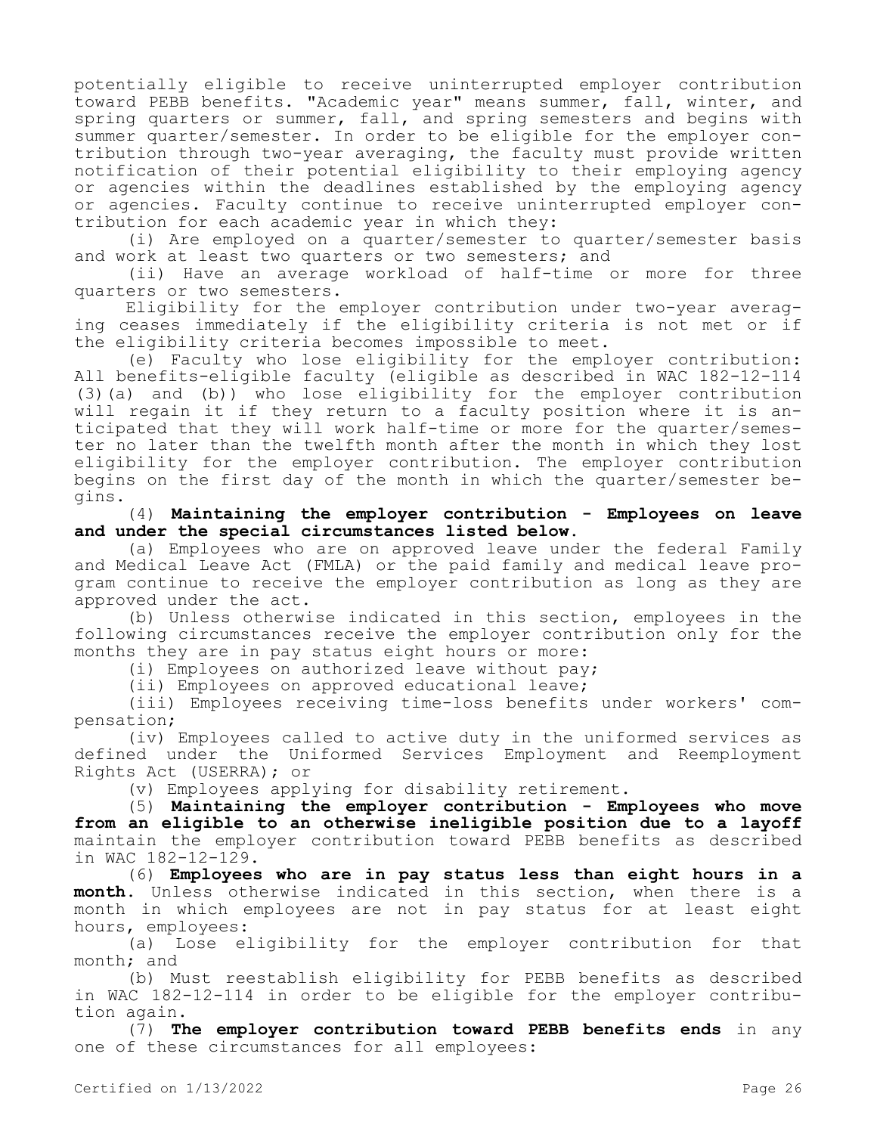potentially eligible to receive uninterrupted employer contribution toward PEBB benefits. "Academic year" means summer, fall, winter, and spring quarters or summer, fall, and spring semesters and begins with summer quarter/semester. In order to be eligible for the employer contribution through two-year averaging, the faculty must provide written notification of their potential eligibility to their employing agency or agencies within the deadlines established by the employing agency or agencies. Faculty continue to receive uninterrupted employer contribution for each academic year in which they:

(i) Are employed on a quarter/semester to quarter/semester basis and work at least two quarters or two semesters; and

(ii) Have an average workload of half-time or more for three quarters or two semesters.

Eligibility for the employer contribution under two-year averaging ceases immediately if the eligibility criteria is not met or if the eligibility criteria becomes impossible to meet.

(e) Faculty who lose eligibility for the employer contribution: All benefits-eligible faculty (eligible as described in WAC 182-12-114 (3)(a) and (b)) who lose eligibility for the employer contribution will regain it if they return to a faculty position where it is anticipated that they will work half-time or more for the quarter/semester no later than the twelfth month after the month in which they lost eligibility for the employer contribution. The employer contribution begins on the first day of the month in which the quarter/semester begins.

(4) **Maintaining the employer contribution - Employees on leave and under the special circumstances listed below.**

(a) Employees who are on approved leave under the federal Family and Medical Leave Act (FMLA) or the paid family and medical leave program continue to receive the employer contribution as long as they are approved under the act.

(b) Unless otherwise indicated in this section, employees in the following circumstances receive the employer contribution only for the months they are in pay status eight hours or more:

(i) Employees on authorized leave without pay;

(ii) Employees on approved educational leave;

(iii) Employees receiving time-loss benefits under workers' compensation;

(iv) Employees called to active duty in the uniformed services as defined under the Uniformed Services Employment and Reemployment Rights Act (USERRA); or

(v) Employees applying for disability retirement.

(5) **Maintaining the employer contribution - Employees who move from an eligible to an otherwise ineligible position due to a layoff**  maintain the employer contribution toward PEBB benefits as described in WAC 182-12-129.

(6) **Employees who are in pay status less than eight hours in a month.** Unless otherwise indicated in this section, when there is a month in which employees are not in pay status for at least eight hours, employees:

(a) Lose eligibility for the employer contribution for that month; and

(b) Must reestablish eligibility for PEBB benefits as described in WAC 182-12-114 in order to be eligible for the employer contribution again.

(7) **The employer contribution toward PEBB benefits ends** in any one of these circumstances for all employees: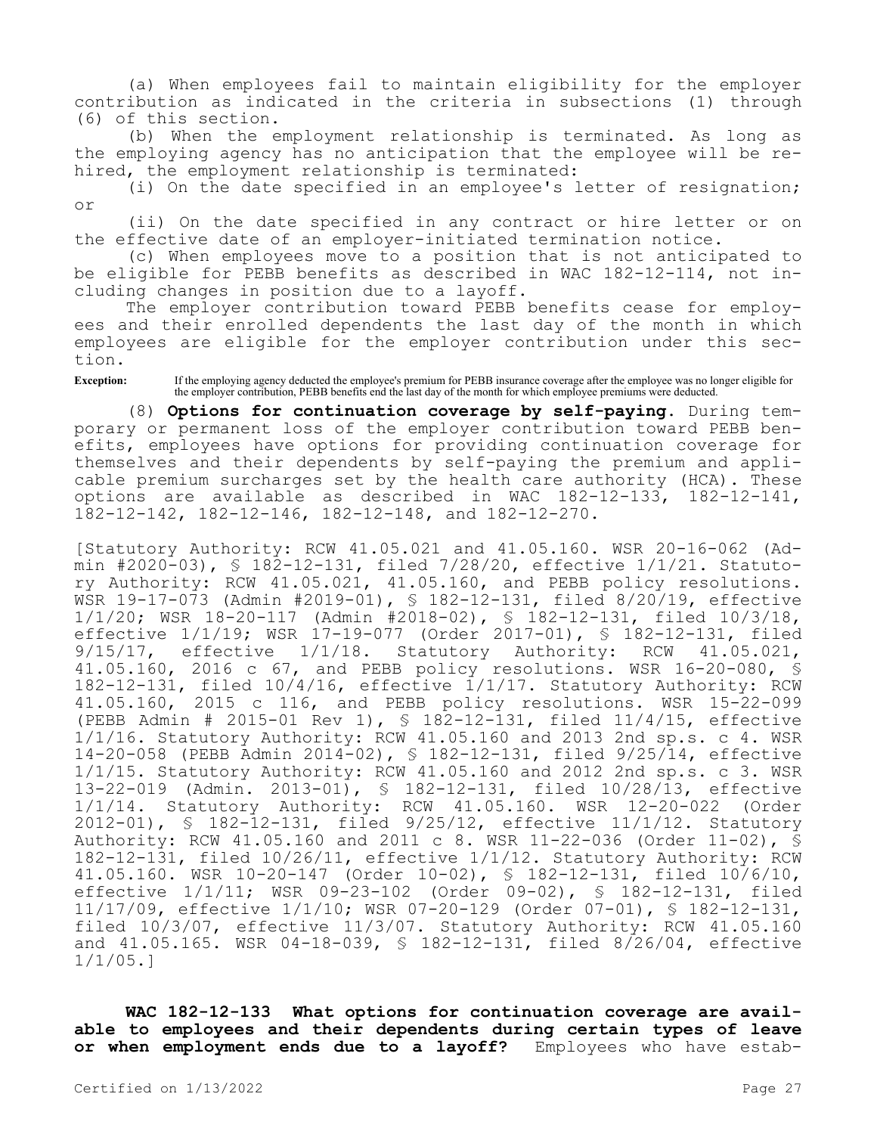(a) When employees fail to maintain eligibility for the employer contribution as indicated in the criteria in subsections (1) through (6) of this section.

(b) When the employment relationship is terminated. As long as the employing agency has no anticipation that the employee will be rehired, the employment relationship is terminated:

(i) On the date specified in an employee's letter of resignation; or

(ii) On the date specified in any contract or hire letter or on the effective date of an employer-initiated termination notice.

(c) When employees move to a position that is not anticipated to be eligible for PEBB benefits as described in WAC 182-12-114, not including changes in position due to a layoff.

The employer contribution toward PEBB benefits cease for employees and their enrolled dependents the last day of the month in which employees are eligible for the employer contribution under this section.

**Exception:** If the employing agency deducted the employee's premium for PEBB insurance coverage after the employee was no longer eligible for the employer contribution, PEBB benefits end the last day of the month for which employee premiums were deducted.

(8) **Options for continuation coverage by self-paying.** During temporary or permanent loss of the employer contribution toward PEBB benefits, employees have options for providing continuation coverage for themselves and their dependents by self-paying the premium and applicable premium surcharges set by the health care authority (HCA). These options are available as described in WAC 182-12-133, 182-12-141, 182-12-142, 182-12-146, 182-12-148, and 182-12-270.

[Statutory Authority: RCW 41.05.021 and 41.05.160. WSR 20-16-062 (Admin #2020-03),  $\frac{1}{2}$  182-12-131, filed 7/28/20, effective 1/1/21. Statutory Authority: RCW 41.05.021, 41.05.160, and PEBB policy resolutions. WSR 19-17-073 (Admin #2019-01), § 182-12-131, filed 8/20/19, effective 1/1/20; WSR 18-20-117 (Admin #2018-02), § 182-12-131, filed 10/3/18, effective 1/1/19; WSR 17-19-077 (Order 2017-01), § 182-12-131, filed 9/15/17, effective 1/1/18. Statutory Authority: RCW 41.05.021, 41.05.160, 2016 c 67, and PEBB policy resolutions. WSR 16-20-080, § 182-12-131, filed 10/4/16, effective 1/1/17. Statutory Authority: RCW 41.05.160, 2015 c 116, and PEBB policy resolutions. WSR 15-22-099 (PEBB Admin # 2015-01 Rev 1), § 182-12-131, filed 11/4/15, effective 1/1/16. Statutory Authority: RCW 41.05.160 and 2013 2nd sp.s. c 4. WSR 14-20-058 (PEBB Admin 2014-02), § 182-12-131, filed 9/25/14, effective 1/1/15. Statutory Authority: RCW 41.05.160 and 2012 2nd sp.s. c 3. WSR 13-22-019 (Admin. 2013-01), § 182-12-131, filed 10/28/13, effective 1/1/14. Statutory Authority: RCW 41.05.160. WSR 12-20-022 (Order 2012-01), § 182-12-131, filed 9/25/12, effective 11/1/12. Statutory Authority: RCW 41.05.160 and 2011 c 8. WSR 11-22-036 (Order 11-02), § 182-12-131, filed 10/26/11, effective 1/1/12. Statutory Authority: RCW 41.05.160. WSR 10-20-147 (Order 10-02), § 182-12-131, filed 10/6/10, effective 1/1/11; WSR 09-23-102 (Order 09-02), § 182-12-131, filed 11/17/09, effective 1/1/10; WSR 07-20-129 (Order 07-01), § 182-12-131, filed 10/3/07, effective 11/3/07. Statutory Authority: RCW 41.05.160 and 41.05.165. WSR 04-18-039, § 182-12-131, filed 8/26/04, effective 1/1/05.]

**WAC 182-12-133 What options for continuation coverage are available to employees and their dependents during certain types of leave or when employment ends due to a layoff?** Employees who have estab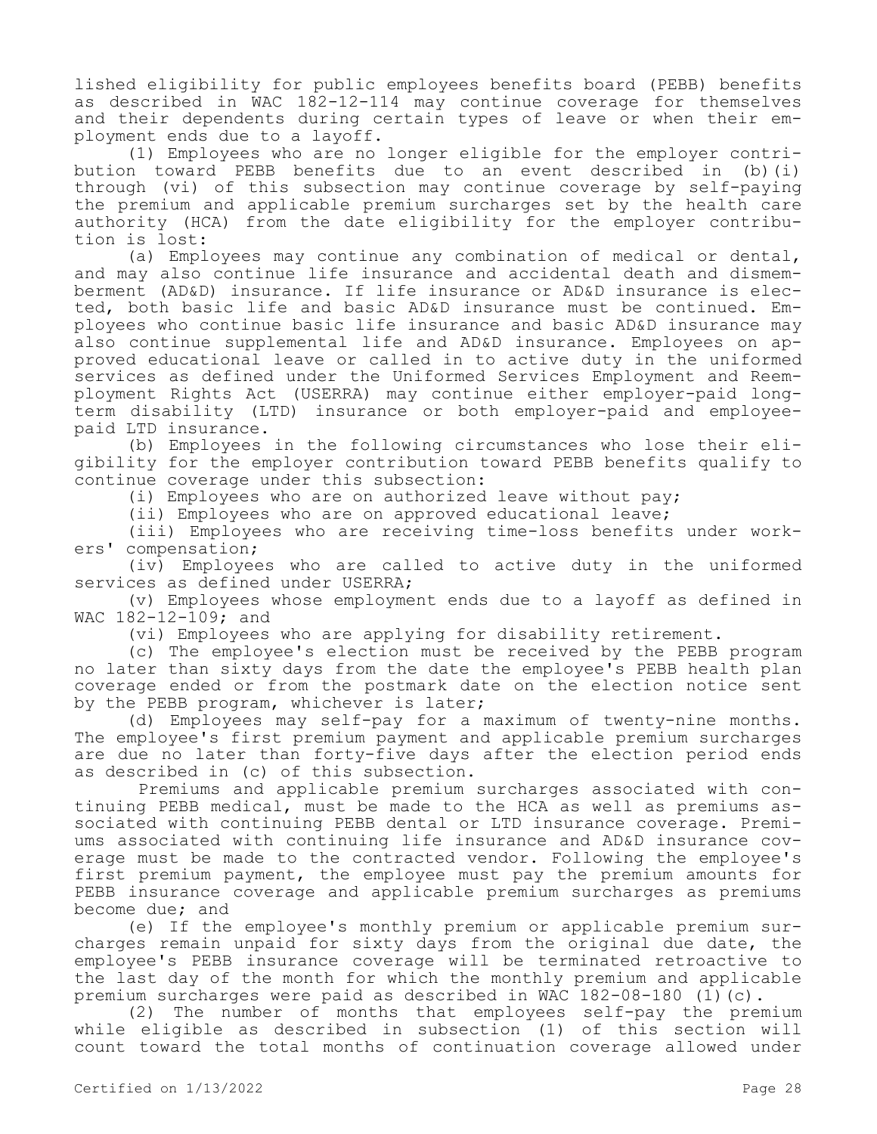lished eligibility for public employees benefits board (PEBB) benefits as described in WAC 182-12-114 may continue coverage for themselves and their dependents during certain types of leave or when their employment ends due to a layoff.

(1) Employees who are no longer eligible for the employer contribution toward PEBB benefits due to an event described in (b)(i) through (vi) of this subsection may continue coverage by self-paying the premium and applicable premium surcharges set by the health care authority (HCA) from the date eligibility for the employer contribution is lost:

(a) Employees may continue any combination of medical or dental, and may also continue life insurance and accidental death and dismemberment (AD&D) insurance. If life insurance or AD&D insurance is elected, both basic life and basic AD&D insurance must be continued. Employees who continue basic life insurance and basic AD&D insurance may also continue supplemental life and AD&D insurance. Employees on approved educational leave or called in to active duty in the uniformed services as defined under the Uniformed Services Employment and Reemployment Rights Act (USERRA) may continue either employer-paid longterm disability (LTD) insurance or both employer-paid and employeepaid LTD insurance.

(b) Employees in the following circumstances who lose their eligibility for the employer contribution toward PEBB benefits qualify to continue coverage under this subsection:

(i) Employees who are on authorized leave without pay;

(ii) Employees who are on approved educational leave;

(iii) Employees who are receiving time-loss benefits under workers' compensation;

(iv) Employees who are called to active duty in the uniformed services as defined under USERRA;

(v) Employees whose employment ends due to a layoff as defined in WAC 182-12-109; and

(vi) Employees who are applying for disability retirement.

(c) The employee's election must be received by the PEBB program no later than sixty days from the date the employee's PEBB health plan coverage ended or from the postmark date on the election notice sent by the PEBB program, whichever is later;

(d) Employees may self-pay for a maximum of twenty-nine months. The employee's first premium payment and applicable premium surcharges are due no later than forty-five days after the election period ends as described in (c) of this subsection.

 Premiums and applicable premium surcharges associated with continuing PEBB medical, must be made to the HCA as well as premiums associated with continuing PEBB dental or LTD insurance coverage. Premiums associated with continuing life insurance and AD&D insurance coverage must be made to the contracted vendor. Following the employee's first premium payment, the employee must pay the premium amounts for PEBB insurance coverage and applicable premium surcharges as premiums become due; and

(e) If the employee's monthly premium or applicable premium surcharges remain unpaid for sixty days from the original due date, the employee's PEBB insurance coverage will be terminated retroactive to the last day of the month for which the monthly premium and applicable premium surcharges were paid as described in WAC 182-08-180 (1)(c).

(2) The number of months that employees self-pay the premium while eligible as described in subsection (1) of this section will count toward the total months of continuation coverage allowed under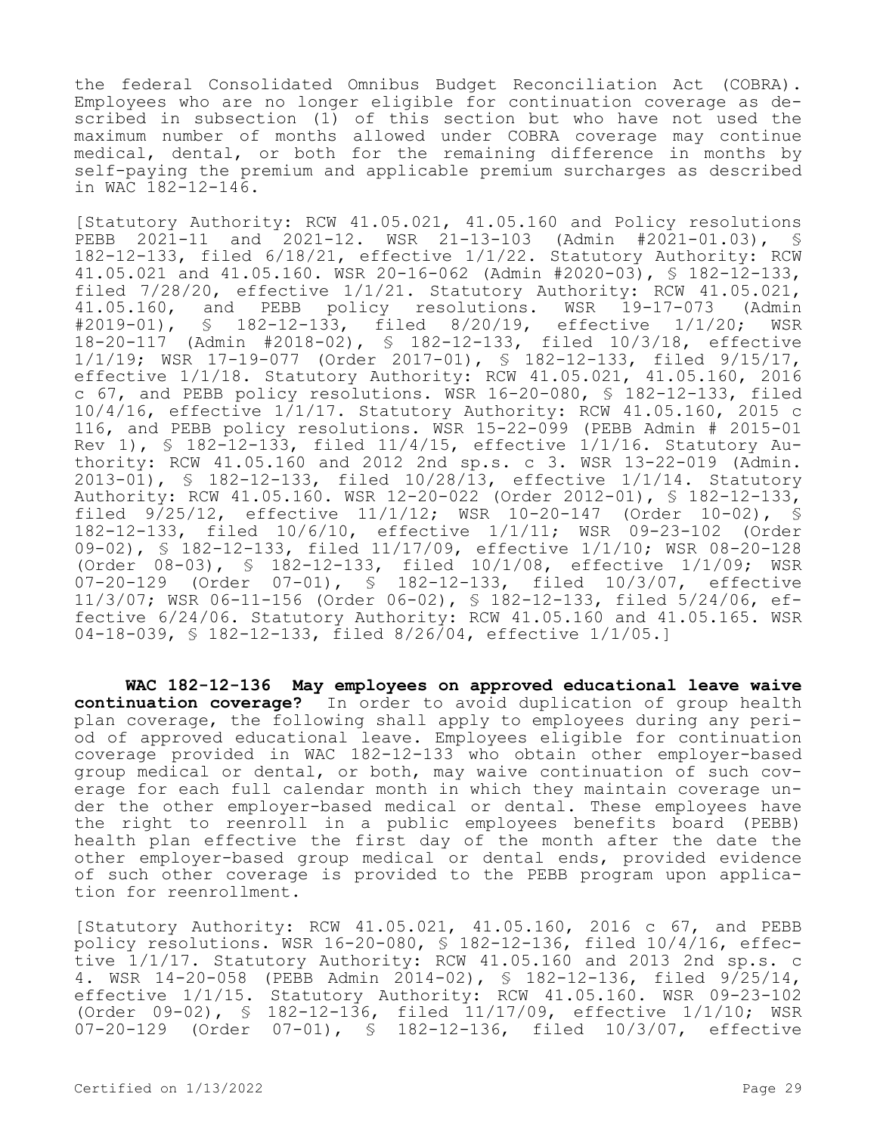the federal Consolidated Omnibus Budget Reconciliation Act (COBRA). Employees who are no longer eligible for continuation coverage as described in subsection (1) of this section but who have not used the maximum number of months allowed under COBRA coverage may continue medical, dental, or both for the remaining difference in months by self-paying the premium and applicable premium surcharges as described in WAC 182-12-146.

[Statutory Authority: RCW 41.05.021, 41.05.160 and Policy resolutions PEBB 2021-11 and 2021-12. WSR 21-13-103 (Admin #2021-01.03), § 182-12-133, filed 6/18/21, effective 1/1/22. Statutory Authority: RCW 41.05.021 and 41.05.160. WSR 20-16-062 (Admin #2020-03), § 182-12-133, filed 7/28/20, effective 1/1/21. Statutory Authority: RCW 41.05.021,<br>41.05.160, and PEBB policy resolutions. WSR 19-17-073 (Admin 41.05.160, and PEBB policy resolutions. WSR 19-17-073 (Admin #2019-01), § 182-12-133, filed 8/20/19, effective 1/1/20; WSR § 182-12-133, filed 8/20/19, effective 1/1/20; WSR 18-20-117 (Admin #2018-02), § 182-12-133, filed 10/3/18, effective 1/1/19; WSR 17-19-077 (Order 2017-01), § 182-12-133, filed 9/15/17, effective 1/1/18. Statutory Authority: RCW 41.05.021, 41.05.160, 2016 c 67, and PEBB policy resolutions. WSR 16-20-080, § 182-12-133, filed 10/4/16, effective 1/1/17. Statutory Authority: RCW 41.05.160, 2015 c 116, and PEBB policy resolutions. WSR 15-22-099 (PEBB Admin # 2015-01 Rev 1), § 182-12-133, filed 11/4/15, effective 1/1/16. Statutory Authority: RCW 41.05.160 and 2012 2nd sp.s. c 3. WSR 13-22-019 (Admin. 2013-01), § 182-12-133, filed 10/28/13, effective 1/1/14. Statutory Authority: RCW 41.05.160. WSR 12-20-022 (Order 2012-01), § 182-12-133, filed 9/25/12, effective 11/1/12; WSR 10-20-147 (Order 10-02), § 182-12-133, filed 10/6/10, effective 1/1/11; WSR 09-23-102 (Order 09-02), § 182-12-133, filed 11/17/09, effective 1/1/10; WSR 08-20-128 (Order 08-03), § 182-12-133, filed 10/1/08, effective 1/1/09; WSR<br>07-20-129 (Order 07-01), § 182-12-133, filed 10/3/07, effective 07-20-129 (Order 07-01), § 182-12-133, filed 10/3/07, effective 11/3/07; WSR 06-11-156 (Order 06-02), § 182-12-133, filed 5/24/06, effective 6/24/06. Statutory Authority: RCW 41.05.160 and 41.05.165. WSR 04-18-039, § 182-12-133, filed 8/26/04, effective 1/1/05.]

**WAC 182-12-136 May employees on approved educational leave waive continuation coverage?** In order to avoid duplication of group health plan coverage, the following shall apply to employees during any period of approved educational leave. Employees eligible for continuation coverage provided in WAC 182-12-133 who obtain other employer-based group medical or dental, or both, may waive continuation of such coverage for each full calendar month in which they maintain coverage under the other employer-based medical or dental. These employees have the right to reenroll in a public employees benefits board (PEBB) health plan effective the first day of the month after the date the other employer-based group medical or dental ends, provided evidence of such other coverage is provided to the PEBB program upon application for reenrollment.

[Statutory Authority: RCW 41.05.021, 41.05.160, 2016 c 67, and PEBB policy resolutions. WSR 16-20-080, § 182-12-136, filed 10/4/16, effective 1/1/17. Statutory Authority: RCW 41.05.160 and 2013 2nd sp.s. c 4. WSR 14-20-058 (PEBB Admin 2014-02), § 182-12-136, filed 9/25/14, effective 1/1/15. Statutory Authority: RCW 41.05.160. WSR 09-23-102 (Order 09-02), § 182-12-136, filed 11/17/09, effective 1/1/10; WSR 07-20-129 (Order 07-01), § 182-12-136, filed 10/3/07, effective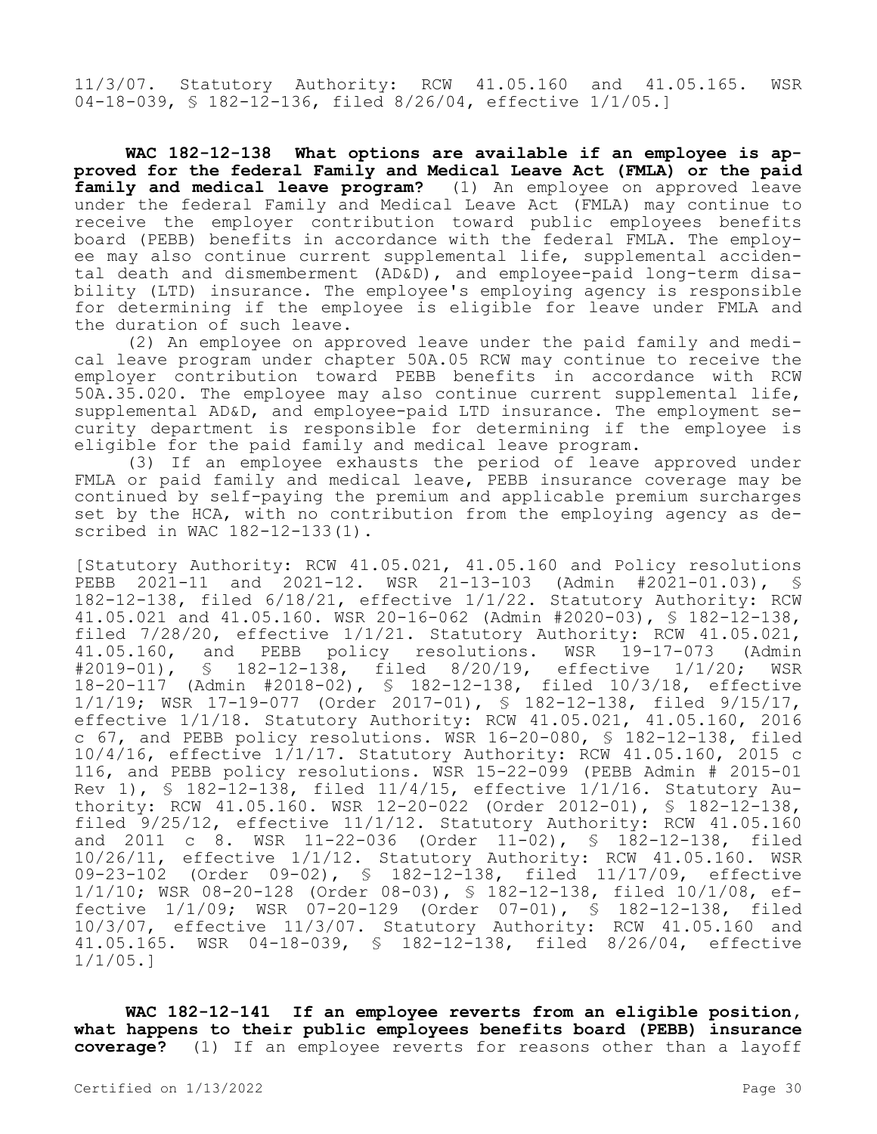11/3/07. Statutory Authority: RCW 41.05.160 and 41.05.165. WSR 04-18-039, § 182-12-136, filed 8/26/04, effective 1/1/05.]

**WAC 182-12-138 What options are available if an employee is approved for the federal Family and Medical Leave Act (FMLA) or the paid**  family and medical leave program? (1) An employee on approved leave under the federal Family and Medical Leave Act (FMLA) may continue to receive the employer contribution toward public employees benefits board (PEBB) benefits in accordance with the federal FMLA. The employee may also continue current supplemental life, supplemental accidental death and dismemberment (AD&D), and employee-paid long-term disability (LTD) insurance. The employee's employing agency is responsible for determining if the employee is eligible for leave under FMLA and the duration of such leave.

(2) An employee on approved leave under the paid family and medical leave program under chapter 50A.05 RCW may continue to receive the employer contribution toward PEBB benefits in accordance with RCW 50A.35.020. The employee may also continue current supplemental life, supplemental AD&D, and employee-paid LTD insurance. The employment security department is responsible for determining if the employee is eligible for the paid family and medical leave program.

(3) If an employee exhausts the period of leave approved under FMLA or paid family and medical leave, PEBB insurance coverage may be continued by self-paying the premium and applicable premium surcharges set by the HCA, with no contribution from the employing agency as described in WAC 182-12-133(1).

[Statutory Authority: RCW 41.05.021, 41.05.160 and Policy resolutions PEBB 2021-11 and 2021-12. WSR 21-13-103 (Admin #2021-01.03), § 182-12-138, filed 6/18/21, effective 1/1/22. Statutory Authority: RCW 41.05.021 and 41.05.160. WSR 20-16-062 (Admin #2020-03), § 182-12-138, filed 7/28/20, effective 1/1/21. Statutory Authority: RCW 41.05.021,<br>41.05.160, and PEBB policy resolutions. WSR 19-17-073 (Admin 41.05.160, and PEBB policy resolutions. WSR 19-17-073 (Admin #2019-01), § 182-12-138, filed 8/20/19, effective 1/1/20; WSR § 182-12-138, filed 8/20/19, effective 1/1/20; WSR 18-20-117 (Admin #2018-02), § 182-12-138, filed 10/3/18, effective 1/1/19; WSR 17-19-077 (Order 2017-01), § 182-12-138, filed 9/15/17, effective 1/1/18. Statutory Authority: RCW 41.05.021, 41.05.160, 2016 c 67, and PEBB policy resolutions. WSR 16-20-080, § 182-12-138, filed 10/4/16, effective 1/1/17. Statutory Authority: RCW 41.05.160, 2015 c 116, and PEBB policy resolutions. WSR 15-22-099 (PEBB Admin # 2015-01 Rev 1), § 182-12-138, filed 11/4/15, effective 1/1/16. Statutory Authority: RCW 41.05.160. WSR 12-20-022 (Order 2012-01), § 182-12-138, filed 9/25/12, effective 11/1/12. Statutory Authority: RCW 41.05.160 and 2011 c 8. WSR 11-22-036 (Order 11-02), § 182-12-138, filed 10/26/11, effective 1/1/12. Statutory Authority: RCW 41.05.160. WSR 09-23-102 (Order 09-02), § 182-12-138, filed 11/17/09, effective 1/1/10; WSR 08-20-128 (Order 08-03), § 182-12-138, filed 10/1/08, effective 1/1/09; WSR 07-20-129 (Order 07-01), § 182-12-138, filed 10/3/07, effective 11/3/07. Statutory Authority: RCW 41.05.160 and 41.05.165. WSR 04-18-039, § 182-12-138, filed 8/26/04, effective 1/1/05.]

**WAC 182-12-141 If an employee reverts from an eligible position, what happens to their public employees benefits board (PEBB) insurance coverage?** (1) If an employee reverts for reasons other than a layoff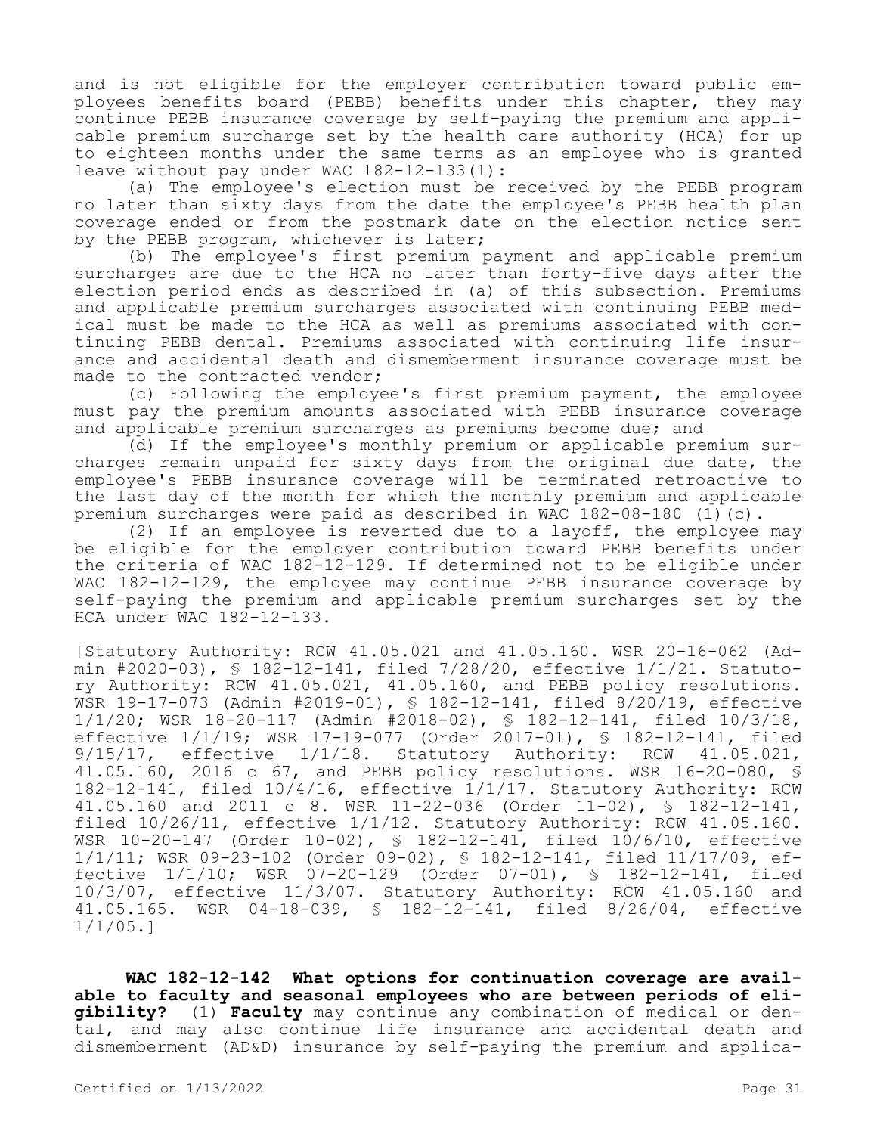and is not eligible for the employer contribution toward public employees benefits board (PEBB) benefits under this chapter, they may continue PEBB insurance coverage by self-paying the premium and applicable premium surcharge set by the health care authority (HCA) for up to eighteen months under the same terms as an employee who is granted leave without pay under WAC 182-12-133(1):

(a) The employee's election must be received by the PEBB program no later than sixty days from the date the employee's PEBB health plan coverage ended or from the postmark date on the election notice sent by the PEBB program, whichever is later;

(b) The employee's first premium payment and applicable premium surcharges are due to the HCA no later than forty-five days after the election period ends as described in (a) of this subsection. Premiums and applicable premium surcharges associated with continuing PEBB medical must be made to the HCA as well as premiums associated with continuing PEBB dental. Premiums associated with continuing life insurance and accidental death and dismemberment insurance coverage must be made to the contracted vendor;

(c) Following the employee's first premium payment, the employee must pay the premium amounts associated with PEBB insurance coverage and applicable premium surcharges as premiums become due; and

(d) If the employee's monthly premium or applicable premium surcharges remain unpaid for sixty days from the original due date, the employee's PEBB insurance coverage will be terminated retroactive to the last day of the month for which the monthly premium and applicable premium surcharges were paid as described in WAC 182-08-180 (1)(c).

(2) If an employee is reverted due to a layoff, the employee may be eligible for the employer contribution toward PEBB benefits under the criteria of WAC 182-12-129. If determined not to be eligible under WAC 182-12-129, the employee may continue PEBB insurance coverage by self-paying the premium and applicable premium surcharges set by the HCA under WAC 182-12-133.

[Statutory Authority: RCW 41.05.021 and 41.05.160. WSR 20-16-062 (Admin #2020-03), § 182-12-141, filed  $7/28/20$ , effective  $1/1/21$ . Statutory Authority: RCW 41.05.021, 41.05.160, and PEBB policy resolutions. WSR 19-17-073 (Admin #2019-01), § 182-12-141, filed 8/20/19, effective 1/1/20; WSR 18-20-117 (Admin #2018-02), § 182-12-141, filed 10/3/18, effective 1/1/19; WSR 17-19-077 (Order 2017-01), § 182-12-141, filed 9/15/17, effective 1/1/18. Statutory Authority: RCW 41.05.021, 41.05.160, 2016 c 67, and PEBB policy resolutions. WSR 16-20-080, § 182-12-141, filed 10/4/16, effective 1/1/17. Statutory Authority: RCW 41.05.160 and 2011 c 8. WSR 11-22-036 (Order 11-02), § 182-12-141, filed 10/26/11, effective 1/1/12. Statutory Authority: RCW 41.05.160. WSR 10-20-147 (Order 10-02), § 182-12-141, filed 10/6/10, effective 1/1/11; WSR 09-23-102 (Order 09-02), § 182-12-141, filed 11/17/09, effective 1/1/10; WSR 07-20-129 (Order 07-01), § 182-12-141, filed 10/3/07, effective 11/3/07. Statutory Authority: RCW 41.05.160 and 41.05.165. WSR 04-18-039, § 182-12-141, filed 8/26/04, effective 1/1/05.]

**WAC 182-12-142 What options for continuation coverage are available to faculty and seasonal employees who are between periods of eligibility?** (1) **Faculty** may continue any combination of medical or dental, and may also continue life insurance and accidental death and dismemberment (AD&D) insurance by self-paying the premium and applica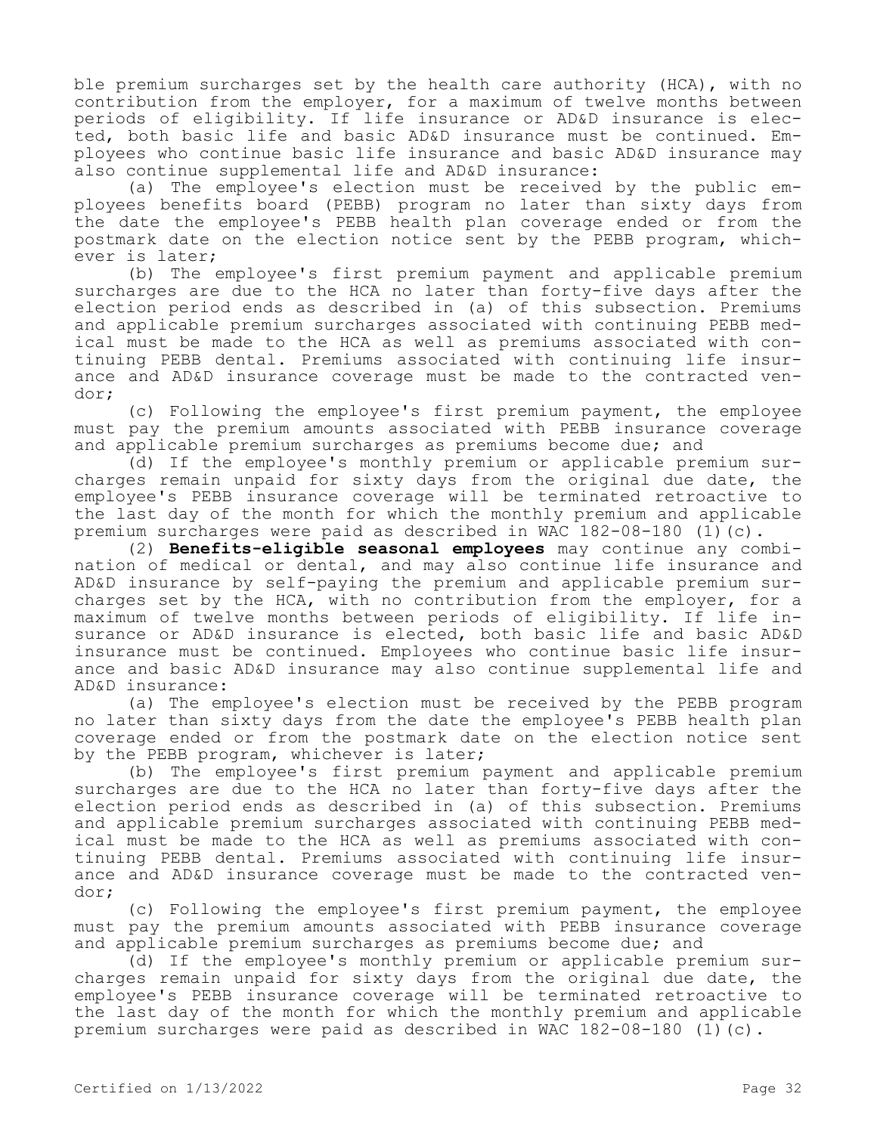ble premium surcharges set by the health care authority (HCA), with no contribution from the employer, for a maximum of twelve months between periods of eligibility. If life insurance or AD&D insurance is elected, both basic life and basic AD&D insurance must be continued. Employees who continue basic life insurance and basic AD&D insurance may also continue supplemental life and AD&D insurance:

(a) The employee's election must be received by the public employees benefits board (PEBB) program no later than sixty days from the date the employee's PEBB health plan coverage ended or from the postmark date on the election notice sent by the PEBB program, whichever is later;

(b) The employee's first premium payment and applicable premium surcharges are due to the HCA no later than forty-five days after the election period ends as described in (a) of this subsection. Premiums and applicable premium surcharges associated with continuing PEBB medical must be made to the HCA as well as premiums associated with continuing PEBB dental. Premiums associated with continuing life insurance and AD&D insurance coverage must be made to the contracted vendor;

(c) Following the employee's first premium payment, the employee must pay the premium amounts associated with PEBB insurance coverage and applicable premium surcharges as premiums become due; and

(d) If the employee's monthly premium or applicable premium surcharges remain unpaid for sixty days from the original due date, the employee's PEBB insurance coverage will be terminated retroactive to the last day of the month for which the monthly premium and applicable premium surcharges were paid as described in WAC 182-08-180 (1)(c).

(2) **Benefits-eligible seasonal employees** may continue any combination of medical or dental, and may also continue life insurance and AD&D insurance by self-paying the premium and applicable premium surcharges set by the HCA, with no contribution from the employer, for a maximum of twelve months between periods of eligibility. If life insurance or AD&D insurance is elected, both basic life and basic AD&D insurance must be continued. Employees who continue basic life insurance and basic AD&D insurance may also continue supplemental life and AD&D insurance:

(a) The employee's election must be received by the PEBB program no later than sixty days from the date the employee's PEBB health plan coverage ended or from the postmark date on the election notice sent by the PEBB program, whichever is later;

(b) The employee's first premium payment and applicable premium surcharges are due to the HCA no later than forty-five days after the election period ends as described in (a) of this subsection. Premiums and applicable premium surcharges associated with continuing PEBB medical must be made to the HCA as well as premiums associated with continuing PEBB dental. Premiums associated with continuing life insurance and AD&D insurance coverage must be made to the contracted vendor;

(c) Following the employee's first premium payment, the employee must pay the premium amounts associated with PEBB insurance coverage and applicable premium surcharges as premiums become due; and

(d) If the employee's monthly premium or applicable premium surcharges remain unpaid for sixty days from the original due date, the employee's PEBB insurance coverage will be terminated retroactive to the last day of the month for which the monthly premium and applicable premium surcharges were paid as described in WAC 182-08-180 (1)(c).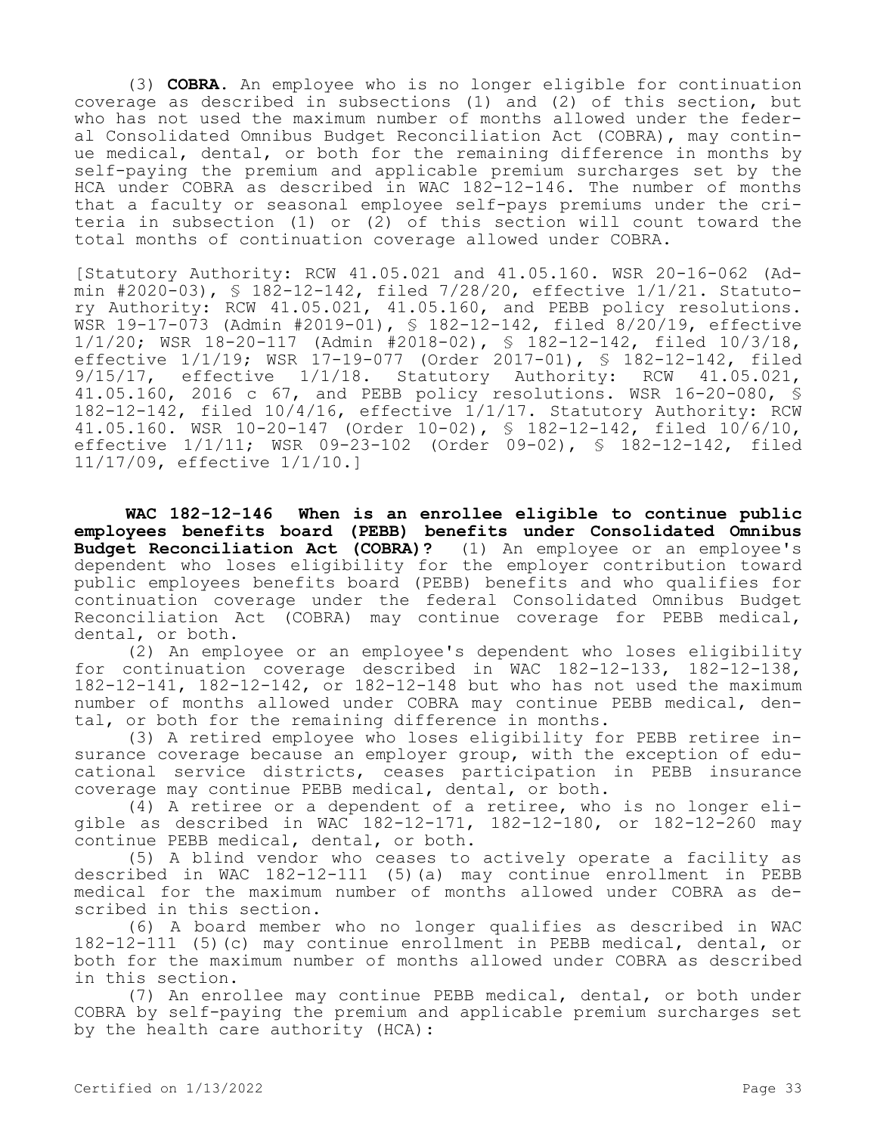(3) **COBRA.** An employee who is no longer eligible for continuation coverage as described in subsections (1) and (2) of this section, but who has not used the maximum number of months allowed under the federal Consolidated Omnibus Budget Reconciliation Act (COBRA), may continue medical, dental, or both for the remaining difference in months by self-paying the premium and applicable premium surcharges set by the HCA under COBRA as described in WAC 182-12-146. The number of months that a faculty or seasonal employee self-pays premiums under the criteria in subsection (1) or (2) of this section will count toward the total months of continuation coverage allowed under COBRA.

[Statutory Authority: RCW 41.05.021 and 41.05.160. WSR 20-16-062 (Admin #2020-03), § 182-12-142, filed  $7/28/20$ , effective  $1/1/21$ . Statutory Authority: RCW 41.05.021, 41.05.160, and PEBB policy resolutions. WSR 19-17-073 (Admin #2019-01), § 182-12-142, filed 8/20/19, effective 1/1/20; WSR 18-20-117 (Admin #2018-02), § 182-12-142, filed 10/3/18, effective 1/1/19; WSR 17-19-077 (Order 2017-01), § 182-12-142, filed 9/15/17, effective 1/1/18. Statutory Authority: RCW 41.05.021, 41.05.160, 2016 c 67, and PEBB policy resolutions. WSR 16-20-080, § 182-12-142, filed 10/4/16, effective 1/1/17. Statutory Authority: RCW 41.05.160. WSR 10-20-147 (Order 10-02), § 182-12-142, filed 10/6/10, effective 1/1/11; WSR 09-23-102 (Order 09-02), § 182-12-142, filed 11/17/09, effective 1/1/10.]

**WAC 182-12-146 When is an enrollee eligible to continue public employees benefits board (PEBB) benefits under Consolidated Omnibus Budget Reconciliation Act (COBRA)?** (1) An employee or an employee's dependent who loses eligibility for the employer contribution toward public employees benefits board (PEBB) benefits and who qualifies for continuation coverage under the federal Consolidated Omnibus Budget Reconciliation Act (COBRA) may continue coverage for PEBB medical, dental, or both.

(2) An employee or an employee's dependent who loses eligibility for continuation coverage described in WAC 182-12-133, 182-12-138, 182-12-141, 182-12-142, or 182-12-148 but who has not used the maximum number of months allowed under COBRA may continue PEBB medical, dental, or both for the remaining difference in months.

(3) A retired employee who loses eligibility for PEBB retiree insurance coverage because an employer group, with the exception of educational service districts, ceases participation in PEBB insurance coverage may continue PEBB medical, dental, or both.

(4) A retiree or a dependent of a retiree, who is no longer eligible as described in WAC 182-12-171, 182-12-180, or 182-12-260 may continue PEBB medical, dental, or both.

(5) A blind vendor who ceases to actively operate a facility as described in WAC 182-12-111 (5)(a) may continue enrollment in PEBB medical for the maximum number of months allowed under COBRA as described in this section.

(6) A board member who no longer qualifies as described in WAC 182-12-111 (5)(c) may continue enrollment in PEBB medical, dental, or both for the maximum number of months allowed under COBRA as described in this section.

(7) An enrollee may continue PEBB medical, dental, or both under COBRA by self-paying the premium and applicable premium surcharges set by the health care authority (HCA):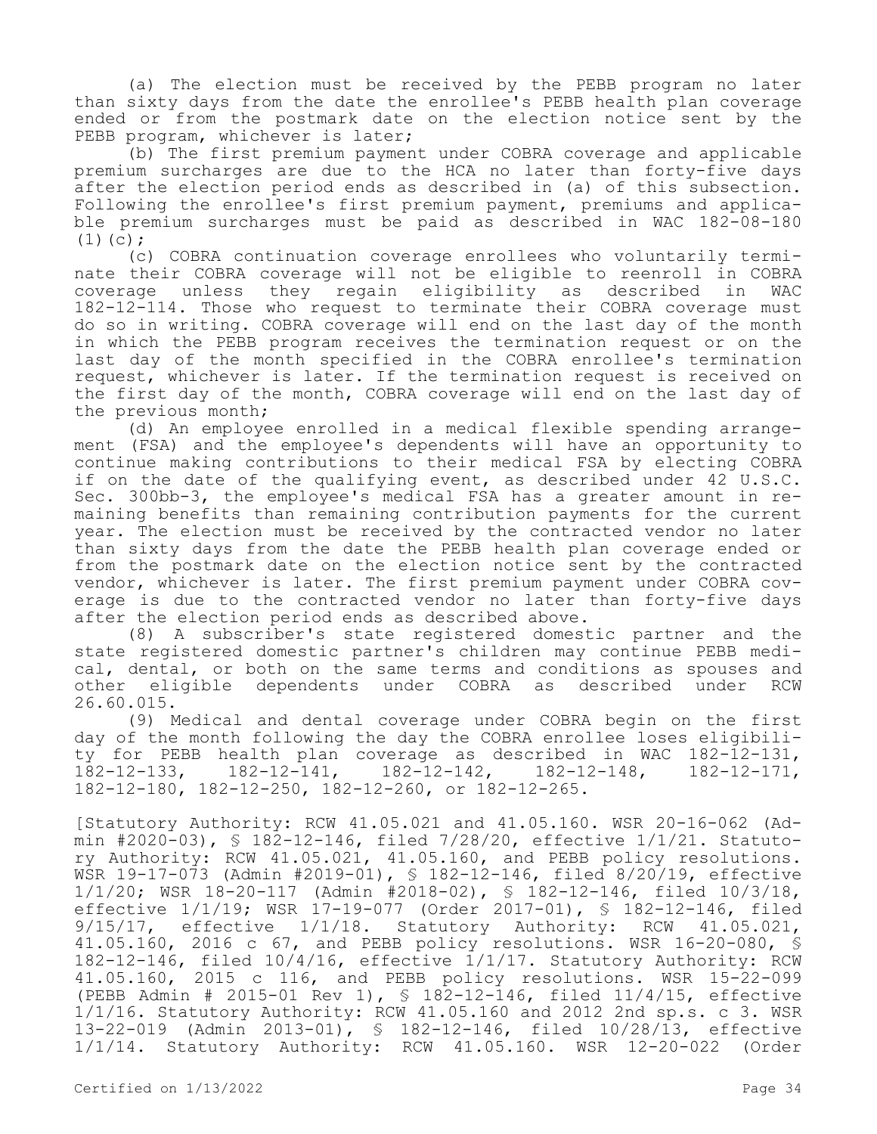(a) The election must be received by the PEBB program no later than sixty days from the date the enrollee's PEBB health plan coverage ended or from the postmark date on the election notice sent by the PEBB program, whichever is later;

(b) The first premium payment under COBRA coverage and applicable premium surcharges are due to the HCA no later than forty-five days after the election period ends as described in (a) of this subsection. Following the enrollee's first premium payment, premiums and applicable premium surcharges must be paid as described in WAC 182-08-180  $(1)(c)$ :

(c) COBRA continuation coverage enrollees who voluntarily terminate their COBRA coverage will not be eligible to reenroll in COBRA coverage unless they regain eligibility as described in WAC 182-12-114. Those who request to terminate their COBRA coverage must do so in writing. COBRA coverage will end on the last day of the month in which the PEBB program receives the termination request or on the last day of the month specified in the COBRA enrollee's termination request, whichever is later. If the termination request is received on the first day of the month, COBRA coverage will end on the last day of the previous month;

(d) An employee enrolled in a medical flexible spending arrangement (FSA) and the employee's dependents will have an opportunity to continue making contributions to their medical FSA by electing COBRA if on the date of the qualifying event, as described under 42 U.S.C. Sec. 300bb-3, the employee's medical FSA has a greater amount in remaining benefits than remaining contribution payments for the current year. The election must be received by the contracted vendor no later than sixty days from the date the PEBB health plan coverage ended or from the postmark date on the election notice sent by the contracted vendor, whichever is later. The first premium payment under COBRA coverage is due to the contracted vendor no later than forty-five days after the election period ends as described above.

(8) A subscriber's state registered domestic partner and the state registered domestic partner's children may continue PEBB medical, dental, or both on the same terms and conditions as spouses and other eligible dependents under COBRA as described under RCW 26.60.015.

(9) Medical and dental coverage under COBRA begin on the first day of the month following the day the COBRA enrollee loses eligibility for PEBB health plan coverage as described in WAC 182-12-131, 182-12-133, 182-12-141, 182-12-142, 182-12-148, 182-12-171, 182-12-180, 182-12-250, 182-12-260, or 182-12-265.

[Statutory Authority: RCW 41.05.021 and 41.05.160. WSR 20-16-062 (Admin #2020-03), § 182-12-146, filed 7/28/20, effective 1/1/21. Statutory Authority: RCW 41.05.021, 41.05.160, and PEBB policy resolutions. WSR 19-17-073 (Admin #2019-01), § 182-12-146, filed 8/20/19, effective 1/1/20; WSR 18-20-117 (Admin #2018-02), § 182-12-146, filed 10/3/18, effective 1/1/19; WSR 17-19-077 (Order 2017-01), § 182-12-146, filed 9/15/17, effective 1/1/18. Statutory Authority: RCW 41.05.021, 41.05.160, 2016 c 67, and PEBB policy resolutions. WSR 16-20-080, § 182-12-146, filed 10/4/16, effective 1/1/17. Statutory Authority: RCW 41.05.160, 2015 c 116, and PEBB policy resolutions. WSR 15-22-099 (PEBB Admin # 2015-01 Rev 1), § 182-12-146, filed 11/4/15, effective 1/1/16. Statutory Authority: RCW 41.05.160 and 2012 2nd sp.s. c 3. WSR 13-22-019 (Admin 2013-01), § 182-12-146, filed 10/28/13, effective 1/1/14. Statutory Authority: RCW 41.05.160. WSR 12-20-022 (Order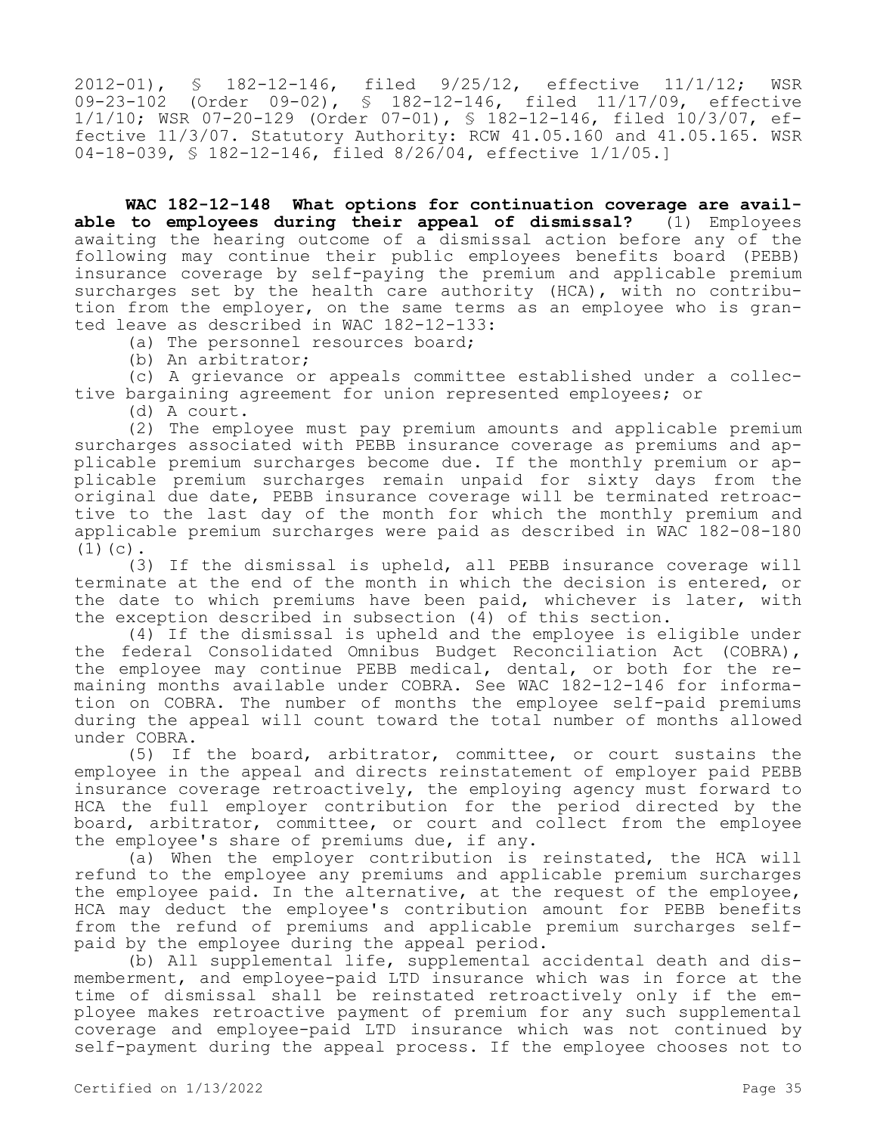2012-01), § 182-12-146, filed 9/25/12, effective 11/1/12; WSR 09-23-102 (Order 09-02), § 182-12-146, filed 11/17/09, effective 1/1/10; WSR 07-20-129 (Order 07-01), § 182-12-146, filed 10/3/07, effective 11/3/07. Statutory Authority: RCW 41.05.160 and 41.05.165. WSR 04-18-039, § 182-12-146, filed 8/26/04, effective 1/1/05.]

**WAC 182-12-148 What options for continuation coverage are available to employees during their appeal of dismissal?** (1) Employees awaiting the hearing outcome of a dismissal action before any of the following may continue their public employees benefits board (PEBB) insurance coverage by self-paying the premium and applicable premium surcharges set by the health care authority (HCA), with no contribution from the employer, on the same terms as an employee who is granted leave as described in WAC 182-12-133:

(a) The personnel resources board;

(b) An arbitrator;

(c) A grievance or appeals committee established under a collective bargaining agreement for union represented employees; or

(d) A court.

(2) The employee must pay premium amounts and applicable premium surcharges associated with PEBB insurance coverage as premiums and applicable premium surcharges become due. If the monthly premium or applicable premium surcharges remain unpaid for sixty days from the original due date, PEBB insurance coverage will be terminated retroactive to the last day of the month for which the monthly premium and applicable premium surcharges were paid as described in WAC 182-08-180  $(1)(c)$ .

(3) If the dismissal is upheld, all PEBB insurance coverage will terminate at the end of the month in which the decision is entered, or the date to which premiums have been paid, whichever is later, with the exception described in subsection (4) of this section.

(4) If the dismissal is upheld and the employee is eligible under the federal Consolidated Omnibus Budget Reconciliation Act (COBRA), the employee may continue PEBB medical, dental, or both for the remaining months available under COBRA. See WAC 182-12-146 for information on COBRA. The number of months the employee self-paid premiums during the appeal will count toward the total number of months allowed under COBRA.

(5) If the board, arbitrator, committee, or court sustains the employee in the appeal and directs reinstatement of employer paid PEBB insurance coverage retroactively, the employing agency must forward to HCA the full employer contribution for the period directed by the board, arbitrator, committee, or court and collect from the employee the employee's share of premiums due, if any.

(a) When the employer contribution is reinstated, the HCA will refund to the employee any premiums and applicable premium surcharges the employee paid. In the alternative, at the request of the employee, HCA may deduct the employee's contribution amount for PEBB benefits from the refund of premiums and applicable premium surcharges selfpaid by the employee during the appeal period.

(b) All supplemental life, supplemental accidental death and dismemberment, and employee-paid LTD insurance which was in force at the time of dismissal shall be reinstated retroactively only if the employee makes retroactive payment of premium for any such supplemental coverage and employee-paid LTD insurance which was not continued by self-payment during the appeal process. If the employee chooses not to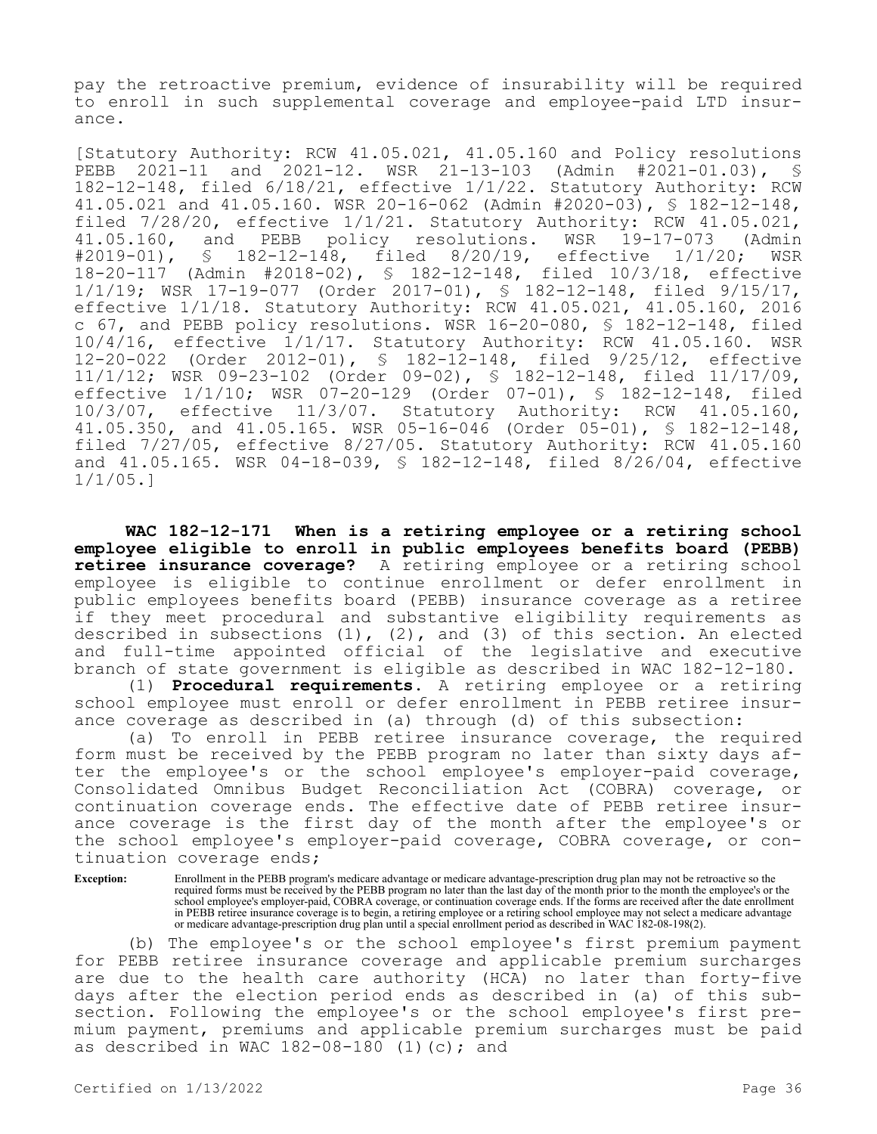pay the retroactive premium, evidence of insurability will be required to enroll in such supplemental coverage and employee-paid LTD insurance.

[Statutory Authority: RCW 41.05.021, 41.05.160 and Policy resolutions<br>PEBB 2021-11 and 2021-12. WSR 21-13-103 (Admin #2021-01.03), § PEBB 2021-11 and 2021-12. WSR 21-13-103 (Admin #2021-01.03), § 182-12-148, filed 6/18/21, effective 1/1/22. Statutory Authority: RCW 41.05.021 and 41.05.160. WSR 20-16-062 (Admin #2020-03), § 182-12-148, filed  $7/28/20$ , effective  $1/1/21$ . Statutory Authority: RCW  $41.05.021$ ,  $41.05.160$ , and PEBB policy resolutions. WSR  $19-17-073$  (Admin 41.05.160, and PEBB policy resolutions. WSR 19-17-073 (Admin<br>#2019-01), § 182-12-148, filed 8/20/19, effective 1/1/20; WSR #2019-01), § 182-12-148, filed 8/20/19, effective 1/1/20; WSR 18-20-117 (Admin #2018-02), § 182-12-148, filed 10/3/18, effective 1/1/19; WSR 17-19-077 (Order 2017-01), § 182-12-148, filed 9/15/17, effective 1/1/18. Statutory Authority: RCW 41.05.021, 41.05.160, 2016 c 67, and PEBB policy resolutions. WSR 16-20-080, § 182-12-148, filed 10/4/16, effective 1/1/17. Statutory Authority: RCW 41.05.160. WSR 12-20-022 (Order 2012-01), § 182-12-148, filed 9/25/12, effective 11/1/12; WSR 09-23-102 (Order 09-02), § 182-12-148, filed 11/17/09, effective 1/1/10; WSR 07-20-129 (Order 07-01), \$ 182-12-148, filed<br>10/3/07, effective 11/3/07. Statutory Authority: RCW 41.05.160, 10/3/07, effective 11/3/07. Statutory Authority: RCW 41.05.160, 41.05.350, and 41.05.165. WSR 05-16-046 (Order 05-01), § 182-12-148, filed 7/27/05, effective 8/27/05. Statutory Authority: RCW 41.05.160 and 41.05.165. WSR 04-18-039, § 182-12-148, filed 8/26/04, effective 1/1/05.]

**WAC 182-12-171 When is a retiring employee or a retiring school employee eligible to enroll in public employees benefits board (PEBB) retiree insurance coverage?** A retiring employee or a retiring school employee is eligible to continue enrollment or defer enrollment in public employees benefits board (PEBB) insurance coverage as a retiree if they meet procedural and substantive eligibility requirements as described in subsections (1), (2), and (3) of this section. An elected and full-time appointed official of the legislative and executive branch of state government is eligible as described in WAC 182-12-180.

(1) **Procedural requirements.** A retiring employee or a retiring school employee must enroll or defer enrollment in PEBB retiree insurance coverage as described in (a) through (d) of this subsection:

(a) To enroll in PEBB retiree insurance coverage, the required form must be received by the PEBB program no later than sixty days after the employee's or the school employee's employer-paid coverage, Consolidated Omnibus Budget Reconciliation Act (COBRA) coverage, or continuation coverage ends. The effective date of PEBB retiree insurance coverage is the first day of the month after the employee's or the school employee's employer-paid coverage, COBRA coverage, or continuation coverage ends;

**Exception:** Enrollment in the PEBB program's medicare advantage or medicare advantage-prescription drug plan may not be retroactive so the required forms must be received by the PEBB program no later than the last day of the month prior to the month the employee's or the school employee's employer-paid, COBRA coverage, or continuation coverage ends. If the forms are received after the date enrollment in PEBB retiree insurance coverage is to begin, a retiring employee or a retiring school employee may not select a medicare advantage or medicare advantage-prescription drug plan until a special enrollment period as described in WAC 182-08-198(2).

(b) The employee's or the school employee's first premium payment for PEBB retiree insurance coverage and applicable premium surcharges are due to the health care authority (HCA) no later than forty-five days after the election period ends as described in (a) of this subsection. Following the employee's or the school employee's first premium payment, premiums and applicable premium surcharges must be paid as described in WAC  $182-08-180$  (1)(c); and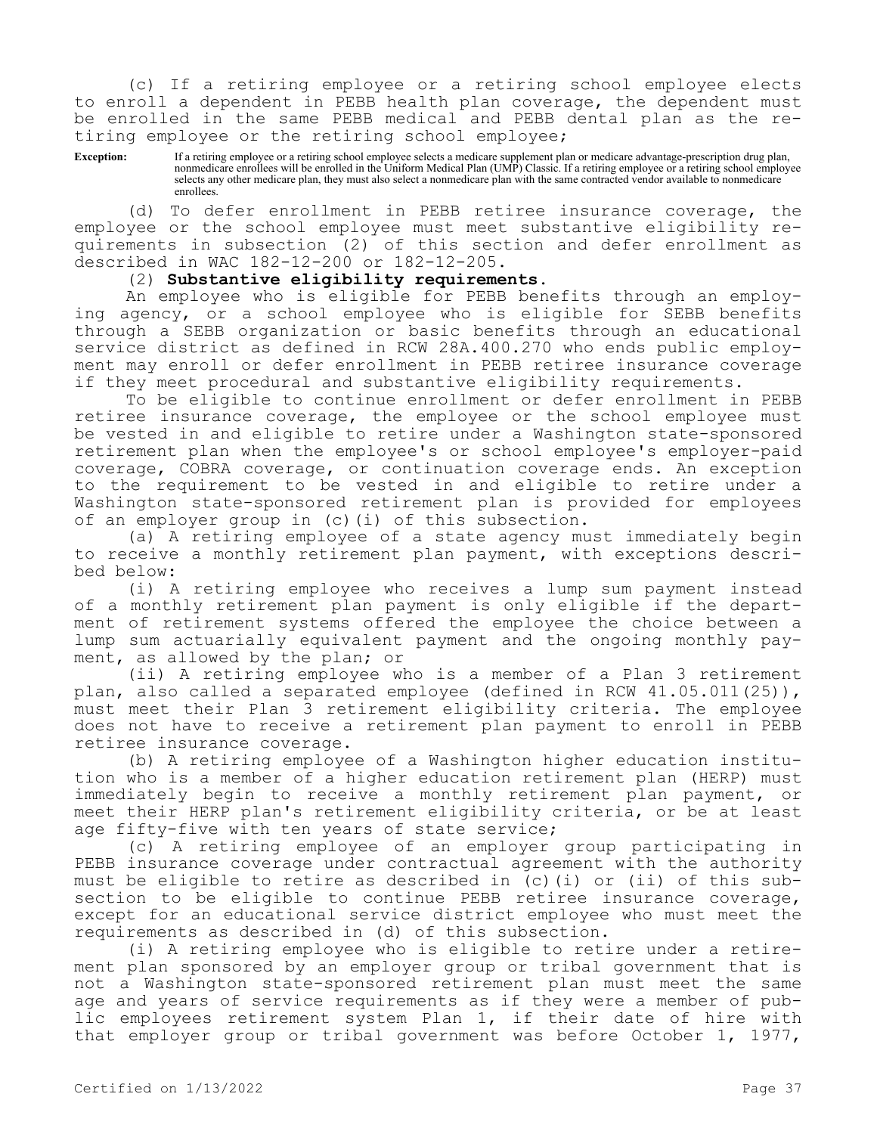(c) If a retiring employee or a retiring school employee elects to enroll a dependent in PEBB health plan coverage, the dependent must be enrolled in the same PEBB medical and PEBB dental plan as the retiring employee or the retiring school employee;

**Exception:** If a retiring employee or a retiring school employee selects a medicare supplement plan or medicare advantage-prescription drug plan, nonmedicare enrollees will be enrolled in the Uniform Medical Plan (UMP) Classic. If a retiring employee or a retiring school employee selects any other medicare plan, they must also select a nonmedicare plan with the same contracted vendor available to nonmedicare enrollees.

(d) To defer enrollment in PEBB retiree insurance coverage, the employee or the school employee must meet substantive eligibility requirements in subsection (2) of this section and defer enrollment as described in WAC 182-12-200 or 182-12-205.

(2) **Substantive eligibility requirements.**

An employee who is eligible for PEBB benefits through an employing agency, or a school employee who is eligible for SEBB benefits through a SEBB organization or basic benefits through an educational service district as defined in RCW 28A.400.270 who ends public employment may enroll or defer enrollment in PEBB retiree insurance coverage if they meet procedural and substantive eligibility requirements.

To be eligible to continue enrollment or defer enrollment in PEBB retiree insurance coverage, the employee or the school employee must be vested in and eligible to retire under a Washington state-sponsored retirement plan when the employee's or school employee's employer-paid coverage, COBRA coverage, or continuation coverage ends. An exception to the requirement to be vested in and eligible to retire under a Washington state-sponsored retirement plan is provided for employees of an employer group in (c)(i) of this subsection.

(a) A retiring employee of a state agency must immediately begin to receive a monthly retirement plan payment, with exceptions described below:

(i) A retiring employee who receives a lump sum payment instead of a monthly retirement plan payment is only eligible if the department of retirement systems offered the employee the choice between a lump sum actuarially equivalent payment and the ongoing monthly payment, as allowed by the plan; or

(ii) A retiring employee who is a member of a Plan 3 retirement plan, also called a separated employee (defined in RCW 41.05.011(25)), must meet their Plan 3 retirement eligibility criteria. The employee does not have to receive a retirement plan payment to enroll in PEBB retiree insurance coverage.

(b) A retiring employee of a Washington higher education institution who is a member of a higher education retirement plan (HERP) must immediately begin to receive a monthly retirement plan payment, or meet their HERP plan's retirement eligibility criteria, or be at least age fifty-five with ten years of state service;

(c) A retiring employee of an employer group participating in PEBB insurance coverage under contractual agreement with the authority must be eligible to retire as described in (c)(i) or (ii) of this subsection to be eligible to continue PEBB retiree insurance coverage, except for an educational service district employee who must meet the requirements as described in (d) of this subsection.

(i) A retiring employee who is eligible to retire under a retirement plan sponsored by an employer group or tribal government that is not a Washington state-sponsored retirement plan must meet the same age and years of service requirements as if they were a member of public employees retirement system Plan 1, if their date of hire with that employer group or tribal government was before October 1, 1977,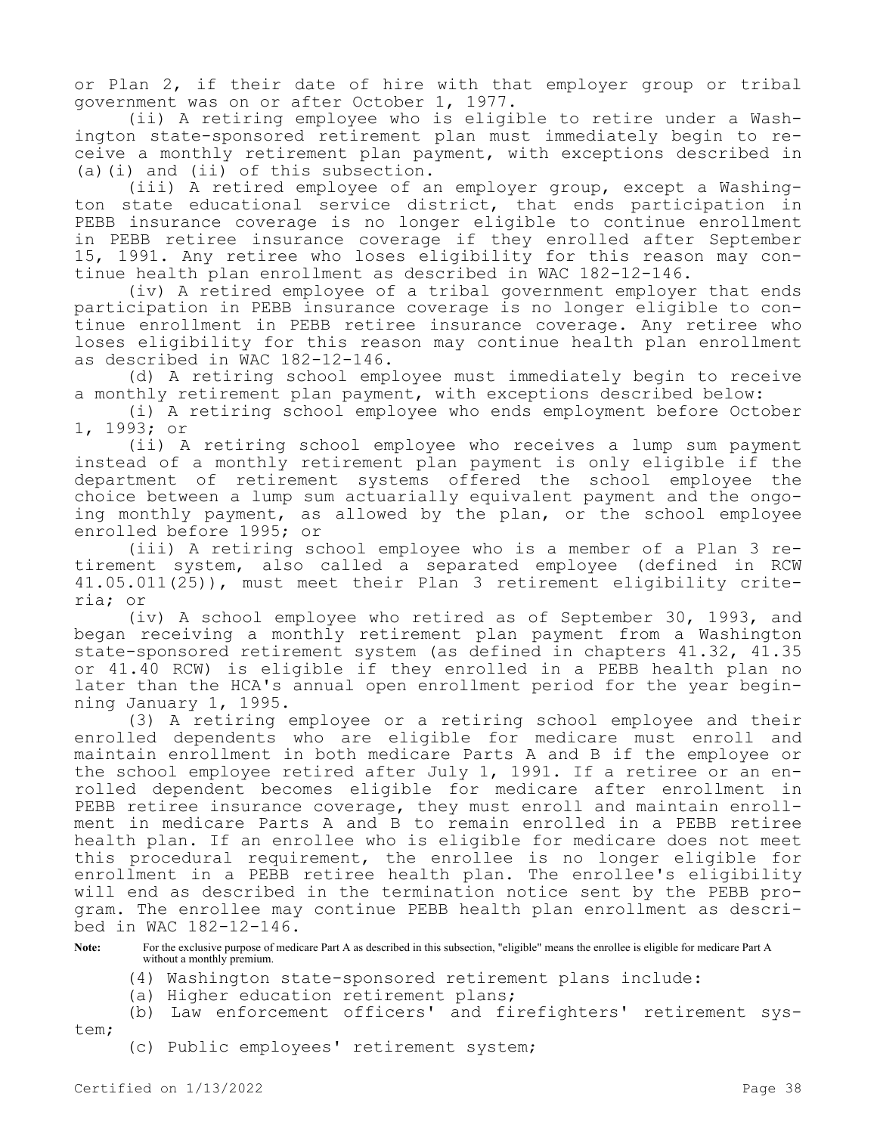or Plan 2, if their date of hire with that employer group or tribal government was on or after October 1, 1977.

(ii) A retiring employee who is eligible to retire under a Washington state-sponsored retirement plan must immediately begin to receive a monthly retirement plan payment, with exceptions described in (a)(i) and (ii) of this subsection.

(iii) A retired employee of an employer group, except a Washington state educational service district, that ends participation in PEBB insurance coverage is no longer eligible to continue enrollment in PEBB retiree insurance coverage if they enrolled after September 15, 1991. Any retiree who loses eligibility for this reason may continue health plan enrollment as described in WAC 182-12-146.

(iv) A retired employee of a tribal government employer that ends participation in PEBB insurance coverage is no longer eligible to continue enrollment in PEBB retiree insurance coverage. Any retiree who loses eligibility for this reason may continue health plan enrollment as described in WAC 182-12-146.

(d) A retiring school employee must immediately begin to receive a monthly retirement plan payment, with exceptions described below:

(i) A retiring school employee who ends employment before October 1, 1993; or

(ii) A retiring school employee who receives a lump sum payment instead of a monthly retirement plan payment is only eligible if the department of retirement systems offered the school employee the choice between a lump sum actuarially equivalent payment and the ongoing monthly payment, as allowed by the plan, or the school employee enrolled before 1995; or

(iii) A retiring school employee who is a member of a Plan 3 retirement system, also called a separated employee (defined in RCW 41.05.011(25)), must meet their Plan 3 retirement eligibility criteria; or

(iv) A school employee who retired as of September 30, 1993, and began receiving a monthly retirement plan payment from a Washington state-sponsored retirement system (as defined in chapters 41.32, 41.35 or 41.40 RCW) is eligible if they enrolled in a PEBB health plan no later than the HCA's annual open enrollment period for the year beginning January 1, 1995.

(3) A retiring employee or a retiring school employee and their enrolled dependents who are eligible for medicare must enroll and maintain enrollment in both medicare Parts A and B if the employee or the school employee retired after July 1, 1991. If a retiree or an enrolled dependent becomes eligible for medicare after enrollment in PEBB retiree insurance coverage, they must enroll and maintain enrollment in medicare Parts A and B to remain enrolled in a PEBB retiree health plan. If an enrollee who is eligible for medicare does not meet this procedural requirement, the enrollee is no longer eligible for enrollment in a PEBB retiree health plan. The enrollee's eligibility will end as described in the termination notice sent by the PEBB program. The enrollee may continue PEBB health plan enrollment as described in WAC 182-12-146.

**Note:** For the exclusive purpose of medicare Part A as described in this subsection, "eligible" means the enrollee is eligible for medicare Part A without a monthly premium.

- (4) Washington state-sponsored retirement plans include:
- (a) Higher education retirement plans;
- (b) Law enforcement officers' and firefighters' retirement system;
	- (c) Public employees' retirement system;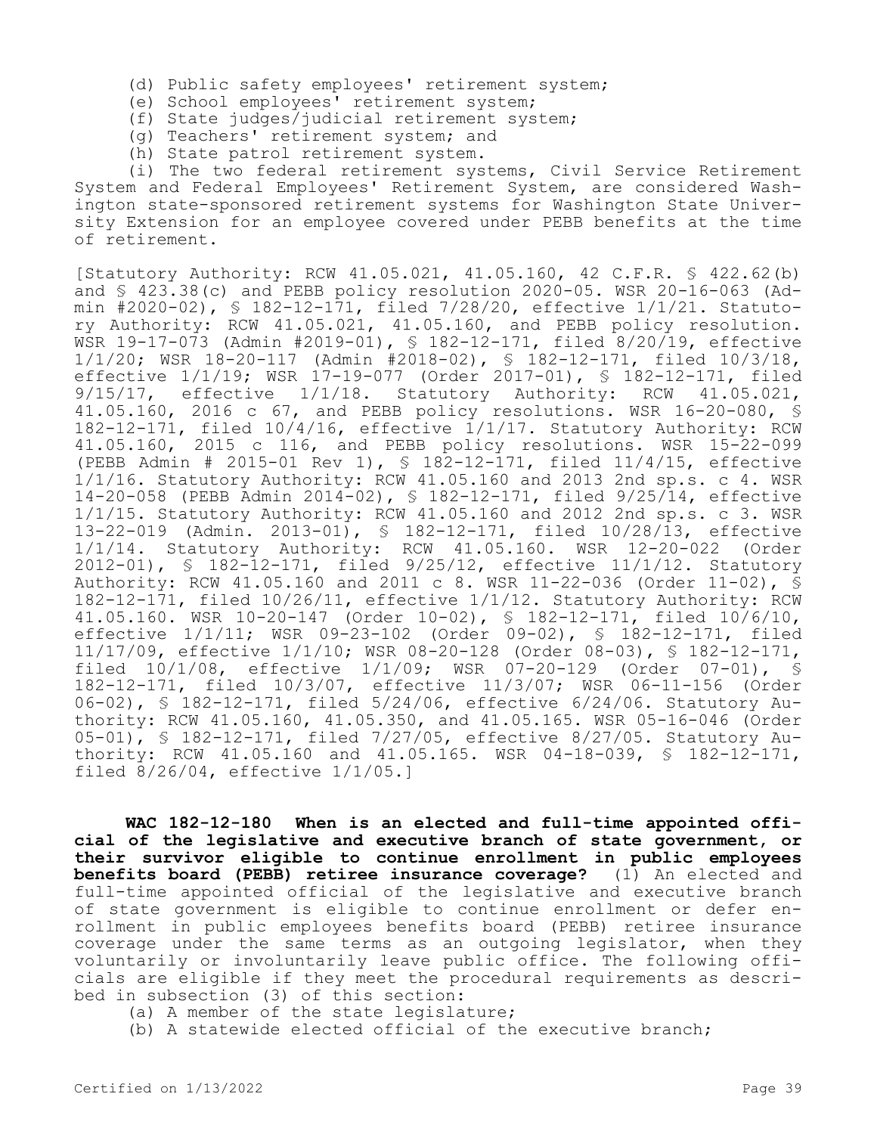- (d) Public safety employees' retirement system;
- (e) School employees' retirement system;
- (f) State judges/judicial retirement system;
- (g) Teachers' retirement system; and
- (h) State patrol retirement system.

(i) The two federal retirement systems, Civil Service Retirement System and Federal Employees' Retirement System, are considered Washington state-sponsored retirement systems for Washington State University Extension for an employee covered under PEBB benefits at the time of retirement.

[Statutory Authority: RCW 41.05.021, 41.05.160, 42 C.F.R. § 422.62(b) and § 423.38(c) and PEBB policy resolution 2020-05. WSR 20-16-063 (Admin #2020-02), § 182-12-171, filed 7/28/20, effective 1/1/21. Statutory Authority: RCW 41.05.021, 41.05.160, and PEBB policy resolution. WSR 19-17-073 (Admin #2019-01), § 182-12-171, filed 8/20/19, effective 1/1/20; WSR 18-20-117 (Admin #2018-02), § 182-12-171, filed 10/3/18, effective 1/1/19; WSR 17-19-077 (Order 2017-01), § 182-12-171, filed 9/15/17, effective 1/1/18. Statutory Authority: RCW 41.05.021, 41.05.160, 2016 c 67, and PEBB policy resolutions. WSR 16-20-080, § 182-12-171, filed 10/4/16, effective 1/1/17. Statutory Authority: RCW 41.05.160, 2015 c 116, and PEBB policy resolutions. WSR 15-22-099 (PEBB Admin # 2015-01 Rev 1), § 182-12-171, filed 11/4/15, effective 1/1/16. Statutory Authority: RCW 41.05.160 and 2013 2nd sp.s. c 4. WSR 14-20-058 (PEBB Admin 2014-02), § 182-12-171, filed 9/25/14, effective 1/1/15. Statutory Authority: RCW 41.05.160 and 2012 2nd sp.s. c 3. WSR 13-22-019 (Admin. 2013-01), § 182-12-171, filed 10/28/13, effective 1/1/14. Statutory Authority: RCW 41.05.160. WSR 12-20-022 (Order 2012-01), § 182-12-171, filed 9/25/12, effective 11/1/12. Statutory Authority: RCW 41.05.160 and 2011 c 8. WSR 11-22-036 (Order 11-02), § 182-12-171, filed 10/26/11, effective 1/1/12. Statutory Authority: RCW 41.05.160. WSR 10-20-147 (Order 10-02), § 182-12-171, filed 10/6/10, effective 1/1/11; WSR 09-23-102 (Order 09-02), § 182-12-171, filed 11/17/09, effective 1/1/10; WSR 08-20-128 (Order 08-03), § 182-12-171, filed 10/1/08, effective 1/1/09; WSR 07-20-129 (Order 07-01), § 182-12-171, filed 10/3/07, effective 11/3/07; WSR 06-11-156 (Order 06-02), § 182-12-171, filed 5/24/06, effective 6/24/06. Statutory Authority: RCW 41.05.160, 41.05.350, and 41.05.165. WSR 05-16-046 (Order 05-01), § 182-12-171, filed 7/27/05, effective 8/27/05. Statutory Authority: RCW 41.05.160 and 41.05.165. WSR 04-18-039, § 182-12-171, filed 8/26/04, effective 1/1/05.]

**WAC 182-12-180 When is an elected and full-time appointed official of the legislative and executive branch of state government, or their survivor eligible to continue enrollment in public employees benefits board (PEBB) retiree insurance coverage?** (1) An elected and full-time appointed official of the legislative and executive branch of state government is eligible to continue enrollment or defer enrollment in public employees benefits board (PEBB) retiree insurance coverage under the same terms as an outgoing legislator, when they voluntarily or involuntarily leave public office. The following officials are eligible if they meet the procedural requirements as described in subsection (3) of this section:

- (a) A member of the state legislature;
- (b) A statewide elected official of the executive branch;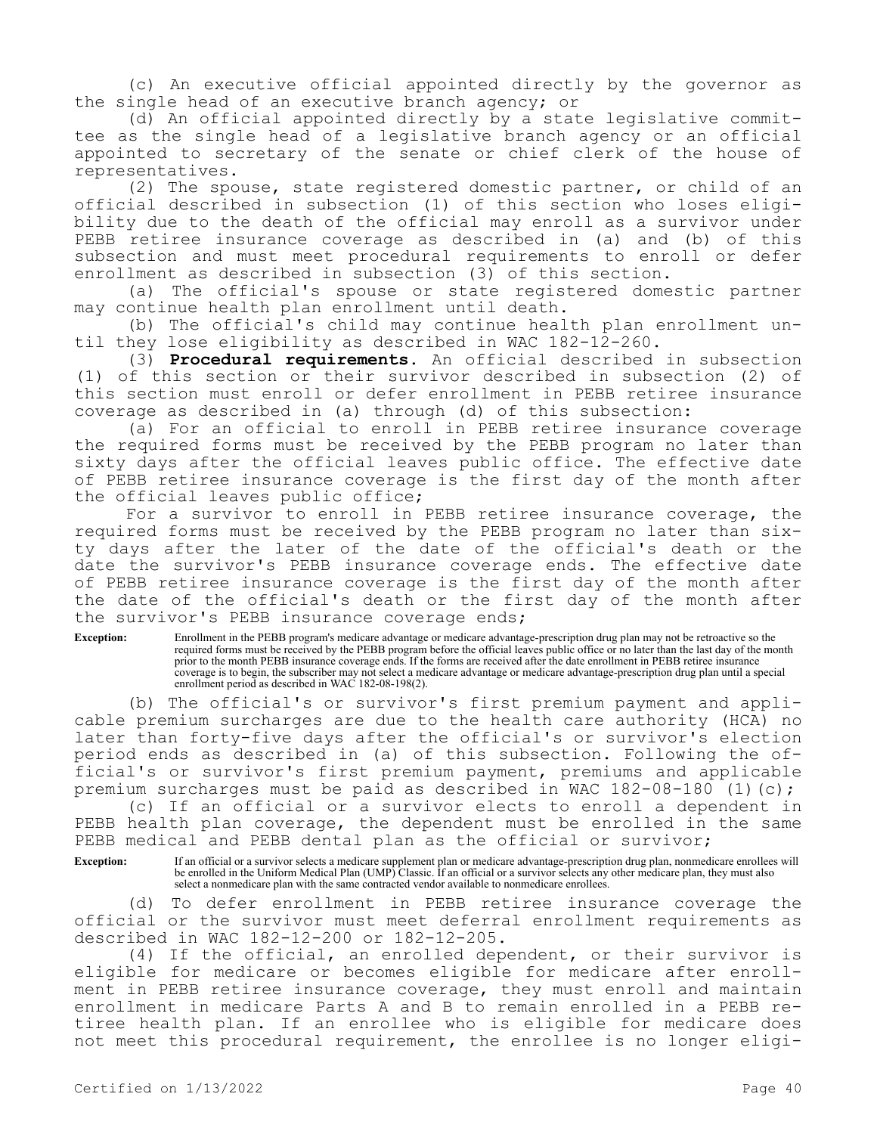(c) An executive official appointed directly by the governor as the single head of an executive branch agency; or

(d) An official appointed directly by a state legislative committee as the single head of a legislative branch agency or an official appointed to secretary of the senate or chief clerk of the house of representatives.

(2) The spouse, state registered domestic partner, or child of an official described in subsection (1) of this section who loses eligibility due to the death of the official may enroll as a survivor under PEBB retiree insurance coverage as described in (a) and (b) of this subsection and must meet procedural requirements to enroll or defer enrollment as described in subsection (3) of this section.

(a) The official's spouse or state registered domestic partner may continue health plan enrollment until death.

(b) The official's child may continue health plan enrollment until they lose eligibility as described in WAC 182-12-260.

(3) **Procedural requirements.** An official described in subsection (1) of this section or their survivor described in subsection (2) of this section must enroll or defer enrollment in PEBB retiree insurance coverage as described in (a) through (d) of this subsection:

(a) For an official to enroll in PEBB retiree insurance coverage the required forms must be received by the PEBB program no later than sixty days after the official leaves public office. The effective date of PEBB retiree insurance coverage is the first day of the month after the official leaves public office;

For a survivor to enroll in PEBB retiree insurance coverage, the required forms must be received by the PEBB program no later than sixty days after the later of the date of the official's death or the date the survivor's PEBB insurance coverage ends. The effective date of PEBB retiree insurance coverage is the first day of the month after the date of the official's death or the first day of the month after the survivor's PEBB insurance coverage ends;

**Exception:** Enrollment in the PEBB program's medicare advantage or medicare advantage-prescription drug plan may not be retroactive so the required forms must be received by the PEBB program before the official leaves public office or no later than the last day of the month prior to the month PEBB insurance coverage ends. If the forms are received after the date enrollment in PEBB retiree insurance coverage is to begin, the subscriber may not select a medicare advantage or medicare advantage-prescription drug plan until a special enrollment period as described in WAC 182-08-198(2).

(b) The official's or survivor's first premium payment and applicable premium surcharges are due to the health care authority (HCA) no later than forty-five days after the official's or survivor's election period ends as described in (a) of this subsection. Following the official's or survivor's first premium payment, premiums and applicable premium surcharges must be paid as described in WAC 182-08-180 (1)(c);

(c) If an official or a survivor elects to enroll a dependent in PEBB health plan coverage, the dependent must be enrolled in the same PEBB medical and PEBB dental plan as the official or survivor;

**Exception:** If an official or a survivor selects a medicare supplement plan or medicare advantage-prescription drug plan, nonmedicare enrollees will be enrolled in the Uniform Medical Plan (UMP) Classic. If an official or a survivor selects any other medicare plan, they must also select a nonmedicare plan with the same contracted vendor available to nonmedicare enrollees.

(d) To defer enrollment in PEBB retiree insurance coverage the official or the survivor must meet deferral enrollment requirements as described in WAC 182-12-200 or 182-12-205.

(4) If the official, an enrolled dependent, or their survivor is eligible for medicare or becomes eligible for medicare after enrollment in PEBB retiree insurance coverage, they must enroll and maintain enrollment in medicare Parts A and B to remain enrolled in a PEBB retiree health plan. If an enrollee who is eligible for medicare does not meet this procedural requirement, the enrollee is no longer eligi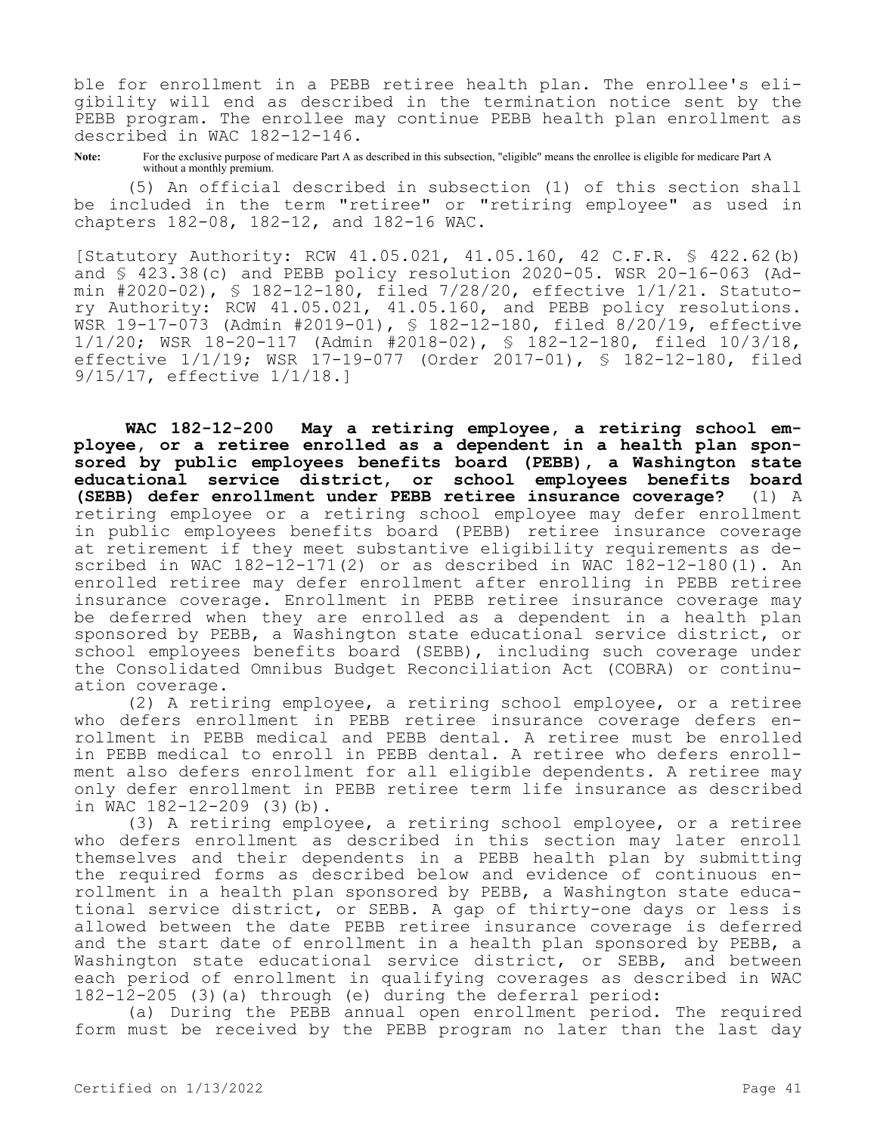ble for enrollment in a PEBB retiree health plan. The enrollee's eligibility will end as described in the termination notice sent by the PEBB program. The enrollee may continue PEBB health plan enrollment as described in WAC 182-12-146.

**Note:** For the exclusive purpose of medicare Part A as described in this subsection, "eligible" means the enrollee is eligible for medicare Part A without a monthly premium.

(5) An official described in subsection (1) of this section shall be included in the term "retiree" or "retiring employee" as used in chapters 182-08, 182-12, and 182-16 WAC.

[Statutory Authority: RCW 41.05.021, 41.05.160, 42 C.F.R. § 422.62(b) and § 423.38(c) and PEBB policy resolution 2020-05. WSR 20-16-063 (Admin #2020-02), § 182-12-180, filed 7/28/20, effective 1/1/21. Statutory Authority: RCW 41.05.021, 41.05.160, and PEBB policy resolutions. WSR 19-17-073 (Admin #2019-01), § 182-12-180, filed 8/20/19, effective 1/1/20; WSR 18-20-117 (Admin #2018-02), § 182-12-180, filed 10/3/18, effective 1/1/19; WSR 17-19-077 (Order 2017-01), § 182-12-180, filed 9/15/17, effective 1/1/18.]

**WAC 182-12-200 May a retiring employee, a retiring school employee, or a retiree enrolled as a dependent in a health plan sponsored by public employees benefits board (PEBB), a Washington state educational service district, or school employees benefits board (SEBB) defer enrollment under PEBB retiree insurance coverage?** (1) A retiring employee or a retiring school employee may defer enrollment in public employees benefits board (PEBB) retiree insurance coverage at retirement if they meet substantive eligibility requirements as described in WAC  $182-12-171(2)$  or as described in WAC  $182-12-180(1)$ . An enrolled retiree may defer enrollment after enrolling in PEBB retiree insurance coverage. Enrollment in PEBB retiree insurance coverage may be deferred when they are enrolled as a dependent in a health plan sponsored by PEBB, a Washington state educational service district, or school employees benefits board (SEBB), including such coverage under the Consolidated Omnibus Budget Reconciliation Act (COBRA) or continuation coverage.

(2) A retiring employee, a retiring school employee, or a retiree who defers enrollment in PEBB retiree insurance coverage defers enrollment in PEBB medical and PEBB dental. A retiree must be enrolled in PEBB medical to enroll in PEBB dental. A retiree who defers enrollment also defers enrollment for all eligible dependents. A retiree may only defer enrollment in PEBB retiree term life insurance as described in WAC 182-12-209 (3)(b).

(3) A retiring employee, a retiring school employee, or a retiree who defers enrollment as described in this section may later enroll themselves and their dependents in a PEBB health plan by submitting the required forms as described below and evidence of continuous enrollment in a health plan sponsored by PEBB, a Washington state educational service district, or SEBB. A gap of thirty-one days or less is allowed between the date PEBB retiree insurance coverage is deferred and the start date of enrollment in a health plan sponsored by PEBB, a Washington state educational service district, or SEBB, and between each period of enrollment in qualifying coverages as described in WAC 182-12-205 (3)(a) through (e) during the deferral period:

(a) During the PEBB annual open enrollment period. The required form must be received by the PEBB program no later than the last day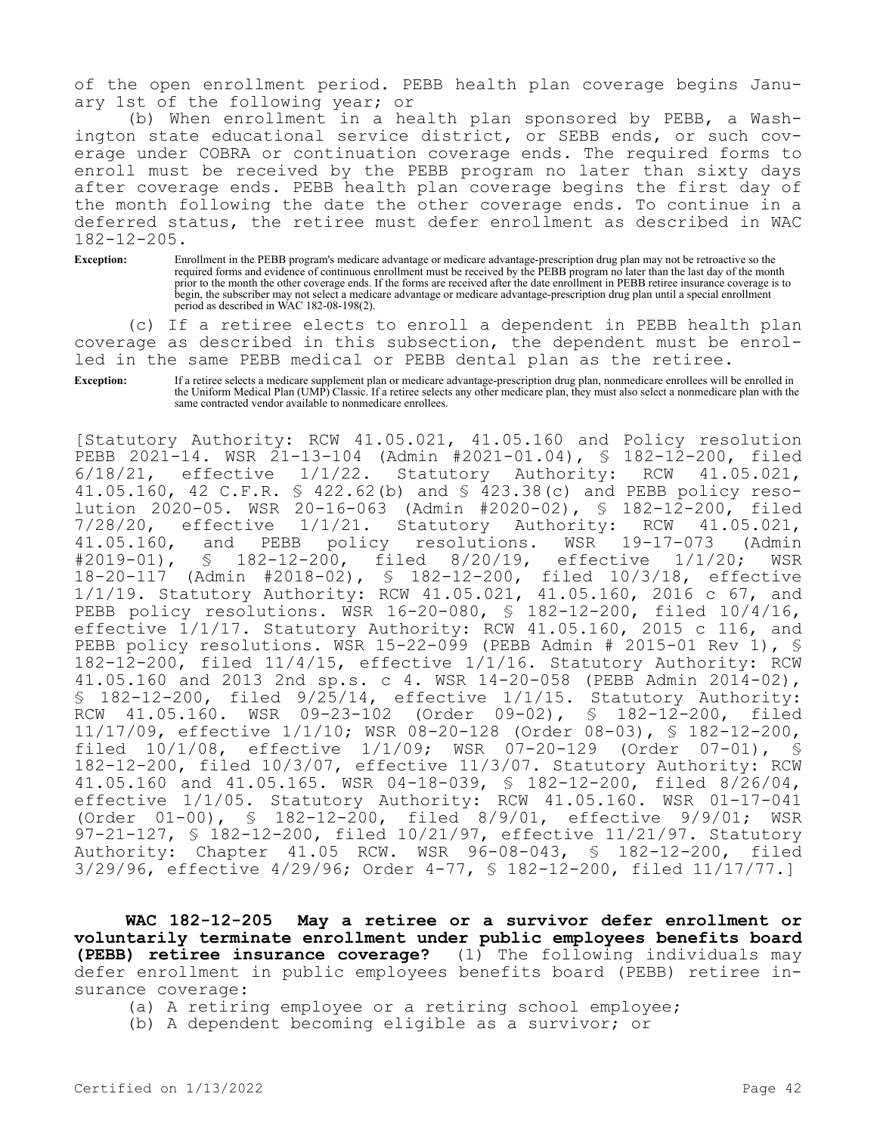of the open enrollment period. PEBB health plan coverage begins January 1st of the following year; or

(b) When enrollment in a health plan sponsored by PEBB, a Washington state educational service district, or SEBB ends, or such coverage under COBRA or continuation coverage ends. The required forms to enroll must be received by the PEBB program no later than sixty days after coverage ends. PEBB health plan coverage begins the first day of the month following the date the other coverage ends. To continue in a deferred status, the retiree must defer enrollment as described in WAC 182-12-205.

**Exception:** Enrollment in the PEBB program's medicare advantage or medicare advantage-prescription drug plan may not be retroactive so the required forms and evidence of continuous enrollment must be received by the PEBB program no later than the last day of the month prior to the month the other coverage ends. If the forms are received after the date enrollment in PEBB retiree insurance coverage is to begin, the subscriber may not select a medicare advantage or medicare advantage-prescription drug plan until a special enrollment period as described in WAC 182-08-198(2).

(c) If a retiree elects to enroll a dependent in PEBB health plan coverage as described in this subsection, the dependent must be enrolled in the same PEBB medical or PEBB dental plan as the retiree.

**Exception:** If a retiree selects a medicare supplement plan or medicare advantage-prescription drug plan, nonmedicare enrollees will be enrolled in the Uniform Medical Plan (UMP) Classic. If a retiree selects any other medicare plan, they must also select a nonmedicare plan with the same contracted vendor available to nonmedicare enrollees.

[Statutory Authority: RCW 41.05.021, 41.05.160 and Policy resolution PEBB 2021-14. WSR 21-13-104 (Admin #2021-01.04), § 182-12-200, filed<br>6/18/21, effective 1/1/22. Statutory Authority: RCW 41.05.021,  $6/18/21$ , effective  $1/1/22$ . Statutory Authority: RCW 41.05.160, 42 C.F.R. § 422.62(b) and § 423.38(c) and PEBB policy resolution 2020-05. WSR 20-16-063 (Admin #2020-02), § 182-12-200, filed 7/28/20, effective 1/1/21. Statutory Authority: RCW 41.05.021,<br>41.05.160, and PEBB policy resolutions. WSR 19-17-073 (Admin 41.05.160, and PEBB policy resolutions. WSR 19-17-073 (Admin<br>#2019-01), § 182-12-200, filed 8/20/19, effective 1/1/20; WSR 182-12-200, filed 8/20/19, effective 1/1/20; WSR 18-20-117 (Admin #2018-02), § 182-12-200, filed 10/3/18, effective 1/1/19. Statutory Authority: RCW 41.05.021, 41.05.160, 2016 c 67, and PEBB policy resolutions. WSR 16-20-080, § 182-12-200, filed 10/4/16, effective 1/1/17. Statutory Authority: RCW 41.05.160, 2015 c 116, and PEBB policy resolutions. WSR 15-22-099 (PEBB Admin # 2015-01 Rev 1), § 182-12-200, filed 11/4/15, effective 1/1/16. Statutory Authority: RCW 41.05.160 and 2013 2nd sp.s. c 4. WSR 14-20-058 (PEBB Admin 2014-02), § 182-12-200, filed 9/25/14, effective 1/1/15. Statutory Authority: RCW 41.05.160. WSR 09-23-102 (Order 09-02), § 182-12-200, filed 11/17/09, effective 1/1/10; WSR 08-20-128 (Order 08-03), § 182-12-200, filed 10/1/08, effective 1/1/09; WSR 07-20-129 (Order 07-01), § 182-12-200, filed 10/3/07, effective 11/3/07. Statutory Authority: RCW 41.05.160 and 41.05.165. WSR 04-18-039, § 182-12-200, filed 8/26/04, effective 1/1/05. Statutory Authority: RCW 41.05.160. WSR 01-17-041 (Order 01-00), § 182-12-200, filed 8/9/01, effective 9/9/01; WSR 97-21-127, § 182-12-200, filed 10/21/97, effective 11/21/97. Statutory Authority: Chapter 41.05 RCW. WSR 96-08-043, § 182-12-200, filed 3/29/96, effective 4/29/96; Order 4-77, § 182-12-200, filed 11/17/77.]

**WAC 182-12-205 May a retiree or a survivor defer enrollment or voluntarily terminate enrollment under public employees benefits board (PEBB) retiree insurance coverage?** (1) The following individuals may defer enrollment in public employees benefits board (PEBB) retiree insurance coverage:

(a) A retiring employee or a retiring school employee;

(b) A dependent becoming eligible as a survivor; or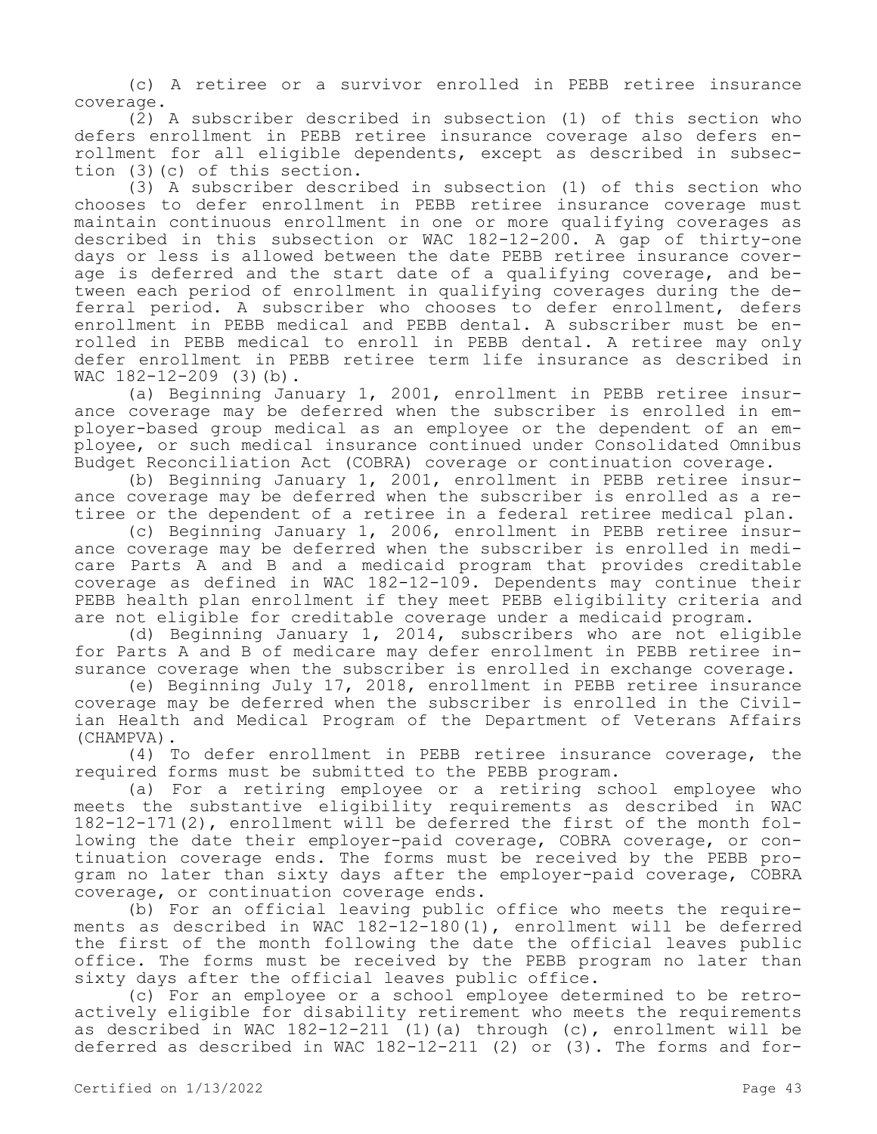(c) A retiree or a survivor enrolled in PEBB retiree insurance coverage.

(2) A subscriber described in subsection (1) of this section who defers enrollment in PEBB retiree insurance coverage also defers enrollment for all eligible dependents, except as described in subsection (3)(c) of this section.

(3) A subscriber described in subsection (1) of this section who chooses to defer enrollment in PEBB retiree insurance coverage must maintain continuous enrollment in one or more qualifying coverages as described in this subsection or WAC 182-12-200. A gap of thirty-one days or less is allowed between the date PEBB retiree insurance coverage is deferred and the start date of a qualifying coverage, and between each period of enrollment in qualifying coverages during the deferral period. A subscriber who chooses to defer enrollment, defers enrollment in PEBB medical and PEBB dental. A subscriber must be enrolled in PEBB medical to enroll in PEBB dental. A retiree may only defer enrollment in PEBB retiree term life insurance as described in WAC 182-12-209 (3)(b).

(a) Beginning January 1, 2001, enrollment in PEBB retiree insurance coverage may be deferred when the subscriber is enrolled in employer-based group medical as an employee or the dependent of an employee, or such medical insurance continued under Consolidated Omnibus Budget Reconciliation Act (COBRA) coverage or continuation coverage.

(b) Beginning January 1, 2001, enrollment in PEBB retiree insurance coverage may be deferred when the subscriber is enrolled as a retiree or the dependent of a retiree in a federal retiree medical plan.

(c) Beginning January 1, 2006, enrollment in PEBB retiree insurance coverage may be deferred when the subscriber is enrolled in medicare Parts A and B and a medicaid program that provides creditable coverage as defined in WAC 182-12-109. Dependents may continue their PEBB health plan enrollment if they meet PEBB eligibility criteria and are not eligible for creditable coverage under a medicaid program.

(d) Beginning January 1, 2014, subscribers who are not eligible for Parts A and B of medicare may defer enrollment in PEBB retiree insurance coverage when the subscriber is enrolled in exchange coverage.

(e) Beginning July 17, 2018, enrollment in PEBB retiree insurance coverage may be deferred when the subscriber is enrolled in the Civilian Health and Medical Program of the Department of Veterans Affairs (CHAMPVA).

(4) To defer enrollment in PEBB retiree insurance coverage, the required forms must be submitted to the PEBB program.

(a) For a retiring employee or a retiring school employee who meets the substantive eligibility requirements as described in WAC 182-12-171(2), enrollment will be deferred the first of the month following the date their employer-paid coverage, COBRA coverage, or continuation coverage ends. The forms must be received by the PEBB program no later than sixty days after the employer-paid coverage, COBRA coverage, or continuation coverage ends.

(b) For an official leaving public office who meets the requirements as described in WAC 182-12-180(1), enrollment will be deferred the first of the month following the date the official leaves public office. The forms must be received by the PEBB program no later than sixty days after the official leaves public office.

(c) For an employee or a school employee determined to be retroactively eligible for disability retirement who meets the requirements as described in WAC 182-12-211 (1)(a) through (c), enrollment will be deferred as described in WAC 182-12-211 (2) or (3). The forms and for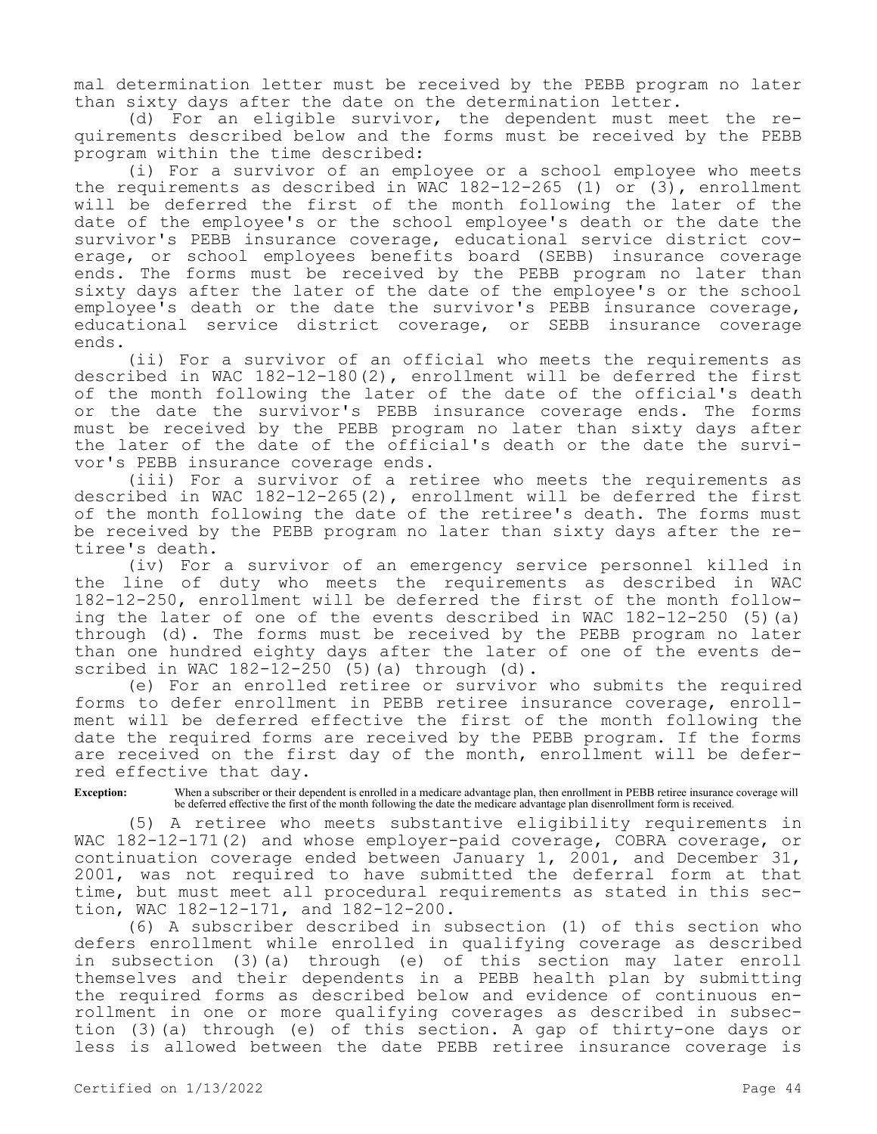mal determination letter must be received by the PEBB program no later than sixty days after the date on the determination letter.

(d) For an eligible survivor, the dependent must meet the requirements described below and the forms must be received by the PEBB program within the time described:

(i) For a survivor of an employee or a school employee who meets the requirements as described in WAC  $182-12-265$  (1) or (3), enrollment will be deferred the first of the month following the later of the date of the employee's or the school employee's death or the date the survivor's PEBB insurance coverage, educational service district coverage, or school employees benefits board (SEBB) insurance coverage ends. The forms must be received by the PEBB program no later than sixty days after the later of the date of the employee's or the school employee's death or the date the survivor's PEBB insurance coverage, educational service district coverage, or SEBB insurance coverage ends.

(ii) For a survivor of an official who meets the requirements as described in WAC 182-12-180(2), enrollment will be deferred the first of the month following the later of the date of the official's death or the date the survivor's PEBB insurance coverage ends. The forms must be received by the PEBB program no later than sixty days after the later of the date of the official's death or the date the survivor's PEBB insurance coverage ends.

(iii) For a survivor of a retiree who meets the requirements as described in WAC 182-12-265(2), enrollment will be deferred the first of the month following the date of the retiree's death. The forms must be received by the PEBB program no later than sixty days after the retiree's death.

(iv) For a survivor of an emergency service personnel killed in the line of duty who meets the requirements as described in WAC 182-12-250, enrollment will be deferred the first of the month following the later of one of the events described in WAC 182-12-250 (5)(a) through (d). The forms must be received by the PEBB program no later than one hundred eighty days after the later of one of the events described in WAC 182-12-250 (5)(a) through (d).

(e) For an enrolled retiree or survivor who submits the required forms to defer enrollment in PEBB retiree insurance coverage, enrollment will be deferred effective the first of the month following the date the required forms are received by the PEBB program. If the forms are received on the first day of the month, enrollment will be deferred effective that day.

**Exception:** When a subscriber or their dependent is enrolled in a medicare advantage plan, then enrollment in PEBB retiree insurance coverage will be deferred effective the first of the month following the date the medicare advantage plan disenrollment form is received.

(5) A retiree who meets substantive eligibility requirements in WAC 182-12-171(2) and whose employer-paid coverage, COBRA coverage, or continuation coverage ended between January 1, 2001, and December 31, 2001, was not required to have submitted the deferral form at that time, but must meet all procedural requirements as stated in this section, WAC 182-12-171, and 182-12-200.

(6) A subscriber described in subsection (1) of this section who defers enrollment while enrolled in qualifying coverage as described in subsection (3)(a) through (e) of this section may later enroll themselves and their dependents in a PEBB health plan by submitting the required forms as described below and evidence of continuous enrollment in one or more qualifying coverages as described in subsection (3)(a) through (e) of this section. A gap of thirty-one days or less is allowed between the date PEBB retiree insurance coverage is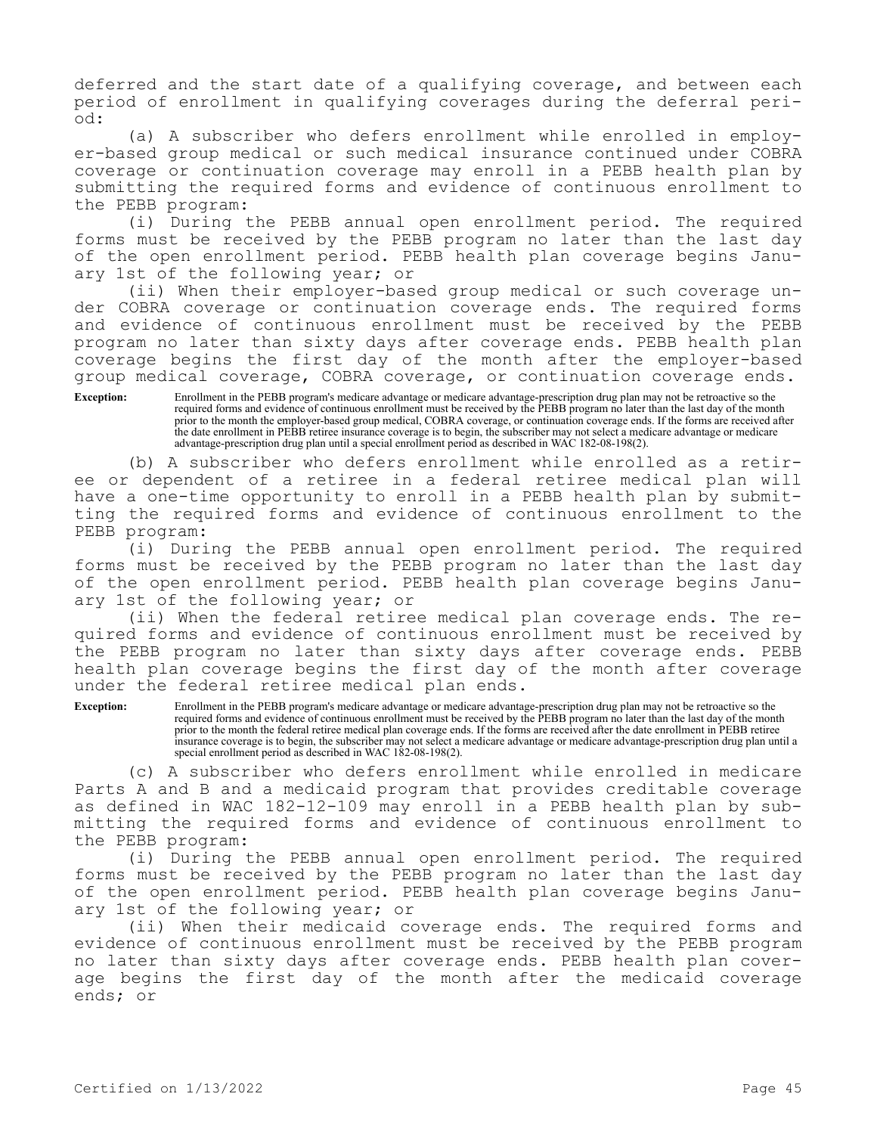deferred and the start date of a qualifying coverage, and between each period of enrollment in qualifying coverages during the deferral period:

(a) A subscriber who defers enrollment while enrolled in employer-based group medical or such medical insurance continued under COBRA coverage or continuation coverage may enroll in a PEBB health plan by submitting the required forms and evidence of continuous enrollment to the PEBB program:

(i) During the PEBB annual open enrollment period. The required forms must be received by the PEBB program no later than the last day of the open enrollment period. PEBB health plan coverage begins January 1st of the following year; or

(ii) When their employer-based group medical or such coverage under COBRA coverage or continuation coverage ends. The required forms and evidence of continuous enrollment must be received by the PEBB program no later than sixty days after coverage ends. PEBB health plan coverage begins the first day of the month after the employer-based group medical coverage, COBRA coverage, or continuation coverage ends.

**Exception:** Enrollment in the PEBB program's medicare advantage or medicare advantage-prescription drug plan may not be retroactive so the required forms and evidence of continuous enrollment must be received by the PEBB program no later than the last day of the month prior to the month the employer-based group medical, COBRA coverage, or continuation coverage ends. If the forms are received after the date enrollment in PEBB retiree insurance coverage is to begin, the subscriber may not select a medicare advantage or medicare advantage-prescription drug plan until a special enrollment period as described in WAC 182-08-198(2).

(b) A subscriber who defers enrollment while enrolled as a retiree or dependent of a retiree in a federal retiree medical plan will have a one-time opportunity to enroll in a PEBB health plan by submitting the required forms and evidence of continuous enrollment to the PEBB program:

(i) During the PEBB annual open enrollment period. The required forms must be received by the PEBB program no later than the last day of the open enrollment period. PEBB health plan coverage begins January 1st of the following year; or

(ii) When the federal retiree medical plan coverage ends. The required forms and evidence of continuous enrollment must be received by the PEBB program no later than sixty days after coverage ends. PEBB health plan coverage begins the first day of the month after coverage under the federal retiree medical plan ends.

**Exception:** Enrollment in the PEBB program's medicare advantage or medicare advantage-prescription drug plan may not be retroactive so the required forms and evidence of continuous enrollment must be received by the PEBB program no later than the last day of the month prior to the month the federal retiree medical plan coverage ends. If the forms are received after the date enrollment in PEBB retiree insurance coverage is to begin, the subscriber may not select a medicare advantage or medicare advantage-prescription drug plan until a special enrollment period as described in WAC 182-08-198(2).

(c) A subscriber who defers enrollment while enrolled in medicare Parts A and B and a medicaid program that provides creditable coverage as defined in WAC 182-12-109 may enroll in a PEBB health plan by submitting the required forms and evidence of continuous enrollment to the PEBB program:

(i) During the PEBB annual open enrollment period. The required forms must be received by the PEBB program no later than the last day of the open enrollment period. PEBB health plan coverage begins January 1st of the following year; or

(ii) When their medicaid coverage ends. The required forms and evidence of continuous enrollment must be received by the PEBB program no later than sixty days after coverage ends. PEBB health plan coverage begins the first day of the month after the medicaid coverage ends; or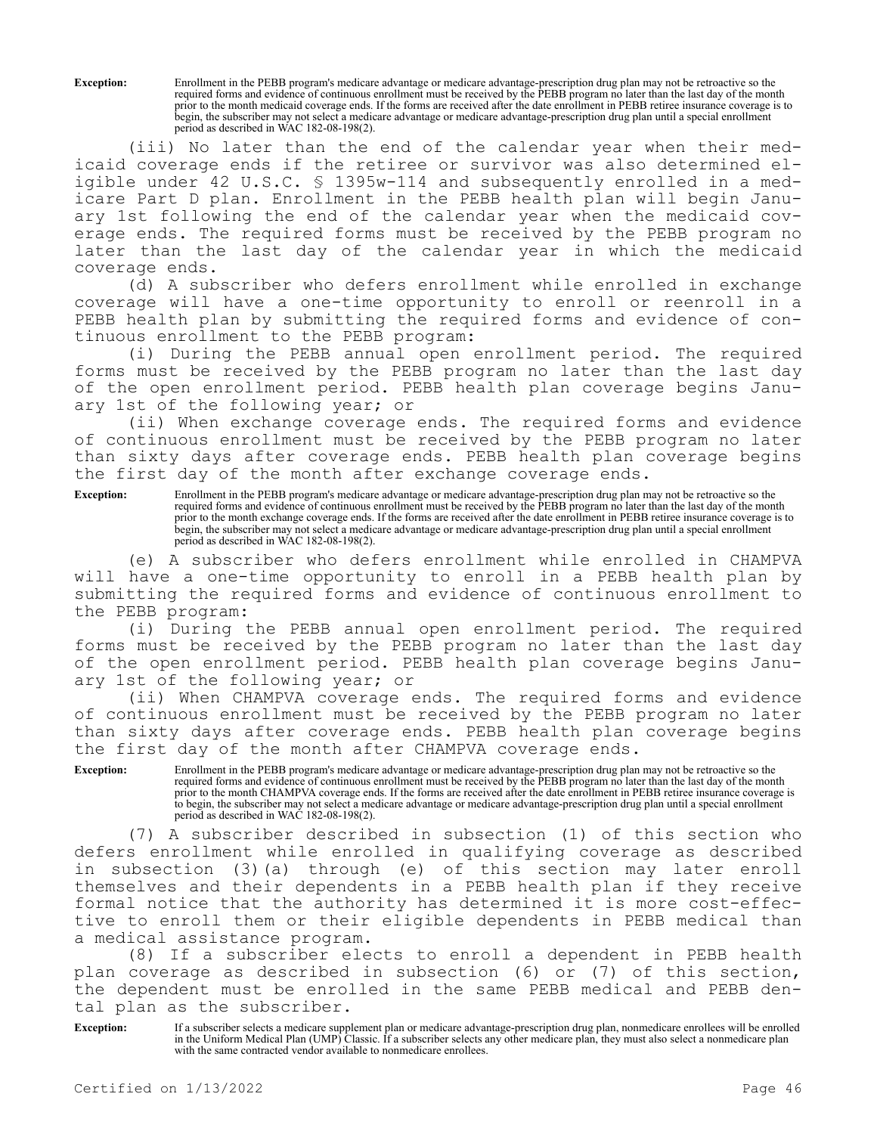**Exception:** Enrollment in the PEBB program's medicare advantage or medicare advantage-prescription drug plan may not be retroactive so the required forms and evidence of continuous enrollment must be received by the PEBB program no later than the last day of the month prior to the month medicaid coverage ends. If the forms are received after the date enrollment in PEBB retiree insurance coverage is to begin, the subscriber may not select a medicare advantage or medicare advantage-prescription drug plan until a special enrollment period as described in WAC 182-08-198(2).

(iii) No later than the end of the calendar year when their medicaid coverage ends if the retiree or survivor was also determined eligible under 42 U.S.C. § 1395w-114 and subsequently enrolled in a medicare Part D plan. Enrollment in the PEBB health plan will begin January 1st following the end of the calendar year when the medicaid coverage ends. The required forms must be received by the PEBB program no later than the last day of the calendar year in which the medicaid coverage ends.

(d) A subscriber who defers enrollment while enrolled in exchange coverage will have a one-time opportunity to enroll or reenroll in a PEBB health plan by submitting the required forms and evidence of continuous enrollment to the PEBB program:

(i) During the PEBB annual open enrollment period. The required forms must be received by the PEBB program no later than the last day of the open enrollment period. PEBB health plan coverage begins January 1st of the following year; or

(ii) When exchange coverage ends. The required forms and evidence of continuous enrollment must be received by the PEBB program no later than sixty days after coverage ends. PEBB health plan coverage begins the first day of the month after exchange coverage ends.

**Exception:** Enrollment in the PEBB program's medicare advantage or medicare advantage-prescription drug plan may not be retroactive so the required forms and evidence of continuous enrollment must be received by the PEBB program no later than the last day of the month prior to the month exchange coverage ends. If the forms are received after the date enrollment in PEBB retiree insurance coverage is to begin, the subscriber may not select a medicare advantage or medicare advantage-prescription drug plan until a special enrollment period as described in WAC 182-08-198(2).

(e) A subscriber who defers enrollment while enrolled in CHAMPVA will have a one-time opportunity to enroll in a PEBB health plan by submitting the required forms and evidence of continuous enrollment to the PEBB program:

(i) During the PEBB annual open enrollment period. The required forms must be received by the PEBB program no later than the last day of the open enrollment period. PEBB health plan coverage begins January 1st of the following year; or

(ii) When CHAMPVA coverage ends. The required forms and evidence of continuous enrollment must be received by the PEBB program no later than sixty days after coverage ends. PEBB health plan coverage begins the first day of the month after CHAMPVA coverage ends.

**Exception:** Enrollment in the PEBB program's medicare advantage or medicare advantage-prescription drug plan may not be retroactive so the required forms and evidence of continuous enrollment must be received by the PEBB program no later than the last day of the month prior to the month CHAMPVA coverage ends. If the forms are received after the date enrollment in PEBB retiree insurance coverage is to begin, the subscriber may not select a medicare advantage or medicare advantage-prescription drug plan until a special enrollment period as described in WAC 182-08-198(2).

(7) A subscriber described in subsection (1) of this section who defers enrollment while enrolled in qualifying coverage as described in subsection (3)(a) through (e) of this section may later enroll themselves and their dependents in a PEBB health plan if they receive formal notice that the authority has determined it is more cost-effective to enroll them or their eligible dependents in PEBB medical than a medical assistance program.

(8) If a subscriber elects to enroll a dependent in PEBB health plan coverage as described in subsection (6) or (7) of this section, the dependent must be enrolled in the same PEBB medical and PEBB dental plan as the subscriber.

**Exception:** If a subscriber selects a medicare supplement plan or medicare advantage-prescription drug plan, nonmedicare enrollees will be enrolled in the Uniform Medical Plan (UMP) Classic. If a subscriber selects any other medicare plan, they must also select a nonmedicare plan with the same contracted vendor available to nonmedicare enrollees.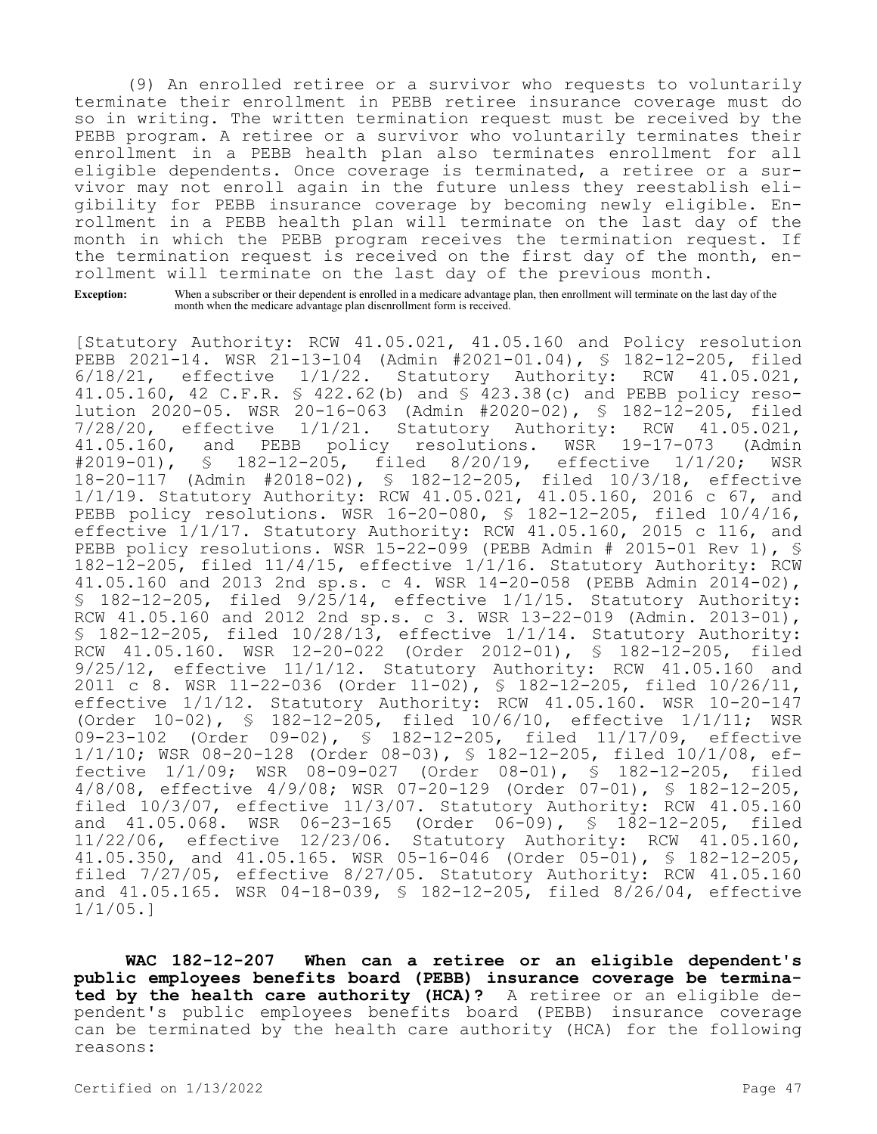(9) An enrolled retiree or a survivor who requests to voluntarily terminate their enrollment in PEBB retiree insurance coverage must do so in writing. The written termination request must be received by the PEBB program. A retiree or a survivor who voluntarily terminates their enrollment in a PEBB health plan also terminates enrollment for all eligible dependents. Once coverage is terminated, a retiree or a survivor may not enroll again in the future unless they reestablish eligibility for PEBB insurance coverage by becoming newly eligible. Enrollment in a PEBB health plan will terminate on the last day of the month in which the PEBB program receives the termination request. If the termination request is received on the first day of the month, enrollment will terminate on the last day of the previous month.

**Exception:** When a subscriber or their dependent is enrolled in a medicare advantage plan, then enrollment will terminate on the last day of the month when the medicare advantage plan disenrollment form is received.

[Statutory Authority: RCW 41.05.021, 41.05.160 and Policy resolution PEBB 2021-14. WSR 21-13-104 (Admin #2021-01.04), § 182-12-205, filed<br>6/18/21, effective 1/1/22. Statutory Authority: RCW 41.05.021, 6/18/21, effective 1/1/22. Statutory Authority: RCW 41.05.021, 41.05.160, 42 C.F.R. § 422.62(b) and § 423.38(c) and PEBB policy resolution 2020-05. WSR 20-16-063 (Admin #2020-02), § 182-12-205, filed 7/28/20, effective 1/1/21. Statutory Authority: RCW 41.05.021,<br>41.05.160, and PEBB policy resolutions. WSR 19-17-073 (Admin 41.05.160, and PEBB policy resolutions. WSR 19-17-073 (Admin<br>#2019-01), § 182-12-205, filed 8/20/19, effective 1/1/20; WSR \$ 182-12-205, filed 8/20/19, effective 1/1/20; WSR 18-20-117 (Admin #2018-02), § 182-12-205, filed 10/3/18, effective 1/1/19. Statutory Authority: RCW 41.05.021, 41.05.160, 2016 c 67, and PEBB policy resolutions. WSR 16-20-080, § 182-12-205, filed 10/4/16, effective 1/1/17. Statutory Authority: RCW 41.05.160, 2015 c 116, and PEBB policy resolutions. WSR 15-22-099 (PEBB Admin # 2015-01 Rev 1), § 182-12-205, filed 11/4/15, effective 1/1/16. Statutory Authority: RCW 41.05.160 and 2013 2nd sp.s. c 4. WSR 14-20-058 (PEBB Admin 2014-02), § 182-12-205, filed 9/25/14, effective 1/1/15. Statutory Authority: RCW 41.05.160 and 2012 2nd sp.s. c 3. WSR 13-22-019 (Admin. 2013-01), § 182-12-205, filed 10/28/13, effective 1/1/14. Statutory Authority: RCW 41.05.160. WSR 12-20-022 (Order 2012-01), § 182-12-205, filed 9/25/12, effective 11/1/12. Statutory Authority: RCW 41.05.160 and 2011 c 8. WSR 11-22-036 (Order 11-02), § 182-12-205, filed 10/26/11, effective 1/1/12. Statutory Authority: RCW 41.05.160. WSR 10-20-147 (Order 10-02), § 182-12-205, filed 10/6/10, effective 1/1/11; WSR 09-23-102 (Order 09-02), § 182-12-205, filed 11/17/09, effective 1/1/10; WSR 08-20-128 (Order 08-03), § 182-12-205, filed 10/1/08, effective 1/1/09; WSR 08-09-027 (Order 08-01), § 182-12-205, filed 4/8/08, effective 4/9/08; WSR 07-20-129 (Order 07-01), § 182-12-205, filed 10/3/07, effective 11/3/07. Statutory Authority: RCW 41.05.160 and 41.05.068. WSR 06-23-165 (Order 06-09), § 182-12-205, filed 11/22/06, effective 12/23/06. Statutory Authority: RCW 41.05.160, 41.05.350, and 41.05.165. WSR 05-16-046 (Order 05-01), § 182-12-205, filed 7/27/05, effective 8/27/05. Statutory Authority: RCW 41.05.160 and 41.05.165. WSR 04-18-039, § 182-12-205, filed 8/26/04, effective 1/1/05.]

**WAC 182-12-207 When can a retiree or an eligible dependent's public employees benefits board (PEBB) insurance coverage be terminated by the health care authority (HCA)?** A retiree or an eligible dependent's public employees benefits board (PEBB) insurance coverage can be terminated by the health care authority (HCA) for the following reasons: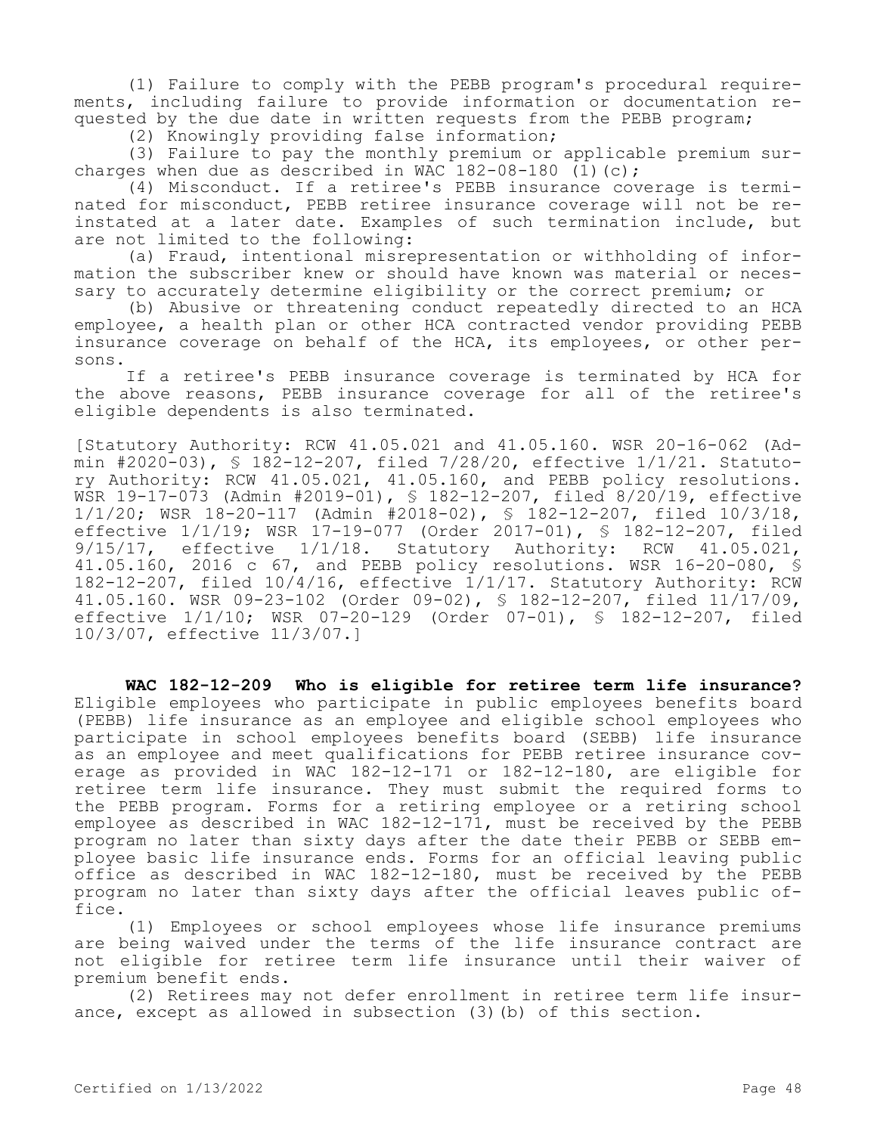(1) Failure to comply with the PEBB program's procedural requirements, including failure to provide information or documentation requested by the due date in written requests from the PEBB program;

(2) Knowingly providing false information;

(3) Failure to pay the monthly premium or applicable premium surcharges when due as described in WAC  $182-08-180$  (1)(c);

(4) Misconduct. If a retiree's PEBB insurance coverage is terminated for misconduct, PEBB retiree insurance coverage will not be reinstated at a later date. Examples of such termination include, but are not limited to the following:

(a) Fraud, intentional misrepresentation or withholding of information the subscriber knew or should have known was material or necessary to accurately determine eligibility or the correct premium; or

(b) Abusive or threatening conduct repeatedly directed to an HCA employee, a health plan or other HCA contracted vendor providing PEBB insurance coverage on behalf of the HCA, its employees, or other persons.

If a retiree's PEBB insurance coverage is terminated by HCA for the above reasons, PEBB insurance coverage for all of the retiree's eligible dependents is also terminated.

[Statutory Authority: RCW 41.05.021 and 41.05.160. WSR 20-16-062 (Admin #2020-03), § 182-12-207, filed 7/28/20, effective 1/1/21. Statutory Authority: RCW 41.05.021, 41.05.160, and PEBB policy resolutions. WSR 19-17-073 (Admin #2019-01), § 182-12-207, filed 8/20/19, effective 1/1/20; WSR 18-20-117 (Admin #2018-02), § 182-12-207, filed 10/3/18, effective 1/1/19; WSR 17-19-077 (Order 2017-01), § 182-12-207, filed 9/15/17, effective 1/1/18. Statutory Authority: RCW 41.05.021, 41.05.160, 2016 c 67, and PEBB policy resolutions. WSR 16-20-080, § 182-12-207, filed 10/4/16, effective 1/1/17. Statutory Authority: RCW 41.05.160. WSR 09-23-102 (Order 09-02), § 182-12-207, filed 11/17/09, effective 1/1/10; WSR 07-20-129 (Order 07-01), § 182-12-207, filed 10/3/07, effective 11/3/07.]

**WAC 182-12-209 Who is eligible for retiree term life insurance?**  Eligible employees who participate in public employees benefits board (PEBB) life insurance as an employee and eligible school employees who participate in school employees benefits board (SEBB) life insurance as an employee and meet qualifications for PEBB retiree insurance coverage as provided in WAC 182-12-171 or 182-12-180, are eligible for retiree term life insurance. They must submit the required forms to the PEBB program. Forms for a retiring employee or a retiring school employee as described in WAC 182-12-171, must be received by the PEBB program no later than sixty days after the date their PEBB or SEBB employee basic life insurance ends. Forms for an official leaving public office as described in WAC 182-12-180, must be received by the PEBB program no later than sixty days after the official leaves public office.

(1) Employees or school employees whose life insurance premiums are being waived under the terms of the life insurance contract are not eligible for retiree term life insurance until their waiver of premium benefit ends.

(2) Retirees may not defer enrollment in retiree term life insurance, except as allowed in subsection (3)(b) of this section.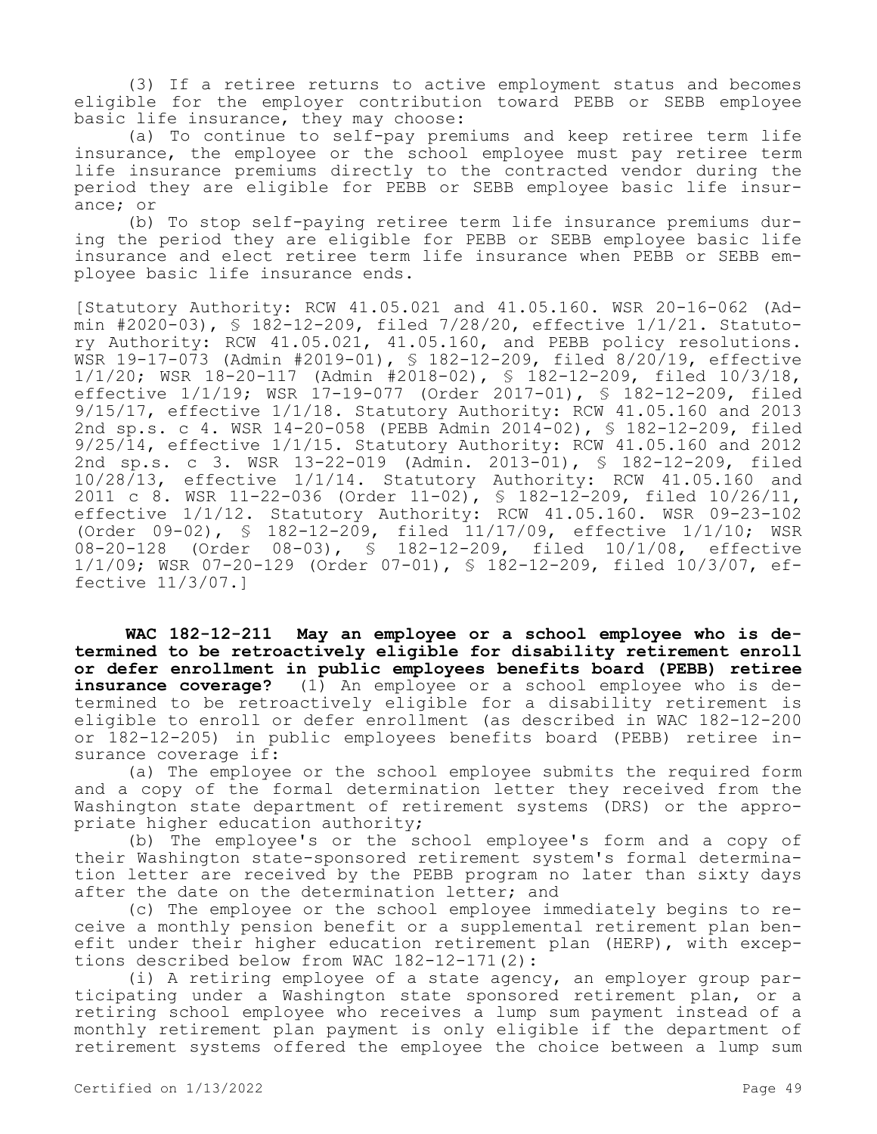(3) If a retiree returns to active employment status and becomes eligible for the employer contribution toward PEBB or SEBB employee basic life insurance, they may choose:

(a) To continue to self-pay premiums and keep retiree term life insurance, the employee or the school employee must pay retiree term life insurance premiums directly to the contracted vendor during the period they are eligible for PEBB or SEBB employee basic life insurance; or

(b) To stop self-paying retiree term life insurance premiums during the period they are eligible for PEBB or SEBB employee basic life insurance and elect retiree term life insurance when PEBB or SEBB employee basic life insurance ends.

[Statutory Authority: RCW 41.05.021 and 41.05.160. WSR 20-16-062 (Admin #2020-03), § 182-12-209, filed 7/28/20, effective 1/1/21. Statutory Authority: RCW 41.05.021, 41.05.160, and PEBB policy resolutions. WSR 19-17-073 (Admin #2019-01), § 182-12-209, filed 8/20/19, effective 1/1/20; WSR 18-20-117 (Admin #2018-02), § 182-12-209, filed 10/3/18, effective 1/1/19; WSR 17-19-077 (Order 2017-01), § 182-12-209, filed 9/15/17, effective 1/1/18. Statutory Authority: RCW 41.05.160 and 2013 2nd sp.s. c 4. WSR 14-20-058 (PEBB Admin 2014-02), § 182-12-209, filed 9/25/14, effective 1/1/15. Statutory Authority: RCW 41.05.160 and 2012 2nd sp.s. c 3. WSR 13-22-019 (Admin. 2013-01), § 182-12-209, filed  $10/28/13$ , effective  $1/1/14$ . Statutory Authority: RCW 41.05.160 and 2011 c 8. WSR 11-22-036 (Order 11-02), § 182-12-209, filed 10/26/11, effective 1/1/12. Statutory Authority: RCW 41.05.160. WSR 09-23-102 (Order 09-02), § 182-12-209, filed 11/17/09, effective 1/1/10; WSR 08-20-128 (Order 08-03), § 182-12-209, filed 10/1/08, effective 1/1/09; WSR 07-20-129 (Order 07-01), § 182-12-209, filed 10/3/07, effective 11/3/07.]

**WAC 182-12-211 May an employee or a school employee who is determined to be retroactively eligible for disability retirement enroll or defer enrollment in public employees benefits board (PEBB) retiree insurance coverage?** (1) An employee or a school employee who is determined to be retroactively eligible for a disability retirement is eligible to enroll or defer enrollment (as described in WAC 182-12-200 or 182-12-205) in public employees benefits board (PEBB) retiree insurance coverage if:

(a) The employee or the school employee submits the required form and a copy of the formal determination letter they received from the Washington state department of retirement systems (DRS) or the appropriate higher education authority;

(b) The employee's or the school employee's form and a copy of their Washington state-sponsored retirement system's formal determination letter are received by the PEBB program no later than sixty days after the date on the determination letter; and

(c) The employee or the school employee immediately begins to receive a monthly pension benefit or a supplemental retirement plan benefit under their higher education retirement plan (HERP), with exceptions described below from WAC 182-12-171(2):

(i) A retiring employee of a state agency, an employer group participating under a Washington state sponsored retirement plan, or a retiring school employee who receives a lump sum payment instead of a monthly retirement plan payment is only eligible if the department of retirement systems offered the employee the choice between a lump sum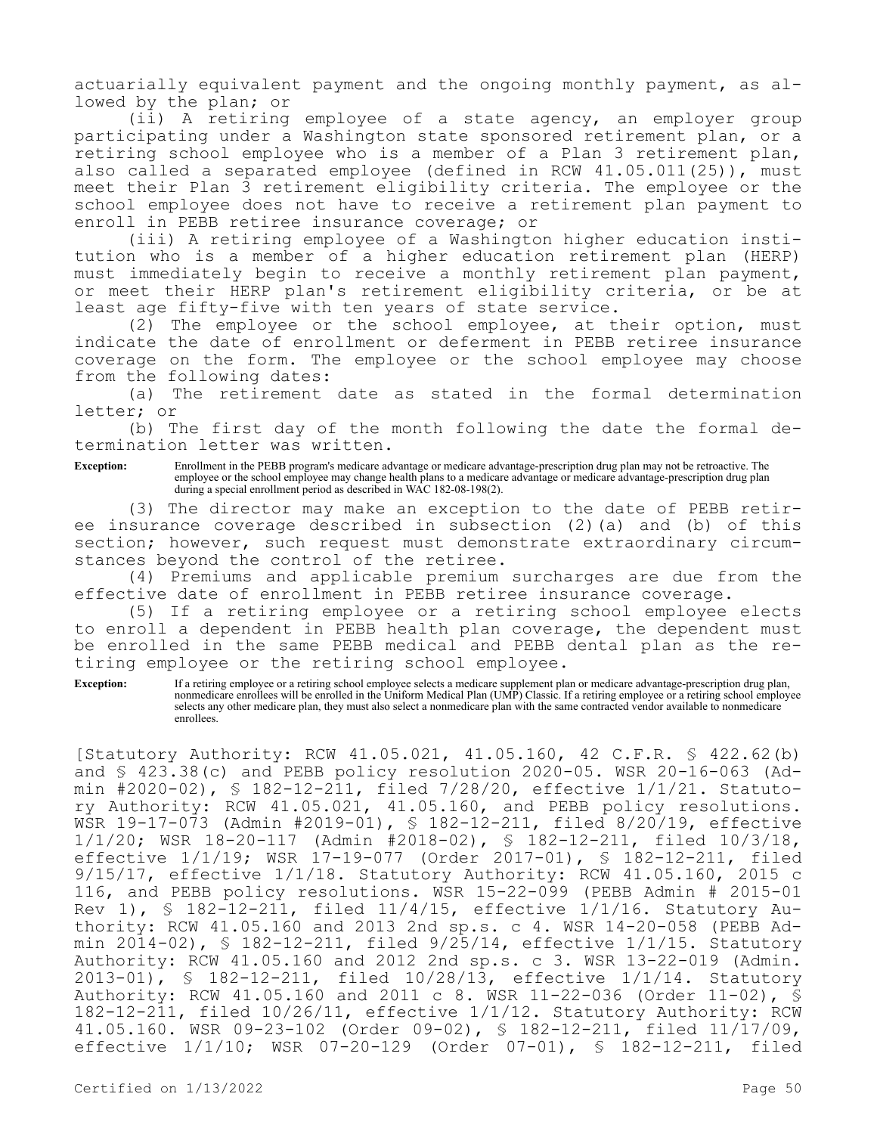actuarially equivalent payment and the ongoing monthly payment, as allowed by the plan; or

(ii) A retiring employee of a state agency, an employer group participating under a Washington state sponsored retirement plan, or a retiring school employee who is a member of a Plan 3 retirement plan, also called a separated employee (defined in RCW 41.05.011(25)), must meet their Plan 3 retirement eligibility criteria. The employee or the school employee does not have to receive a retirement plan payment to enroll in PEBB retiree insurance coverage; or

(iii) A retiring employee of a Washington higher education institution who is a member of a higher education retirement plan (HERP) must immediately begin to receive a monthly retirement plan payment, or meet their HERP plan's retirement eligibility criteria, or be at least age fifty-five with ten years of state service.

(2) The employee or the school employee, at their option, must indicate the date of enrollment or deferment in PEBB retiree insurance coverage on the form. The employee or the school employee may choose from the following dates:

(a) The retirement date as stated in the formal determination letter; or

(b) The first day of the month following the date the formal determination letter was written.

**Exception:** Enrollment in the PEBB program's medicare advantage or medicare advantage-prescription drug plan may not be retroactive. The employee or the school employee may change health plans to a medicare advantage or medicare advantage-prescription drug plan during a special enrollment period as described in WAC 182-08-198(2).

(3) The director may make an exception to the date of PEBB retiree insurance coverage described in subsection (2)(a) and (b) of this section; however, such request must demonstrate extraordinary circumstances beyond the control of the retiree.

(4) Premiums and applicable premium surcharges are due from the effective date of enrollment in PEBB retiree insurance coverage.

(5) If a retiring employee or a retiring school employee elects to enroll a dependent in PEBB health plan coverage, the dependent must be enrolled in the same PEBB medical and PEBB dental plan as the retiring employee or the retiring school employee.

Exception: If a retiring employee or a retiring school employee selects a medicare supplement plan or medicare advantage-prescription drug plan, nonmedicare enrollees will be enrolled in the Uniform Medical Plan (UMP) Classic. If a retiring employee or a retiring school employee selects any other medicare plan, they must also select a nonmedicare plan with the same contracted vendor available to nonmedicare enrollees.

[Statutory Authority: RCW 41.05.021, 41.05.160, 42 C.F.R. § 422.62(b) and § 423.38(c) and PEBB policy resolution 2020-05. WSR 20-16-063 (Admin #2020-02), § 182-12-211, filed 7/28/20, effective 1/1/21. Statutory Authority: RCW 41.05.021, 41.05.160, and PEBB policy resolutions. WSR 19-17-073 (Admin #2019-01), § 182-12-211, filed 8/20/19, effective 1/1/20; WSR 18-20-117 (Admin #2018-02), § 182-12-211, filed 10/3/18, effective 1/1/19; WSR 17-19-077 (Order 2017-01), § 182-12-211, filed 9/15/17, effective 1/1/18. Statutory Authority: RCW 41.05.160, 2015 c 116, and PEBB policy resolutions. WSR 15-22-099 (PEBB Admin # 2015-01 Rev 1),  $\$$  182-12-211, filed 11/4/15, effective 1/1/16. Statutory Authority: RCW 41.05.160 and 2013 2nd sp.s. c 4. WSR 14-20-058 (PEBB Admin 2014-02), § 182-12-211, filed 9/25/14, effective 1/1/15. Statutory Authority: RCW 41.05.160 and 2012 2nd sp.s. c 3. WSR 13-22-019 (Admin. 2013-01), § 182-12-211, filed 10/28/13, effective 1/1/14. Statutory Authority: RCW 41.05.160 and 2011 c 8. WSR 11-22-036 (Order 11-02), § 182-12-211, filed 10/26/11, effective 1/1/12. Statutory Authority: RCW 41.05.160. WSR 09-23-102 (Order 09-02), § 182-12-211, filed 11/17/09, effective 1/1/10; WSR 07-20-129 (Order 07-01), § 182-12-211, filed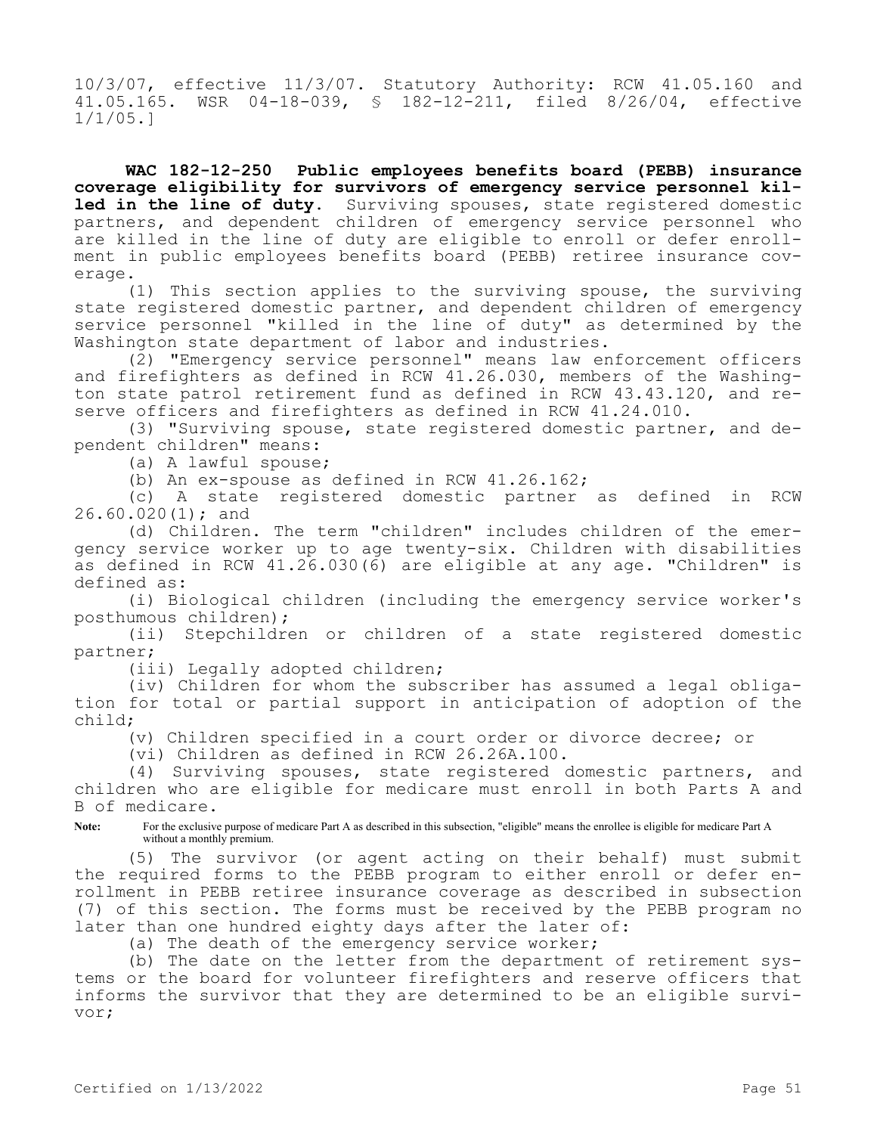10/3/07, effective 11/3/07. Statutory Authority: RCW 41.05.160 and 41.05.165. WSR 04-18-039, § 182-12-211, filed 8/26/04, effective 1/1/05.]

**WAC 182-12-250 Public employees benefits board (PEBB) insurance coverage eligibility for survivors of emergency service personnel killed in the line of duty.** Surviving spouses, state registered domestic partners, and dependent children of emergency service personnel who are killed in the line of duty are eligible to enroll or defer enrollment in public employees benefits board (PEBB) retiree insurance coverage.

(1) This section applies to the surviving spouse, the surviving state registered domestic partner, and dependent children of emergency service personnel "killed in the line of duty" as determined by the Washington state department of labor and industries.

(2) "Emergency service personnel" means law enforcement officers and firefighters as defined in RCW 41.26.030, members of the Washington state patrol retirement fund as defined in RCW 43.43.120, and reserve officers and firefighters as defined in RCW 41.24.010.

(3) "Surviving spouse, state registered domestic partner, and dependent children" means:

(a) A lawful spouse;

(b) An ex-spouse as defined in RCW 41.26.162;

(c) A state registered domestic partner as defined in RCW 26.60.020(1); and

(d) Children. The term "children" includes children of the emergency service worker up to age twenty-six. Children with disabilities as defined in RCW 41.26.030(6) are eligible at any age. "Children" is defined as:

(i) Biological children (including the emergency service worker's posthumous children);

(ii) Stepchildren or children of a state registered domestic partner;

(iii) Legally adopted children;

(iv) Children for whom the subscriber has assumed a legal obligation for total or partial support in anticipation of adoption of the child;

(v) Children specified in a court order or divorce decree; or

(vi) Children as defined in RCW 26.26A.100.

(4) Surviving spouses, state registered domestic partners, and children who are eligible for medicare must enroll in both Parts A and B of medicare.

**Note:** For the exclusive purpose of medicare Part A as described in this subsection, "eligible" means the enrollee is eligible for medicare Part A without a monthly premium.

(5) The survivor (or agent acting on their behalf) must submit the required forms to the PEBB program to either enroll or defer enrollment in PEBB retiree insurance coverage as described in subsection (7) of this section. The forms must be received by the PEBB program no later than one hundred eighty days after the later of:

(a) The death of the emergency service worker;

(b) The date on the letter from the department of retirement systems or the board for volunteer firefighters and reserve officers that informs the survivor that they are determined to be an eligible survivor;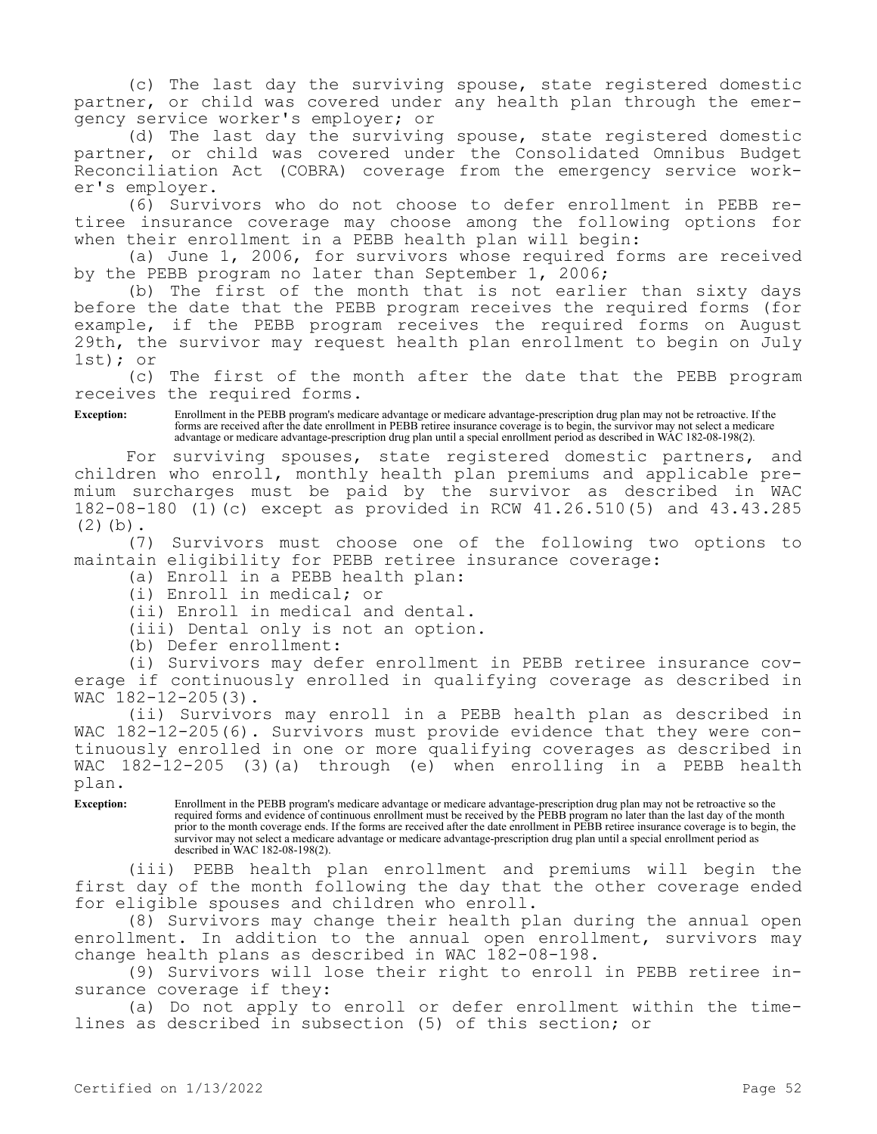(c) The last day the surviving spouse, state registered domestic partner, or child was covered under any health plan through the emergency service worker's employer; or

(d) The last day the surviving spouse, state registered domestic partner, or child was covered under the Consolidated Omnibus Budget Reconciliation Act (COBRA) coverage from the emergency service worker's employer.

(6) Survivors who do not choose to defer enrollment in PEBB retiree insurance coverage may choose among the following options for when their enrollment in a PEBB health plan will begin:

(a) June 1, 2006, for survivors whose required forms are received by the PEBB program no later than September 1, 2006;

(b) The first of the month that is not earlier than sixty days before the date that the PEBB program receives the required forms (for example, if the PEBB program receives the required forms on August 29th, the survivor may request health plan enrollment to begin on July 1st); or

(c) The first of the month after the date that the PEBB program receives the required forms.

**Exception:** Enrollment in the PEBB program's medicare advantage or medicare advantage-prescription drug plan may not be retroactive. If the forms are received after the date enrollment in PEBB retiree insurance coverage is to begin, the survivor may not select a medicare advantage or medicare advantage-prescription drug plan until a special enrollment period as described in WAC 182-08-198(2).

For surviving spouses, state registered domestic partners, and children who enroll, monthly health plan premiums and applicable premium surcharges must be paid by the survivor as described in WAC 182-08-180 (1)(c) except as provided in RCW 41.26.510(5) and 43.43.285  $(2)(b)$ .

(7) Survivors must choose one of the following two options to maintain eligibility for PEBB retiree insurance coverage:

(a) Enroll in a PEBB health plan:

(i) Enroll in medical; or

(ii) Enroll in medical and dental.

(iii) Dental only is not an option.

(b) Defer enrollment:

(i) Survivors may defer enrollment in PEBB retiree insurance coverage if continuously enrolled in qualifying coverage as described in WAC 182-12-205(3).

(ii) Survivors may enroll in a PEBB health plan as described in WAC 182-12-205(6). Survivors must provide evidence that they were continuously enrolled in one or more qualifying coverages as described in WAC 182-12-205 (3)(a) through (e) when enrolling in a PEBB health plan.

**Exception:** Enrollment in the PEBB program's medicare advantage or medicare advantage-prescription drug plan may not be retroactive so the required forms and evidence of continuous enrollment must be received by the PEBB program no later than the last day of the month prior to the month coverage ends. If the forms are received after the date enrollment in PEBB retiree insurance coverage is to begin, the survivor may not select a medicare advantage or medicare advantage-prescription drug plan until a special enrollment period as described in WAC 182-08-198(2).

(iii) PEBB health plan enrollment and premiums will begin the first day of the month following the day that the other coverage ended for eligible spouses and children who enroll.

(8) Survivors may change their health plan during the annual open enrollment. In addition to the annual open enrollment, survivors may change health plans as described in WAC 182-08-198.

(9) Survivors will lose their right to enroll in PEBB retiree insurance coverage if they:

(a) Do not apply to enroll or defer enrollment within the timelines as described in subsection (5) of this section; or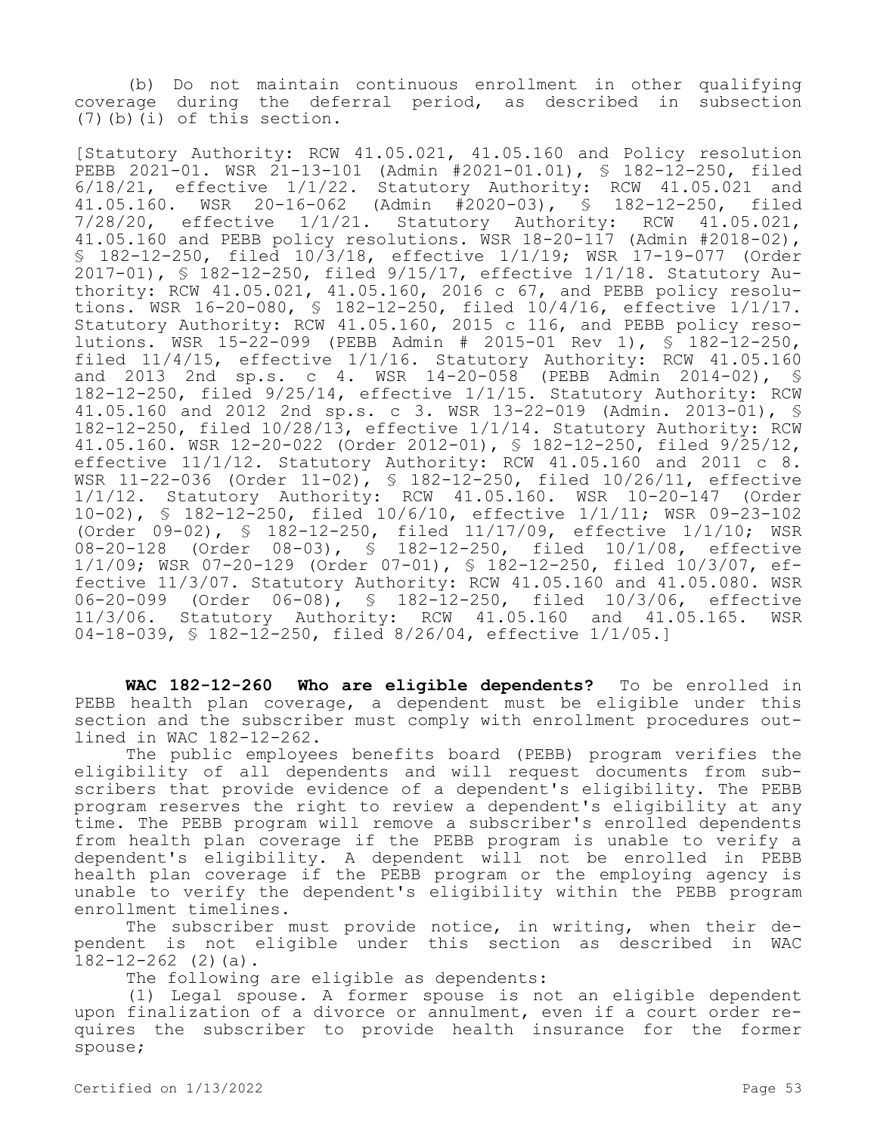(b) Do not maintain continuous enrollment in other qualifying coverage during the deferral period, as described in subsection (7)(b)(i) of this section.

[Statutory Authority: RCW 41.05.021, 41.05.160 and Policy resolution PEBB 2021-01. WSR 21-13-101 (Admin #2021-01.01), § 182-12-250, filed 6/18/21, effective 1/1/22. Statutory Authority: RCW 41.05.021 and 41.05.160. WSR 20-16-062 (Admin #2020-03), § 182-12-250, filed 7/28/20, effective 1/1/21. Statutory Authority: RCW 41.05.021, 41.05.160 and PEBB policy resolutions. WSR 18-20-117 (Admin #2018-02), § 182-12-250, filed 10/3/18, effective 1/1/19; WSR 17-19-077 (Order 2017-01), § 182-12-250, filed 9/15/17, effective 1/1/18. Statutory Authority: RCW 41.05.021, 41.05.160, 2016 c 67, and PEBB policy resolutions. WSR 16-20-080, § 182-12-250, filed 10/4/16, effective 1/1/17. Statutory Authority: RCW 41.05.160, 2015 c 116, and PEBB policy resolutions. WSR 15-22-099 (PEBB Admin # 2015-01 Rev 1), § 182-12-250, filed 11/4/15, effective 1/1/16. Statutory Authority: RCW 41.05.160 and 2013 2nd sp.s. c 4. WSR 14-20-058 (PEBB Admin 2014-02), § 182-12-250, filed 9/25/14, effective 1/1/15. Statutory Authority: RCW 41.05.160 and 2012 2nd sp.s. c 3. WSR 13-22-019 (Admin. 2013-01), § 182-12-250, filed 10/28/13, effective 1/1/14. Statutory Authority: RCW 41.05.160. WSR 12-20-022 (Order 2012-01), § 182-12-250, filed 9/25/12, effective 11/1/12. Statutory Authority: RCW 41.05.160 and 2011 c 8. WSR 11-22-036 (Order 11-02), § 182-12-250, filed 10/26/11, effective 1/1/12. Statutory Authority: RCW 41.05.160. WSR 10-20-147 (Order 10-02), § 182-12-250, filed 10/6/10, effective 1/1/11; WSR 09-23-102 (Order 09-02), § 182-12-250, filed 11/17/09, effective 1/1/10; WSR 08-20-128 (Order 08-03), § 182-12-250, filed 10/1/08, effective 1/1/09; WSR 07-20-129 (Order 07-01), § 182-12-250, filed 10/3/07, effective 11/3/07. Statutory Authority: RCW 41.05.160 and 41.05.080. WSR 06-20-099 (Order 06-08), § 182-12-250, filed 10/3/06, effective 11/3/06. Statutory Authority: RCW 41.05.160 and 41.05.165. WSR 04-18-039, § 182-12-250, filed 8/26/04, effective 1/1/05.]

**WAC 182-12-260 Who are eligible dependents?** To be enrolled in PEBB health plan coverage, a dependent must be eligible under this section and the subscriber must comply with enrollment procedures outlined in WAC 182-12-262.

The public employees benefits board (PEBB) program verifies the eligibility of all dependents and will request documents from subscribers that provide evidence of a dependent's eligibility. The PEBB program reserves the right to review a dependent's eligibility at any time. The PEBB program will remove a subscriber's enrolled dependents from health plan coverage if the PEBB program is unable to verify a dependent's eligibility. A dependent will not be enrolled in PEBB health plan coverage if the PEBB program or the employing agency is unable to verify the dependent's eligibility within the PEBB program enrollment timelines.

The subscriber must provide notice, in writing, when their dependent is not eligible under this section as described in WAC  $182-12-262$  (2)(a).

The following are eligible as dependents:

(1) Legal spouse. A former spouse is not an eligible dependent upon finalization of a divorce or annulment, even if a court order requires the subscriber to provide health insurance for the former spouse;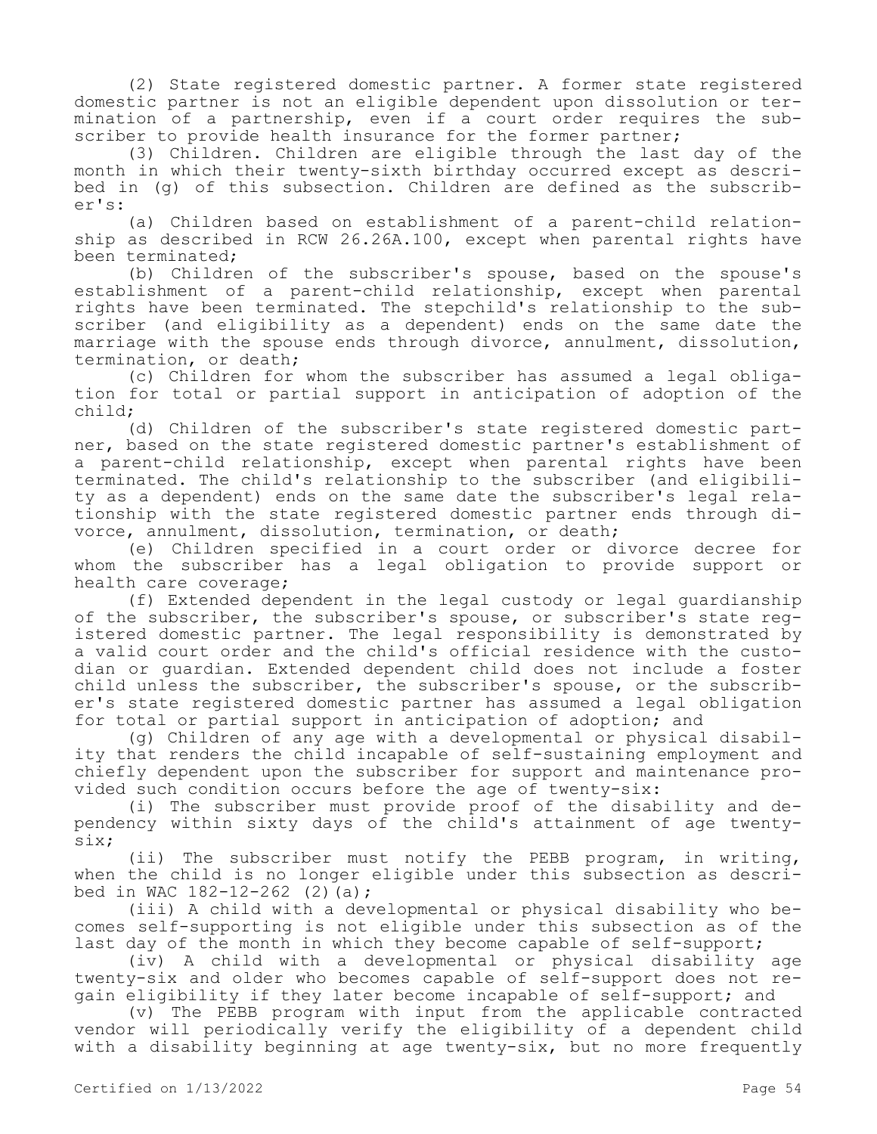(2) State registered domestic partner. A former state registered domestic partner is not an eligible dependent upon dissolution or termination of a partnership, even if a court order requires the subscriber to provide health insurance for the former partner;

(3) Children. Children are eligible through the last day of the month in which their twenty-sixth birthday occurred except as described in (g) of this subsection. Children are defined as the subscriber's:

(a) Children based on establishment of a parent-child relationship as described in RCW 26.26A.100, except when parental rights have been terminated;

(b) Children of the subscriber's spouse, based on the spouse's establishment of a parent-child relationship, except when parental rights have been terminated. The stepchild's relationship to the subscriber (and eligibility as a dependent) ends on the same date the marriage with the spouse ends through divorce, annulment, dissolution, termination, or death;

(c) Children for whom the subscriber has assumed a legal obligation for total or partial support in anticipation of adoption of the child;

(d) Children of the subscriber's state registered domestic partner, based on the state registered domestic partner's establishment of a parent-child relationship, except when parental rights have been terminated. The child's relationship to the subscriber (and eligibility as a dependent) ends on the same date the subscriber's legal relationship with the state registered domestic partner ends through divorce, annulment, dissolution, termination, or death;

(e) Children specified in a court order or divorce decree for whom the subscriber has a legal obligation to provide support or health care coverage;

(f) Extended dependent in the legal custody or legal guardianship of the subscriber, the subscriber's spouse, or subscriber's state registered domestic partner. The legal responsibility is demonstrated by a valid court order and the child's official residence with the custodian or guardian. Extended dependent child does not include a foster child unless the subscriber, the subscriber's spouse, or the subscriber's state registered domestic partner has assumed a legal obligation for total or partial support in anticipation of adoption; and

(g) Children of any age with a developmental or physical disability that renders the child incapable of self-sustaining employment and chiefly dependent upon the subscriber for support and maintenance provided such condition occurs before the age of twenty-six:

(i) The subscriber must provide proof of the disability and dependency within sixty days of the child's attainment of age twentysix;

(ii) The subscriber must notify the PEBB program, in writing, when the child is no longer eligible under this subsection as described in WAC  $182 - 12 - 262$  (2)(a);

(iii) A child with a developmental or physical disability who becomes self-supporting is not eligible under this subsection as of the last day of the month in which they become capable of self-support;

(iv) A child with a developmental or physical disability age twenty-six and older who becomes capable of self-support does not regain eligibility if they later become incapable of self-support; and

(v) The PEBB program with input from the applicable contracted vendor will periodically verify the eligibility of a dependent child with a disability beginning at age twenty-six, but no more frequently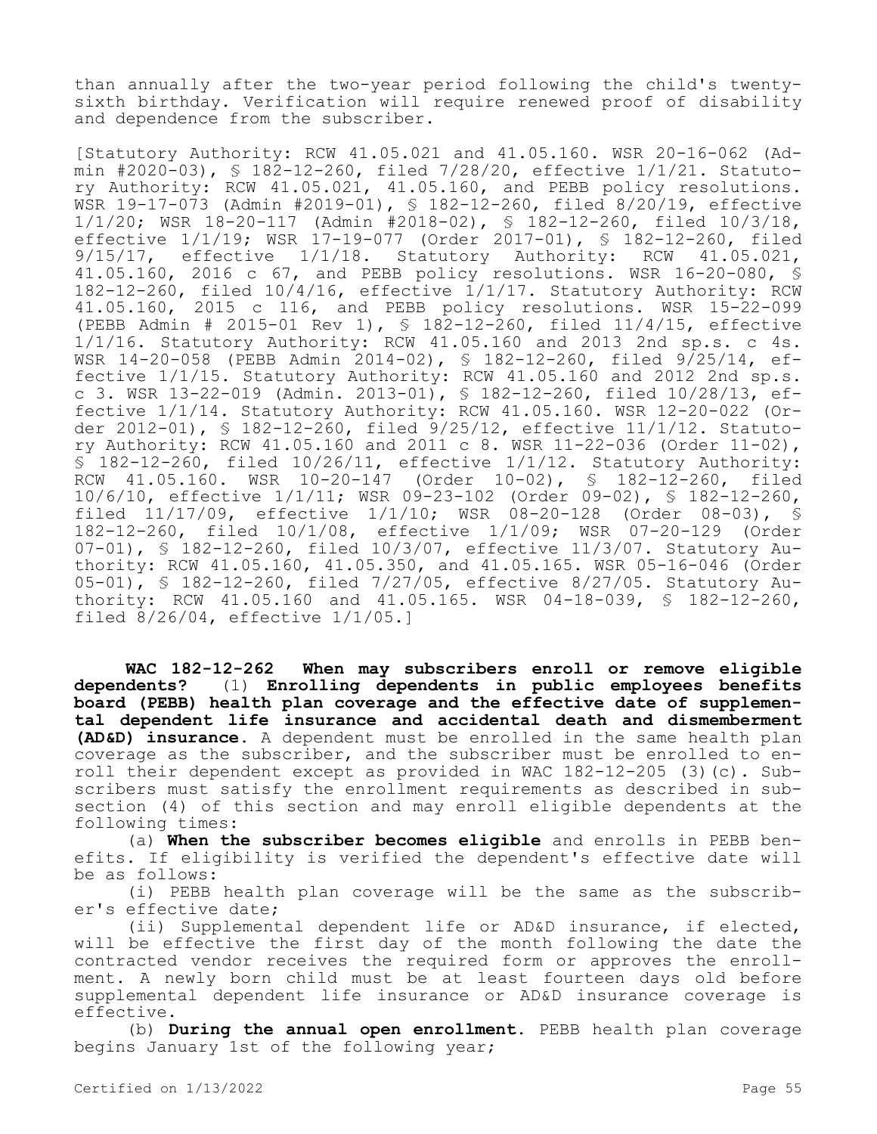than annually after the two-year period following the child's twentysixth birthday. Verification will require renewed proof of disability and dependence from the subscriber.

[Statutory Authority: RCW 41.05.021 and 41.05.160. WSR 20-16-062 (Admin #2020-03), § 182-12-260, filed 7/28/20, effective 1/1/21. Statutory Authority: RCW 41.05.021, 41.05.160, and PEBB policy resolutions. WSR 19-17-073 (Admin #2019-01), § 182-12-260, filed 8/20/19, effective 1/1/20; WSR 18-20-117 (Admin #2018-02), § 182-12-260, filed 10/3/18, effective 1/1/19; WSR 17-19-077 (Order 2017-01), § 182-12-260, filed 9/15/17, effective 1/1/18. Statutory Authority: RCW 41.05.021, 41.05.160, 2016 c 67, and PEBB policy resolutions. WSR 16-20-080, § 182-12-260, filed 10/4/16, effective 1/1/17. Statutory Authority: RCW 41.05.160, 2015 c 116, and PEBB policy resolutions. WSR 15-22-099 (PEBB Admin # 2015-01 Rev 1), § 182-12-260, filed 11/4/15, effective 1/1/16. Statutory Authority: RCW 41.05.160 and 2013 2nd sp.s. c 4s. WSR 14-20-058 (PEBB Admin 2014-02), § 182-12-260, filed 9/25/14, effective 1/1/15. Statutory Authority: RCW 41.05.160 and 2012 2nd sp.s. c 3. WSR 13-22-019 (Admin. 2013-01), § 182-12-260, filed 10/28/13, effective 1/1/14. Statutory Authority: RCW 41.05.160. WSR 12-20-022 (Order 2012-01), § 182-12-260, filed 9/25/12, effective 11/1/12. Statutory Authority: RCW 41.05.160 and 2011 c 8. WSR 11-22-036 (Order 11-02), § 182-12-260, filed 10/26/11, effective 1/1/12. Statutory Authority: RCW 41.05.160. WSR 10-20-147 (Order 10-02), § 182-12-260, filed 10/6/10, effective 1/1/11; WSR 09-23-102 (Order 09-02), § 182-12-260, filed 11/17/09, effective 1/1/10; WSR 08-20-128 (Order 08-03), § 182-12-260, filed 10/1/08, effective 1/1/09; WSR 07-20-129 (Order 07-01), § 182-12-260, filed 10/3/07, effective 11/3/07. Statutory Authority: RCW 41.05.160, 41.05.350, and 41.05.165. WSR 05-16-046 (Order 05-01), § 182-12-260, filed 7/27/05, effective 8/27/05. Statutory Authority: RCW 41.05.160 and 41.05.165. WSR 04-18-039, § 182-12-260, filed 8/26/04, effective 1/1/05.]

**WAC 182-12-262 When may subscribers enroll or remove eligible dependents?** (1) **Enrolling dependents in public employees benefits board (PEBB) health plan coverage and the effective date of supplemental dependent life insurance and accidental death and dismemberment (AD&D) insurance.** A dependent must be enrolled in the same health plan coverage as the subscriber, and the subscriber must be enrolled to enroll their dependent except as provided in WAC 182-12-205 (3)(c). Subscribers must satisfy the enrollment requirements as described in subsection (4) of this section and may enroll eligible dependents at the following times:

(a) **When the subscriber becomes eligible** and enrolls in PEBB benefits. If eligibility is verified the dependent's effective date will be as follows:

(i) PEBB health plan coverage will be the same as the subscriber's effective date;

(ii) Supplemental dependent life or AD&D insurance, if elected, will be effective the first day of the month following the date the contracted vendor receives the required form or approves the enrollment. A newly born child must be at least fourteen days old before supplemental dependent life insurance or AD&D insurance coverage is effective.

(b) **During the annual open enrollment.** PEBB health plan coverage begins January 1st of the following year;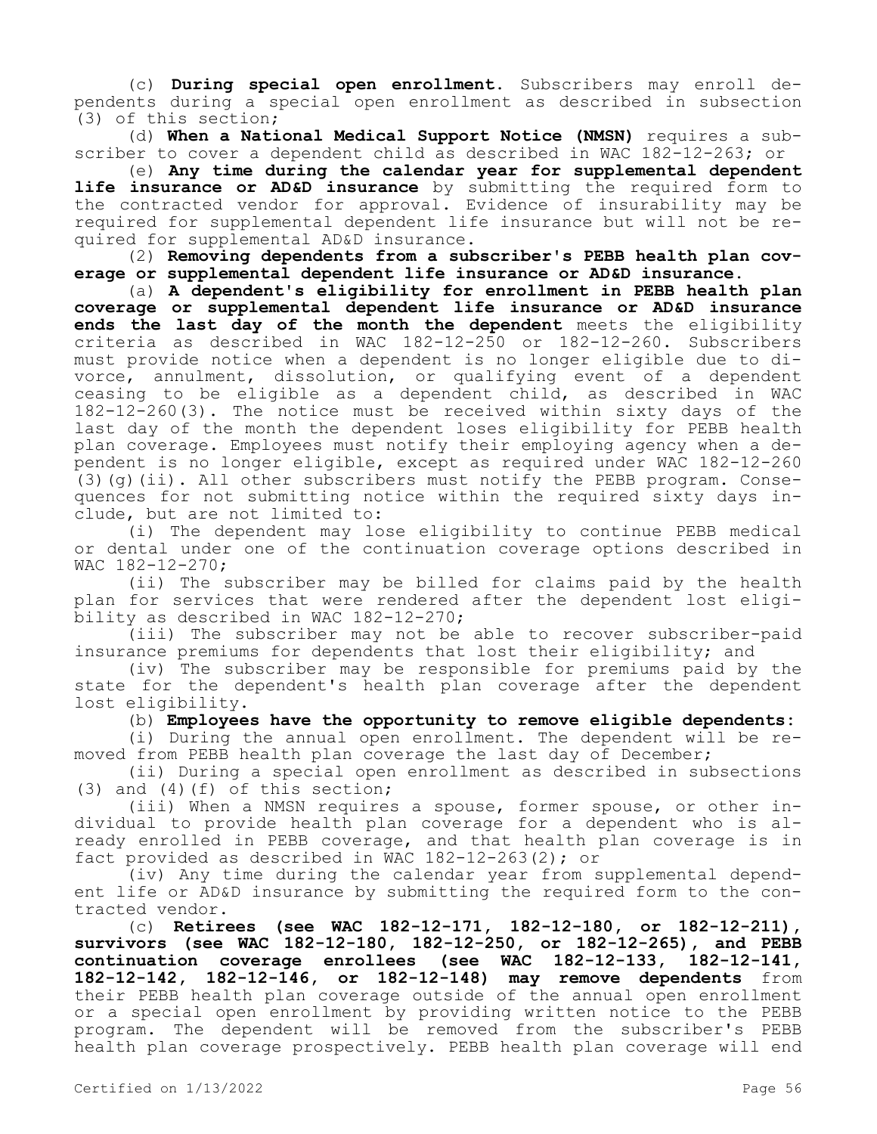(c) **During special open enrollment.** Subscribers may enroll dependents during a special open enrollment as described in subsection (3) of this section;

(d) **When a National Medical Support Notice (NMSN)** requires a subscriber to cover a dependent child as described in WAC 182-12-263; or

(e) **Any time during the calendar year for supplemental dependent life insurance or AD&D insurance** by submitting the required form to the contracted vendor for approval. Evidence of insurability may be required for supplemental dependent life insurance but will not be required for supplemental AD&D insurance.

(2) **Removing dependents from a subscriber's PEBB health plan coverage or supplemental dependent life insurance or AD&D insurance.**

(a) **A dependent's eligibility for enrollment in PEBB health plan coverage or supplemental dependent life insurance or AD&D insurance ends the last day of the month the dependent** meets the eligibility criteria as described in WAC 182-12-250 or 182-12-260. Subscribers must provide notice when a dependent is no longer eligible due to divorce, annulment, dissolution, or qualifying event of a dependent ceasing to be eligible as a dependent child, as described in WAC 182-12-260(3). The notice must be received within sixty days of the last day of the month the dependent loses eligibility for PEBB health plan coverage. Employees must notify their employing agency when a dependent is no longer eligible, except as required under WAC 182-12-260 (3)(g)(ii). All other subscribers must notify the PEBB program. Consequences for not submitting notice within the required sixty days include, but are not limited to:

(i) The dependent may lose eligibility to continue PEBB medical or dental under one of the continuation coverage options described in WAC 182-12-270;

(ii) The subscriber may be billed for claims paid by the health plan for services that were rendered after the dependent lost eligibility as described in WAC 182-12-270;

(iii) The subscriber may not be able to recover subscriber-paid insurance premiums for dependents that lost their eligibility; and

(iv) The subscriber may be responsible for premiums paid by the state for the dependent's health plan coverage after the dependent lost eligibility.

(b) **Employees have the opportunity to remove eligible dependents:**

(i) During the annual open enrollment. The dependent will be removed from PEBB health plan coverage the last day of December;

(ii) During a special open enrollment as described in subsections (3) and (4)(f) of this section;

(iii) When a NMSN requires a spouse, former spouse, or other individual to provide health plan coverage for a dependent who is already enrolled in PEBB coverage, and that health plan coverage is in fact provided as described in WAC 182-12-263(2); or

(iv) Any time during the calendar year from supplemental dependent life or AD&D insurance by submitting the required form to the contracted vendor.

(c) **Retirees (see WAC 182-12-171, 182-12-180, or 182-12-211), survivors (see WAC 182-12-180, 182-12-250, or 182-12-265), and PEBB continuation coverage enrollees (see WAC 182-12-133, 182-12-141, 182-12-142, 182-12-146, or 182-12-148) may remove dependents** from their PEBB health plan coverage outside of the annual open enrollment or a special open enrollment by providing written notice to the PEBB program. The dependent will be removed from the subscriber's PEBB health plan coverage prospectively. PEBB health plan coverage will end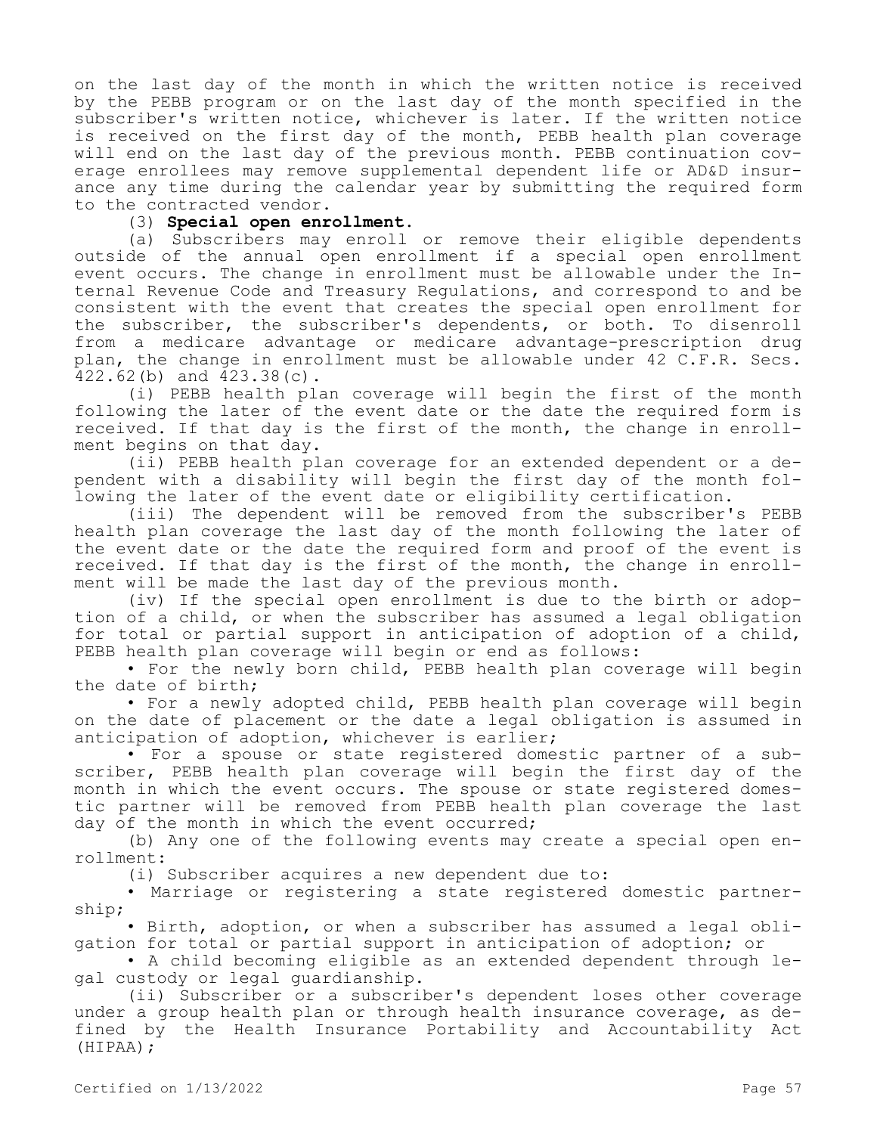on the last day of the month in which the written notice is received by the PEBB program or on the last day of the month specified in the subscriber's written notice, whichever is later. If the written notice is received on the first day of the month, PEBB health plan coverage will end on the last day of the previous month. PEBB continuation coverage enrollees may remove supplemental dependent life or AD&D insurance any time during the calendar year by submitting the required form to the contracted vendor.

# (3) **Special open enrollment.**

(a) Subscribers may enroll or remove their eligible dependents outside of the annual open enrollment if a special open enrollment event occurs. The change in enrollment must be allowable under the Internal Revenue Code and Treasury Regulations, and correspond to and be consistent with the event that creates the special open enrollment for the subscriber, the subscriber's dependents, or both. To disenroll from a medicare advantage or medicare advantage-prescription drug plan, the change in enrollment must be allowable under 42 C.F.R. Secs. 422.62(b) and 423.38(c).

(i) PEBB health plan coverage will begin the first of the month following the later of the event date or the date the required form is received. If that day is the first of the month, the change in enrollment begins on that day.

(ii) PEBB health plan coverage for an extended dependent or a dependent with a disability will begin the first day of the month following the later of the event date or eligibility certification.

(iii) The dependent will be removed from the subscriber's PEBB health plan coverage the last day of the month following the later of the event date or the date the required form and proof of the event is received. If that day is the first of the month, the change in enrollment will be made the last day of the previous month.

(iv) If the special open enrollment is due to the birth or adoption of a child, or when the subscriber has assumed a legal obligation for total or partial support in anticipation of adoption of a child, PEBB health plan coverage will begin or end as follows:

• For the newly born child, PEBB health plan coverage will begin the date of birth;

• For a newly adopted child, PEBB health plan coverage will begin on the date of placement or the date a legal obligation is assumed in anticipation of adoption, whichever is earlier;

• For a spouse or state registered domestic partner of a subscriber, PEBB health plan coverage will begin the first day of the month in which the event occurs. The spouse or state registered domestic partner will be removed from PEBB health plan coverage the last day of the month in which the event occurred;

(b) Any one of the following events may create a special open enrollment:

(i) Subscriber acquires a new dependent due to:

• Marriage or registering a state registered domestic partnership;

• Birth, adoption, or when a subscriber has assumed a legal obligation for total or partial support in anticipation of adoption; or

• A child becoming eligible as an extended dependent through legal custody or legal guardianship.

(ii) Subscriber or a subscriber's dependent loses other coverage under a group health plan or through health insurance coverage, as defined by the Health Insurance Portability and Accountability Act (HIPAA);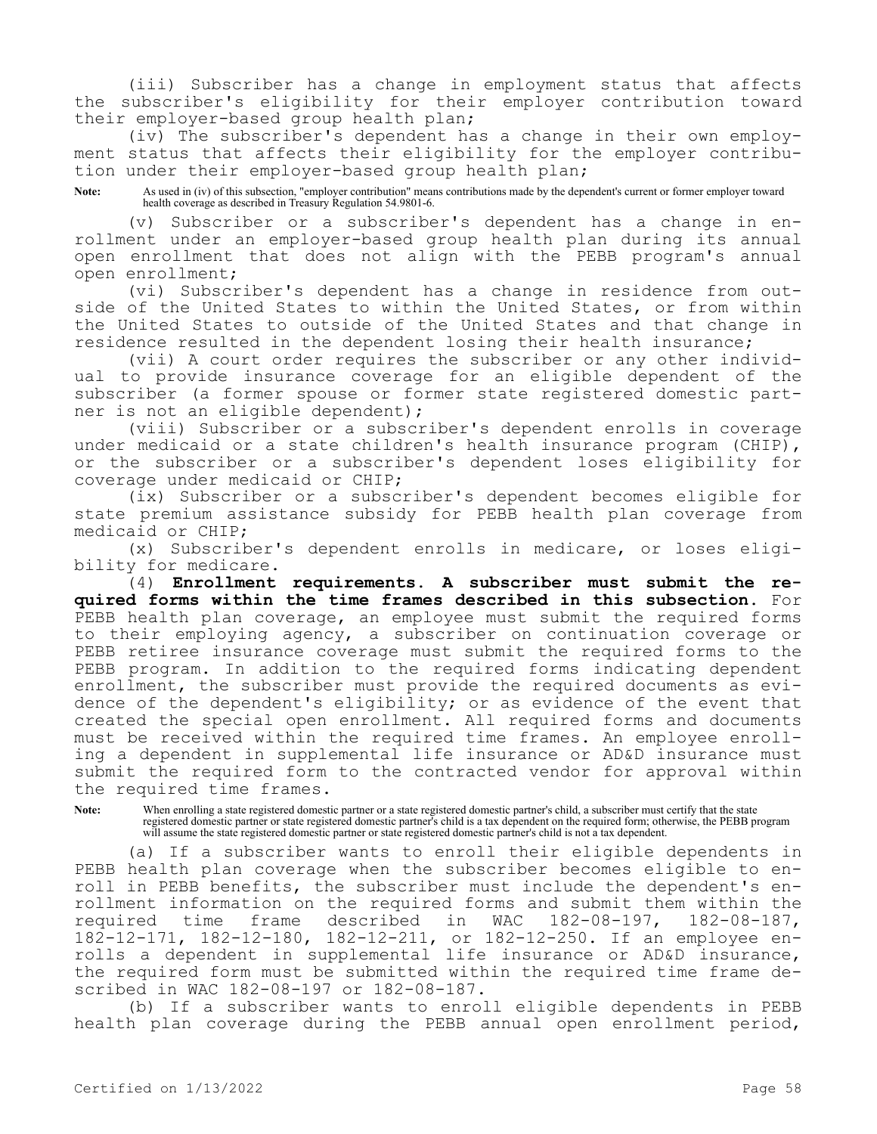(iii) Subscriber has a change in employment status that affects the subscriber's eligibility for their employer contribution toward their employer-based group health plan;

(iv) The subscriber's dependent has a change in their own employment status that affects their eligibility for the employer contribution under their employer-based group health plan;

**Note:** As used in (iv) of this subsection, "employer contribution" means contributions made by the dependent's current or former employer toward health coverage as described in Treasury Regulation 54.9801-6.

Subscriber or a subscriber's dependent has a change in enrollment under an employer-based group health plan during its annual open enrollment that does not align with the PEBB program's annual open enrollment;

(vi) Subscriber's dependent has a change in residence from outside of the United States to within the United States, or from within the United States to outside of the United States and that change in residence resulted in the dependent losing their health insurance;

(vii) A court order requires the subscriber or any other individual to provide insurance coverage for an eligible dependent of the subscriber (a former spouse or former state registered domestic partner is not an eligible dependent);

(viii) Subscriber or a subscriber's dependent enrolls in coverage under medicaid or a state children's health insurance program (CHIP), or the subscriber or a subscriber's dependent loses eligibility for coverage under medicaid or CHIP;

(ix) Subscriber or a subscriber's dependent becomes eligible for state premium assistance subsidy for PEBB health plan coverage from medicaid or CHIP;

(x) Subscriber's dependent enrolls in medicare, or loses eligibility for medicare.

(4) **Enrollment requirements. A subscriber must submit the required forms within the time frames described in this subsection.** For PEBB health plan coverage, an employee must submit the required forms to their employing agency, a subscriber on continuation coverage or PEBB retiree insurance coverage must submit the required forms to the PEBB program. In addition to the required forms indicating dependent enrollment, the subscriber must provide the required documents as evidence of the dependent's eligibility; or as evidence of the event that created the special open enrollment. All required forms and documents must be received within the required time frames. An employee enrolling a dependent in supplemental life insurance or AD&D insurance must submit the required form to the contracted vendor for approval within the required time frames.

**Note:** When enrolling a state registered domestic partner or a state registered domestic partner's child, a subscriber must certify that the state registered domestic partner or state registered domestic partner's child is a tax dependent on the required form; otherwise, the PEBB program will assume the state registered domestic partner or state registered domestic partner's child is not a tax dependent.

(a) If a subscriber wants to enroll their eligible dependents in PEBB health plan coverage when the subscriber becomes eligible to enroll in PEBB benefits, the subscriber must include the dependent's enrollment information on the required forms and submit them within the<br>required time frame described in WAC 182-08-197, 182-08-187, required time frame described in WAC 182-08-197, 182-08-187, 182-12-171, 182-12-180, 182-12-211, or 182-12-250. If an employee enrolls a dependent in supplemental life insurance or AD&D insurance, the required form must be submitted within the required time frame described in WAC 182-08-197 or 182-08-187.

(b) If a subscriber wants to enroll eligible dependents in PEBB health plan coverage during the PEBB annual open enrollment period,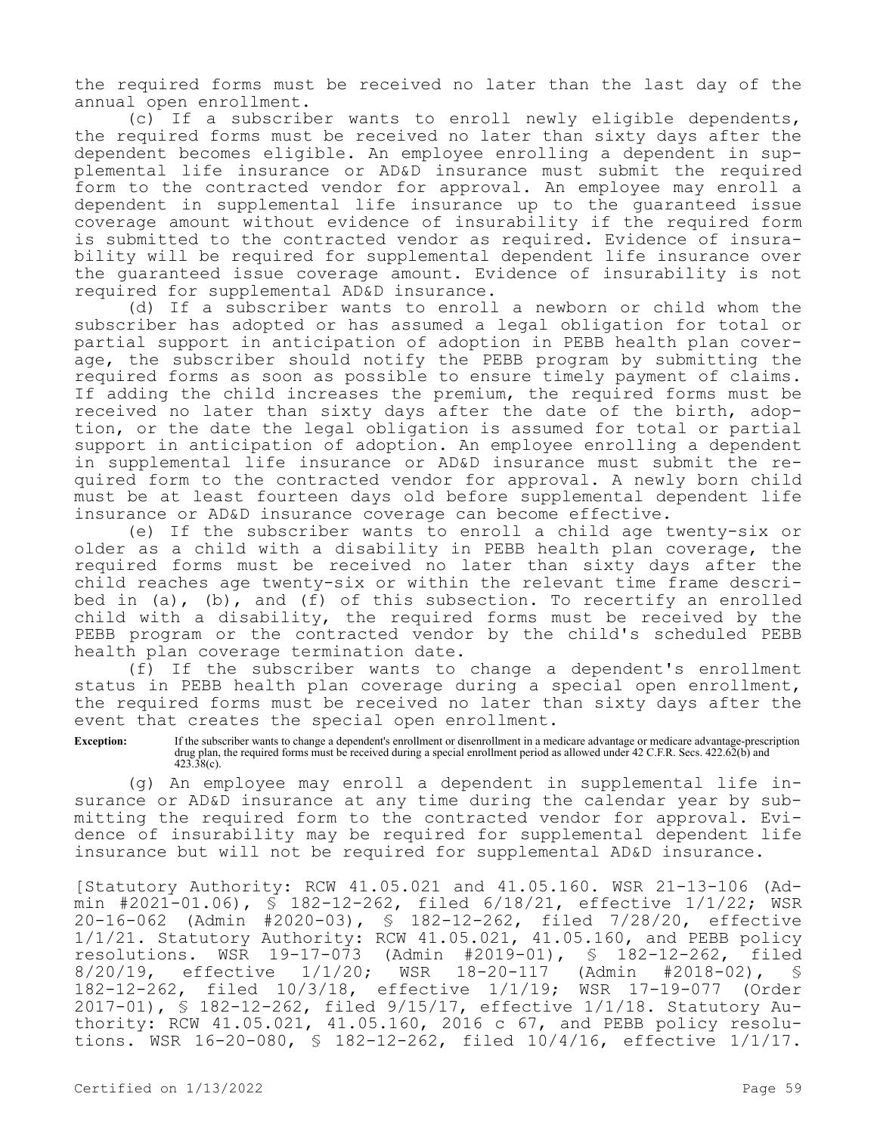the required forms must be received no later than the last day of the annual open enrollment.

(c) If a subscriber wants to enroll newly eligible dependents, the required forms must be received no later than sixty days after the dependent becomes eligible. An employee enrolling a dependent in supplemental life insurance or AD&D insurance must submit the required form to the contracted vendor for approval. An employee may enroll a dependent in supplemental life insurance up to the guaranteed issue coverage amount without evidence of insurability if the required form is submitted to the contracted vendor as required. Evidence of insurability will be required for supplemental dependent life insurance over the guaranteed issue coverage amount. Evidence of insurability is not required for supplemental AD&D insurance.

(d) If a subscriber wants to enroll a newborn or child whom the subscriber has adopted or has assumed a legal obligation for total or partial support in anticipation of adoption in PEBB health plan coverage, the subscriber should notify the PEBB program by submitting the required forms as soon as possible to ensure timely payment of claims. If adding the child increases the premium, the required forms must be received no later than sixty days after the date of the birth, adoption, or the date the legal obligation is assumed for total or partial support in anticipation of adoption. An employee enrolling a dependent in supplemental life insurance or AD&D insurance must submit the required form to the contracted vendor for approval. A newly born child must be at least fourteen days old before supplemental dependent life insurance or AD&D insurance coverage can become effective.

(e) If the subscriber wants to enroll a child age twenty-six or older as a child with a disability in PEBB health plan coverage, the required forms must be received no later than sixty days after the child reaches age twenty-six or within the relevant time frame described in (a), (b), and (f) of this subsection. To recertify an enrolled child with a disability, the required forms must be received by the PEBB program or the contracted vendor by the child's scheduled PEBB health plan coverage termination date.

(f) If the subscriber wants to change a dependent's enrollment status in PEBB health plan coverage during a special open enrollment, the required forms must be received no later than sixty days after the event that creates the special open enrollment.

**Exception:** If the subscriber wants to change a dependent's enrollment or disenrollment in a medicare advantage or medicare advantage-prescription drug plan, the required forms must be received during a special enrollment period as allowed under 42 C.F.R. Secs. 422.62(b) and  $423.38(c)$ .

(g) An employee may enroll a dependent in supplemental life insurance or AD&D insurance at any time during the calendar year by submitting the required form to the contracted vendor for approval. Evidence of insurability may be required for supplemental dependent life insurance but will not be required for supplemental AD&D insurance.

[Statutory Authority: RCW 41.05.021 and 41.05.160. WSR 21-13-106 (Admin #2021-01.06), § 182-12-262, filed 6/18/21, effective 1/1/22; WSR 20-16-062 (Admin #2020-03), § 182-12-262, filed 7/28/20, effective 1/1/21. Statutory Authority: RCW 41.05.021, 41.05.160, and PEBB policy resolutions. WSR 19-17-073 (Admin #2019-01), § 182-12-262, filed 8/20/19, effective 1/1/20; WSR 18-20-117 (Admin #2018-02), § 182-12-262, filed 10/3/18, effective 1/1/19; WSR 17-19-077 (Order 2017-01), § 182-12-262, filed 9/15/17, effective 1/1/18. Statutory Authority: RCW 41.05.021, 41.05.160, 2016 c 67, and PEBB policy resolutions. WSR 16-20-080, § 182-12-262, filed 10/4/16, effective 1/1/17.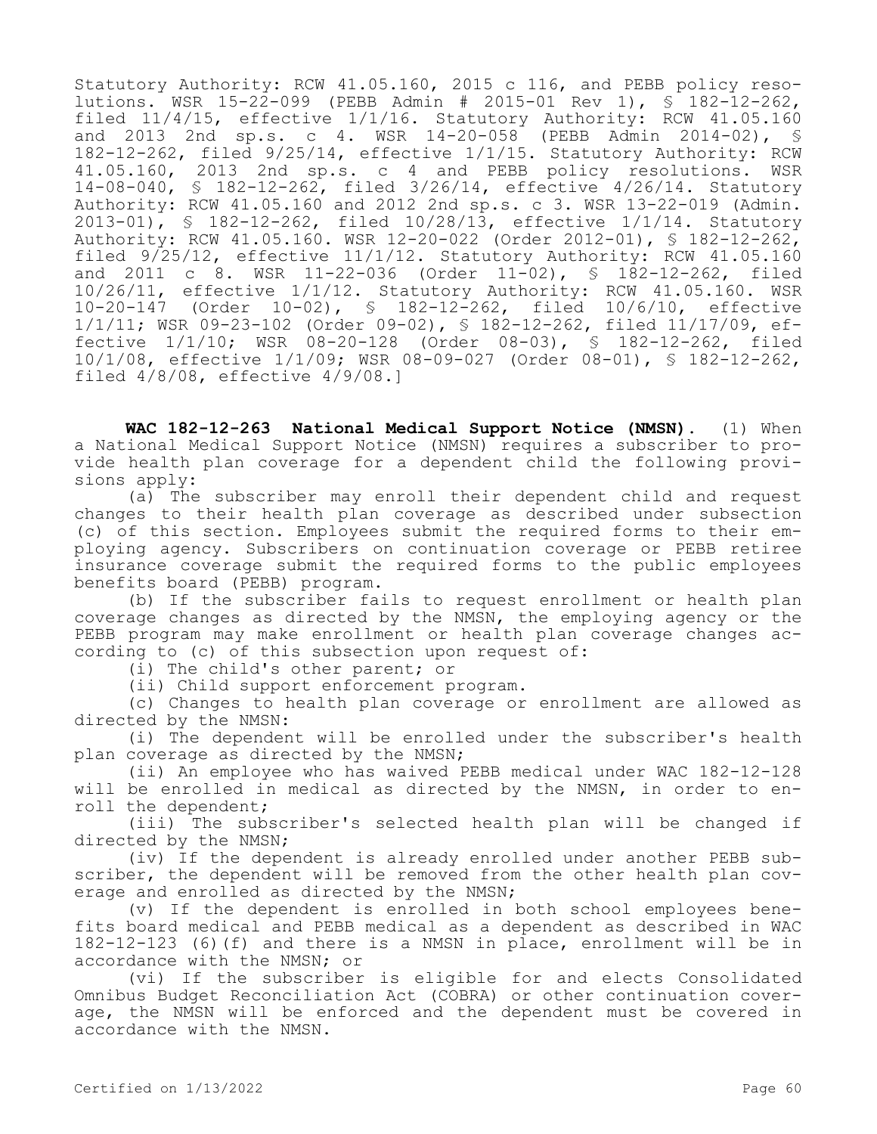Statutory Authority: RCW 41.05.160, 2015 c 116, and PEBB policy resolutions. WSR 15-22-099 (PEBB Admin # 2015-01 Rev 1), § 182-12-262, filed 11/4/15, effective 1/1/16. Statutory Authority: RCW 41.05.160 and 2013 2nd sp.s. c 4. WSR 14-20-058 (PEBB Admin 2014-02), § 182-12-262, filed 9/25/14, effective 1/1/15. Statutory Authority: RCW 41.05.160, 2013 2nd sp.s. c 4 and PEBB policy resolutions. WSR 14-08-040, § 182-12-262, filed 3/26/14, effective 4/26/14. Statutory Authority: RCW 41.05.160 and 2012 2nd sp.s. c 3. WSR 13-22-019 (Admin. 2013-01), § 182-12-262, filed 10/28/13, effective 1/1/14. Statutory Authority: RCW 41.05.160. WSR 12-20-022 (Order 2012-01), § 182-12-262, filed 9/25/12, effective 11/1/12. Statutory Authority: RCW 41.05.160 and 2011 c 8. WSR 11-22-036 (Order 11-02), § 182-12-262, filed 10/26/11, effective 1/1/12. Statutory Authority: RCW 41.05.160. WSR 10-20-147 (Order 10-02), § 182-12-262, filed 10/6/10, effective 1/1/11; WSR 09-23-102 (Order 09-02), § 182-12-262, filed 11/17/09, effective 1/1/10; WSR 08-20-128 (Order 08-03), § 182-12-262, filed 10/1/08, effective 1/1/09; WSR 08-09-027 (Order 08-01), § 182-12-262, filed 4/8/08, effective 4/9/08.]

**WAC 182-12-263 National Medical Support Notice (NMSN).** (1) When a National Medical Support Notice (NMSN) requires a subscriber to provide health plan coverage for a dependent child the following provisions apply:

(a) The subscriber may enroll their dependent child and request changes to their health plan coverage as described under subsection (c) of this section. Employees submit the required forms to their employing agency. Subscribers on continuation coverage or PEBB retiree insurance coverage submit the required forms to the public employees benefits board (PEBB) program.

(b) If the subscriber fails to request enrollment or health plan coverage changes as directed by the NMSN, the employing agency or the PEBB program may make enrollment or health plan coverage changes according to (c) of this subsection upon request of:

(i) The child's other parent; or

(ii) Child support enforcement program.

(c) Changes to health plan coverage or enrollment are allowed as directed by the NMSN:

(i) The dependent will be enrolled under the subscriber's health plan coverage as directed by the NMSN;

(ii) An employee who has waived PEBB medical under WAC 182-12-128 will be enrolled in medical as directed by the NMSN, in order to enroll the dependent;

(iii) The subscriber's selected health plan will be changed if directed by the NMSN;

(iv) If the dependent is already enrolled under another PEBB subscriber, the dependent will be removed from the other health plan coverage and enrolled as directed by the NMSN;

(v) If the dependent is enrolled in both school employees benefits board medical and PEBB medical as a dependent as described in WAC 182-12-123 (6)(f) and there is a NMSN in place, enrollment will be in accordance with the NMSN; or

(vi) If the subscriber is eligible for and elects Consolidated Omnibus Budget Reconciliation Act (COBRA) or other continuation coverage, the NMSN will be enforced and the dependent must be covered in accordance with the NMSN.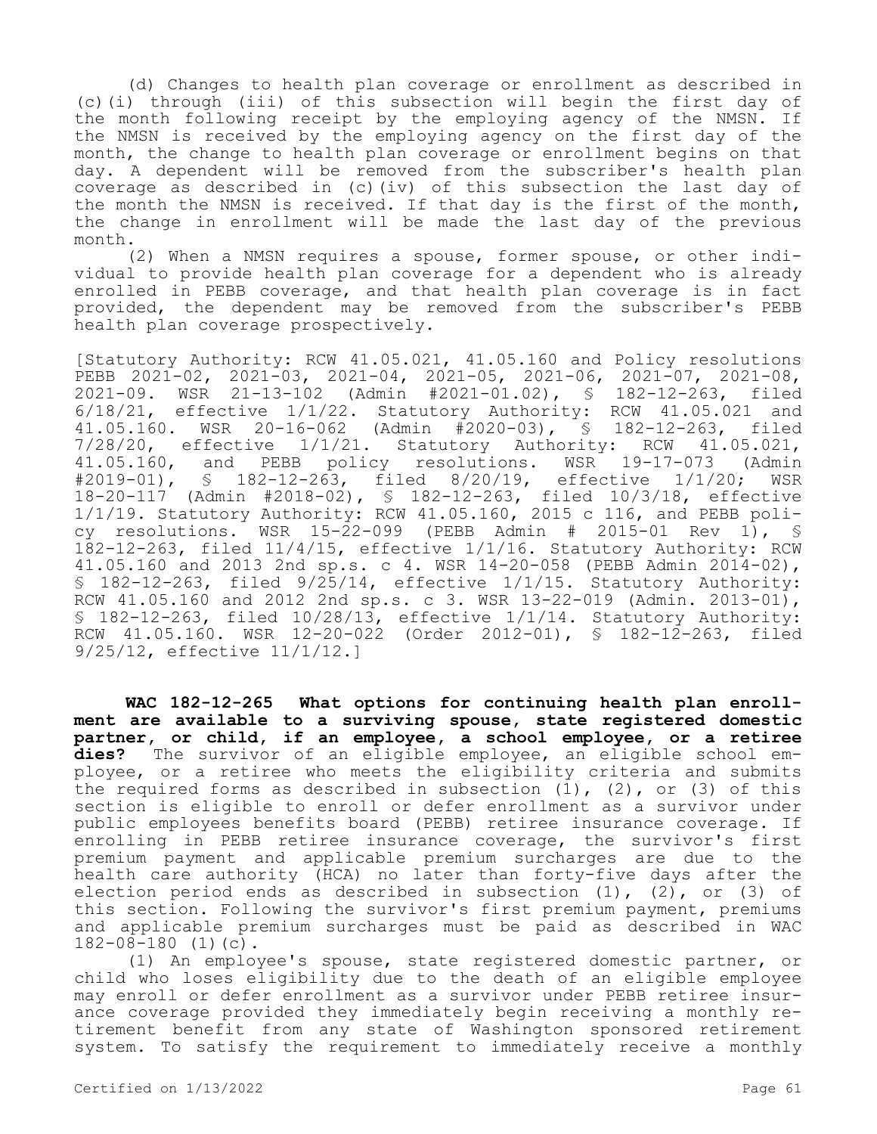(d) Changes to health plan coverage or enrollment as described in (c)(i) through (iii) of this subsection will begin the first day of the month following receipt by the employing agency of the NMSN. If the NMSN is received by the employing agency on the first day of the month, the change to health plan coverage or enrollment begins on that day. A dependent will be removed from the subscriber's health plan coverage as described in (c)(iv) of this subsection the last day of the month the NMSN is received. If that day is the first of the month, the change in enrollment will be made the last day of the previous month.

(2) When a NMSN requires a spouse, former spouse, or other individual to provide health plan coverage for a dependent who is already enrolled in PEBB coverage, and that health plan coverage is in fact provided, the dependent may be removed from the subscriber's PEBB health plan coverage prospectively.

[Statutory Authority: RCW 41.05.021, 41.05.160 and Policy resolutions PEBB 2021-02, 2021-03, 2021-04, 2021-05, 2021-06, 2021-07, 2021-08, 2021-09. WSR 21-13-102 (Admin #2021-01.02), § 182-12-263, filed 6/18/21, effective 1/1/22. Statutory Authority: RCW 41.05.021 and 41.05.160. WSR 20-16-062 (Admin #2020-03), § 182-12-263, filed 7/28/20, effective 1/1/21. Statutory Authority: RCW 41.05.021, 41.05.160, and PEBB policy resolutions. WSR 19-17-073 (Admin #2019-01), § 182-12-263, filed 8/20/19, effective 1/1/20; WSR 182-12-263, filed 8/20/19, effective 1/1/20; WSR 18-20-117 (Admin #2018-02), § 182-12-263, filed 10/3/18, effective 1/1/19. Statutory Authority: RCW 41.05.160, 2015 c 116, and PEBB policy resolutions. WSR  $15-22-099$  (PEBB Admin # 2015-01 Rev 1), § 182-12-263, filed 11/4/15, effective 1/1/16. Statutory Authority: RCW 41.05.160 and 2013 2nd sp.s. c 4. WSR 14-20-058 (PEBB Admin 2014-02), § 182-12-263, filed 9/25/14, effective 1/1/15. Statutory Authority: RCW  $41.05.160$  and  $2012$  2nd sp.s. c 3. WSR  $13-22-019$  (Admin.  $2013-01$ ), § 182-12-263, filed 10/28/13, effective 1/1/14. Statutory Authority: RCW 41.05.160. WSR 12-20-022 (Order 2012-01), § 182-12-263, filed 9/25/12, effective 11/1/12.]

**WAC 182-12-265 What options for continuing health plan enrollment are available to a surviving spouse, state registered domestic partner, or child, if an employee, a school employee, or a retiree dies?** The survivor of an eligible employee, an eligible school employee, or a retiree who meets the eligibility criteria and submits the required forms as described in subsection  $(1)$ ,  $(2)$ , or  $(3)$  of this section is eligible to enroll or defer enrollment as a survivor under public employees benefits board (PEBB) retiree insurance coverage. If enrolling in PEBB retiree insurance coverage, the survivor's first premium payment and applicable premium surcharges are due to the health care authority (HCA) no later than forty-five days after the election period ends as described in subsection (1), (2), or (3) of this section. Following the survivor's first premium payment, premiums and applicable premium surcharges must be paid as described in WAC 182-08-180 (1)(c).

(1) An employee's spouse, state registered domestic partner, or child who loses eligibility due to the death of an eligible employee may enroll or defer enrollment as a survivor under PEBB retiree insurance coverage provided they immediately begin receiving a monthly retirement benefit from any state of Washington sponsored retirement system. To satisfy the requirement to immediately receive a monthly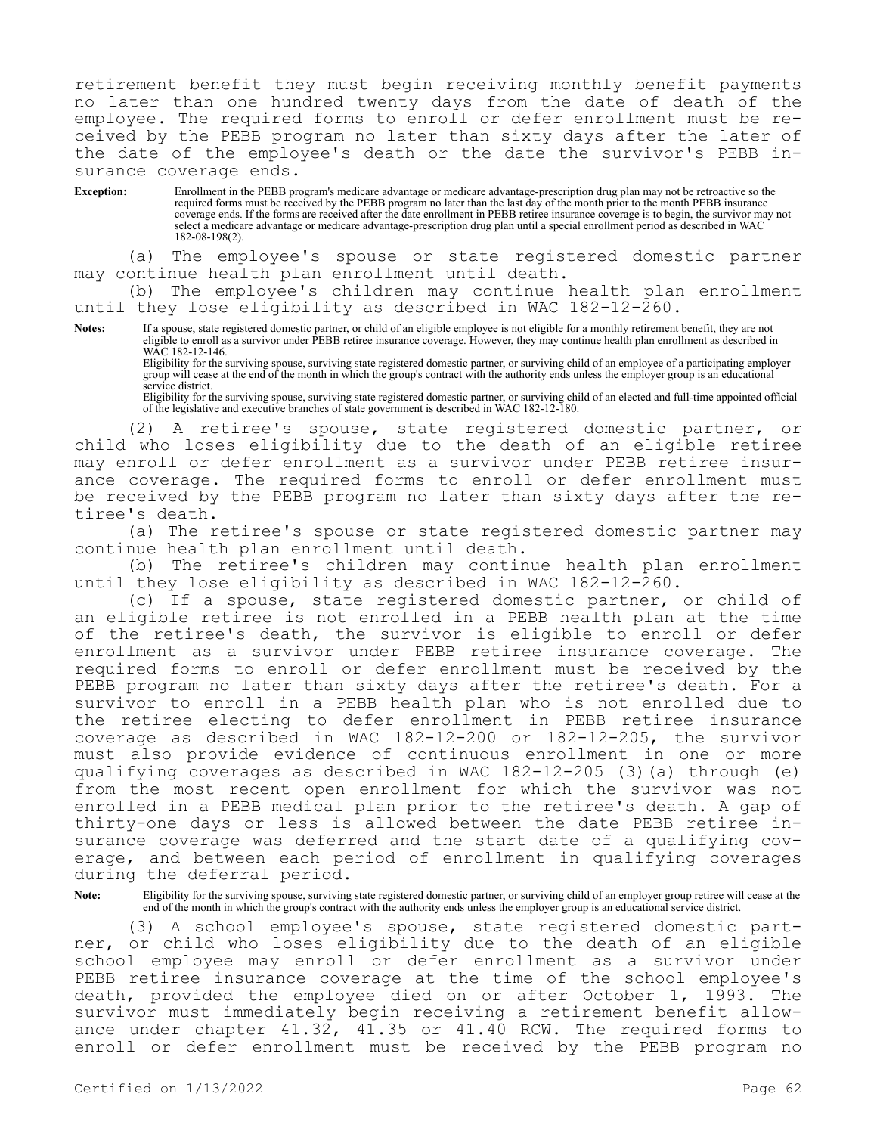retirement benefit they must begin receiving monthly benefit payments no later than one hundred twenty days from the date of death of the employee. The required forms to enroll or defer enrollment must be received by the PEBB program no later than sixty days after the later of the date of the employee's death or the date the survivor's PEBB insurance coverage ends.

**Exception:** Enrollment in the PEBB program's medicare advantage or medicare advantage-prescription drug plan may not be retroactive so the required forms must be received by the PEBB program no later than the last day of the month prior to the month PEBB insurance coverage ends. If the forms are received after the date enrollment in PEBB retiree insurance coverage is to begin, the survivor may not select a medicare advantage or medicare advantage-prescription drug plan until a special enrollment period as described in WAC 182-08-198(2).

(a) The employee's spouse or state registered domestic partner may continue health plan enrollment until death.

(b) The employee's children may continue health plan enrollment until they lose eligibility as described in WAC 182-12-260.

**Notes:** If a spouse, state registered domestic partner, or child of an eligible employee is not eligible for a monthly retirement benefit, they are not eligible to enroll as a survivor under PEBB retiree insurance coverage. However, they may continue health plan enrollment as described in WAC 182-12-146.

Eligibility for the surviving spouse, surviving state registered domestic partner, or surviving child of an employee of a participating employer group will cease at the end of the month in which the group's contract with the authority ends unless the employer group is an educational service district.

Eligibility for the surviving spouse, surviving state registered domestic partner, or surviving child of an elected and full-time appointed official of the legislative and executive branches of state government is described in WAC 182-12-180.

(2) A retiree's spouse, state registered domestic partner, or child who loses eligibility due to the death of an eligible retiree may enroll or defer enrollment as a survivor under PEBB retiree insurance coverage. The required forms to enroll or defer enrollment must be received by the PEBB program no later than sixty days after the retiree's death.

(a) The retiree's spouse or state registered domestic partner may continue health plan enrollment until death.

(b) The retiree's children may continue health plan enrollment until they lose eligibility as described in WAC 182-12-260.

(c) If a spouse, state registered domestic partner, or child of an eligible retiree is not enrolled in a PEBB health plan at the time of the retiree's death, the survivor is eligible to enroll or defer enrollment as a survivor under PEBB retiree insurance coverage. The required forms to enroll or defer enrollment must be received by the PEBB program no later than sixty days after the retiree's death. For a survivor to enroll in a PEBB health plan who is not enrolled due to the retiree electing to defer enrollment in PEBB retiree insurance coverage as described in WAC 182-12-200 or 182-12-205, the survivor must also provide evidence of continuous enrollment in one or more qualifying coverages as described in WAC 182-12-205 (3)(a) through (e) from the most recent open enrollment for which the survivor was not enrolled in a PEBB medical plan prior to the retiree's death. A gap of thirty-one days or less is allowed between the date PEBB retiree insurance coverage was deferred and the start date of a qualifying coverage, and between each period of enrollment in qualifying coverages during the deferral period.

Note: Eligibility for the surviving spouse, surviving state registered domestic partner, or surviving child of an employer group retiree will cease at the end of the month in which the group's contract with the authority ends unless the employer group is an educational service district.

(3) A school employee's spouse, state registered domestic partner, or child who loses eligibility due to the death of an eligible school employee may enroll or defer enrollment as a survivor under PEBB retiree insurance coverage at the time of the school employee's death, provided the employee died on or after October 1, 1993. The survivor must immediately begin receiving a retirement benefit allowance under chapter 41.32, 41.35 or 41.40 RCW. The required forms to enroll or defer enrollment must be received by the PEBB program no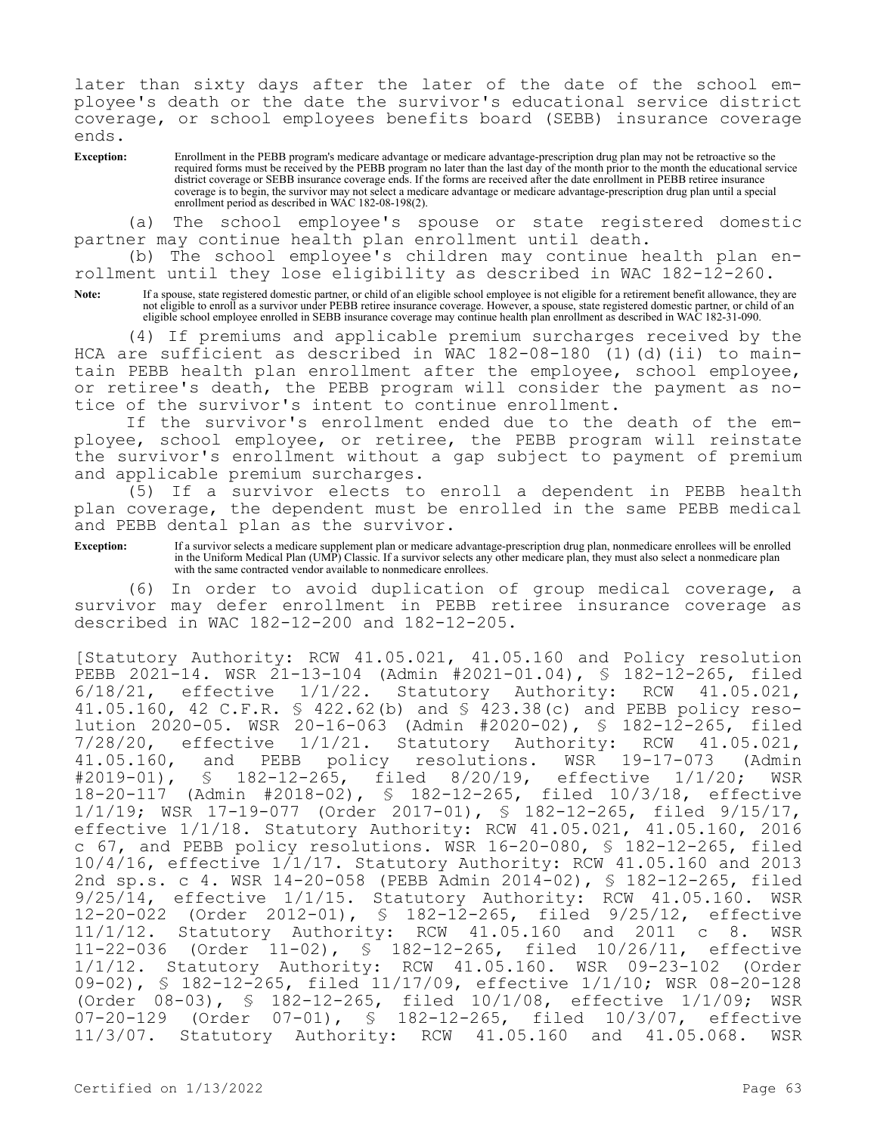later than sixty days after the later of the date of the school employee's death or the date the survivor's educational service district coverage, or school employees benefits board (SEBB) insurance coverage ends.

**Exception:** Enrollment in the PEBB program's medicare advantage or medicare advantage-prescription drug plan may not be retroactive so the required forms must be received by the PEBB program no later than the last day of the month prior to the month the educational service district coverage or SEBB insurance coverage ends. If the forms are received after the date enrollment in PEBB retiree insurance coverage is to begin, the survivor may not select a medicare advantage or medicare advantage-prescription drug plan until a special enrollment period as described in WAC 182-08-198(2).

(a) The school employee's spouse or state registered domestic partner may continue health plan enrollment until death.

(b) The school employee's children may continue health plan enrollment until they lose eligibility as described in WAC 182-12-260.

Note: If a spouse, state registered domestic partner, or child of an eligible school employee is not eligible for a retirement benefit allowance, they are not eligible to enroll as a survivor under PEBB retiree insurance coverage. However, a spouse, state registered domestic partner, or child of an eligible school employee enrolled in SEBB insurance coverage may continue health plan enrollment as described in WAC 182-31-090.

(4) If premiums and applicable premium surcharges received by the HCA are sufficient as described in WAC 182-08-180 (1)(d)(ii) to maintain PEBB health plan enrollment after the employee, school employee, or retiree's death, the PEBB program will consider the payment as notice of the survivor's intent to continue enrollment.

If the survivor's enrollment ended due to the death of the employee, school employee, or retiree, the PEBB program will reinstate the survivor's enrollment without a gap subject to payment of premium and applicable premium surcharges.

(5) If a survivor elects to enroll a dependent in PEBB health plan coverage, the dependent must be enrolled in the same PEBB medical and PEBB dental plan as the survivor.

**Exception:** If a survivor selects a medicare supplement plan or medicare advantage-prescription drug plan, nonmedicare enrollees will be enrolled in the Uniform Medical Plan (UMP) Classic. If a survivor selects any other medicare plan, they must also select a nonmedicare plan with the same contracted vendor available to nonmedicare enrollees.

(6) In order to avoid duplication of group medical coverage, a survivor may defer enrollment in PEBB retiree insurance coverage as described in WAC 182-12-200 and 182-12-205.

[Statutory Authority: RCW 41.05.021, 41.05.160 and Policy resolution PEBB 2021-14. WSR 21-13-104 (Admin #2021-01.04), § 182-12-265, filed 6/18/21, effective 1/1/22. Statutory Authority: RCW 41.05.021, 41.05.160, 42 C.F.R. § 422.62(b) and § 423.38(c) and PEBB policy resolution 2020-05. WSR 20-16-063 (Admin #2020-02), § 182-12-265, filed 7/28/20, effective 1/1/21. Statutory Authority: RCW 41.05.021, 41.05.160, and PEBB policy resolutions. WSR 19-17-073 (Admin #2019-01), § 182-12-265, filed 8/20/19, effective 1/1/20; WSR 18-20-117 (Admin #2018-02), § 182-12-265, filed 10/3/18, effective 1/1/19; WSR 17-19-077 (Order 2017-01), § 182-12-265, filed 9/15/17, effective 1/1/18. Statutory Authority: RCW 41.05.021, 41.05.160, 2016 c 67, and PEBB policy resolutions. WSR 16-20-080, § 182-12-265, filed 10/4/16, effective 1/1/17. Statutory Authority: RCW 41.05.160 and 2013 2nd sp.s. c 4. WSR 14-20-058 (PEBB Admin 2014-02), § 182-12-265, filed 9/25/14, effective 1/1/15. Statutory Authority: RCW 41.05.160. WSR 12-20-022 (Order 2012-01), § 182-12-265, filed 9/25/12, effective 11/1/12. Statutory Authority: RCW 41.05.160 and 2011 c 8. WSR 11-22-036 (Order 11-02), § 182-12-265, filed 10/26/11, effective 1/1/12. Statutory Authority: RCW 41.05.160. WSR 09-23-102 (Order 09-02), § 182-12-265, filed 11/17/09, effective 1/1/10; WSR 08-20-128 (Order 08-03), § 182-12-265, filed 10/1/08, effective 1/1/09; WSR<br>07-20-129 (Order 07-01), § 182-12-265, filed 10/3/07, effective 07-20-129 (Order 07-01), § 182-12-265, filed 10/3/07, effective 11/3/07. Statutory Authority: RCW 41.05.160 and 41.05.068. WSR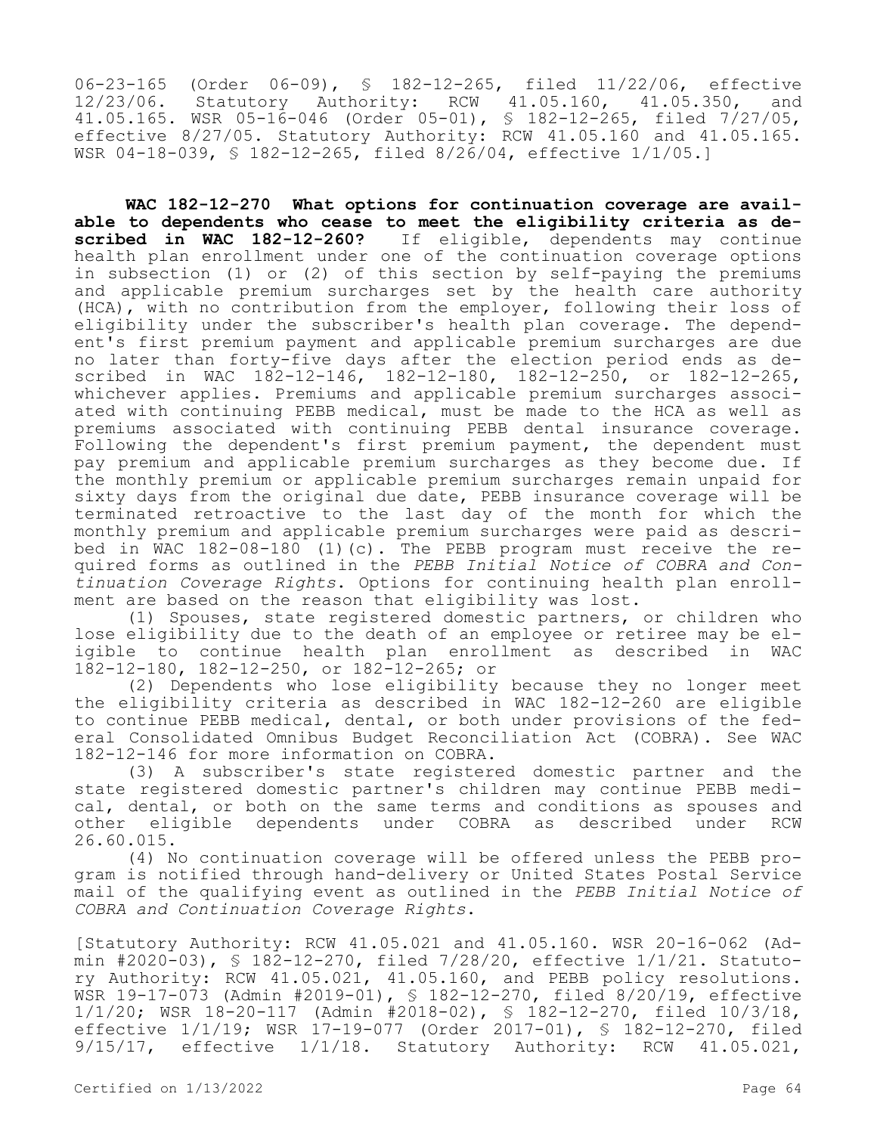06-23-165 (Order 06-09), § 182-12-265, filed 11/22/06, effective<br>12/23/06. Statutory Authority: RCW 41.05.160, 41.05.350. and 12/23/06. Statutory Authority: RCW 41.05.160, 41.05.350, 41.05.165. WSR 05-16-046 (Order 05-01), § 182-12-265, filed 7/27/05, effective 8/27/05. Statutory Authority: RCW 41.05.160 and 41.05.165. WSR 04-18-039, § 182-12-265, filed 8/26/04, effective 1/1/05.]

**WAC 182-12-270 What options for continuation coverage are avail**able to dependents who cease to meet the eligibility criteria as de-<br>scribed in WAC 182-12-260? If eligible, dependents may continue If eligible, dependents may continue health plan enrollment under one of the continuation coverage options in subsection (1) or (2) of this section by self-paying the premiums and applicable premium surcharges set by the health care authority (HCA), with no contribution from the employer, following their loss of eligibility under the subscriber's health plan coverage. The dependent's first premium payment and applicable premium surcharges are due no later than forty-five days after the election period ends as described in WAC 182-12-146, 182-12-180, 182-12-250, or 182-12-265, whichever applies. Premiums and applicable premium surcharges associated with continuing PEBB medical, must be made to the HCA as well as premiums associated with continuing PEBB dental insurance coverage. Following the dependent's first premium payment, the dependent must pay premium and applicable premium surcharges as they become due. If the monthly premium or applicable premium surcharges remain unpaid for sixty days from the original due date, PEBB insurance coverage will be terminated retroactive to the last day of the month for which the monthly premium and applicable premium surcharges were paid as described in WAC 182-08-180 (1)(c). The PEBB program must receive the required forms as outlined in the *PEBB Initial Notice of COBRA and Continuation Coverage Rights*. Options for continuing health plan enrollment are based on the reason that eligibility was lost.

(1) Spouses, state registered domestic partners, or children who lose eligibility due to the death of an employee or retiree may be eligible to continue health plan enrollment as described in WAC 182-12-180, 182-12-250, or 182-12-265; or

(2) Dependents who lose eligibility because they no longer meet the eligibility criteria as described in WAC 182-12-260 are eligible to continue PEBB medical, dental, or both under provisions of the federal Consolidated Omnibus Budget Reconciliation Act (COBRA). See WAC 182-12-146 for more information on COBRA.

(3) A subscriber's state registered domestic partner and the state registered domestic partner's children may continue PEBB medical, dental, or both on the same terms and conditions as spouses and other eligible dependents under COBRA as described under RCW 26.60.015.

(4) No continuation coverage will be offered unless the PEBB program is notified through hand-delivery or United States Postal Service mail of the qualifying event as outlined in the *PEBB Initial Notice of COBRA and Continuation Coverage Rights*.

[Statutory Authority: RCW 41.05.021 and 41.05.160. WSR 20-16-062 (Admin #2020-03), § 182-12-270, filed 7/28/20, effective 1/1/21. Statutory Authority: RCW 41.05.021, 41.05.160, and PEBB policy resolutions. WSR 19-17-073 (Admin #2019-01), § 182-12-270, filed 8/20/19, effective 1/1/20; WSR 18-20-117 (Admin #2018-02), § 182-12-270, filed 10/3/18, effective 1/1/19; WSR 17-19-077 (Order 2017-01), § 182-12-270, filed 9/15/17, effective 1/1/18. Statutory Authority: RCW 41.05.021,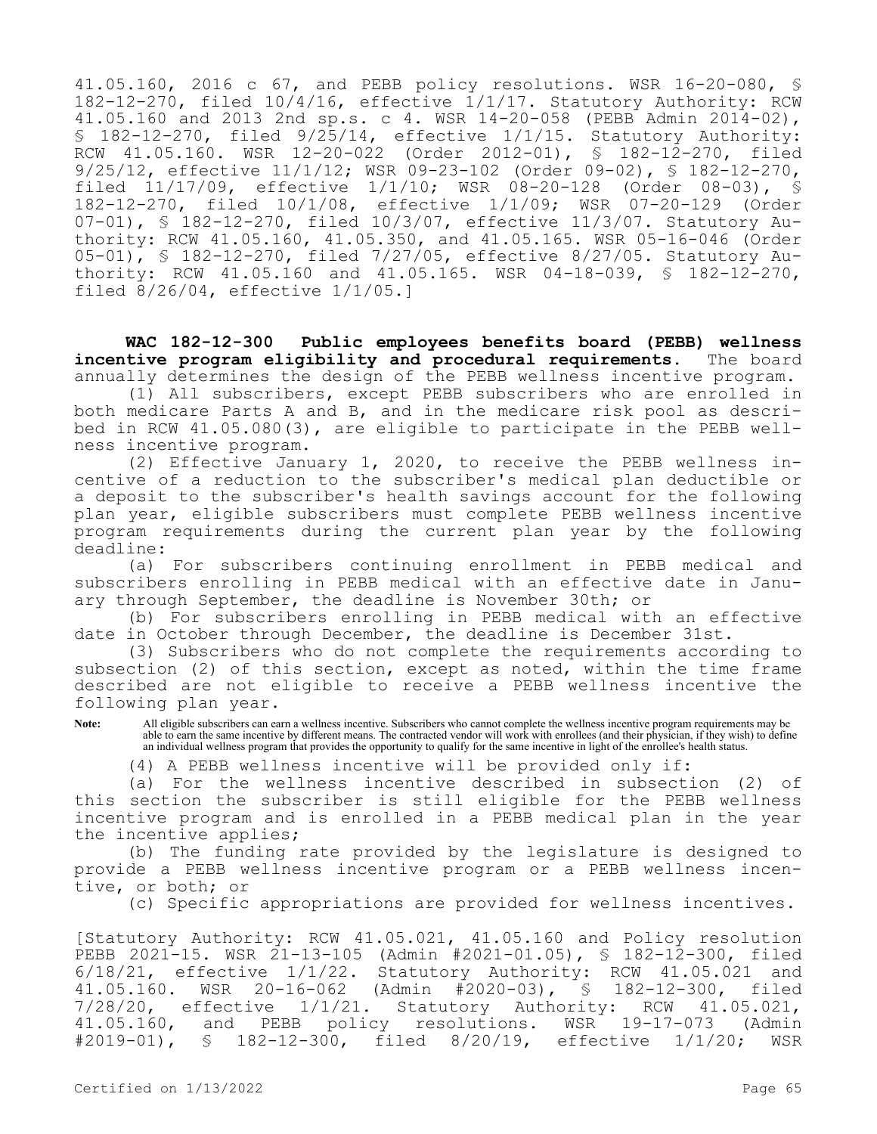41.05.160, 2016 c 67, and PEBB policy resolutions. WSR 16-20-080, § 182-12-270, filed 10/4/16, effective 1/1/17. Statutory Authority: RCW 41.05.160 and 2013 2nd sp.s. c 4. WSR 14-20-058 (PEBB Admin 2014-02), § 182-12-270, filed 9/25/14, effective 1/1/15. Statutory Authority: RCW 41.05.160. WSR 12-20-022 (Order 2012-01), § 182-12-270, filed 9/25/12, effective 11/1/12; WSR 09-23-102 (Order 09-02), § 182-12-270, filed 11/17/09, effective 1/1/10; WSR 08-20-128 (Order 08-03), § 182-12-270, filed 10/1/08, effective 1/1/09; WSR 07-20-129 (Order 07-01), § 182-12-270, filed 10/3/07, effective 11/3/07. Statutory Authority: RCW 41.05.160, 41.05.350, and 41.05.165. WSR 05-16-046 (Order 05-01), § 182-12-270, filed 7/27/05, effective 8/27/05. Statutory Authority: RCW 41.05.160 and 41.05.165. WSR 04-18-039, § 182-12-270, filed 8/26/04, effective 1/1/05.]

**WAC 182-12-300 Public employees benefits board (PEBB) wellness incentive program eligibility and procedural requirements.** The board annually determines the design of the PEBB wellness incentive program.

(1) All subscribers, except PEBB subscribers who are enrolled in both medicare Parts A and B, and in the medicare risk pool as described in RCW 41.05.080(3), are eligible to participate in the PEBB wellness incentive program.

(2) Effective January 1, 2020, to receive the PEBB wellness incentive of a reduction to the subscriber's medical plan deductible or a deposit to the subscriber's health savings account for the following plan year, eligible subscribers must complete PEBB wellness incentive program requirements during the current plan year by the following deadline:

(a) For subscribers continuing enrollment in PEBB medical and subscribers enrolling in PEBB medical with an effective date in January through September, the deadline is November 30th; or

(b) For subscribers enrolling in PEBB medical with an effective date in October through December, the deadline is December 31st.

(3) Subscribers who do not complete the requirements according to subsection (2) of this section, except as noted, within the time frame described are not eligible to receive a PEBB wellness incentive the following plan year.

**Note:** All eligible subscribers can earn a wellness incentive. Subscribers who cannot complete the wellness incentive program requirements may be able to earn the same incentive by different means. The contracted vendor will work with enrollees (and their physician, if they wish) to define an individual wellness program that provides the opportunity to qualify for the same incentive in light of the enrollee's health status.

(4) A PEBB wellness incentive will be provided only if:

(a) For the wellness incentive described in subsection (2) of this section the subscriber is still eligible for the PEBB wellness incentive program and is enrolled in a PEBB medical plan in the year the incentive applies;

(b) The funding rate provided by the legislature is designed to provide a PEBB wellness incentive program or a PEBB wellness incentive, or both; or

(c) Specific appropriations are provided for wellness incentives.

[Statutory Authority: RCW 41.05.021, 41.05.160 and Policy resolution PEBB 2021-15. WSR 21-13-105 (Admin #2021-01.05), § 182-12-300, filed 6/18/21, effective 1/1/22. Statutory Authority: RCW 41.05.021 and 41.05.160. WSR 20-16-062 (Admin #2020-03), § 182-12-300, filed<br>7/28/20, effective 1/1/21. Statutory Authority: RCW 41.05.021, effective 1/1/21. Statutory Authority: 41.05.160, and PEBB policy resolutions. WSR 19-17-073 (Admin #2019-01), § 182-12-300, filed 8/20/19, effective 1/1/20; WSR